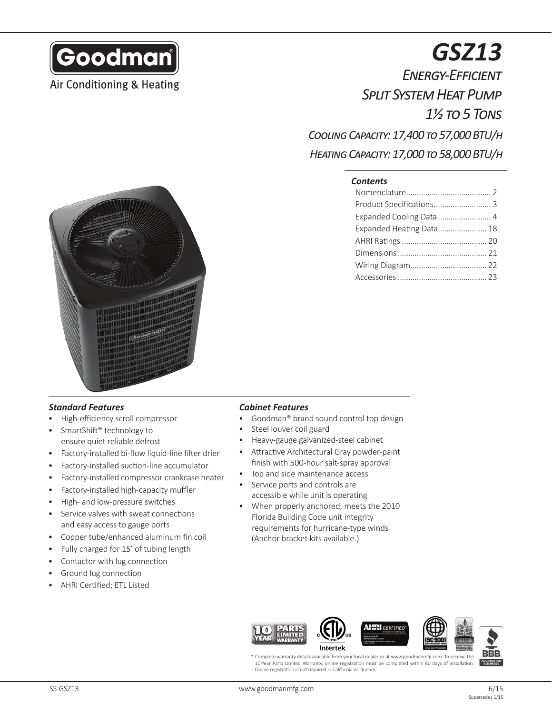

## Air Conditioning & Heating

# *GSZ13*

*Energy-Efficient Split System Heat Pump 1½ to 5 Tons Cooling Capacity: 17,400 to 57,000 BTU/h*

*Heating Capacity: 17,000 to 58,000 BTU/h*

#### *Contents*

| Product Specifications 3 |  |
|--------------------------|--|
| Expanded Cooling Data  4 |  |
| Expanded Heating Data 18 |  |
|                          |  |
|                          |  |
|                          |  |
|                          |  |



## *Standard Features*

- High-efficiency scroll compressor
- SmartShift<sup>®</sup> technology to ensure quiet reliable defrost
- Factory-installed bi-flow liquid-line filter drier
- Factory-installed suction-line accumulator
- Factory-installed compressor crankcase heater
- Factory-installed high-capacity muffler
- High- and low-pressure switches
- Service valves with sweat connections and easy access to gauge ports
- Copper tube/enhanced aluminum fin coil
- Fully charged for 15' of tubing length
- Contactor with lug connection
- Ground lug connection
- AHRI Certified; ETL Listed

#### *Cabinet Features*

- Goodman® brand sound control top design
- Steel louver coil guard
- Heavy-gauge galvanized-steel cabinet
- Attractive Architectural Gray powder-paint finish with 500-hour salt-spray approval
- Top and side maintenance access
- Service ports and controls are accessible while unit is operating
- When properly anchored, meets the 2010 Florida Building Code unit integrity requirements for hurricane-type winds (Anchor bracket kits available.)



Complete warranty details available from your local dealer or at www.goodmanmfg.com. To receive the 10-Year Parts Limited Warranty, online registration must be completed within 60 days of installation. Online registration is not required in California or Quebec.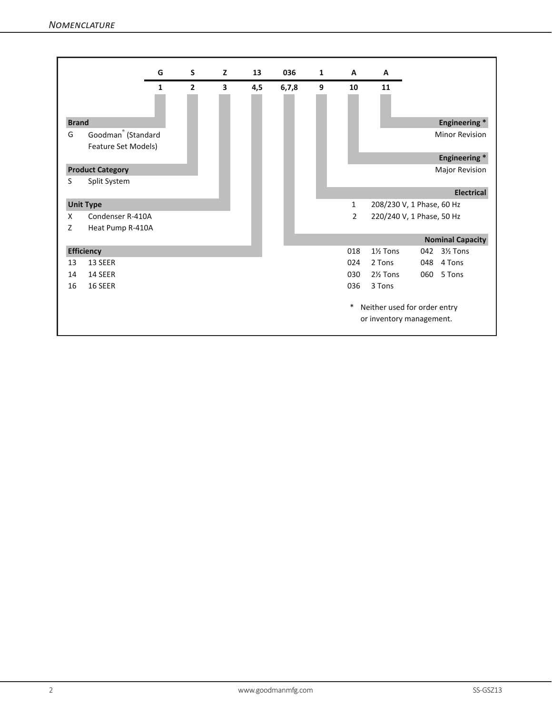*Nomenclature*

|              |                                                       | G            | S              | z | 13  | 036     | $\mathbf{1}$ | $\mathbf{A}$ | A                                                        |     |                         |
|--------------|-------------------------------------------------------|--------------|----------------|---|-----|---------|--------------|--------------|----------------------------------------------------------|-----|-------------------------|
|              |                                                       | $\mathbf{1}$ | $\overline{2}$ | 3 | 4,5 | 6, 7, 8 | 9            | 10           | 11                                                       |     |                         |
| <b>Brand</b> |                                                       |              |                |   |     |         |              |              |                                                          |     | <b>Engineering*</b>     |
| G            | Goodman <sup>®</sup> (Standard<br>Feature Set Models) |              |                |   |     |         |              |              |                                                          |     | <b>Minor Revision</b>   |
|              |                                                       |              |                |   |     |         |              |              |                                                          |     | <b>Engineering*</b>     |
|              | <b>Product Category</b>                               |              |                |   |     |         |              |              |                                                          |     | Major Revision          |
| S            | Split System                                          |              |                |   |     |         |              |              |                                                          |     |                         |
|              |                                                       |              |                |   |     |         |              |              |                                                          |     | <b>Electrical</b>       |
|              | <b>Unit Type</b>                                      |              |                |   |     |         |              | 1            | 208/230 V, 1 Phase, 60 Hz                                |     |                         |
| X            | Condenser R-410A                                      |              |                |   |     |         |              | 2            | 220/240 V, 1 Phase, 50 Hz                                |     |                         |
| Z            | Heat Pump R-410A                                      |              |                |   |     |         |              |              |                                                          |     |                         |
|              |                                                       |              |                |   |     |         |              |              |                                                          |     | <b>Nominal Capacity</b> |
|              | <b>Efficiency</b>                                     |              |                |   |     |         |              | 018          | 1 <sup>1</sup> / <sub>2</sub> Tons                       | 042 | 3½ Tons                 |
| 13           | 13 SEER                                               |              |                |   |     |         |              | 024          | 2 Tons                                                   | 048 | 4 Tons                  |
| 14           | 14 SEER                                               |              |                |   |     |         |              | 030          | 2 <sup>1</sup> / <sub>2</sub> Tons                       | 060 | 5 Tons                  |
| 16           | 16 SEER                                               |              |                |   |     |         |              | 036          | 3 Tons                                                   |     |                         |
|              |                                                       |              |                |   |     |         |              | *            | Neither used for order entry<br>or inventory management. |     |                         |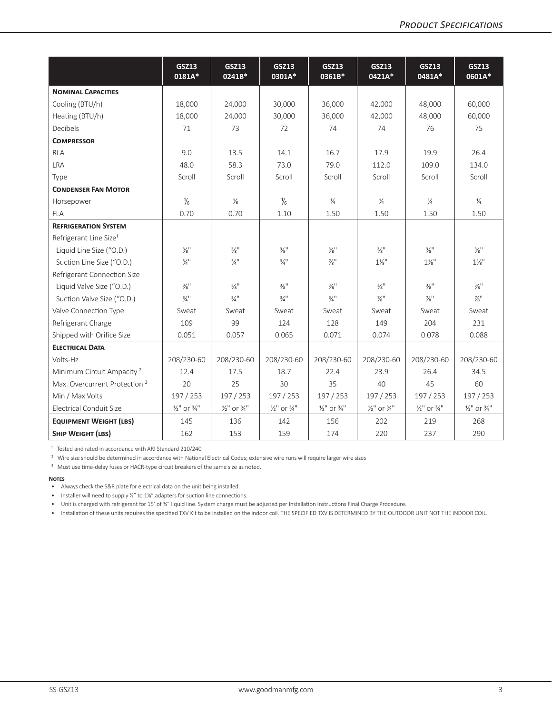|                                          | <b>GSZ13</b><br>0181A*             | <b>GSZ13</b><br>0241B*             | <b>GSZ13</b><br>0301A*             | <b>GSZ13</b><br>0361B*             | <b>GSZ13</b><br>0421A*             | <b>GSZ13</b><br>0481A*             | <b>GSZ13</b><br>0601A*             |
|------------------------------------------|------------------------------------|------------------------------------|------------------------------------|------------------------------------|------------------------------------|------------------------------------|------------------------------------|
| <b>NOMINAL CAPACITIES</b>                |                                    |                                    |                                    |                                    |                                    |                                    |                                    |
| Cooling (BTU/h)                          | 18,000                             | 24,000                             | 30,000                             | 36,000                             | 42,000                             | 48,000                             | 60,000                             |
| Heating (BTU/h)                          | 18,000                             | 24,000                             | 30,000                             | 36,000                             | 42,000                             | 48,000                             | 60,000                             |
| Decibels                                 | 71                                 | 73                                 | 72                                 | 74                                 | 74                                 | 76                                 | 75                                 |
| <b>COMPRESSOR</b>                        |                                    |                                    |                                    |                                    |                                    |                                    |                                    |
| <b>RLA</b>                               | 9.0                                | 13.5                               | 14.1                               | 16.7                               | 17.9                               | 19.9                               | 26.4                               |
| <b>LRA</b>                               | 48.0                               | 58.3                               | 73.0                               | 79.0                               | 112.0                              | 109.0                              | 134.0                              |
| Type                                     | Scroll                             | Scroll                             | Scroll                             | Scroll                             | Scroll                             | Scroll                             | Scroll                             |
| <b>CONDENSER FAN MOTOR</b>               |                                    |                                    |                                    |                                    |                                    |                                    |                                    |
| Horsepower                               | $\frac{1}{6}$                      | $\frac{1}{8}$                      | $\frac{1}{6}$                      | $\frac{1}{4}$                      | $\frac{1}{4}$                      | $\frac{1}{4}$                      | $\frac{1}{4}$                      |
| <b>FLA</b>                               | 0.70                               | 0.70                               | 1.10                               | 1.50                               | 1.50                               | 1.50                               | 1.50                               |
| <b>REFRIGERATION SYSTEM</b>              |                                    |                                    |                                    |                                    |                                    |                                    |                                    |
| Refrigerant Line Size <sup>1</sup>       |                                    |                                    |                                    |                                    |                                    |                                    |                                    |
| Liquid Line Size ("O.D.)                 | $\frac{3}{8}$ <sup>11</sup>        | $\frac{3}{8}$ <sup>11</sup>        | $\frac{3}{8}$ <sup>11</sup>        | $\frac{3}{8}$ <sup>11</sup>        | $\frac{3}{8}$ <sup>11</sup>        | $\frac{3}{8}$ <sup>11</sup>        | $\frac{3}{8}$ <sup>11</sup>        |
| Suction Line Size ("O.D.)                | $\frac{3}{4}$ <sup>11</sup>        | $\frac{3}{4}$ <sup>11</sup>        | $\frac{3}{4}$ <sup>11</sup>        | $\frac{7}{8}$ "                    | $1\frac{1}{8}$                     | $1\frac{1}{8}$ "                   | $1\frac{1}{8}$ "                   |
| Refrigerant Connection Size              |                                    |                                    |                                    |                                    |                                    |                                    |                                    |
| Liquid Valve Size ("O.D.)                | $\frac{3}{8}$ <sup>11</sup>        | $\frac{3}{8}$ <sup>11</sup>        | $\frac{3}{8}$ <sup>11</sup>        | $\frac{3}{8}$ <sup>11</sup>        | $\frac{3}{8}$ <sup>11</sup>        | $\frac{3}{8}$ <sup>11</sup>        | $\frac{3}{8}$ <sup>11</sup>        |
| Suction Valve Size ("O.D.)               | $\frac{3}{4}$ <sup>11</sup>        | $\frac{3}{4}$ <sup>11</sup>        | $\frac{3}{4}$ <sup>11</sup>        | $\frac{3}{4}$ <sup>11</sup>        | $\frac{7}{8}$                      | $\frac{7}{8}$                      | $\frac{7}{8}$                      |
| Valve Connection Type                    | Sweat                              | Sweat                              | Sweat                              | Sweat                              | Sweat                              | Sweat                              | Sweat                              |
| Refrigerant Charge                       | 109                                | 99                                 | 124                                | 128                                | 149                                | 204                                | 231                                |
| Shipped with Orifice Size                | 0.051                              | 0.057                              | 0.065                              | 0.071                              | 0.074                              | 0.078                              | 0.088                              |
| <b>ELECTRICAL DATA</b>                   |                                    |                                    |                                    |                                    |                                    |                                    |                                    |
| Volts-Hz                                 | 208/230-60                         | 208/230-60                         | 208/230-60                         | 208/230-60                         | 208/230-60                         | 208/230-60                         | 208/230-60                         |
| Minimum Circuit Ampacity <sup>2</sup>    | 12.4                               | 17.5                               | 18.7                               | 22.4                               | 23.9                               | 26.4                               | 34.5                               |
| Max. Overcurrent Protection <sup>3</sup> | 20                                 | 25                                 | 30                                 | 35                                 | 40                                 | 45                                 | 60                                 |
| Min / Max Volts                          | 197 / 253                          | 197 / 253                          | 197 / 253                          | 197 / 253                          | 197 / 253                          | 197 / 253                          | 197 / 253                          |
| Electrical Conduit Size                  | $\frac{1}{2}$ " or $\frac{3}{4}$ " | $\frac{1}{2}$ " or $\frac{3}{4}$ " | $\frac{1}{2}$ " or $\frac{3}{4}$ " | $\frac{1}{2}$ " or $\frac{3}{4}$ " | $\frac{1}{2}$ " or $\frac{3}{4}$ " | $\frac{1}{2}$ " or $\frac{3}{4}$ " | $\frac{1}{2}$ " or $\frac{3}{4}$ " |
| <b>EQUIPMENT WEIGHT (LBS)</b>            | 145                                | 136                                | 142                                | 156                                | 202                                | 219                                | 268                                |
| <b>SHIP WEIGHT (LBS)</b>                 | 162                                | 153                                | 159                                | 174                                | 220                                | 237                                | 290                                |

<sup>1</sup> Tested and rated in accordance with ARI Standard 210/240

<sup>2</sup> Wire size should be determined in accordance with National Electrical Codes; extensive wire runs will require larger wire sizes

<sup>3</sup> Must use time-delay fuses or HACR-type circuit breakers of the same size as noted.

#### **Notes**

• Always check the S&R plate for electrical data on the unit being installed.

• Installer will need to supply <sup>74</sup> to 1<sup>14</sup> adapters for suction line connections.

• Unit is charged with refrigerant for 15' of ⅜" liquid line. System charge must be adjusted per Installation Instructions Final Charge Procedure.

• Installation of these units requires the specified TXV Kit to be installed on the indoor coil. THE SPECIFIED TXV IS DETERMINED BY THE OUTDOOR UNIT NOT THE INDOOR COIL.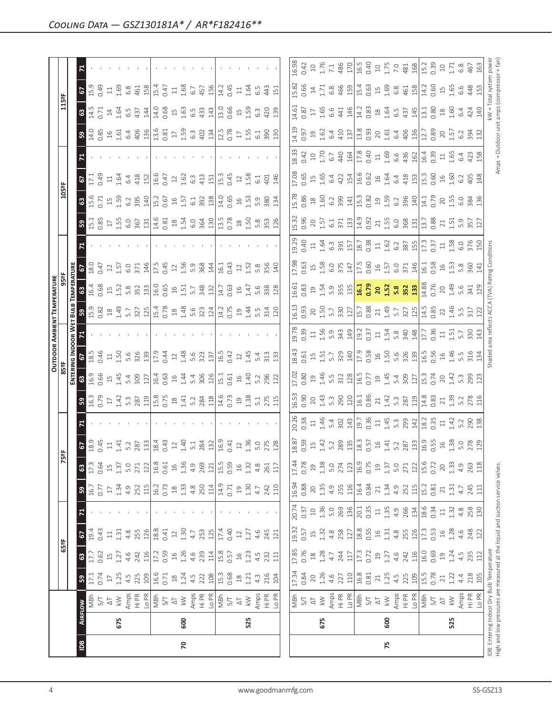|                                      |     |                                                                                                                            |                                    |                                                   |                           |                                         |                           |                      |                                                                            |                                                                                                                                                                                                                                                                                                           |                                                                                                                                                                                                                                                                                                                                                  |                                                                                                                                                                                                                                                                                                           |                                             |                           | <b>OUTDOOR AMBIENT TEMPERATURE</b>                                                                                                                                                                                                                                                                            |                                                                                                                         |                         |       |                                   |                          |                                           |                                                                |                                                             |                                                                              |                                                                            |                                                                                       |
|--------------------------------------|-----|----------------------------------------------------------------------------------------------------------------------------|------------------------------------|---------------------------------------------------|---------------------------|-----------------------------------------|---------------------------|----------------------|----------------------------------------------------------------------------|-----------------------------------------------------------------------------------------------------------------------------------------------------------------------------------------------------------------------------------------------------------------------------------------------------------|--------------------------------------------------------------------------------------------------------------------------------------------------------------------------------------------------------------------------------------------------------------------------------------------------------------------------------------------------|-----------------------------------------------------------------------------------------------------------------------------------------------------------------------------------------------------------------------------------------------------------------------------------------------------------|---------------------------------------------|---------------------------|---------------------------------------------------------------------------------------------------------------------------------------------------------------------------------------------------------------------------------------------------------------------------------------------------------------|-------------------------------------------------------------------------------------------------------------------------|-------------------------|-------|-----------------------------------|--------------------------|-------------------------------------------|----------------------------------------------------------------|-------------------------------------------------------------|------------------------------------------------------------------------------|----------------------------------------------------------------------------|---------------------------------------------------------------------------------------|
|                                      |     |                                                                                                                            |                                    | 65°F                                              |                           |                                         |                           | N                    | 5°F                                                                        |                                                                                                                                                                                                                                                                                                           |                                                                                                                                                                                                                                                                                                                                                  | 85 <sup>o</sup> F                                                                                                                                                                                                                                                                                         |                                             |                           |                                                                                                                                                                                                                                                                                                               |                                                                                                                         |                         |       |                                   | 105°F                    |                                           |                                                                |                                                             | 115°F                                                                        |                                                                            |                                                                                       |
|                                      |     |                                                                                                                            |                                    |                                                   |                           |                                         |                           |                      |                                                                            |                                                                                                                                                                                                                                                                                                           |                                                                                                                                                                                                                                                                                                                                                  | ENTER                                                                                                                                                                                                                                                                                                     |                                             | OOR W                     |                                                                                                                                                                                                                                                                                                               |                                                                                                                         |                         |       |                                   |                          |                                           |                                                                |                                                             |                                                                              |                                                                            |                                                                                       |
| $\underline{\underline{\mathbf{e}}}$ |     | <b>AIRFLOW</b>                                                                                                             | ${\bf 59}$                         | $\mathbf{G}$                                      | 19.4<br>67                |                                         | $\mathbf{\mathfrak{a}}$   | 17.3<br>$\mathbf{G}$ | 67<br>18.9<br>19.45                                                        |                                                                                                                                                                                                                                                                                                           | $B \left[\frac{10}{9} \sum_{i=1}^{8} \sum_{i=1}^{1} \sum_{i=1}^{1} \sum_{i=1}^{1} \sum_{i=1}^{1} \sum_{i=1}^{1} \sum_{i=1}^{1} \sum_{i=1}^{1} \sum_{i=1}^{1} \sum_{i=1}^{1} \sum_{i=1}^{1} \sum_{i=1}^{1} \sum_{i=1}^{1} \sum_{i=1}^{1} \sum_{i=1}^{1} \sum_{i=1}^{1} \sum_{i=1}^{1} \sum_{i=1}^{1} \sum_{i=1}^{1} \sum_{i=1}^{1} \sum_{i=1}^{1$ | 63                                                                                                                                                                                                                                                                                                        | $\frac{18.5}{ }$<br>C.                      |                           |                                                                                                                                                                                                                                                                                                               | $\mathbbmss{3}$                                                                                                         |                         |       | 3.58                              | <b>8</b><br>15.6<br>0.71 | 2                                         |                                                                | ္ဗ                                                          | $\frac{3}{45}$                                                               | $\frac{67}{15}$                                                            | 5                                                                                     |
|                                      |     | TS<br>S/T                                                                                                                  | $\frac{17.1}{0.74}$                | $\frac{17.7}{0.62}$                               | 0.43                      |                                         | $16.7$<br>0.77            | 0.64                 |                                                                            |                                                                                                                                                                                                                                                                                                           |                                                                                                                                                                                                                                                                                                                                                  | 16.9<br>0.66                                                                                                                                                                                                                                                                                              | 0.46                                        |                           |                                                                                                                                                                                                                                                                                                               | $\frac{16.4}{0.68}$                                                                                                     | $\frac{18.0}{0.47}$     |       |                                   |                          | $\frac{17.1}{0.49}$                       |                                                                | $\frac{14.0}{0.85}$                                         |                                                                              | 0.49                                                                       |                                                                                       |
|                                      |     |                                                                                                                            | $\Box$                             |                                                   | $\Xi$                     |                                         | $\Box$                    | $\overline{1}$       |                                                                            |                                                                                                                                                                                                                                                                                                           |                                                                                                                                                                                                                                                                                                                                                  |                                                                                                                                                                                                                                                                                                           |                                             |                           |                                                                                                                                                                                                                                                                                                               |                                                                                                                         |                         |       |                                   |                          | $\Xi$                                     |                                                                |                                                             |                                                                              | $\Xi$                                                                      |                                                                                       |
|                                      | 675 | $\frac{\sqrt{1}}{2}$                                                                                                       | 1.25                               | 1.27                                              | 1.31                      |                                         | 1.34                      | 1.37                 | 1.41                                                                       |                                                                                                                                                                                                                                                                                                           |                                                                                                                                                                                                                                                                                                                                                  |                                                                                                                                                                                                                                                                                                           |                                             |                           |                                                                                                                                                                                                                                                                                                               |                                                                                                                         | 1.57                    |       |                                   | $15\n\n1.59\n\n1.59$     | 1.64                                      |                                                                |                                                             | 1.64                                                                         | 1.69                                                                       |                                                                                       |
|                                      |     |                                                                                                                            | $4.5$<br>225                       | 4.6                                               | 4.8                       |                                         | 4.9                       | 5.0                  | 5.2<br>287                                                                 |                                                                                                                                                                                                                                                                                                           |                                                                                                                                                                                                                                                                                                                                                  |                                                                                                                                                                                                                                                                                                           |                                             |                           |                                                                                                                                                                                                                                                                                                               |                                                                                                                         | 6.0<br>371              |       |                                   | 6.2<br>395               | 6.4                                       |                                                                |                                                             | 6.5<br>437                                                                   | $6.8$                                                                      |                                                                                       |
|                                      |     | Amps<br>Hi PR<br>Lo PI<br>S/T<br>S/T                                                                                       | 109                                | 242<br>116                                        | 255<br>126                |                                         | 115<br>252                | 271<br>122           | 133                                                                        |                                                                                                                                                                                                                                                                                                           |                                                                                                                                                                                                                                                                                                                                                  | $14.48$<br>$14.48$<br>$12$                                                                                                                                                                                                                                                                                | $1.50$ 5.8 $\frac{8}{3}$ $\frac{8}{3}$      |                           | $\frac{8}{12}$ $\frac{8}{12}$ $\frac{8}{12}$ $\frac{8}{12}$ $\frac{17}{12}$ $\frac{8}{12}$ $\frac{8}{12}$ $\frac{8}{12}$ $\frac{8}{12}$ $\frac{17}{12}$ $\frac{17}{12}$ $\frac{17}{12}$ $\frac{17}{12}$ $\frac{17}{12}$ $\frac{17}{12}$ $\frac{17}{12}$ $\frac{17}{12}$ $\frac{17}{12}$ $\frac{17}{12}$       | 15.8881                                                                                                                 |                         |       |                                   |                          | 418<br>152                                |                                                                |                                                             | 144                                                                          | $458$<br>$15.4$                                                            |                                                                                       |
|                                      |     |                                                                                                                            |                                    |                                                   | 18.8                      |                                         | 16.2                      | 16.8                 | 18.4                                                                       |                                                                                                                                                                                                                                                                                                           |                                                                                                                                                                                                                                                                                                                                                  |                                                                                                                                                                                                                                                                                                           | 17.9                                        |                           |                                                                                                                                                                                                                                                                                                               |                                                                                                                         | $\frac{146}{17.5}$      |       |                                   | $\frac{140}{15.2}$       | 16.6                                      |                                                                |                                                             | 14.0                                                                         |                                                                            |                                                                                       |
|                                      |     |                                                                                                                            | 16.6<br>0.71                       | 17.2<br>0.59                                      | 0.41                      |                                         | 0.73                      | 0.61                 | 0.43                                                                       |                                                                                                                                                                                                                                                                                                           |                                                                                                                                                                                                                                                                                                                                                  |                                                                                                                                                                                                                                                                                                           |                                             |                           |                                                                                                                                                                                                                                                                                                               |                                                                                                                         |                         |       |                                   | 0.67                     | 0.47                                      |                                                                |                                                             | 0.68                                                                         | 0.47                                                                       |                                                                                       |
|                                      |     | $\overline{\triangle}$                                                                                                     | $\ensuremath{\mathop{\mathbb{E}}}$ | $16$                                              | $12\,$                    |                                         | $\frac{\infty}{2}$        | $\frac{1}{2}$        |                                                                            |                                                                                                                                                                                                                                                                                                           |                                                                                                                                                                                                                                                                                                                                                  |                                                                                                                                                                                                                                                                                                           |                                             |                           |                                                                                                                                                                                                                                                                                                               |                                                                                                                         |                         |       |                                   |                          |                                           |                                                                |                                                             |                                                                              | $\Xi$                                                                      |                                                                                       |
| 20                                   | 600 | $\lesssim$                                                                                                                 | 1.24                               | 1.26                                              | 1.30                      |                                         | 1.33                      | 1.36                 |                                                                            |                                                                                                                                                                                                                                                                                                           |                                                                                                                                                                                                                                                                                                                                                  |                                                                                                                                                                                                                                                                                                           |                                             |                           |                                                                                                                                                                                                                                                                                                               |                                                                                                                         | $12.56$<br>$5.9$        |       |                                   | 1.57                     | $\begin{array}{c} 12 \\ 1.62 \end{array}$ |                                                                |                                                             | $\begin{array}{c}\n15 \\ 163\n\end{array}$                                   | 1.68                                                                       |                                                                                       |
|                                      |     |                                                                                                                            | 4.5                                | 4.6                                               | 4.7                       |                                         | $4.\overline{8}$          | 4.9                  |                                                                            |                                                                                                                                                                                                                                                                                                           |                                                                                                                                                                                                                                                                                                                                                  |                                                                                                                                                                                                                                                                                                           |                                             |                           |                                                                                                                                                                                                                                                                                                               |                                                                                                                         |                         |       |                                   | 6.1                      | $6.\overline{3}$                          |                                                                |                                                             |                                                                              | 6.7                                                                        |                                                                                       |
|                                      |     | Amps<br>Hi PR<br>Lo PR                                                                                                     | 222<br>108                         | 239                                               | 253<br>125                |                                         | 250<br>114                | 269                  | $\begin{array}{c} 12 \\ 21 \\ 31 \\ 42 \\ 51 \\ 32 \\ 61 \\ 1 \end{array}$ |                                                                                                                                                                                                                                                                                                           |                                                                                                                                                                                                                                                                                                                                                  |                                                                                                                                                                                                                                                                                                           | $0.44$<br>$1.48$<br>$5.8$<br>$3.3$<br>$1.5$ |                           |                                                                                                                                                                                                                                                                                                               |                                                                                                                         | $\frac{368}{44}$        |       |                                   | 392<br>138               | 413                                       |                                                                |                                                             | $6.5$<br>$4.33$<br>$14.3$                                                    | 457<br>156                                                                 |                                                                                       |
|                                      |     |                                                                                                                            |                                    | 114                                               |                           |                                         |                           | $121\,$              |                                                                            |                                                                                                                                                                                                                                                                                                           |                                                                                                                                                                                                                                                                                                                                                  |                                                                                                                                                                                                                                                                                                           |                                             |                           |                                                                                                                                                                                                                                                                                                               |                                                                                                                         |                         |       |                                   |                          | 151                                       |                                                                |                                                             |                                                                              |                                                                            |                                                                                       |
|                                      |     | ns<br>지<br>오                                                                                                               | 15.3<br>0.68                       | 15.8<br>0.57                                      | $\frac{17.4}{ }$          |                                         | 14.9<br>0.71              | 15.5                 | $\frac{16.9}{0.41}$                                                        |                                                                                                                                                                                                                                                                                                           |                                                                                                                                                                                                                                                                                                                                                  |                                                                                                                                                                                                                                                                                                           | 16.5                                        |                           |                                                                                                                                                                                                                                                                                                               | $14.7$<br>0.63<br>1.47<br>5.6                                                                                           | $16.1$<br>0.43          |       | $\frac{13.5}{0.78}$               | 14.0                     | 15.3                                      |                                                                |                                                             | $\overline{13.0}$                                                            | 14.2                                                                       |                                                                                       |
|                                      |     |                                                                                                                            |                                    |                                                   | 0.40                      |                                         |                           | 0.59                 |                                                                            |                                                                                                                                                                                                                                                                                                           |                                                                                                                                                                                                                                                                                                                                                  |                                                                                                                                                                                                                                                                                                           | 0.42                                        |                           |                                                                                                                                                                                                                                                                                                               |                                                                                                                         |                         |       |                                   | 0.65                     | 0.45                                      |                                                                |                                                             | 0.66                                                                         | 0.45                                                                       |                                                                                       |
|                                      |     |                                                                                                                            |                                    | $\exists$                                         | $\overline{\mathfrak{L}}$ |                                         | $\Xi$                     | $\frac{16}{1}$       | $12$                                                                       |                                                                                                                                                                                                                                                                                                           |                                                                                                                                                                                                                                                                                                                                                  |                                                                                                                                                                                                                                                                                                           |                                             |                           |                                                                                                                                                                                                                                                                                                               |                                                                                                                         | $12\,$                  |       |                                   |                          | $12\,$                                    |                                                                |                                                             |                                                                              | $\Xi$                                                                      |                                                                                       |
|                                      | 525 | $\lesssim$                                                                                                                 | 1.21                               | 1.23                                              | 1.27                      |                                         | 1.30                      | 1.32                 | 1.36                                                                       |                                                                                                                                                                                                                                                                                                           |                                                                                                                                                                                                                                                                                                                                                  |                                                                                                                                                                                                                                                                                                           |                                             |                           |                                                                                                                                                                                                                                                                                                               |                                                                                                                         |                         |       |                                   | 1.53                     | 1.58                                      |                                                                |                                                             |                                                                              |                                                                            |                                                                                       |
|                                      |     |                                                                                                                            | $4.\overline{3}$                   | 4.5                                               | 4.6                       |                                         | 4.7                       | $4.\overline{8}$     | 5.0<br>275<br>128                                                          |                                                                                                                                                                                                                                                                                                           |                                                                                                                                                                                                                                                                                                                                                  |                                                                                                                                                                                                                                                                                                           | $1.45$<br>$5.4$<br>$3.3$                    |                           |                                                                                                                                                                                                                                                                                                               |                                                                                                                         | 1.52<br>5.8             |       | $158$ $358$ $126$                 | 5.9<br>380               | 6.1                                       |                                                                |                                                             | $\begin{array}{c} 15 \\ 15 \\ 6 \end{array}$                                 | $1.64$<br>6.5                                                              |                                                                                       |
|                                      |     |                                                                                                                            |                                    |                                                   | 245                       |                                         |                           | 261                  |                                                                            |                                                                                                                                                                                                                                                                                                           |                                                                                                                                                                                                                                                                                                                                                  |                                                                                                                                                                                                                                                                                                           |                                             |                           |                                                                                                                                                                                                                                                                                                               | 338<br>128                                                                                                              | 356<br>140              |       |                                   |                          | 401                                       |                                                                |                                                             | 420<br>139                                                                   | 443                                                                        |                                                                                       |
|                                      |     | Amps<br>Hi PR<br>Lo PR                                                                                                     | 216<br>104                         | 232<br>111                                        | 121                       |                                         | 242<br>110                | 117                  |                                                                            |                                                                                                                                                                                                                                                                                                           |                                                                                                                                                                                                                                                                                                                                                  |                                                                                                                                                                                                                                                                                                           | 133                                         |                           | 120                                                                                                                                                                                                                                                                                                           |                                                                                                                         |                         |       |                                   | 134                      | 146                                       |                                                                | 130                                                         |                                                                              | 151                                                                        |                                                                                       |
|                                      |     |                                                                                                                            |                                    |                                                   |                           |                                         |                           |                      |                                                                            |                                                                                                                                                                                                                                                                                                           |                                                                                                                                                                                                                                                                                                                                                  |                                                                                                                                                                                                                                                                                                           |                                             |                           |                                                                                                                                                                                                                                                                                                               |                                                                                                                         |                         |       |                                   |                          |                                           |                                                                |                                                             |                                                                              |                                                                            |                                                                                       |
|                                      |     |                                                                                                                            | 17.34<br>0.84                      | 17.85                                             | 19.32                     | 20.74                                   | 16.94                     | 17.44                | 18.87                                                                      | 20.26                                                                                                                                                                                                                                                                                                     | 16.53                                                                                                                                                                                                                                                                                                                                            | 17.02                                                                                                                                                                                                                                                                                                     | 18.43                                       | 9.78                      | <b>16.13</b>                                                                                                                                                                                                                                                                                                  | 16.61                                                                                                                   | 17.98                   | 19.29 | 15.32                             | 15.78                    | 17.08                                     | 18.33                                                          | 14.19                                                       |                                                                              | 15.82                                                                      | 16.98                                                                                 |
|                                      |     | NBM<br>S/T                                                                                                                 |                                    | 0.76                                              | 0.57                      | 0.37                                    | 0.88                      | 0.78                 |                                                                            | 0.38                                                                                                                                                                                                                                                                                                      | 0.90                                                                                                                                                                                                                                                                                                                                             | 0.80                                                                                                                                                                                                                                                                                                      | 0.61                                        | 0.39                      | 0.93                                                                                                                                                                                                                                                                                                          | 0.83                                                                                                                    | 0.63                    | 0.40  | 0.96                              | 0.86                     | 0.65                                      | 0.42                                                           | 0.97                                                        | 14.61<br>0.87                                                                | 0.66                                                                       | 0.42                                                                                  |
|                                      |     | $\overline{\triangle}$                                                                                                     | $20$                               | $\overset{\text{\tiny \textsf{SO}}}{\rightarrow}$ | $\overline{\Xi}$          | $\begin{array}{c}\n0 \\ 1\n\end{array}$ | 20                        | $\overline{c}$       |                                                                            | $\Xi$                                                                                                                                                                                                                                                                                                     |                                                                                                                                                                                                                                                                                                                                                  | $\Xi$                                                                                                                                                                                                                                                                                                     | $15$                                        |                           | 20                                                                                                                                                                                                                                                                                                            |                                                                                                                         |                         |       |                                   |                          |                                           |                                                                |                                                             | $\overline{\mathbb{1}}$                                                      | $\ensuremath{\mathop{\mathop{\mathbf{1}}}\nolimits}$                       | $\Box$                                                                                |
|                                      | 675 | $\lesssim$                                                                                                                 | 1.26                               | 1.28                                              | 1.32                      | 1.36                                    | 1.35                      | 1.38                 |                                                                            |                                                                                                                                                                                                                                                                                                           |                                                                                                                                                                                                                                                                                                                                                  |                                                                                                                                                                                                                                                                                                           |                                             |                           |                                                                                                                                                                                                                                                                                                               |                                                                                                                         |                         |       |                                   |                          |                                           | $\begin{array}{c} 10 \\ 1.70 \\ 6.7 \\ 440 \\ 164 \end{array}$ | $\begin{smallmatrix}\n 1 & 2 \\  2 & 3\n \end{smallmatrix}$ | 1.65                                                                         | 1.71                                                                       | $1.76$<br>7.1                                                                         |
|                                      |     | Amps<br>Hi PR<br>Lo PR                                                                                                     | 4.6                                | 4.7                                               | 4.8                       | 5.0                                     | 4.9                       | 5.0                  |                                                                            |                                                                                                                                                                                                                                                                                                           |                                                                                                                                                                                                                                                                                                                                                  |                                                                                                                                                                                                                                                                                                           |                                             |                           |                                                                                                                                                                                                                                                                                                               |                                                                                                                         |                         |       |                                   |                          |                                           |                                                                | 6.4<br>410<br>137                                           | 6.6                                                                          | 6.8                                                                        |                                                                                       |
|                                      |     |                                                                                                                            | 227                                | 244                                               | 258<br>127                | 269<br>136                              | 255<br>116                | 274                  |                                                                            |                                                                                                                                                                                                                                                                                                           |                                                                                                                                                                                                                                                                                                                                                  |                                                                                                                                                                                                                                                                                                           |                                             |                           |                                                                                                                                                                                                                                                                                                               |                                                                                                                         |                         |       |                                   |                          |                                           |                                                                |                                                             | 441<br>146                                                                   | 466<br>159                                                                 |                                                                                       |
|                                      |     |                                                                                                                            | 110                                | 117                                               |                           |                                         |                           | 123                  |                                                                            |                                                                                                                                                                                                                                                                                                           |                                                                                                                                                                                                                                                                                                                                                  |                                                                                                                                                                                                                                                                                                           |                                             |                           |                                                                                                                                                                                                                                                                                                               |                                                                                                                         |                         |       | $20$<br>1.57<br>6.1<br>371<br>133 |                          | $15.634$<br>$6.424$                       |                                                                |                                                             |                                                                              |                                                                            | 486                                                                                   |
|                                      |     | $\frac{1}{2} \sum_{i=1}^{N} \sum_{j=1}^{N}$                                                                                | 16.8<br>0.81                       | $17.3$<br>0.72                                    | 18.8<br>0.55              | 20.1<br>0.35                            | 16.4<br>0.84              | 16.9                 |                                                                            |                                                                                                                                                                                                                                                                                                           |                                                                                                                                                                                                                                                                                                                                                  |                                                                                                                                                                                                                                                                                                           |                                             |                           |                                                                                                                                                                                                                                                                                                               |                                                                                                                         |                         |       |                                   |                          |                                           |                                                                |                                                             |                                                                              |                                                                            | 16.5<br>0.40                                                                          |
|                                      |     |                                                                                                                            |                                    |                                                   |                           |                                         |                           | 0.75                 |                                                                            |                                                                                                                                                                                                                                                                                                           |                                                                                                                                                                                                                                                                                                                                                  |                                                                                                                                                                                                                                                                                                           |                                             |                           |                                                                                                                                                                                                                                                                                                               |                                                                                                                         |                         |       |                                   |                          |                                           |                                                                |                                                             |                                                                              |                                                                            |                                                                                       |
|                                      |     |                                                                                                                            | $\sqrt{21}$                        | $\Xi$                                             | $16$                      | $\Xi$                                   | $\sqrt{21}$               | $\overline{c}$       |                                                                            |                                                                                                                                                                                                                                                                                                           |                                                                                                                                                                                                                                                                                                                                                  |                                                                                                                                                                                                                                                                                                           |                                             |                           |                                                                                                                                                                                                                                                                                                               |                                                                                                                         |                         |       |                                   |                          |                                           |                                                                |                                                             |                                                                              |                                                                            |                                                                                       |
| 75                                   | 600 |                                                                                                                            | 1.25                               | 1.27                                              | $1.31\,$                  | 1.35                                    |                           | $1.37\,$             |                                                                            |                                                                                                                                                                                                                                                                                                           |                                                                                                                                                                                                                                                                                                                                                  |                                                                                                                                                                                                                                                                                                           |                                             |                           |                                                                                                                                                                                                                                                                                                               |                                                                                                                         |                         |       |                                   |                          |                                           |                                                                |                                                             |                                                                              |                                                                            |                                                                                       |
|                                      |     |                                                                                                                            | $4.5$<br>225                       | $4.6$<br>242                                      |                           | 4.9                                     |                           | 5.0                  |                                                                            |                                                                                                                                                                                                                                                                                                           |                                                                                                                                                                                                                                                                                                                                                  |                                                                                                                                                                                                                                                                                                           |                                             |                           |                                                                                                                                                                                                                                                                                                               |                                                                                                                         |                         |       |                                   |                          |                                           |                                                                |                                                             |                                                                              |                                                                            |                                                                                       |
|                                      |     | Amps<br>Hi PR<br>Lo PR                                                                                                     |                                    |                                                   | $4.8$<br>255<br>126       | 266<br>134                              | 1.34<br>4.9<br>252<br>115 | 271                  |                                                                            |                                                                                                                                                                                                                                                                                                           | 2 de de 2000 de 2000 de 2000 de 2000 de 2000 de 2000 de 2000 de 2000 de 2000 de 2000 de 2000 de 2000 de 2000 d                                                                                                                                                                                                                                   | $\frac{14}{15}$ $\frac{18}{15}$ $\frac{12}{15}$ $\frac{12}{15}$ $\frac{12}{15}$ $\frac{12}{15}$ $\frac{12}{15}$ $\frac{12}{15}$ $\frac{12}{15}$ $\frac{12}{15}$ $\frac{12}{15}$ $\frac{12}{15}$ $\frac{12}{15}$ $\frac{12}{15}$ $\frac{12}{15}$ $\frac{12}{15}$ $\frac{12}{15}$ $\frac{12}{15}$ $\frac{1$ |                                             | $\frac{1}{2}$             | $\begin{array}{c} 1.50 \\ 1.53 \\ 3.31 \\ 4.56 \\ 5.78 \\ 6.88 \\ 7.49 \\ 7.51 \\ 7.52 \\ 7.53 \\ 7.54 \\ 7.55 \\ 7.54 \\ 7.55 \\ 7.54 \\ 7.55 \\ 7.54 \\ 7.55 \\ 7.55 \\ 7.55 \\ 7.55 \\ 7.55 \\ 7.55 \\ 7.55 \\ 7.55 \\ 7.55 \\ 7.55 \\ 7.55 \\ 7.55 \\ 7.55 \\ 7.55 \\ 7.55 \\ 7.55 \\ 7.55 \\ 7.55 \\ 7.$ | ា ក្នុង ម <mark>្លា ក្នុង ខ្លួន មួយ ម</mark> ួយ មាន មា <mark></mark><br>ឯក្ខុង ម <mark>្លា ក្នុង ខ្លួន មួយ</mark> មាន ម |                         |       |                                   |                          |                                           |                                                                | 13.8<br>0.93<br>20<br>40<br>40<br>40<br>40<br>136           | $\begin{array}{c} 14.2 \\ 0.83 \\ 1.64 \\ 6.5 \\ 7.45 \\ \hline \end{array}$ | $\begin{array}{c} 15.4 \\ 0.63 \\ 1.69 \\ 6.8 \\ 45 \\ \hline \end{array}$ | $\begin{array}{c} 10 \\ 1.75 \\ 7.84 \\ \hline 48 \\ 15.3 \\ \hline 0.39 \end{array}$ |
|                                      |     |                                                                                                                            | 109                                | 116                                               |                           |                                         |                           | 122                  |                                                                            |                                                                                                                                                                                                                                                                                                           |                                                                                                                                                                                                                                                                                                                                                  |                                                                                                                                                                                                                                                                                                           |                                             |                           |                                                                                                                                                                                                                                                                                                               |                                                                                                                         |                         |       |                                   |                          |                                           |                                                                |                                                             |                                                                              |                                                                            |                                                                                       |
|                                      |     | $\frac{1}{2}$                                                                                                              | 15.5<br>0.78                       | 16.0<br>0.69                                      | 17.3<br>0.53              | 18.6<br>0.34                            | $15.2$<br>0.81            | 15.6                 |                                                                            |                                                                                                                                                                                                                                                                                                           |                                                                                                                                                                                                                                                                                                                                                  |                                                                                                                                                                                                                                                                                                           |                                             |                           |                                                                                                                                                                                                                                                                                                               |                                                                                                                         |                         |       |                                   | 14.1<br>0.79             |                                           |                                                                | $\frac{12.7}{0.89}$                                         | $\begin{array}{c} 1.1 \\ 1.3 \\ 0.80 \end{array}$                            | 14.2<br>0.60                                                               |                                                                                       |
|                                      |     |                                                                                                                            |                                    |                                                   |                           |                                         |                           | 0.72                 |                                                                            |                                                                                                                                                                                                                                                                                                           |                                                                                                                                                                                                                                                                                                                                                  |                                                                                                                                                                                                                                                                                                           |                                             |                           |                                                                                                                                                                                                                                                                                                               |                                                                                                                         |                         |       |                                   |                          |                                           |                                                                |                                                             |                                                                              |                                                                            |                                                                                       |
|                                      |     | $\overline{\triangle}$                                                                                                     | $\gtrsim$                          | $\Xi$                                             | $16$                      | $\Xi$                                   | $\geq 1$                  | 20                   |                                                                            |                                                                                                                                                                                                                                                                                                           |                                                                                                                                                                                                                                                                                                                                                  |                                                                                                                                                                                                                                                                                                           |                                             |                           | $22$<br>1.46                                                                                                                                                                                                                                                                                                  | $20$<br>1.49                                                                                                            |                         |       |                                   | $20^{1.55}$              |                                           |                                                                | $20^{1.57}$                                                 | $\begin{array}{c}\n 18 \\  -1.60\n \end{array}$                              |                                                                            | $\begin{array}{c} 1.71 \\ 1.71 \end{array}$                                           |
|                                      | 525 | $\lesssim$                                                                                                                 | 1.22                               | 1.24                                              | 1.28                      | 1.32                                    | 1.31                      | 1.33                 |                                                                            |                                                                                                                                                                                                                                                                                                           |                                                                                                                                                                                                                                                                                                                                                  |                                                                                                                                                                                                                                                                                                           |                                             |                           |                                                                                                                                                                                                                                                                                                               |                                                                                                                         |                         |       |                                   |                          |                                           |                                                                |                                                             |                                                                              |                                                                            |                                                                                       |
|                                      |     | Amps<br>Hi PR                                                                                                              | 4.4                                | $4.\overline{5}$                                  | 4.6                       | 4.8                                     | $4.7\,$                   | 4.9                  |                                                                            |                                                                                                                                                                                                                                                                                                           |                                                                                                                                                                                                                                                                                                                                                  |                                                                                                                                                                                                                                                                                                           |                                             |                           | 5.5<br>317                                                                                                                                                                                                                                                                                                    | 5.6                                                                                                                     |                         |       |                                   |                          |                                           |                                                                | 6.2                                                         | 6.4                                                                          |                                                                            | 6.8<br>467                                                                            |
|                                      |     |                                                                                                                            | 218                                | 235                                               | 248                       | 258                                     | 245                       | 263<br>118           |                                                                            | $\frac{16}{15}$ $\frac{26}{15}$ $\frac{26}{15}$ $\frac{26}{15}$ $\frac{11}{15}$ $\frac{12}{15}$ $\frac{26}{15}$ $\frac{21}{15}$ $\frac{12}{15}$ $\frac{12}{15}$ $\frac{12}{15}$ $\frac{12}{15}$ $\frac{12}{15}$ $\frac{12}{15}$ $\frac{12}{15}$ $\frac{12}{15}$ $\frac{12}{15}$ $\frac{12}{15}$ $\frac{1$ |                                                                                                                                                                                                                                                                                                                                                  | 5.3 23                                                                                                                                                                                                                                                                                                    | $5.5$ $3.34$                                |                           |                                                                                                                                                                                                                                                                                                               | 341                                                                                                                     |                         |       |                                   | G.O<br>384<br>136        | G.2<br>405<br>148                         | 6.4<br>423<br>158                                              | 394<br>132                                                  | 424                                                                          | $156680$<br>$453$                                                          |                                                                                       |
|                                      |     | Lo <sub>PR</sub>                                                                                                           | 105                                | $112$                                             | 122                       | 130                                     | $\Xi$                     |                      |                                                                            |                                                                                                                                                                                                                                                                                                           | 116                                                                                                                                                                                                                                                                                                                                              |                                                                                                                                                                                                                                                                                                           |                                             | 143                       | 122                                                                                                                                                                                                                                                                                                           | 129                                                                                                                     |                         |       |                                   |                          |                                           |                                                                |                                                             | 140                                                                          |                                                                            | 163                                                                                   |
|                                      |     | High and low pressures are measured at the liquid and suction service valves.<br>IDB: Entering Indoor Dry Bulb Temperature |                                    |                                                   |                           |                                         |                           |                      |                                                                            |                                                                                                                                                                                                                                                                                                           |                                                                                                                                                                                                                                                                                                                                                  |                                                                                                                                                                                                                                                                                                           |                                             | shaded area reflects ACCA |                                                                                                                                                                                                                                                                                                               |                                                                                                                         | (TVA) Rating Conditions |       |                                   |                          |                                           |                                                                | Amps = Outdoor unit amps (compress                          | kW = Total syster                                                            |                                                                            | powe                                                                                  |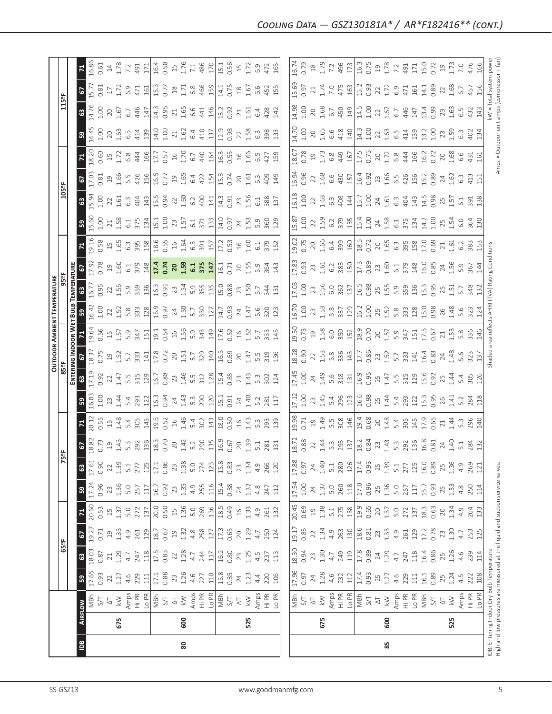|                                                                                                                            |                |                           |               |               |                 |                                          |               |                 |               |                 |                  |                   |                      |                                                                      | <b>OUTDOOR AMBIENT TEMPERATURE</b>          |                                       |                                                         |                                           |                    |                  |                           |                                 |                                             |                           |              |                                             |
|----------------------------------------------------------------------------------------------------------------------------|----------------|---------------------------|---------------|---------------|-----------------|------------------------------------------|---------------|-----------------|---------------|-----------------|------------------|-------------------|----------------------|----------------------------------------------------------------------|---------------------------------------------|---------------------------------------|---------------------------------------------------------|-------------------------------------------|--------------------|------------------|---------------------------|---------------------------------|---------------------------------------------|---------------------------|--------------|---------------------------------------------|
|                                                                                                                            |                |                           |               | 65°F          |                 |                                          |               | 75              | 능             |                 |                  | 85°F              |                      |                                                                      |                                             | 95 <sup>2</sup> F                     |                                                         |                                           |                    | 105°F            |                           |                                 |                                             | 115°F                     |              |                                             |
|                                                                                                                            |                |                           |               |               |                 |                                          |               |                 |               |                 |                  |                   |                      | ENTERING INDOOR WET BULB                                             |                                             | TEMPERATURE                           |                                                         |                                           |                    |                  |                           |                                 |                                             |                           |              |                                             |
| $\overline{a}$                                                                                                             | <b>AIRFLOW</b> |                           | ${\tt S}$     | 63            | 67              | $\mathbf{z}$                             | $\mathbb{S}$  | $\mathbb{S}^3$  | 67            | Σ,              | 59               | $\mathbb{S}^3$    | 6                    | $\mathbf{z}$                                                         | ${\tt S}$                                   | ශී                                    |                                                         | $\mathbf{z}$                              | ន $\vert$          | $\mathbb{S}^3$   | $\mathbf{c}$              |                                 | ${\tt S}9$                                  | $\boldsymbol{\mathbb{S}}$ | 2            | $\mathbf{z}$                                |
|                                                                                                                            |                | MBh<br>5/1                | 17.65<br>0.93 | 18.03<br>0.87 | 19.27<br>0.71   | 20.60<br>0.53                            | 17.24<br>0.96 | 17.61<br>0.90   | 18.82<br>0.73 | 20.12<br>0.55   | 6.83<br>1.00     | 17.19<br>0.92     | 18.37<br>0.75        | 19.64<br>0.56                                                        | 16.42                                       | 16.77<br>0.95                         | 17.92<br>0.78                                           | 19.16<br>0.58                             | 15.60<br>1.00      | 5.94<br>1.00     | $17.03$<br>$0.81$         | 18.20<br>0.60                   | 14.45<br>1.00                               | 4.76<br>1.00              | 5.77<br>0.81 | 16.86<br>0.61                               |
|                                                                                                                            |                | $\overline{\Delta}$       | 22            | 21            | $\overline{a}$  | $\stackrel{\textstyle\Box}{\rightarrow}$ | 23            | 22              | $\Xi$         | $\Xi$           | 23               | 22                |                      |                                                                      | 1.00                                        |                                       | $\Xi$                                                   |                                           |                    | $22\,$           |                           |                                 | $20$                                        | $20$                      | $17\,$       | $\ensuremath{\mathop{\mathbb{1}}\nolimits}$ |
|                                                                                                                            | 675            | $\geqslant$               | 1.27          | 1.29          | 1.33            | 1.37                                     | 1.36          | 1.39            | 1.43          | 1.48            | 1.44             | 1.47              | 1.52                 | $1.57$                                                               | 22.58                                       | $22_{1.55}$                           | 1.60                                                    | $\begin{array}{c} 15 \\ 1.65 \end{array}$ | 21.58              | 1.61             | 1.66                      | 1.72                            | 1.63                                        | 1.67                      | 1.72         | 1.78                                        |
|                                                                                                                            |                | Amps                      | 4.6           | $4.7\,$       | 4.9             | 5.0                                      | 5.0           | 5.1             | 5.3           | 5.4             | 5.4              |                   | 5.7                  | 5.9                                                                  |                                             | 5.9                                   |                                                         |                                           | $6.1\,$            | $6.\overline{3}$ |                           | $6.8$                           | 6.5                                         | 6.7                       | 6.9          | 7.2                                         |
|                                                                                                                            |                | Hi PR                     | 229           | 247           | 261<br>129      | 272                                      | 257<br>117    | 277             | 292           | 305             | 293              | 5.5<br>315<br>129 | 333                  | $347$<br>151<br>19.1<br>1.5<br>1.5<br>1.5<br>9                       | 333                                         | 359<br>136                            | $6.1$<br>$379$                                          | $6.3$ $95$ $15$                           | 375                | 404              | $6.5$<br>$426$            | 444<br>166                      | 414<br>139                                  | 446                       | 471<br>161   | 491<br>171                                  |
|                                                                                                                            |                | -o PR<br>MBh              | 17.1<br>111   | $17.5$<br>118 | 18.7            | 20.0<br>137                              | 16.7          | $17.1\,$<br>125 | 18.3<br>136   | 19.5<br>145     | 16.3<br>122      | 16.7              | 17.8<br>141          |                                                                      |                                             |                                       | 148                                                     |                                           | 15.1<br>134        | 15.5<br>143      | 16.5                      |                                 | 14.0                                        | 14.3<br>147               | 15.3         | 16.4                                        |
|                                                                                                                            |                | 5/7                       | 0.88          | 0.83          | 0.67            | 0.50                                     | 0.92          | 0.86            | 0.70          | 0.52            | 0.94             | 0.88              | 0.72                 |                                                                      | $\frac{128}{15.9}$                          | 16.3<br>0.91                          | $17.4$<br>0.74                                          | 18.6<br>0.55                              | 1.00               | 0.94             | 0.77                      | 17.7<br>0.57                    | 1.00                                        | 0.95                      | 0.77         | 0.58                                        |
|                                                                                                                            |                | $\overline{\small{\sim}}$ | 23            | 22            | $\Xi$           | $\Xi$                                    | 23            | 23              | 20            | $16$            | 24               | 23                | 20                   |                                                                      |                                             |                                       | 20                                                      |                                           | 23                 | $\overline{2}$   | 19                        | $16$                            | 21                                          | $21\,$                    | $^{28}$      | $15$                                        |
| 80                                                                                                                         | 600            | $\geqslant$               | 1.26          | 1.28          | 1.32            | 1.36                                     | 1.35          | 1.38            | 1.42          | 1.46            | 1.43             | 1.46              |                      |                                                                      | $24$<br>$1.50$<br>$5.7$                     |                                       | 1.59                                                    | 1.64                                      | 1.57               | 1.60             | 1.65                      | 1.70                            | 1.62                                        | 1.65                      | 1.71         | 1.76                                        |
|                                                                                                                            |                | Amps                      | 4.6           | 4.7           | 4.8             | 5.0                                      | 4.9           | 5.0             | 5.2           | 5.4             | 5.3              | 5.5               | $1.51$<br>$5.7$      |                                                                      |                                             |                                       |                                                         | $6.\overline{3}$                          | 6.1                | 6.2              | 6.4                       | 6.7                             | 6.4                                         | 6.6                       | 6.8          | 7.1                                         |
|                                                                                                                            |                | Hi PR                     | 227           | 244           | 258             | 269                                      | 255           | 274             | 290           | 302             | 290<br>120       | 312<br>128        | $\frac{329}{140}$    | 343<br>149                                                           | 330<br>127                                  | $23, 54$<br>$1.54$<br>$5.9$<br>$3.55$ | $6.1$<br>$375$<br>$147$                                 | 391<br>157                                | 371<br>133         | 400              | 422<br>154                | 440                             | 410                                         | 441                       | 466          | 486                                         |
|                                                                                                                            |                | Lo PR                     | 110           | 117           | 127             | 136                                      | 116           | 123             | 135           | 143             |                  |                   |                      |                                                                      |                                             |                                       |                                                         |                                           |                    | 141              |                           | 164                             | 137                                         | 146                       | 159          | 170                                         |
|                                                                                                                            |                | MBh                       | 15.8          | 16.2          | 17.3            | 18.5                                     | 15.4          | 15.8            | 16.9          | 18.0            | $15.1$<br>$0.91$ | 15.4<br>0.85      | 16.5<br>0.69         | $\frac{17.6}{0.52}$<br>0.52<br>1.52<br>5.7                           | 14.7<br>0.93                                | 15.0<br>0.88                          | 16.1<br>0.71                                            |                                           | 14.0<br>0.97       | 14.3<br>0.91     | 15.3<br>0.74              |                                 | 12.9                                        | 13.2                      | 14.1         | 15.1                                        |
|                                                                                                                            |                | 5/7                       | 0.85          | 0.80          | 0.65            | 0.49                                     | 0.88          | 0.83            | 0.67          | 0.50            |                  |                   |                      |                                                                      |                                             |                                       |                                                         | 17.2<br>0.53                              |                    |                  |                           | 16.3<br>0.55                    | 0.98                                        | 0.92                      | 0.75         | 0.56                                        |
|                                                                                                                            |                | $\overline{\triangle}$    | 24            | 23            | $\overline{20}$ | $\frac{16}{1}$                           | 24            | 23              | 20            | $\frac{6}{1}$   | 24               | 23                |                      |                                                                      |                                             |                                       |                                                         |                                           |                    |                  | $20$                      |                                 |                                             | 21                        | $^{28}$      | $15$                                        |
|                                                                                                                            | 525            | $\gtrapprox$              | 1.23          | 1.25          | 1.29            | 1.33                                     | 1.32          | 1.34            | 1.39          | 1.43            | 1.40             | 1.43              | $20$<br>1.47         |                                                                      | $\frac{24}{1.47}$                           | $23 \n1.50$                           | $20^{1.55}$                                             | 1.60                                      | $24 \n1.53$        | 23.56            | 1.61                      | 166                             | $22$<br>$1.58$                              | 1.61                      | 1.67         | 1.72                                        |
|                                                                                                                            |                | Amps                      | 4.4           | 4.5           | 4.7             | 4.9                                      | 4.8           | 4.9             | 5.1           | 5.3             | 5.2              | 5.3               |                      |                                                                      |                                             | 5.7                                   | 5.9                                                     | $6.1\,$                                   | 5.9                | 6.1              | $6.\overline{3}$          | 6.5                             | $6.\overline{3}$                            | 6.4                       | 6.6          | 6.9                                         |
|                                                                                                                            |                | Hi PR                     | 220           | 237           | 250             | 261                                      | 247           | 266             | 281           | 293             | 281              | 302               | 5.5<br>319           | 333                                                                  | 5.6<br>320                                  | 344                                   | 364                                                     | 379                                       | 360                | 388              | 409                       | 427                             | 398                                         | 428                       | 452          | 472                                         |
|                                                                                                                            |                | Lo PR                     | 106           | 113           | 124             | 132                                      | 112           | 120             | 131           | 139             | 117              | 124               | 136                  | 145                                                                  | 123                                         | 131                                   | 143                                                     | 152                                       | 129                | 137              | 149                       | 159                             | 133                                         | 142                       | 155          | 165                                         |
|                                                                                                                            |                |                           |               |               |                 |                                          |               |                 |               |                 |                  |                   |                      |                                                                      |                                             |                                       |                                                         |                                           |                    |                  |                           |                                 |                                             |                           |              |                                             |
|                                                                                                                            |                | MBh                       | 17.96         | 18.30         | 19.17           | 20.45                                    | 17.54         | 17.88           | 18.72         | 9.98            | 17.12            | 17.45             | 18.28                | 19.50                                                                | 16.70                                       | 17.03                                 | 17.83                                                   | 19.02                                     | 15.87              | 16.18            | 16.94                     | 18.07                           | 14.70                                       | 14.98                     | 15.69        | 16.74                                       |
|                                                                                                                            |                | 5/7                       | 0.97          | 0.94          | 0.85            | 0.69                                     | $1.00$        | 0.97            | 0.88          | 0.71            | 1.00             | 1.00              | 0.90                 | 0.73                                                                 | 1.00                                        | 1.00                                  | 0.93                                                    | 0.75                                      | 1.00               | 1.00             | 0.96                      | 0.78                            | 1.00                                        | 1.00                      | 0.97         | 0.79                                        |
|                                                                                                                            |                | $\overline{\circ}$        | 24            | 23            | 22              | $\overline{c}$                           | 24            | 24              | 22            | $\overline{19}$ | 23               | 24                | 22                   | 19                                                                   | 23                                          | 23                                    | 23                                                      | $20$                                      | 22                 | 22               | 22                        | 19                              | 20                                          | 20                        | 21           | $^{28}$                                     |
|                                                                                                                            | 675            | $\lesssim$                | 1.28          | 1.30          | 1.34            | 1.38                                     | 1.37          | 1.40            | 1.44          | 1.49            | 1.45             | 1.49              |                      |                                                                      |                                             | 1.56                                  | 1.61                                                    | 1.66                                      | 1.59               |                  |                           |                                 | 1.65                                        | 1.68                      | 1.74         | 1.79                                        |
|                                                                                                                            |                | Amps<br>Hi PR             | 4.6           | $4.7\,$       | 4.9             | 5.1                                      | 5.0           | 5.1             | 5.3           | 5.5             | 5.4              | 5.6               | $1.53$<br>5.8<br>336 | $\begin{array}{c c}\n1.58 \\ 6.0 \\ 350 \\ 152 \\ 0.70\n\end{array}$ | $1.53$<br>$5.8$<br>$337$<br>$129$           | $rac{6.0}{362}$ $rac{137}{16.5}$ 0.98 | 6.2                                                     | 6.4                                       | 6.2                | $1.63$<br>$6.3$  | 1.68<br>6.6<br>430<br>157 | 1.73<br>6.8<br>449<br>167       | 6.6                                         | 6.7                       | 7.0          | 7.2                                         |
|                                                                                                                            |                |                           | 232           | 249           | 263             | 275                                      | 260           | 280             | 295           | 308             | 296              | 318               |                      |                                                                      |                                             |                                       |                                                         | 399<br>160                                |                    | 408<br>144       |                           |                                 | 418                                         | 450<br>149                | 475          | 496                                         |
|                                                                                                                            |                | Lo PR                     | 112           | 119           | 130             | 138                                      | 118           | 126             | 137           | 146             | 123              | 131               | 143                  |                                                                      |                                             |                                       | $\begin{array}{c}\n 383 \\  \hline\n 150\n \end{array}$ |                                           | $\frac{379}{15.4}$ |                  |                           |                                 | 140                                         |                           | 163          | 173                                         |
|                                                                                                                            |                | MBh                       | 17.4          | 17.8          | 18.6            | 19.9                                     | 17.0          | 17.4            | 18.2          | 19.4<br>0.68    | 16.6<br>0.98     | 16.9<br>0.95      | 17.7<br>0.86         |                                                                      | $16.2$<br>$1.00$<br>$1.5$<br>$1.5$<br>$5.8$ |                                       | 17.3<br>0.89                                            | 18.5<br>0.72                              |                    | 15.7             | 16.4<br>0.92              | 17.5<br>0.75                    | $14.3$<br>$1.00$                            | 14.5                      | 15.2<br>0.93 | 16.3                                        |
|                                                                                                                            |                | $5/$                      | 0.93          | 0.89          | 0.81            | 0.65                                     | 0.96          | 0.93            | 0.84          |                 |                  |                   |                      |                                                                      |                                             |                                       |                                                         |                                           |                    | 1.00             |                           |                                 |                                             | 1.00                      |              | 0.75                                        |
|                                                                                                                            |                | $\overline{\triangle}$    | 25            | 24            | 23              | 20                                       | 25            | 25              | 23            | 20              | 25               | 25                | 23                   |                                                                      |                                             |                                       | 23                                                      | $20^{165}$                                | 24                 | 24               | 23                        |                                 | 22                                          | 22                        | 22           | $\overline{19}$                             |
| 85                                                                                                                         | 600            | $\lesssim$                | 1.27          | 1.29          | 1.33            | 1.37                                     | 1.36          | 1.39            | 1.43          | 1.48            | 1.44             | 1.47              | 1.52                 | $7.57$<br>$5.9$                                                      |                                             | $25$<br>$1.59$<br>$5.9$<br>$359$      | 1.60                                                    |                                           | 1.58               | 1.61             | 1.66                      | $20$<br>$1.72$<br>$6.8$<br>$44$ | 1.63                                        | 1.67                      | 1.72         | 1.78                                        |
|                                                                                                                            |                | Amps                      | 4.6           | $4.7$         | 4.9             | 5.0                                      | 5.0           | 5.1             | 5.3           | 5.4             |                  |                   |                      |                                                                      |                                             |                                       |                                                         |                                           | 6.1<br>375         | $6.\overline{3}$ |                           |                                 |                                             | 6.7                       | 6.9          | 7.2                                         |
|                                                                                                                            |                | Hi PR                     | 229           | 247           | 261             | 272                                      | 257           | 277             | 292           | 305             | 5.4<br>293       | 5.5<br>315        | 5.7<br>333           | $347$<br>$151$<br>$17.5$                                             | 333                                         |                                       | 6.1<br>379                                              | $rac{3}{6}$ $rac{8}{3}$ $rac{8}{12}$      |                    | 404              | $6.5$ 426                 |                                 | $6.\overline{5}$<br>414                     | 446                       | 471          | 491                                         |
|                                                                                                                            |                | Lo PR                     | 111           | 118           | 129             | 137                                      | 117           | 125             | 136           | 145             | 122              |                   | 141                  |                                                                      |                                             | $\frac{136}{5}$                       | 148                                                     |                                           | 134                | 143              |                           | 166                             | 139                                         | 147                       | 161          | 171                                         |
|                                                                                                                            |                | MBh                       | 16.1          | 16.4          | 17.2            | 18.3                                     | 15.7          | 16.0            | 16.8          | 17.9            | 15.3             | 15.6              | 16.4                 |                                                                      | $\frac{28}{15.0}$                           | 15.5<br>  15.5                        | 16.0<br>0.85                                            | 17.0                                      | 14.2               | 14.5             | 15.2                      | 16.2                            | 13.2                                        | 13.4                      | 14.1         | 15.0                                        |
|                                                                                                                            |                | <b>S/T</b>                | 0.89          | 0.86          | 0.78            | 0.63                                     | 0.93          | 0.89            | 0.81          | 0.65            | 0.95             | 0.92              | 0.83                 | 0.67                                                                 |                                             |                                       |                                                         | 0.69                                      | 1.00               | 0.98             | 0.89                      | 0.72                            | 1.00                                        | 0.99                      | 0.89         | 0.72                                        |
|                                                                                                                            |                | $\overline{\triangle}$    | 25            | 25            | 23              | 20                                       | 25            | 25              | 24            | $21\,$          | 26               | 25                | $24\,$               | 21                                                                   | 26                                          | 25                                    | 24<br>1.56                                              | $21_{.61}$                                | 25                 | 25               | 24                        | 20                              | 23                                          | 23                        | $22\,$       | $\overline{19}$                             |
|                                                                                                                            | 525            | $\lesssim$                | 1.24          | 1.26          | 1.30            | 1.34                                     | 1.33          | 1.36            | 1.40          | 1.44            | 1.41             | 1.44              | 1.48                 | 1.53                                                                 | 1.48                                        | 1.51                                  |                                                         |                                           | 1.54               | 1.57             | 1.62                      | 1.68                            | 1.59                                        | 1.63                      | 1.68         | 1.73                                        |
|                                                                                                                            |                | Amps                      | 4.5           | 4.6           | 4.7             | 4.9                                      | 4.8           | 4.9             | 5.1           | 5.3             | 5.2              | 5.4               | 5.6                  | 5.8                                                                  | 5.6                                         | 5.7                                   | 5.9                                                     | 6.2                                       | 6.0                |                  |                           | 6.6                             | 6.3                                         | 6.5                       | 6.7          | 7.0                                         |
|                                                                                                                            |                | Hi PR                     | 222           | 239           | 253             | 264                                      | 250           | 269             | 284           | 296             | 284              | 305               | 323                  | 336                                                                  | 323                                         | 348                                   | 367                                                     | 383                                       | 364                | 391<br>138       | 413                       | 431                             | $402$<br>$134$                              | 432                       | 457          | 476                                         |
|                                                                                                                            |                | Lo PR                     | 108           | $114\,$       | 125             | 133                                      | 114           | 121             | 132           | 140             | 118              | 126               | 137                  | 146                                                                  | 124                                         | 132                                   | 144                                                     |                                           | 130                |                  | 151                       | 161                             |                                             | 143                       | 156          | 166                                         |
| High and low pressures are measured at the liquid and suction service valves.<br>IDB: Entering Indoor Dry Bulb Temperature |                |                           |               |               |                 |                                          |               |                 |               |                 |                  |                   | Shaded               |                                                                      | area reflects AHRI (TVA) Rating Conditions  |                                       |                                                         |                                           |                    |                  |                           |                                 | Amps = Outdoor unit amps (compressor + fan) | kW = Total system power   |              |                                             |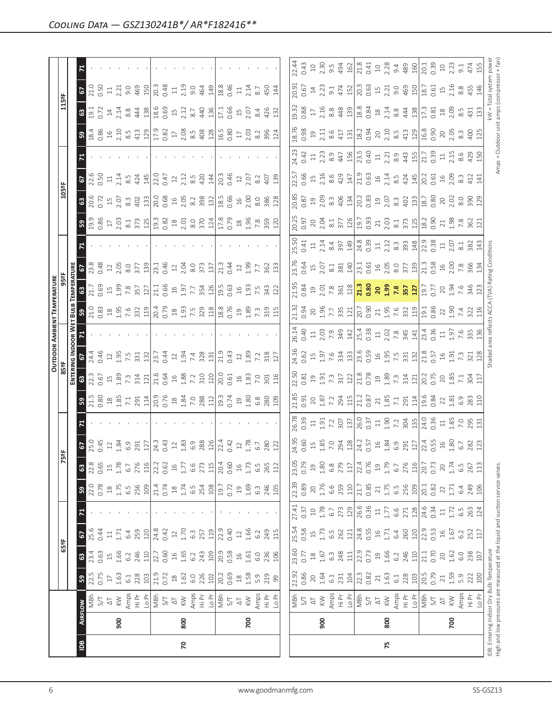|                |     |                                 |                                                                               |                                                 |                  |                   |                  |                  |                                                                                                                                                                                                                                                                                                           |                                                    |                                                                                                                                                                                                                                                                                                                                                                       |                                                                                                                                                                                                                                                                                      |                                                                                                                                                                                                                                                                                                           |       | <b>OUTDOOR AMBIENT TEMPERATURE</b>                |                           |                                                                                                                                                                                                                                                                       |       |                |                                                                                                                                                                                                               |                                                                            |                                                                                                                         |                                                                                                                                                                                                                                                                                                                                    |                                                   |                                                         |  |
|----------------|-----|---------------------------------|-------------------------------------------------------------------------------|-------------------------------------------------|------------------|-------------------|------------------|------------------|-----------------------------------------------------------------------------------------------------------------------------------------------------------------------------------------------------------------------------------------------------------------------------------------------------------|----------------------------------------------------|-----------------------------------------------------------------------------------------------------------------------------------------------------------------------------------------------------------------------------------------------------------------------------------------------------------------------------------------------------------------------|--------------------------------------------------------------------------------------------------------------------------------------------------------------------------------------------------------------------------------------------------------------------------------------|-----------------------------------------------------------------------------------------------------------------------------------------------------------------------------------------------------------------------------------------------------------------------------------------------------------|-------|---------------------------------------------------|---------------------------|-----------------------------------------------------------------------------------------------------------------------------------------------------------------------------------------------------------------------------------------------------------------------|-------|----------------|---------------------------------------------------------------------------------------------------------------------------------------------------------------------------------------------------------------|----------------------------------------------------------------------------|-------------------------------------------------------------------------------------------------------------------------|------------------------------------------------------------------------------------------------------------------------------------------------------------------------------------------------------------------------------------------------------------------------------------------------------------------------------------|---------------------------------------------------|---------------------------------------------------------|--|
|                |     |                                 |                                                                               | 65°F                                            |                  |                   |                  | K                | 꽔                                                                                                                                                                                                                                                                                                         |                                                    |                                                                                                                                                                                                                                                                                                                                                                       | 85°F                                                                                                                                                                                                                                                                                 |                                                                                                                                                                                                                                                                                                           |       |                                                   |                           |                                                                                                                                                                                                                                                                       |       |                | 105°F                                                                                                                                                                                                         |                                                                            |                                                                                                                         |                                                                                                                                                                                                                                                                                                                                    | 115°F                                             |                                                         |  |
|                |     |                                 |                                                                               |                                                 |                  |                   |                  |                  |                                                                                                                                                                                                                                                                                                           |                                                    |                                                                                                                                                                                                                                                                                                                                                                       | ENTER                                                                                                                                                                                                                                                                                | <b>JG INDOOR W</b>                                                                                                                                                                                                                                                                                        |       | Бu                                                |                           |                                                                                                                                                                                                                                                                       |       |                |                                                                                                                                                                                                               |                                                                            |                                                                                                                         |                                                                                                                                                                                                                                                                                                                                    |                                                   |                                                         |  |
| $\overline{a}$ |     | <b>AIRFLOW</b>                  | ${\tt S}$                                                                     | $\mathbbmss{3}$                                 | 2                |                   | ${\tt S}$        | $\mathbbmss{3}$  | <b>67</b><br>25.0<br>0.45                                                                                                                                                                                                                                                                                 |                                                    | ន $\vert$                                                                                                                                                                                                                                                                                                                                                             | $\frac{3}{2}$                                                                                                                                                                                                                                                                        |                                                                                                                                                                                                                                                                                                           |       |                                                   | $\mathbbmss{3}$           |                                                                                                                                                                                                                                                                       |       | $3\frac{3}{2}$ | 8800                                                                                                                                                                                                          | $\mathbf{r}$                                                               |                                                                                                                         |                                                                                                                                                                                                                                                                                                                                    | 2<br><b>ខ</b> ទី ទី                               |                                                         |  |
|                |     | MBh                             | 22.5<br>0.75                                                                  | 23.4                                            | 25.6             |                   | 22.0             | 22.8             |                                                                                                                                                                                                                                                                                                           |                                                    | $\frac{1.5}{2.30}$                                                                                                                                                                                                                                                                                                                                                    |                                                                                                                                                                                                                                                                                      | 24.4                                                                                                                                                                                                                                                                                                      |       |                                                   | 21.7<br>0.69              | $\frac{8}{23.48}$                                                                                                                                                                                                                                                     |       |                |                                                                                                                                                                                                               | $\frac{2.5}{0.50}$                                                         |                                                                                                                         |                                                                                                                                                                                                                                                                                                                                    |                                                   | 21.0                                                    |  |
|                |     | $5/$                            |                                                                               |                                                 | 0.44             |                   | 0.78             | 0.65             |                                                                                                                                                                                                                                                                                                           |                                                    |                                                                                                                                                                                                                                                                                                                                                                       |                                                                                                                                                                                                                                                                                      | 0.46                                                                                                                                                                                                                                                                                                      |       |                                                   |                           |                                                                                                                                                                                                                                                                       |       |                |                                                                                                                                                                                                               |                                                                            |                                                                                                                         |                                                                                                                                                                                                                                                                                                                                    |                                                   | <b>50</b>                                               |  |
|                |     | $\overline{\circ}$              | $\Box$                                                                        | $\begin{array}{c}\n1.66 \\ \hline\n\end{array}$ | $\Xi$            |                   | 1.75             | 15               | 1.84                                                                                                                                                                                                                                                                                                      |                                                    |                                                                                                                                                                                                                                                                                                                                                                       |                                                                                                                                                                                                                                                                                      | $\ensuremath{\mathop{\mathit{2}}}$                                                                                                                                                                                                                                                                        |       |                                                   |                           |                                                                                                                                                                                                                                                                       |       |                |                                                                                                                                                                                                               | $\Xi$                                                                      |                                                                                                                         |                                                                                                                                                                                                                                                                                                                                    | $\frac{14}{2.14}$                                 | $\Xi$                                                   |  |
|                | 900 | $\leqslant$                     | 1.63                                                                          |                                                 | 1.71             |                   |                  | 1.78             |                                                                                                                                                                                                                                                                                                           |                                                    |                                                                                                                                                                                                                                                                                                                                                                       |                                                                                                                                                                                                                                                                                      |                                                                                                                                                                                                                                                                                                           |       |                                                   |                           |                                                                                                                                                                                                                                                                       |       |                |                                                                                                                                                                                                               |                                                                            |                                                                                                                         |                                                                                                                                                                                                                                                                                                                                    |                                                   | 2.21                                                    |  |
|                |     |                                 | $6.1$                                                                         | 6.2                                             | 6.4              |                   | 6.5              | 6.7              | 6.9                                                                                                                                                                                                                                                                                                       |                                                    |                                                                                                                                                                                                                                                                                                                                                                       |                                                                                                                                                                                                                                                                                      | $1.95$<br>7.5<br>331                                                                                                                                                                                                                                                                                      |       |                                                   |                           |                                                                                                                                                                                                                                                                       |       |                |                                                                                                                                                                                                               | $2.14$<br>8.5<br>424                                                       |                                                                                                                         |                                                                                                                                                                                                                                                                                                                                    |                                                   | 9.0<br>469                                              |  |
|                |     |                                 | 228                                                                           | 246                                             | 259              |                   | 256              | 276              | 291<br>127                                                                                                                                                                                                                                                                                                |                                                    |                                                                                                                                                                                                                                                                                                                                                                       |                                                                                                                                                                                                                                                                                      |                                                                                                                                                                                                                                                                                                           |       |                                                   |                           |                                                                                                                                                                                                                                                                       |       |                | $15$ $2.07$<br>$8.3$ $402$<br>$413$                                                                                                                                                                           |                                                                            |                                                                                                                         |                                                                                                                                                                                                                                                                                                                                    | 83438                                             |                                                         |  |
|                |     |                                 | 103                                                                           | 110                                             | 120              |                   | 109              | 116              |                                                                                                                                                                                                                                                                                                           |                                                    |                                                                                                                                                                                                                                                                                                                                                                       |                                                                                                                                                                                                                                                                                      | 132                                                                                                                                                                                                                                                                                                       |       |                                                   |                           |                                                                                                                                                                                                                                                                       |       |                |                                                                                                                                                                                                               | 145                                                                        |                                                                                                                         |                                                                                                                                                                                                                                                                                                                                    |                                                   | 150                                                     |  |
|                |     | Amps<br>도 <u>니</u><br>그리 아<br>지 | 21.9<br>0.72                                                                  |                                                 |                  |                   | $21.4$<br>0.74   | 22.2             | 24.3                                                                                                                                                                                                                                                                                                      |                                                    |                                                                                                                                                                                                                                                                                                                                                                       | 2005 H 2012 H 2013 H 2014 H 2015 H 2016 H 2016 H 2016 H 2016 H 2016 H 2016 H 2016 H 2016 H 2016 H 20                                                                                                                                                                                 | $\frac{23.7}{0.44}$                                                                                                                                                                                                                                                                                       |       |                                                   |                           |                                                                                                                                                                                                                                                                       |       |                |                                                                                                                                                                                                               | $\frac{22.0}{0.47}$                                                        |                                                                                                                         | $\frac{1}{2}$ $\frac{1}{2}$ $\frac{1}{2}$ $\frac{1}{2}$ $\frac{1}{2}$ $\frac{1}{2}$ $\frac{1}{2}$ $\frac{1}{2}$ $\frac{1}{2}$ $\frac{1}{2}$ $\frac{1}{2}$ $\frac{1}{2}$ $\frac{1}{2}$ $\frac{1}{2}$ $\frac{1}{2}$ $\frac{1}{2}$ $\frac{1}{2}$ $\frac{1}{2}$ $\frac{1}{2}$ $\frac{1}{2}$ $\frac{1}{2}$ $\frac{1}{2}$                | $\frac{18.6}{0.69}$<br>15<br>2.12<br>8.7          | 20.3                                                    |  |
|                |     |                                 |                                                                               | 22.7                                            | 24.8<br>0.42     |                   |                  | 0.62             | 0.43                                                                                                                                                                                                                                                                                                      |                                                    |                                                                                                                                                                                                                                                                                                                                                                       |                                                                                                                                                                                                                                                                                      |                                                                                                                                                                                                                                                                                                           |       |                                                   |                           |                                                                                                                                                                                                                                                                       |       |                |                                                                                                                                                                                                               |                                                                            |                                                                                                                         |                                                                                                                                                                                                                                                                                                                                    |                                                   | 0.48                                                    |  |
|                |     |                                 | $^{28}$                                                                       | $16$                                            | $12$             |                   | $\frac{8}{10}$   | $16$             | $\ensuremath{\mathop{\mathop{\mathbf{1}}}}\nolimits$                                                                                                                                                                                                                                                      |                                                    |                                                                                                                                                                                                                                                                                                                                                                       |                                                                                                                                                                                                                                                                                      |                                                                                                                                                                                                                                                                                                           |       |                                                   |                           |                                                                                                                                                                                                                                                                       |       |                |                                                                                                                                                                                                               |                                                                            |                                                                                                                         |                                                                                                                                                                                                                                                                                                                                    |                                                   | $\Xi$                                                   |  |
| 20             | 800 | $\lesssim$                      | 1.62                                                                          | 1.65                                            | 1.70             |                   | 1.74             | $1.77\,$         |                                                                                                                                                                                                                                                                                                           |                                                    |                                                                                                                                                                                                                                                                                                                                                                       |                                                                                                                                                                                                                                                                                      |                                                                                                                                                                                                                                                                                                           |       |                                                   |                           |                                                                                                                                                                                                                                                                       |       |                |                                                                                                                                                                                                               |                                                                            |                                                                                                                         |                                                                                                                                                                                                                                                                                                                                    |                                                   | 2.19                                                    |  |
|                |     | Amps                            | $6.0$                                                                         | 6.2                                             | $6.\overline{3}$ |                   | 6.5              | 6.6              | $1.83$<br>$6.9$                                                                                                                                                                                                                                                                                           |                                                    |                                                                                                                                                                                                                                                                                                                                                                       |                                                                                                                                                                                                                                                                                      | $1.94$<br>7.4                                                                                                                                                                                                                                                                                             |       |                                                   |                           |                                                                                                                                                                                                                                                                       |       |                |                                                                                                                                                                                                               | $2.12$<br>8.5                                                              |                                                                                                                         |                                                                                                                                                                                                                                                                                                                                    |                                                   | 9.0                                                     |  |
|                |     | Hi Pr<br>Lo Pr                  | 226                                                                           | 243                                             | 257              |                   | 254              | 273              | 288                                                                                                                                                                                                                                                                                                       |                                                    |                                                                                                                                                                                                                                                                                                                                                                       |                                                                                                                                                                                                                                                                                      |                                                                                                                                                                                                                                                                                                           |       |                                                   |                           | $rac{13}{13}$                                                                                                                                                                                                                                                         |       |                | $\begin{array}{c}\n16 \\ 203 \\ \hline\n83 \\ \hline\n98 \\ \hline\n196 \\ \hline\n19.66\n\end{array}$                                                                                                        | 420                                                                        |                                                                                                                         |                                                                                                                                                                                                                                                                                                                                    | 464<br>440                                        |                                                         |  |
|                |     |                                 | $102\,$                                                                       | 109                                             | 119              |                   | 108              | 115              |                                                                                                                                                                                                                                                                                                           |                                                    |                                                                                                                                                                                                                                                                                                                                                                       |                                                                                                                                                                                                                                                                                      | $\frac{328}{131}$                                                                                                                                                                                                                                                                                         |       |                                                   |                           |                                                                                                                                                                                                                                                                       |       |                |                                                                                                                                                                                                               | 144                                                                        |                                                                                                                         |                                                                                                                                                                                                                                                                                                                                    |                                                   |                                                         |  |
|                |     |                                 | 20.2                                                                          | 20.9                                            | 22.9             |                   | 19.7             | 20.4             |                                                                                                                                                                                                                                                                                                           |                                                    |                                                                                                                                                                                                                                                                                                                                                                       |                                                                                                                                                                                                                                                                                      |                                                                                                                                                                                                                                                                                                           |       |                                                   |                           |                                                                                                                                                                                                                                                                       |       |                |                                                                                                                                                                                                               | 20.3                                                                       |                                                                                                                         |                                                                                                                                                                                                                                                                                                                                    |                                                   | 18.8                                                    |  |
|                |     | $\frac{1}{2}$                   | 0.69                                                                          | 0.58                                            | 0.40             |                   | 0.72             | 0.60             | $22.4$<br>0.42                                                                                                                                                                                                                                                                                            |                                                    |                                                                                                                                                                                                                                                                                                                                                                       |                                                                                                                                                                                                                                                                                      | 21.9<br>0.43                                                                                                                                                                                                                                                                                              |       |                                                   |                           | 21.3<br>0.44                                                                                                                                                                                                                                                          |       |                |                                                                                                                                                                                                               | 0.46                                                                       |                                                                                                                         |                                                                                                                                                                                                                                                                                                                                    | 0.46<br>17.1<br>0.66<br>15<br>2.07                |                                                         |  |
|                |     | $\Delta \mathbb{T}$             | $\stackrel{\textstyle\circ}{\phantom{}_{\sim}}$                               |                                                 | $12$             |                   | $\mathfrak{Q}$   | $16$             |                                                                                                                                                                                                                                                                                                           |                                                    |                                                                                                                                                                                                                                                                                                                                                                       |                                                                                                                                                                                                                                                                                      |                                                                                                                                                                                                                                                                                                           |       |                                                   |                           |                                                                                                                                                                                                                                                                       |       |                |                                                                                                                                                                                                               |                                                                            |                                                                                                                         |                                                                                                                                                                                                                                                                                                                                    |                                                   |                                                         |  |
|                | 700 | $\lesssim$                      | 1.58                                                                          | $\begin{array}{c} 16 \\ 1 \end{array}$          | 1.66             |                   | 1.69             | 1.73             | 1.78                                                                                                                                                                                                                                                                                                      |                                                    |                                                                                                                                                                                                                                                                                                                                                                       |                                                                                                                                                                                                                                                                                      |                                                                                                                                                                                                                                                                                                           |       |                                                   |                           |                                                                                                                                                                                                                                                                       |       |                | $16$<br>$2.00$                                                                                                                                                                                                | $\frac{12}{2.07}$                                                          |                                                                                                                         |                                                                                                                                                                                                                                                                                                                                    | $\frac{11}{2.14}$                                 |                                                         |  |
|                |     |                                 |                                                                               | 6.0                                             | 6.2              |                   |                  | $6.\overline{5}$ | $6.7\,$                                                                                                                                                                                                                                                                                                   |                                                    |                                                                                                                                                                                                                                                                                                                                                                       |                                                                                                                                                                                                                                                                                      |                                                                                                                                                                                                                                                                                                           |       |                                                   |                           |                                                                                                                                                                                                                                                                       |       |                |                                                                                                                                                                                                               | 8.2                                                                        |                                                                                                                         |                                                                                                                                                                                                                                                                                                                                    | $8.7\,$                                           |                                                         |  |
|                |     | Amps                            | 5.9                                                                           |                                                 |                  |                   | 6.3              |                  |                                                                                                                                                                                                                                                                                                           |                                                    |                                                                                                                                                                                                                                                                                                                                                                       |                                                                                                                                                                                                                                                                                      | $\begin{array}{c} 12 \\ 23 \\ 73 \\ 89 \\ 127 \\ \end{array}$                                                                                                                                                                                                                                             |       |                                                   | $1.93$<br>$7.5$<br>$7.33$ | $1.99$<br>$7.7$<br>$7.83$<br>$1.33$                                                                                                                                                                                                                                   |       |                | 8.0<br>386<br>128                                                                                                                                                                                             |                                                                            |                                                                                                                         |                                                                                                                                                                                                                                                                                                                                    | 8.4                                               |                                                         |  |
|                |     | Hi Pr                           | 219                                                                           | 236                                             | 249              |                   | 246<br>105       | 265              | 280                                                                                                                                                                                                                                                                                                       |                                                    |                                                                                                                                                                                                                                                                                                                                                                       |                                                                                                                                                                                                                                                                                      |                                                                                                                                                                                                                                                                                                           |       |                                                   |                           |                                                                                                                                                                                                                                                                       |       |                |                                                                                                                                                                                                               | 407                                                                        |                                                                                                                         |                                                                                                                                                                                                                                                                                                                                    | 426<br>132                                        | 450                                                     |  |
|                |     | Io Pr                           | 99                                                                            | 106                                             | 115              |                   |                  | 112              | 122                                                                                                                                                                                                                                                                                                       |                                                    |                                                                                                                                                                                                                                                                                                                                                                       | 116                                                                                                                                                                                                                                                                                  |                                                                                                                                                                                                                                                                                                           |       |                                                   | 122                       |                                                                                                                                                                                                                                                                       |       |                |                                                                                                                                                                                                               | 139                                                                        |                                                                                                                         |                                                                                                                                                                                                                                                                                                                                    | $\frac{144}{1}$                                   |                                                         |  |
|                |     |                                 |                                                                               |                                                 |                  |                   |                  |                  |                                                                                                                                                                                                                                                                                                           |                                                    |                                                                                                                                                                                                                                                                                                                                                                       |                                                                                                                                                                                                                                                                                      |                                                                                                                                                                                                                                                                                                           |       |                                                   |                           |                                                                                                                                                                                                                                                                       |       |                |                                                                                                                                                                                                               |                                                                            |                                                                                                                         |                                                                                                                                                                                                                                                                                                                                    |                                                   |                                                         |  |
|                |     | Hg<br>S/T                       | 22.92                                                                         | 23.60                                           | 25.54            | 27.41             | 22.39            | 23.05            | 24.95                                                                                                                                                                                                                                                                                                     | 26.78                                              | 21.85                                                                                                                                                                                                                                                                                                                                                                 | 22.50<br>0.81                                                                                                                                                                                                                                                                        | 24.36                                                                                                                                                                                                                                                                                                     | 26.14 | 21.32                                             | 21.95                     | 23.76                                                                                                                                                                                                                                                                 | 5.50  | 20.25          | 20.8 <sup>L</sup>                                                                                                                                                                                             | 22.57                                                                      | 24.23                                                                                                                   | 18.76                                                                                                                                                                                                                                                                                                                              | 20.91<br>19.32                                    | 22.44                                                   |  |
|                |     |                                 | 0.86                                                                          | 0.77                                            | 0.58             | 0.37              | 0.89             | 0.79             | 0.60                                                                                                                                                                                                                                                                                                      | 0.39                                               | 0.91                                                                                                                                                                                                                                                                                                                                                                  |                                                                                                                                                                                                                                                                                      | 0.62                                                                                                                                                                                                                                                                                                      | 0.40  | 0.94                                              | 0.84                      | 0.64                                                                                                                                                                                                                                                                  | 0.41  | 0.97           | 0.87                                                                                                                                                                                                          | 0.66                                                                       |                                                                                                                         | 0.98                                                                                                                                                                                                                                                                                                                               | 0.88                                              | 0.43<br>0.67                                            |  |
|                |     | $\overline{\omega}$             | 20                                                                            | $\ensuremath{\mathop{\mathbb{1}}\nolimits}$     | $\overline{15}$  | $\square$         | $20$             | $\overline{c}$   | 15                                                                                                                                                                                                                                                                                                        | $\Xi$                                              |                                                                                                                                                                                                                                                                                                                                                                       |                                                                                                                                                                                                                                                                                      |                                                                                                                                                                                                                                                                                                           |       |                                                   |                           |                                                                                                                                                                                                                                                                       | $\Xi$ |                |                                                                                                                                                                                                               |                                                                            |                                                                                                                         |                                                                                                                                                                                                                                                                                                                                    | $\overline{\mathbb{L}}$                           | $\Box$                                                  |  |
|                | 900 | $\leqslant$                     | 1.64                                                                          | 1.67                                            | 1.73             | 1.78              | 1.76             | 1.80             |                                                                                                                                                                                                                                                                                                           |                                                    |                                                                                                                                                                                                                                                                                                                                                                       |                                                                                                                                                                                                                                                                                      |                                                                                                                                                                                                                                                                                                           |       |                                                   |                           |                                                                                                                                                                                                                                                                       |       |                |                                                                                                                                                                                                               |                                                                            |                                                                                                                         |                                                                                                                                                                                                                                                                                                                                    |                                                   | 2.30                                                    |  |
|                |     | Amps<br>Hi Pr                   | $6.1\,$                                                                       | $6.\overline{3}$                                | 6.5              | $6.7$             | 6.6              | 6.8              |                                                                                                                                                                                                                                                                                                           | $1.91$<br>7.2                                      |                                                                                                                                                                                                                                                                                                                                                                       |                                                                                                                                                                                                                                                                                      |                                                                                                                                                                                                                                                                                                           |       |                                                   |                           |                                                                                                                                                                                                                                                                       |       |                |                                                                                                                                                                                                               |                                                                            |                                                                                                                         |                                                                                                                                                                                                                                                                                                                                    | $2.16$<br>8.8                                     | $9.\overline{5}$<br>$14$ $2.3$<br>$9.1$                 |  |
|                |     |                                 | 231                                                                           | 248                                             | 262              |                   | 259              | 279              |                                                                                                                                                                                                                                                                                                           |                                                    |                                                                                                                                                                                                                                                                                                                                                                       |                                                                                                                                                                                                                                                                                      |                                                                                                                                                                                                                                                                                                           |       |                                                   |                           |                                                                                                                                                                                                                                                                       |       |                |                                                                                                                                                                                                               |                                                                            |                                                                                                                         |                                                                                                                                                                                                                                                                                                                                    |                                                   | 494                                                     |  |
|                |     | Lo Pr                           | 104                                                                           | $\Xi$                                           | 121              | 273               | 110              | $117\,$          | 1.85<br>7.0<br>294                                                                                                                                                                                                                                                                                        | $rac{307}{137}$                                    |                                                                                                                                                                                                                                                                                                                                                                       |                                                                                                                                                                                                                                                                                      |                                                                                                                                                                                                                                                                                                           |       |                                                   |                           |                                                                                                                                                                                                                                                                       |       |                |                                                                                                                                                                                                               | $\begin{array}{c} 15 \\ 2 \\ 16 \\ 8 \\ 6 \\ 4 \\ 2 \\ \hline \end{array}$ |                                                                                                                         |                                                                                                                                                                                                                                                                                                                                    |                                                   | 162                                                     |  |
|                |     | MBh                             | 22.3                                                                          | 22.9<br>0.73                                    | 24.8<br>0.55     | 26.6<br>0.36      | 21.7             | 22.4             |                                                                                                                                                                                                                                                                                                           |                                                    |                                                                                                                                                                                                                                                                                                                                                                       |                                                                                                                                                                                                                                                                                      |                                                                                                                                                                                                                                                                                                           |       |                                                   |                           |                                                                                                                                                                                                                                                                       |       |                |                                                                                                                                                                                                               |                                                                            |                                                                                                                         |                                                                                                                                                                                                                                                                                                                                    |                                                   | $21.8$<br>0.41                                          |  |
|                |     | $\frac{1}{\sqrt{2}}$            |                                                                               |                                                 |                  |                   | 0.85             | 0.76             |                                                                                                                                                                                                                                                                                                           |                                                    |                                                                                                                                                                                                                                                                                                                                                                       |                                                                                                                                                                                                                                                                                      |                                                                                                                                                                                                                                                                                                           |       |                                                   |                           |                                                                                                                                                                                                                                                                       |       |                |                                                                                                                                                                                                               |                                                                            |                                                                                                                         |                                                                                                                                                                                                                                                                                                                                    |                                                   |                                                         |  |
|                |     |                                 | $\gtrsim$                                                                     | $\Xi$                                           | $16$             | $\Xi$             | $21\,$           | $\overline{c}$   |                                                                                                                                                                                                                                                                                                           |                                                    |                                                                                                                                                                                                                                                                                                                                                                       |                                                                                                                                                                                                                                                                                      |                                                                                                                                                                                                                                                                                                           |       |                                                   |                           |                                                                                                                                                                                                                                                                       |       |                |                                                                                                                                                                                                               |                                                                            |                                                                                                                         |                                                                                                                                                                                                                                                                                                                                    |                                                   |                                                         |  |
| 75             | 800 | $\leqslant$                     | 1.63                                                                          | 1.66                                            | 1.71             | 1.77              | 1.75             | 1.79             |                                                                                                                                                                                                                                                                                                           |                                                    |                                                                                                                                                                                                                                                                                                                                                                       |                                                                                                                                                                                                                                                                                      |                                                                                                                                                                                                                                                                                                           |       |                                                   |                           |                                                                                                                                                                                                                                                                       |       |                |                                                                                                                                                                                                               |                                                                            |                                                                                                                         |                                                                                                                                                                                                                                                                                                                                    |                                                   |                                                         |  |
|                |     | Amps<br>Hi Pr                   | $6.1$                                                                         | 6.2                                             | 6.4              | 6.6               | $6.\overline{5}$ | 6.7              |                                                                                                                                                                                                                                                                                                           |                                                    |                                                                                                                                                                                                                                                                                                                                                                       |                                                                                                                                                                                                                                                                                      |                                                                                                                                                                                                                                                                                                           |       |                                                   |                           |                                                                                                                                                                                                                                                                       |       |                |                                                                                                                                                                                                               |                                                                            |                                                                                                                         |                                                                                                                                                                                                                                                                                                                                    |                                                   | 2, 2, 3, 4, 8<br>$474$ $20.63$ $45$ $25$ $35$ $45$ $45$ |  |
|                |     |                                 | 228                                                                           | 246                                             | 260              | 271               | 256              | 276              |                                                                                                                                                                                                                                                                                                           |                                                    |                                                                                                                                                                                                                                                                                                                                                                       |                                                                                                                                                                                                                                                                                      |                                                                                                                                                                                                                                                                                                           |       |                                                   |                           |                                                                                                                                                                                                                                                                       |       |                |                                                                                                                                                                                                               |                                                                            |                                                                                                                         |                                                                                                                                                                                                                                                                                                                                    |                                                   |                                                         |  |
|                |     | $LO$ Pr                         | 103                                                                           | 110                                             | 120              | 128               | 109<br>20.1      | 116<br>20.7      | $\frac{13}{25}$ $\frac{15}{25}$ $\frac{13}{25}$ $\frac{13}{25}$ $\frac{13}{25}$ $\frac{13}{25}$ $\frac{13}{25}$ $\frac{13}{25}$ $\frac{13}{25}$ $\frac{13}{25}$ $\frac{13}{25}$ $\frac{13}{25}$ $\frac{13}{25}$ $\frac{13}{25}$ $\frac{13}{25}$ $\frac{13}{25}$ $\frac{13}{25}$ $\frac{13}{25}$ $\frac{1$ | 26.0<br>0.37<br>1.90<br>7.2<br>5.0<br>24.0<br>2.36 | $25.25 \times 25.35 \times 25.35 \times 25.35 \times 25.35 \times 25.35 \times 25.35 \times 25.35 \times 25.35 \times 25.35 \times 25.35 \times 25.35 \times 25.35 \times 25.35 \times 25.35 \times 25.35 \times 25.35 \times 25.35 \times 25.35 \times 25.35 \times 25.35 \times 25.35 \times 25.35 \times 25.35 \times 25.35 \times 25.35 \times 25.35 \times 25.3$ | $\begin{array}{c} 23.51 & 23.52 \\ 25.51 & 23.53 \\ 25.52 & 23.53 \\ 25.53 & 23.53 \\ 25.53 & 23.53 \\ 25.53 & 23.53 \\ 25.53 & 23.53 \\ 25.53 & 23.53 \\ 25.53 & 23.53 \\ 25.53 & 23.53 \\ 25.53 & 23.53 \\ 25.53 & 23.53 \\ 25.53 & 23.53 \\ 25.53 & 23.53 \\ 25.53 & 23.53 \\ 25$ | $\frac{15}{12}$ $\frac{16}{12}$ $\frac{16}{12}$ $\frac{16}{12}$ $\frac{16}{12}$ $\frac{16}{12}$ $\frac{16}{12}$ $\frac{16}{12}$ $\frac{16}{12}$ $\frac{16}{12}$ $\frac{16}{12}$ $\frac{16}{12}$ $\frac{16}{12}$ $\frac{16}{12}$ $\frac{16}{12}$ $\frac{16}{12}$ $\frac{16}{12}$ $\frac{16}{12}$ $\frac{1$ |       |                                                   |                           | $\begin{array}{c} 13.53 & 13.54 & 13.55 & 13.55 & 13.55 & 13.55 & 13.55 & 13.55 & 14.55 & 14.55 & 15.55 & 15.55 & 15.55 & 15.55 & 15.55 & 15.55 & 15.55 & 15.55 & 15.55 & 15.55 & 15.55 & 15.55 & 15.55 & 15.55 & 15.55 & 15.55 & 15.55 & 15.55 & 15.55 & 15.55 & 15$ |       |                | $\begin{array}{c} 1300 \\ 1500 \\ 1600 \\ 1800 \\ \hline \end{array} \begin{array}{c} 1200 \\ 1500 \\ 1600 \\ 1600 \\ \hline \end{array} \begin{array}{c} 1200 \\ 1200 \\ 1600 \\ 1600 \\ \hline \end{array}$ |                                                                            | $32 - 23$ $33 - 42$ $52 - 32$ $33 - 42$ $53 - 32$ $34 - 52$ $54 - 52$ $55 - 52$ $56 - 52$ $57 - 52$ $58 - 52$ $59 - 52$ | $\begin{array}{c}\n 11.73 \\  13.73 \\  14.73 \\  15.73 \\  16.73 \\  17.73 \\  18.73 \\  19.73 \\  19.73 \\  19.73 \\  19.73 \\  19.73 \\  19.73 \\  19.73 \\  19.73 \\  19.73 \\  19.73 \\  19.73 \\  19.73 \\  19.73 \\  19.73 \\  19.73 \\  19.73 \\  19.73 \\  19.73 \\  19.73 \\  19.73 \\  19.73 \\  19.73 \\  19.73 \\  1$ |                                                   |                                                         |  |
|                |     | NBN<br>S/T                      | 20.5<br>0.79                                                                  | 21.1<br>0.70                                    | 22.9             | 24.6<br>0.34      | 0.82             | 0.73             |                                                                                                                                                                                                                                                                                                           |                                                    |                                                                                                                                                                                                                                                                                                                                                                       |                                                                                                                                                                                                                                                                                      |                                                                                                                                                                                                                                                                                                           |       |                                                   |                           |                                                                                                                                                                                                                                                                       |       |                |                                                                                                                                                                                                               |                                                                            |                                                                                                                         |                                                                                                                                                                                                                                                                                                                                    | $\frac{18.7}{0.61}$<br>$\frac{17.3}{0.81}$        | $\frac{1}{0.39}$                                        |  |
|                |     | $\overline{\triangle}$          | $\geq 1$                                                                      | $20\,$                                          | $16$             | $\Xi$             | 22               | 20               |                                                                                                                                                                                                                                                                                                           |                                                    |                                                                                                                                                                                                                                                                                                                                                                       |                                                                                                                                                                                                                                                                                      |                                                                                                                                                                                                                                                                                                           |       |                                                   |                           |                                                                                                                                                                                                                                                                       |       |                |                                                                                                                                                                                                               |                                                                            |                                                                                                                         |                                                                                                                                                                                                                                                                                                                                    |                                                   |                                                         |  |
|                |     |                                 |                                                                               |                                                 |                  |                   |                  | 1.74             |                                                                                                                                                                                                                                                                                                           |                                                    |                                                                                                                                                                                                                                                                                                                                                                       |                                                                                                                                                                                                                                                                                      |                                                                                                                                                                                                                                                                                                           |       |                                                   |                           |                                                                                                                                                                                                                                                                       |       |                |                                                                                                                                                                                                               |                                                                            |                                                                                                                         |                                                                                                                                                                                                                                                                                                                                    | $\frac{18}{2.09}$                                 | $10^{2.23}$                                             |  |
|                | 700 | $\leqslant$                     | 1.59                                                                          | 1.62                                            | 1.67             | 1.72              | 1.71             |                  |                                                                                                                                                                                                                                                                                                           |                                                    |                                                                                                                                                                                                                                                                                                                                                                       |                                                                                                                                                                                                                                                                                      |                                                                                                                                                                                                                                                                                                           |       |                                                   |                           |                                                                                                                                                                                                                                                                       |       |                |                                                                                                                                                                                                               |                                                                            |                                                                                                                         |                                                                                                                                                                                                                                                                                                                                    |                                                   |                                                         |  |
|                |     | Amps<br>Hi Pr                   | 222<br>5.9                                                                    | 6.0                                             | 6.2              |                   | 6.4              | 6.5              |                                                                                                                                                                                                                                                                                                           |                                                    |                                                                                                                                                                                                                                                                                                                                                                       |                                                                                                                                                                                                                                                                                      |                                                                                                                                                                                                                                                                                                           |       |                                                   |                           |                                                                                                                                                                                                                                                                       |       |                |                                                                                                                                                                                                               |                                                                            |                                                                                                                         |                                                                                                                                                                                                                                                                                                                                    |                                                   |                                                         |  |
|                |     | Lo Pr                           | 100                                                                           | 238<br>107                                      | 252<br>117       | 6.5<br>263<br>124 | 249<br>106       | 113<br>267       |                                                                                                                                                                                                                                                                                                           | $1,85$<br>$7,85$<br>$7,85$<br>$131$                |                                                                                                                                                                                                                                                                                                                                                                       | $2025$<br>$7.1$<br>$7.301$                                                                                                                                                                                                                                                           |                                                                                                                                                                                                                                                                                                           |       |                                                   |                           |                                                                                                                                                                                                                                                                       |       |                |                                                                                                                                                                                                               |                                                                            |                                                                                                                         | 20,05,02,02,03,04,03                                                                                                                                                                                                                                                                                                               | $\begin{array}{c} 2.5 \\ 3.3 \\ 4.33 \end{array}$ | $9.1$<br>$474$<br>$155$<br>15.885446                    |  |
|                |     |                                 | IDB: Entering Indoor Dry Bulb Temperature                                     |                                                 |                  |                   |                  |                  |                                                                                                                                                                                                                                                                                                           |                                                    |                                                                                                                                                                                                                                                                                                                                                                       |                                                                                                                                                                                                                                                                                      |                                                                                                                                                                                                                                                                                                           |       | shaded area reflects ACCA (TVA) Rating Conditions |                           |                                                                                                                                                                                                                                                                       |       |                |                                                                                                                                                                                                               |                                                                            |                                                                                                                         |                                                                                                                                                                                                                                                                                                                                    |                                                   |                                                         |  |
|                |     |                                 | High and low pressures are measured at the liquid and suction service valves. |                                                 |                  |                   |                  |                  |                                                                                                                                                                                                                                                                                                           |                                                    |                                                                                                                                                                                                                                                                                                                                                                       |                                                                                                                                                                                                                                                                                      |                                                                                                                                                                                                                                                                                                           |       |                                                   |                           |                                                                                                                                                                                                                                                                       |       |                |                                                                                                                                                                                                               |                                                                            |                                                                                                                         | Amps = Outdoor unit amps (compressor + fan)                                                                                                                                                                                                                                                                                        | kW = Total system power                           |                                                         |  |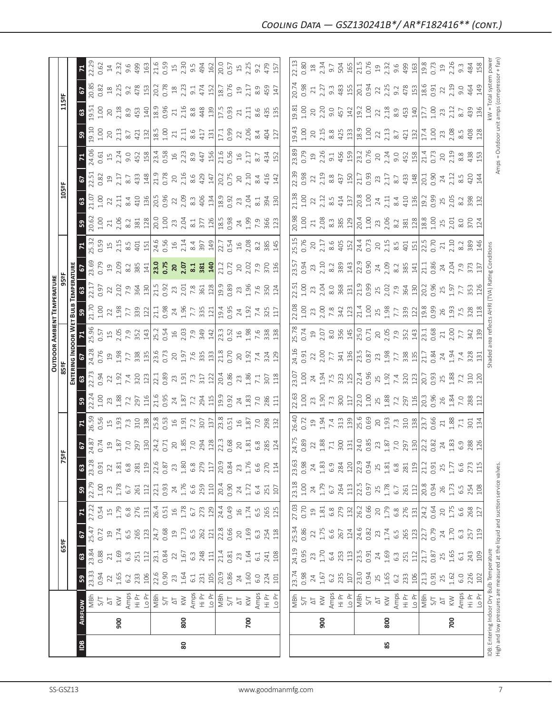|                                                                               |                |                        |              |                          |                          |                 |                |                  |                                                                                                 |                                                            |                                                                                                                                                                                                                                                                                                                        |                                                                                                                                                                                                                                                                                                                                                                                             |                                                                                                                                                                                                                                                                                                               |                                                                                                                                                                                                                                                                                                                                                   | <b>OUTDOOR AMBIENT TEMPERATURE</b>                                                                                                                                                                                                                                                                                     |                                                                                                                                                                                                                                                                                                           |                                                                                       |                                                                    |                                                                                                                                                                                                                                                                                                                       |                                                                                                                                                                                                                                                                                                               |                                                                                                                                                                                                                                |                                                                  |                                                                                                                                                                                                                                                                                                                                                                     |                                                                                                                                                                                                                                                                                                                      |                                                    |                                                      |
|-------------------------------------------------------------------------------|----------------|------------------------|--------------|--------------------------|--------------------------|-----------------|----------------|------------------|-------------------------------------------------------------------------------------------------|------------------------------------------------------------|------------------------------------------------------------------------------------------------------------------------------------------------------------------------------------------------------------------------------------------------------------------------------------------------------------------------|---------------------------------------------------------------------------------------------------------------------------------------------------------------------------------------------------------------------------------------------------------------------------------------------------------------------------------------------------------------------------------------------|---------------------------------------------------------------------------------------------------------------------------------------------------------------------------------------------------------------------------------------------------------------------------------------------------------------|---------------------------------------------------------------------------------------------------------------------------------------------------------------------------------------------------------------------------------------------------------------------------------------------------------------------------------------------------|------------------------------------------------------------------------------------------------------------------------------------------------------------------------------------------------------------------------------------------------------------------------------------------------------------------------|-----------------------------------------------------------------------------------------------------------------------------------------------------------------------------------------------------------------------------------------------------------------------------------------------------------|---------------------------------------------------------------------------------------|--------------------------------------------------------------------|-----------------------------------------------------------------------------------------------------------------------------------------------------------------------------------------------------------------------------------------------------------------------------------------------------------------------|---------------------------------------------------------------------------------------------------------------------------------------------------------------------------------------------------------------------------------------------------------------------------------------------------------------|--------------------------------------------------------------------------------------------------------------------------------------------------------------------------------------------------------------------------------|------------------------------------------------------------------|---------------------------------------------------------------------------------------------------------------------------------------------------------------------------------------------------------------------------------------------------------------------------------------------------------------------------------------------------------------------|----------------------------------------------------------------------------------------------------------------------------------------------------------------------------------------------------------------------------------------------------------------------------------------------------------------------|----------------------------------------------------|------------------------------------------------------|
|                                                                               |                |                        |              | 65°F                     |                          |                 |                | 5                | 빬                                                                                               |                                                            |                                                                                                                                                                                                                                                                                                                        |                                                                                                                                                                                                                                                                                                                                                                                             | 85°F                                                                                                                                                                                                                                                                                                          |                                                                                                                                                                                                                                                                                                                                                   |                                                                                                                                                                                                                                                                                                                        |                                                                                                                                                                                                                                                                                                           |                                                                                       |                                                                    |                                                                                                                                                                                                                                                                                                                       | 105°F                                                                                                                                                                                                                                                                                                         |                                                                                                                                                                                                                                |                                                                  |                                                                                                                                                                                                                                                                                                                                                                     | 115°F                                                                                                                                                                                                                                                                                                                |                                                    |                                                      |
|                                                                               |                |                        |              |                          |                          |                 |                |                  |                                                                                                 |                                                            |                                                                                                                                                                                                                                                                                                                        |                                                                                                                                                                                                                                                                                                                                                                                             |                                                                                                                                                                                                                                                                                                               | ENTERING INDOOR WET                                                                                                                                                                                                                                                                                                                               | BULB                                                                                                                                                                                                                                                                                                                   | TEMPERATURE                                                                                                                                                                                                                                                                                               |                                                                                       |                                                                    |                                                                                                                                                                                                                                                                                                                       |                                                                                                                                                                                                                                                                                                               |                                                                                                                                                                                                                                |                                                                  |                                                                                                                                                                                                                                                                                                                                                                     |                                                                                                                                                                                                                                                                                                                      |                                                    |                                                      |
| $\overline{a}$                                                                | <b>AIRFLOW</b> |                        | ${\tt S}$    | 3                        | 67                       | $\mathbf{z}$    | $\bullet$      | 63               | $\mathcal{L}$                                                                                   |                                                            | ${\tt S}$                                                                                                                                                                                                                                                                                                              | $\mathbf{G}$                                                                                                                                                                                                                                                                                                                                                                                |                                                                                                                                                                                                                                                                                                               |                                                                                                                                                                                                                                                                                                                                                   | ${\tt S}$                                                                                                                                                                                                                                                                                                              | $\mathbbmss{3}$                                                                                                                                                                                                                                                                                           |                                                                                       | $\frac{71}{25.32}$                                                 | ន $\vert$                                                                                                                                                                                                                                                                                                             | $\mathbf{G}$                                                                                                                                                                                                                                                                                                  | 5                                                                                                                                                                                                                              |                                                                  | 53                                                                                                                                                                                                                                                                                                                                                                  | ස                                                                                                                                                                                                                                                                                                                    | $\frac{6}{2}$                                      |                                                      |
|                                                                               |                | MBh                    | 23.33        | 23.84                    | 25.47                    | 27.22           | 22.79          | 23.28            | 24.87                                                                                           | 26.59                                                      | 22.24                                                                                                                                                                                                                                                                                                                  | 22.73                                                                                                                                                                                                                                                                                                                                                                                       | 24.28                                                                                                                                                                                                                                                                                                         |                                                                                                                                                                                                                                                                                                                                                   | 21.70                                                                                                                                                                                                                                                                                                                  | 22.17                                                                                                                                                                                                                                                                                                     |                                                                                       |                                                                    | 20.62                                                                                                                                                                                                                                                                                                                 | 21.07<br>1.00                                                                                                                                                                                                                                                                                                 | 22.51<br>0.82                                                                                                                                                                                                                  |                                                                  | 19.10                                                                                                                                                                                                                                                                                                                                                               | 9.51                                                                                                                                                                                                                                                                                                                 | 20.85                                              | 22.29                                                |
|                                                                               |                | $S/T$                  | 0.94         | 0.88                     | 0.72                     | 0.54            | $1.00$         | 0.91             | 0.74                                                                                            | 0.56                                                       |                                                                                                                                                                                                                                                                                                                        |                                                                                                                                                                                                                                                                                                                                                                                             | 0.76                                                                                                                                                                                                                                                                                                          |                                                                                                                                                                                                                                                                                                                                                   | 1.00                                                                                                                                                                                                                                                                                                                   | 0.97                                                                                                                                                                                                                                                                                                      | 0.79                                                                                  | 0.59                                                               | 1.00                                                                                                                                                                                                                                                                                                                  |                                                                                                                                                                                                                                                                                                               |                                                                                                                                                                                                                                |                                                                  | 001                                                                                                                                                                                                                                                                                                                                                                 | 001                                                                                                                                                                                                                                                                                                                  | 0.82                                               | 0.62                                                 |
|                                                                               |                | $\overline{\circ}$     | $22\,$       | $21$                     | $\overline{c}$           | $\overline{15}$ | 23             | 22               | $\Xi$                                                                                           |                                                            | 23<br>1.88                                                                                                                                                                                                                                                                                                             |                                                                                                                                                                                                                                                                                                                                                                                             |                                                                                                                                                                                                                                                                                                               |                                                                                                                                                                                                                                                                                                                                                   |                                                                                                                                                                                                                                                                                                                        |                                                                                                                                                                                                                                                                                                           |                                                                                       |                                                                    |                                                                                                                                                                                                                                                                                                                       | 2.11                                                                                                                                                                                                                                                                                                          |                                                                                                                                                                                                                                |                                                                  | $20$<br>$2.13$                                                                                                                                                                                                                                                                                                                                                      | $20$                                                                                                                                                                                                                                                                                                                 | $18$<br>2.25                                       | $\frac{14}{2.32}$                                    |
|                                                                               | 900            | $\leqslant$            | 1.65         | 1.69<br>$6.\overline{3}$ | 1.74<br>$6.\overline{5}$ | 1.79<br>6.8     | 1.78           | 1.81<br>6.8      | 1.87                                                                                            |                                                            |                                                                                                                                                                                                                                                                                                                        |                                                                                                                                                                                                                                                                                                                                                                                             |                                                                                                                                                                                                                                                                                                               |                                                                                                                                                                                                                                                                                                                                                   |                                                                                                                                                                                                                                                                                                                        |                                                                                                                                                                                                                                                                                                           |                                                                                       |                                                                    |                                                                                                                                                                                                                                                                                                                       |                                                                                                                                                                                                                                                                                                               |                                                                                                                                                                                                                                |                                                                  |                                                                                                                                                                                                                                                                                                                                                                     | $2.18$<br>8.9                                                                                                                                                                                                                                                                                                        |                                                    |                                                      |
|                                                                               |                | Amps<br>Hi Pr          | 233<br>6.2   | 251                      | 265                      | 276             | 261<br>$6.7\,$ | 281              | 7.0<br>297                                                                                      |                                                            | 7.2<br>297                                                                                                                                                                                                                                                                                                             |                                                                                                                                                                                                                                                                                                                                                                                             |                                                                                                                                                                                                                                                                                                               |                                                                                                                                                                                                                                                                                                                                                   |                                                                                                                                                                                                                                                                                                                        |                                                                                                                                                                                                                                                                                                           |                                                                                       |                                                                    |                                                                                                                                                                                                                                                                                                                       |                                                                                                                                                                                                                                                                                                               |                                                                                                                                                                                                                                |                                                                  | $8.7$<br>421                                                                                                                                                                                                                                                                                                                                                        | 453                                                                                                                                                                                                                                                                                                                  | 9.2                                                | $9.6$<br>499                                         |
|                                                                               |                | Lo Pr                  | 106          | 112                      | 123                      | 131             | 112            | 119              |                                                                                                 |                                                            |                                                                                                                                                                                                                                                                                                                        | $\begin{array}{c c c c c c c c c} \text{2.3}\ & \text{2.4}\ & \text{2.5}\ & \text{2.6}\ & \text{2.7}\ & \text{2.8}\ & \text{2.7}\ & \text{2.8}\ & \text{2.8}\ & \text{2.9}\ & \text{2.9}\ & \text{2.9}\ & \text{2.9}\ & \text{2.9}\ & \text{2.9}\ & \text{2.9}\ & \text{2.9}\ & \text{2.9}\ & \text{2.9}\ & \text{2.9}\ & \text{2.9}\ & \text{2.9}\ & \text{2.9}\ & \text{2.9}\ & \text{2.$ |                                                                                                                                                                                                                                                                                                               |                                                                                                                                                                                                                                                                                                                                                   | $\begin{array}{c}\n 2.9877 \\  2.9877 \\  2.9877 \\  2.9877 \\  2.9877 \\  2.9877 \\  2.9877 \\  2.9877 \\  2.9877 \\  2.9877 \\  2.9877 \\  2.9877 \\  2.9877 \\  2.9877 \\  2.9877 \\  2.9877 \\  2.9877 \\  2.9877 \\  2.9877 \\  2.9877 \\  2.9877 \\  2.9877 \\  2.9877 \\  2.9877 \\  2.9877 \\  2.9877 \\  2.9$ | $22.51$ $23.51$ $25.51$ $23.51$ $25.51$ $25.51$ $25.51$ $25.51$ $25.51$ $25.51$ $25.51$ $25.51$ $25.51$ $25.51$ $25.51$ $25.51$ $25.51$ $25.51$ $25.51$ $25.51$ $25.51$ $25.51$ $25.51$ $25.51$ $25.51$ $25.51$ $25.51$ $25.5$                                                                            |                                                                                       |                                                                    |                                                                                                                                                                                                                                                                                                                       |                                                                                                                                                                                                                                                                                                               |                                                                                                                                                                                                                                |                                                                  |                                                                                                                                                                                                                                                                                                                                                                     |                                                                                                                                                                                                                                                                                                                      | 478                                                | 163                                                  |
|                                                                               |                | MBh                    | 22.6         | 23.1                     | 24.7                     |                 | 22.1           | 22.6             | $\frac{130}{24.2}$                                                                              |                                                            | $\frac{19}{216}$ $\frac{6}{5}$ $\frac{8}{2}$ $\frac{1}{2}$ $\frac{1}{2}$ $\frac{8}{2}$ $\frac{1}{2}$ $\frac{8}{2}$ $\frac{1}{2}$ $\frac{1}{2}$ $\frac{9}{2}$ $\frac{3}{2}$ $\frac{2}{2}$ $\frac{1}{2}$ $\frac{1}{2}$ $\frac{3}{2}$ $\frac{2}{2}$ $\frac{1}{2}$ $\frac{1}{2}$ $\frac{3}{2}$ $\frac{2}{2}$ $\frac{1}{2}$ |                                                                                                                                                                                                                                                                                                                                                                                             |                                                                                                                                                                                                                                                                                                               |                                                                                                                                                                                                                                                                                                                                                   |                                                                                                                                                                                                                                                                                                                        |                                                                                                                                                                                                                                                                                                           |                                                                                       |                                                                    |                                                                                                                                                                                                                                                                                                                       |                                                                                                                                                                                                                                                                                                               |                                                                                                                                                                                                                                |                                                                  |                                                                                                                                                                                                                                                                                                                                                                     | $\frac{140}{18.9}$                                                                                                                                                                                                                                                                                                   | 20.2                                               |                                                      |
|                                                                               |                | 5/7                    | 0.90         | 0.84                     | 0.68                     | 26.4<br>0.51    | 0.93           | 0.87             |                                                                                                 |                                                            |                                                                                                                                                                                                                                                                                                                        |                                                                                                                                                                                                                                                                                                                                                                                             |                                                                                                                                                                                                                                                                                                               |                                                                                                                                                                                                                                                                                                                                                   |                                                                                                                                                                                                                                                                                                                        |                                                                                                                                                                                                                                                                                                           |                                                                                       |                                                                    |                                                                                                                                                                                                                                                                                                                       |                                                                                                                                                                                                                                                                                                               |                                                                                                                                                                                                                                |                                                                  |                                                                                                                                                                                                                                                                                                                                                                     |                                                                                                                                                                                                                                                                                                                      | 0.78                                               |                                                      |
|                                                                               |                | $\overline{\Delta}$    | $23$         | 22                       | $\Xi$                    | $16$            | 24             | 23               |                                                                                                 |                                                            |                                                                                                                                                                                                                                                                                                                        |                                                                                                                                                                                                                                                                                                                                                                                             |                                                                                                                                                                                                                                                                                                               |                                                                                                                                                                                                                                                                                                                                                   |                                                                                                                                                                                                                                                                                                                        |                                                                                                                                                                                                                                                                                                           |                                                                                       |                                                                    |                                                                                                                                                                                                                                                                                                                       |                                                                                                                                                                                                                                                                                                               |                                                                                                                                                                                                                                |                                                                  |                                                                                                                                                                                                                                                                                                                                                                     |                                                                                                                                                                                                                                                                                                                      | $18$<br>$2.23$                                     |                                                      |
| 80                                                                            | 800            | $\leqslant$            | 1.64         | 1.67                     | 1.73                     | 1.78            | 1.76           | $1.80$           |                                                                                                 |                                                            |                                                                                                                                                                                                                                                                                                                        |                                                                                                                                                                                                                                                                                                                                                                                             |                                                                                                                                                                                                                                                                                                               |                                                                                                                                                                                                                                                                                                                                                   |                                                                                                                                                                                                                                                                                                                        |                                                                                                                                                                                                                                                                                                           |                                                                                       |                                                                    |                                                                                                                                                                                                                                                                                                                       |                                                                                                                                                                                                                                                                                                               |                                                                                                                                                                                                                                |                                                                  |                                                                                                                                                                                                                                                                                                                                                                     |                                                                                                                                                                                                                                                                                                                      |                                                    |                                                      |
|                                                                               |                | Amps                   | 6.1          | $6.\overline{3}$         | 6.5                      | 6.7             | 6.6            | $6.\overline{8}$ |                                                                                                 |                                                            |                                                                                                                                                                                                                                                                                                                        |                                                                                                                                                                                                                                                                                                                                                                                             |                                                                                                                                                                                                                                                                                                               |                                                                                                                                                                                                                                                                                                                                                   |                                                                                                                                                                                                                                                                                                                        |                                                                                                                                                                                                                                                                                                           |                                                                                       |                                                                    |                                                                                                                                                                                                                                                                                                                       |                                                                                                                                                                                                                                                                                                               |                                                                                                                                                                                                                                |                                                                  |                                                                                                                                                                                                                                                                                                                                                                     |                                                                                                                                                                                                                                                                                                                      | 9.1                                                |                                                      |
|                                                                               |                | $\frac{\Sigma}{2}$     | 231          | 248                      | 262                      | 273             | 259            | 279              |                                                                                                 | $rac{207}{137}$                                            |                                                                                                                                                                                                                                                                                                                        |                                                                                                                                                                                                                                                                                                                                                                                             |                                                                                                                                                                                                                                                                                                               |                                                                                                                                                                                                                                                                                                                                                   |                                                                                                                                                                                                                                                                                                                        |                                                                                                                                                                                                                                                                                                           |                                                                                       |                                                                    |                                                                                                                                                                                                                                                                                                                       |                                                                                                                                                                                                                                                                                                               |                                                                                                                                                                                                                                |                                                                  |                                                                                                                                                                                                                                                                                                                                                                     | $\begin{bmatrix} 21 & 8 & 8 & 4 & 3 \\ 2 & 3 & 4 & 3 \\ 8 & 4 & 3 & 2 \end{bmatrix}$                                                                                                                                                                                                                                 |                                                    | $21.6$<br>0.59<br>15<br>2.30<br>9.4<br>45<br>16<br>2 |
|                                                                               |                | $LO$ Pr                | 105          | 111                      | 121                      | 129             | 110            | $117\,$          |                                                                                                 |                                                            |                                                                                                                                                                                                                                                                                                                        |                                                                                                                                                                                                                                                                                                                                                                                             |                                                                                                                                                                                                                                                                                                               |                                                                                                                                                                                                                                                                                                                                                   |                                                                                                                                                                                                                                                                                                                        |                                                                                                                                                                                                                                                                                                           |                                                                                       |                                                                    |                                                                                                                                                                                                                                                                                                                       |                                                                                                                                                                                                                                                                                                               |                                                                                                                                                                                                                                |                                                                  |                                                                                                                                                                                                                                                                                                                                                                     |                                                                                                                                                                                                                                                                                                                      |                                                    |                                                      |
|                                                                               |                |                        | 20.9         | 21.4                     | 22.8                     | 24.4            | 20.4           | 20.9             | $\begin{array}{c}\n 20 \\  1.85 \\  7.9 \\  294 \\  12 \\  23 \\  30.68 \\  0.68\n \end{array}$ | $\frac{23.8}{0.51}$                                        |                                                                                                                                                                                                                                                                                                                        |                                                                                                                                                                                                                                                                                                                                                                                             |                                                                                                                                                                                                                                                                                                               |                                                                                                                                                                                                                                                                                                                                                   |                                                                                                                                                                                                                                                                                                                        |                                                                                                                                                                                                                                                                                                           | 21.2<br>0.72                                                                          |                                                                    |                                                                                                                                                                                                                                                                                                                       |                                                                                                                                                                                                                                                                                                               |                                                                                                                                                                                                                                |                                                                  | $17.1$<br>0.99                                                                                                                                                                                                                                                                                                                                                      | $\frac{17.5}{0.93}$                                                                                                                                                                                                                                                                                                  | $474$ $19.76$ 0.76                                 | 20.0<br>0.57                                         |
|                                                                               |                | NBh<br>S/T             | 0.86         | 0.81                     | 0.66                     | 0.49            | 0.90           | 0.84             |                                                                                                 |                                                            |                                                                                                                                                                                                                                                                                                                        |                                                                                                                                                                                                                                                                                                                                                                                             |                                                                                                                                                                                                                                                                                                               |                                                                                                                                                                                                                                                                                                                                                   |                                                                                                                                                                                                                                                                                                                        |                                                                                                                                                                                                                                                                                                           |                                                                                       |                                                                    |                                                                                                                                                                                                                                                                                                                       |                                                                                                                                                                                                                                                                                                               |                                                                                                                                                                                                                                |                                                                  |                                                                                                                                                                                                                                                                                                                                                                     |                                                                                                                                                                                                                                                                                                                      |                                                    |                                                      |
|                                                                               |                | $\Delta \mathbb{T}$    | 24           | 23                       | $20$                     | $\frac{16}{1}$  | 24             | 23               | 20                                                                                              |                                                            |                                                                                                                                                                                                                                                                                                                        |                                                                                                                                                                                                                                                                                                                                                                                             |                                                                                                                                                                                                                                                                                                               |                                                                                                                                                                                                                                                                                                                                                   |                                                                                                                                                                                                                                                                                                                        |                                                                                                                                                                                                                                                                                                           |                                                                                       |                                                                    |                                                                                                                                                                                                                                                                                                                       |                                                                                                                                                                                                                                                                                                               |                                                                                                                                                                                                                                |                                                                  |                                                                                                                                                                                                                                                                                                                                                                     | $21\,$                                                                                                                                                                                                                                                                                                               | $\overline{c}$                                     |                                                      |
|                                                                               | 700            | $\leqslant$            | 1.60         | 1.64                     | 1.69                     | 1.74            | 1.72           | 1.76             | 1.81                                                                                            | 1.87                                                       | $\frac{24}{1.83}$                                                                                                                                                                                                                                                                                                      | 23<br>1.86<br>7.1<br>307                                                                                                                                                                                                                                                                                                                                                                    | $20$<br>1.92<br>7.4<br>324                                                                                                                                                                                                                                                                                    |                                                                                                                                                                                                                                                                                                                                                   | $24$<br>1.92                                                                                                                                                                                                                                                                                                           |                                                                                                                                                                                                                                                                                                           | 2.02                                                                                  |                                                                    |                                                                                                                                                                                                                                                                                                                       |                                                                                                                                                                                                                                                                                                               | $20$<br>$2.10$                                                                                                                                                                                                                 |                                                                  | $22$<br>$2.06$                                                                                                                                                                                                                                                                                                                                                      | 2.11                                                                                                                                                                                                                                                                                                                 | 2.17                                               | $15$<br>$2.25$                                       |
|                                                                               |                | Amps                   | 6.0          | 61                       | $6.\overline{3}$         | 6.5             | 6.4            | 6.6              | 6.8                                                                                             | 7.0                                                        |                                                                                                                                                                                                                                                                                                                        |                                                                                                                                                                                                                                                                                                                                                                                             |                                                                                                                                                                                                                                                                                                               |                                                                                                                                                                                                                                                                                                                                                   |                                                                                                                                                                                                                                                                                                                        |                                                                                                                                                                                                                                                                                                           |                                                                                       |                                                                    |                                                                                                                                                                                                                                                                                                                       | $2.04$<br>8.1                                                                                                                                                                                                                                                                                                 | 8.4                                                                                                                                                                                                                            | 8.7                                                              | 8.4                                                                                                                                                                                                                                                                                                                                                                 | 8.6                                                                                                                                                                                                                                                                                                                  | 8.9                                                | 9.2                                                  |
|                                                                               |                | $\frac{\Delta}{2}$     | 224          | 241                      | 254                      | 265             | 251            | 270              | 285                                                                                             | 298                                                        | 7.0<br>286                                                                                                                                                                                                                                                                                                             |                                                                                                                                                                                                                                                                                                                                                                                             |                                                                                                                                                                                                                                                                                                               |                                                                                                                                                                                                                                                                                                                                                   | 7.4<br>325                                                                                                                                                                                                                                                                                                             |                                                                                                                                                                                                                                                                                                           | 7.9                                                                                   | $\frac{2}{385}$                                                    |                                                                                                                                                                                                                                                                                                                       | 394                                                                                                                                                                                                                                                                                                           | 416                                                                                                                                                                                                                            | 434                                                              | 404                                                                                                                                                                                                                                                                                                                                                                 |                                                                                                                                                                                                                                                                                                                      | 459                                                | 479                                                  |
|                                                                               |                | Io Pr                  | 101          | 108                      | 118                      | 125             | 107            | 114              | 124                                                                                             | 132                                                        | $\overline{11}$                                                                                                                                                                                                                                                                                                        | 118                                                                                                                                                                                                                                                                                                                                                                                         | 129                                                                                                                                                                                                                                                                                                           | 138                                                                                                                                                                                                                                                                                                                                               | 117                                                                                                                                                                                                                                                                                                                    |                                                                                                                                                                                                                                                                                                           | 136                                                                                   | 145                                                                |                                                                                                                                                                                                                                                                                                                       | 130                                                                                                                                                                                                                                                                                                           | 142                                                                                                                                                                                                                            | 152                                                              |                                                                                                                                                                                                                                                                                                                                                                     | 43.5                                                                                                                                                                                                                                                                                                                 | 147                                                | 15 <sub>7</sub>                                      |
|                                                                               |                |                        |              |                          |                          |                 |                |                  |                                                                                                 |                                                            |                                                                                                                                                                                                                                                                                                                        |                                                                                                                                                                                                                                                                                                                                                                                             |                                                                                                                                                                                                                                                                                                               |                                                                                                                                                                                                                                                                                                                                                   |                                                                                                                                                                                                                                                                                                                        |                                                                                                                                                                                                                                                                                                           |                                                                                       |                                                                    |                                                                                                                                                                                                                                                                                                                       |                                                                                                                                                                                                                                                                                                               |                                                                                                                                                                                                                                |                                                                  |                                                                                                                                                                                                                                                                                                                                                                     |                                                                                                                                                                                                                                                                                                                      |                                                    |                                                      |
|                                                                               |                |                        | 23.74        | 24.19                    | 25.34                    | 27.03           | 23.18          | 23.63            | 24.75                                                                                           | <b>26.40</b>                                               | 22.63                                                                                                                                                                                                                                                                                                                  | 23.07                                                                                                                                                                                                                                                                                                                                                                                       | 24.16                                                                                                                                                                                                                                                                                                         | 5.78                                                                                                                                                                                                                                                                                                                                              | 22.08                                                                                                                                                                                                                                                                                                                  | 22.51                                                                                                                                                                                                                                                                                                     | 23.57                                                                                 | 5.15                                                               | 20.98                                                                                                                                                                                                                                                                                                                 | 21.38                                                                                                                                                                                                                                                                                                         | 22.39                                                                                                                                                                                                                          | 23.89                                                            | $-5.43$                                                                                                                                                                                                                                                                                                                                                             | 9.81                                                                                                                                                                                                                                                                                                                 | 20.74                                              | 22.13                                                |
|                                                                               |                | NBh<br>S/T             | 0.98         | 0.95                     | 0.86                     | 0.70            | $1.00$         | 0.98             | 0.89                                                                                            | 0.72                                                       | 1.00                                                                                                                                                                                                                                                                                                                   | 1.00                                                                                                                                                                                                                                                                                                                                                                                        | 0.91                                                                                                                                                                                                                                                                                                          | 0.74                                                                                                                                                                                                                                                                                                                                              | 00                                                                                                                                                                                                                                                                                                                     | 1.00                                                                                                                                                                                                                                                                                                      | 0.94                                                                                  | 0.76                                                               |                                                                                                                                                                                                                                                                                                                       |                                                                                                                                                                                                                                                                                                               | 0.98                                                                                                                                                                                                                           | 0.79                                                             |                                                                                                                                                                                                                                                                                                                                                                     | 1.00                                                                                                                                                                                                                                                                                                                 | 0.98                                               | 0.80                                                 |
|                                                                               |                | $\Delta \mathbb{T}$    | 24           | 23                       | 22                       | $\overline{c}$  | 24             | 24               | 22                                                                                              | 19                                                         | 23                                                                                                                                                                                                                                                                                                                     | 24                                                                                                                                                                                                                                                                                                                                                                                          | 22                                                                                                                                                                                                                                                                                                            |                                                                                                                                                                                                                                                                                                                                                   |                                                                                                                                                                                                                                                                                                                        |                                                                                                                                                                                                                                                                                                           |                                                                                       | $20$                                                               | $1.00$<br>$21$                                                                                                                                                                                                                                                                                                        | $\frac{1.00}{22}$                                                                                                                                                                                                                                                                                             | 22                                                                                                                                                                                                                             |                                                                  |                                                                                                                                                                                                                                                                                                                                                                     | 20                                                                                                                                                                                                                                                                                                                   | 21                                                 |                                                      |
|                                                                               | 900            | $\lesssim$             | 1.67         | 1.70                     | 1.75                     | 1.81            | 1.79           | 1.83             |                                                                                                 |                                                            |                                                                                                                                                                                                                                                                                                                        |                                                                                                                                                                                                                                                                                                                                                                                             |                                                                                                                                                                                                                                                                                                               |                                                                                                                                                                                                                                                                                                                                                   |                                                                                                                                                                                                                                                                                                                        |                                                                                                                                                                                                                                                                                                           | $23$<br>$2.10$                                                                        |                                                                    |                                                                                                                                                                                                                                                                                                                       |                                                                                                                                                                                                                                                                                                               |                                                                                                                                                                                                                                |                                                                  |                                                                                                                                                                                                                                                                                                                                                                     |                                                                                                                                                                                                                                                                                                                      |                                                    | $\frac{18}{2.34}$                                    |
|                                                                               |                |                        | 6.2          | 6.4                      | 6.6                      | 6.8             | 6.7            | 6.9              | $1.88$<br>7.1                                                                                   | $1.94$<br>7.4                                              |                                                                                                                                                                                                                                                                                                                        |                                                                                                                                                                                                                                                                                                                                                                                             |                                                                                                                                                                                                                                                                                                               |                                                                                                                                                                                                                                                                                                                                                   |                                                                                                                                                                                                                                                                                                                        |                                                                                                                                                                                                                                                                                                           |                                                                                       | 2.17                                                               |                                                                                                                                                                                                                                                                                                                       |                                                                                                                                                                                                                                                                                                               |                                                                                                                                                                                                                                |                                                                  |                                                                                                                                                                                                                                                                                                                                                                     |                                                                                                                                                                                                                                                                                                                      |                                                    | 9.7                                                  |
|                                                                               |                | Amps<br>Hi Pr          | 235          | 253                      |                          | 279             | 264            | 284              |                                                                                                 |                                                            |                                                                                                                                                                                                                                                                                                                        |                                                                                                                                                                                                                                                                                                                                                                                             |                                                                                                                                                                                                                                                                                                               |                                                                                                                                                                                                                                                                                                                                                   |                                                                                                                                                                                                                                                                                                                        |                                                                                                                                                                                                                                                                                                           |                                                                                       |                                                                    |                                                                                                                                                                                                                                                                                                                       |                                                                                                                                                                                                                                                                                                               |                                                                                                                                                                                                                                |                                                                  |                                                                                                                                                                                                                                                                                                                                                                     |                                                                                                                                                                                                                                                                                                                      |                                                    |                                                      |
|                                                                               |                | Lo Pr                  | 107          | 113                      | 267<br>124               | 132             | 113            | 120              | $300$<br>$131$<br>$24.0$<br>0.85                                                                | $\frac{313}{130}$<br>0.69                                  | $\frac{5}{2}$ , $\frac{3}{2}$ , $\frac{5}{2}$ , $\frac{1}{2}$ , $\frac{1}{2}$ , $\frac{5}{2}$ , $\frac{8}{2}$ , $\frac{3}{2}$ , $\frac{1}{2}$ , $\frac{1}{2}$ , $\frac{1}{2}$ , $\frac{1}{2}$ , $\frac{1}{2}$ , $\frac{1}{2}$                                                                                          | $\frac{1}{1}$ , $\frac{3}{2}$ , $\frac{3}{2}$ , $\frac{3}{2}$ , $\frac{1}{2}$ , $\frac{3}{2}$ , $\frac{3}{2}$ , $\frac{3}{2}$ , $\frac{3}{2}$ , $\frac{3}{2}$ , $\frac{3}{2}$ , $\frac{3}{2}$ , $\frac{3}{2}$ , $\frac{3}{2}$ , $\frac{3}{2}$ , $\frac{3}{2}$ , $\frac{3}{2}$ , $\frac{3}{2}$ , $\frac{3}{2}$ , $\frac{3}{2}$ ,                                                             | $\begin{array}{l} 2.02 \\ 2.07 \\ 2.08 \\ 2.09 \\ 2.09 \\ 2.01 \\ 2.01 \\ 2.01 \\ 2.01 \\ 2.01 \\ 2.02 \\ 2.03 \\ 2.04 \\ 2.05 \\ 2.07 \\ 2.09 \\ 2.01 \\ 2.03 \\ 2.04 \\ 2.05 \\ 2.05 \\ 2.07 \\ 2.07 \\ 2.09 \\ 2.09 \\ 2.01 \\ 2.02 \\ 2.03 \\ 2.04 \\ 2.05 \\ 2.05 \\ 2.07 \\ 2.09 \\ 2.09 \\ 2.01 \\ 2.$ | $\begin{array}{c} 19 \\ 20 \\ 30 \\ 40 \\ 50 \\ 60 \\ 71 \\ 82 \\ 93 \\ 19 \\ 10 \\ 10 \\ 10 \\ 11 \\ 10 \\ 11 \\ 12 \\ 13 \\ 14 \\ 13 \\ 14 \\ 13 \\ 13 \\ 14 \\ 13 \\ 13 \\ 14 \\ 13 \\ 13 \\ 14 \\ 15 \\ 16 \\ 16 \\ 17 \\ 17 \\ 18 \\ 19 \\ 19 \\ 19 \\ 13 \\ 14 \\ 15 \\ 16 \\ 17 \\ 18 \\ 19 \\ 19 \\ 19 \\ 19 \\ 19 \\ 19 \\ 19 \\ 19 \\ $ |                                                                                                                                                                                                                                                                                                                        | $\begin{array}{l} 23.53 \\ 23.63 \\ 24.75 \\ 25.88 \\ 26.87 \\ 27.89 \\ 28.72 \\ 29.72 \\ 29.72 \\ 29.72 \\ 29.72 \\ 29.72 \\ 20.73 \\ 21.9 \\ 23.9 \\ 24.9 \\ 25.9 \\ 26.9 \\ 27.9 \\ 28.9 \\ 29.9 \\ 21.9 \\ 23.9 \\ 24.9 \\ 25.9 \\ 26.9 \\ 27.9 \\ 28.9 \\ 29.9 \\ 29.9 \\ 29.9 \\ 29.9 \\ 29.9 \\ 2$ | $\begin{array}{c c}\n8.2 & 89 \\ 389 & 143 \\ 72.9 & 0.94 \\ 0.9 & 7.09\n\end{array}$ | $\frac{405}{152}$<br>$\frac{152}{24.3}$<br>$\frac{73}{20}$<br>2.15 | $2.8$ $\frac{2}{3}$ $\frac{2}{3}$ $\frac{1}{2}$ $\frac{1}{2}$ $\frac{2}{3}$ $\frac{2}{3}$ $\frac{2}{3}$ $\frac{2}{3}$ $\frac{2}{3}$ $\frac{2}{3}$ $\frac{2}{3}$ $\frac{2}{3}$ $\frac{2}{3}$ $\frac{2}{3}$ $\frac{2}{3}$ $\frac{2}{3}$ $\frac{2}{3}$ $\frac{2}{3}$ $\frac{2}{3}$ $\frac{2}{3}$ $\frac{2}{3}$ $\frac{2$ | $\begin{array}{l} 2.135 \\ 2.145 \\ 2.15 \\ 2.15 \\ 2.15 \\ 2.15 \\ 2.15 \\ 2.15 \\ 2.15 \\ 2.15 \\ 2.15 \\ 2.15 \\ 2.15 \\ 2.15 \\ 2.15 \\ 2.15 \\ 2.15 \\ 2.15 \\ 2.15 \\ 2.15 \\ 2.15 \\ 2.15 \\ 2.15 \\ 2.15 \\ 2.15 \\ 2.15 \\ 2.15 \\ 2.15 \\ 2.15 \\ 2.15 \\ 2.15 \\ 2.15 \\ 2.15 \\ 2.15 \\ 2.15 \\ $ | $2.38$ $8.37$ $2.50$ $2.30$ $2.50$ $2.50$ $2.50$ $2.50$ $2.50$ $2.50$ $2.50$ $2.50$ $2.50$ $2.50$ $2.50$ $2.50$ $2.50$ $2.50$ $2.50$ $2.50$ $2.50$ $2.50$ $2.50$ $2.50$ $2.50$ $2.50$ $2.50$ $2.50$ $2.50$ $2.50$ $2.50$ $2.5$ | $\begin{array}{c} 23.26 \\ 21.26 \\ 23.45 \\ \hline \end{array}$ | $\begin{array}{c} 1.00 \\ 2.0 \\ 2.15 \\ 3.8 \\ 4.2 \\ 1 \end{array} \begin{array}{c} 2 \\ 2 \\ 3 \\ 4 \\ 1 \end{array} \begin{array}{c} 2 \\ 2 \\ 3 \\ 4 \\ 1 \end{array} \begin{array}{c} 2 \\ 2 \\ 3 \\ 1 \end{array} \begin{array}{c} 2 \\ 2 \\ 1 \\ 2 \end{array} \begin{array}{c} 2 \\ 2 \\ 3 \\ 4 \end{array} \begin{array}{c} 2 \\ 2 \\ 1 \\ 1 \end{array}$ | $2.30$<br>$0.5$ $\frac{1}{4}$ $\frac{1}{1}$ $\frac{1}{2}$ $\frac{1}{2}$ $\frac{1}{2}$ $\frac{1}{2}$ $\frac{1}{2}$ $\frac{1}{2}$ $\frac{1}{2}$ $\frac{1}{2}$ $\frac{1}{2}$ $\frac{1}{2}$ $\frac{1}{2}$ $\frac{1}{2}$ $\frac{1}{2}$ $\frac{1}{2}$ $\frac{1}{2}$ $\frac{1}{2}$ $\frac{1}{2}$ $\frac{1}{2}$ $\frac{1}{2$ | $2.27$<br>$9.3$ $8.3$<br>$4.8$<br>$10.3$<br>$0.94$ | $\frac{165}{21.5}$                                   |
|                                                                               |                | MBh                    |              | 23.5                     |                          | 26.2<br>0.66    | 22.5<br>0.97   | 22.9             |                                                                                                 |                                                            |                                                                                                                                                                                                                                                                                                                        |                                                                                                                                                                                                                                                                                                                                                                                             |                                                                                                                                                                                                                                                                                                               |                                                                                                                                                                                                                                                                                                                                                   |                                                                                                                                                                                                                                                                                                                        |                                                                                                                                                                                                                                                                                                           |                                                                                       |                                                                    |                                                                                                                                                                                                                                                                                                                       |                                                                                                                                                                                                                                                                                                               |                                                                                                                                                                                                                                |                                                                  |                                                                                                                                                                                                                                                                                                                                                                     |                                                                                                                                                                                                                                                                                                                      |                                                    |                                                      |
|                                                                               |                | $5/$                   | 23.0<br>0.94 | 0.91                     | 24.6<br>0.82             |                 |                | 0.94             |                                                                                                 |                                                            |                                                                                                                                                                                                                                                                                                                        |                                                                                                                                                                                                                                                                                                                                                                                             |                                                                                                                                                                                                                                                                                                               |                                                                                                                                                                                                                                                                                                                                                   |                                                                                                                                                                                                                                                                                                                        |                                                                                                                                                                                                                                                                                                           |                                                                                       |                                                                    |                                                                                                                                                                                                                                                                                                                       |                                                                                                                                                                                                                                                                                                               |                                                                                                                                                                                                                                |                                                                  |                                                                                                                                                                                                                                                                                                                                                                     |                                                                                                                                                                                                                                                                                                                      |                                                    |                                                      |
|                                                                               |                | $\overline{\Delta}$    | 25           | $\overline{24}$          | $23$                     | $20$            | 25             | 25               | $23$<br>$1.87$                                                                                  |                                                            |                                                                                                                                                                                                                                                                                                                        |                                                                                                                                                                                                                                                                                                                                                                                             |                                                                                                                                                                                                                                                                                                               |                                                                                                                                                                                                                                                                                                                                                   |                                                                                                                                                                                                                                                                                                                        |                                                                                                                                                                                                                                                                                                           |                                                                                       |                                                                    |                                                                                                                                                                                                                                                                                                                       |                                                                                                                                                                                                                                                                                                               |                                                                                                                                                                                                                                |                                                                  |                                                                                                                                                                                                                                                                                                                                                                     |                                                                                                                                                                                                                                                                                                                      | 22<br>2.25                                         |                                                      |
| 85                                                                            | 800            | $\leqslant$            | 1.65         | 1.69                     | 1.74                     | 1.79            | 1.78           | $1.81\,$         |                                                                                                 | $\begin{array}{c} 20 \\ 1.93 \\ 7.3 \\ \hline \end{array}$ |                                                                                                                                                                                                                                                                                                                        |                                                                                                                                                                                                                                                                                                                                                                                             |                                                                                                                                                                                                                                                                                                               |                                                                                                                                                                                                                                                                                                                                                   |                                                                                                                                                                                                                                                                                                                        |                                                                                                                                                                                                                                                                                                           |                                                                                       |                                                                    |                                                                                                                                                                                                                                                                                                                       |                                                                                                                                                                                                                                                                                                               |                                                                                                                                                                                                                                |                                                                  |                                                                                                                                                                                                                                                                                                                                                                     |                                                                                                                                                                                                                                                                                                                      |                                                    | 19, 3, 6, 99, 46                                     |
|                                                                               |                |                        | $6.2\,$      | $6.\overline{3}$         | $6.\overline{5}$         | $6.8$           | $6.7\,$        | $6.8$            |                                                                                                 |                                                            |                                                                                                                                                                                                                                                                                                                        |                                                                                                                                                                                                                                                                                                                                                                                             |                                                                                                                                                                                                                                                                                                               |                                                                                                                                                                                                                                                                                                                                                   |                                                                                                                                                                                                                                                                                                                        |                                                                                                                                                                                                                                                                                                           |                                                                                       |                                                                    |                                                                                                                                                                                                                                                                                                                       |                                                                                                                                                                                                                                                                                                               |                                                                                                                                                                                                                                |                                                                  |                                                                                                                                                                                                                                                                                                                                                                     |                                                                                                                                                                                                                                                                                                                      | $9.2$<br>478                                       |                                                      |
|                                                                               |                | Amps<br>Hi Pr<br>Lo Pr | 233          | 251                      | 265                      | 276             | 261            | 281              | $7.97$<br>$297$                                                                                 |                                                            |                                                                                                                                                                                                                                                                                                                        |                                                                                                                                                                                                                                                                                                                                                                                             |                                                                                                                                                                                                                                                                                                               |                                                                                                                                                                                                                                                                                                                                                   |                                                                                                                                                                                                                                                                                                                        |                                                                                                                                                                                                                                                                                                           |                                                                                       |                                                                    |                                                                                                                                                                                                                                                                                                                       |                                                                                                                                                                                                                                                                                                               |                                                                                                                                                                                                                                |                                                                  |                                                                                                                                                                                                                                                                                                                                                                     |                                                                                                                                                                                                                                                                                                                      |                                                    |                                                      |
|                                                                               |                |                        | 106          | 112                      | 123                      | 131             | 112            | 119              |                                                                                                 |                                                            |                                                                                                                                                                                                                                                                                                                        |                                                                                                                                                                                                                                                                                                                                                                                             |                                                                                                                                                                                                                                                                                                               |                                                                                                                                                                                                                                                                                                                                                   |                                                                                                                                                                                                                                                                                                                        |                                                                                                                                                                                                                                                                                                           |                                                                                       |                                                                    |                                                                                                                                                                                                                                                                                                                       |                                                                                                                                                                                                                                                                                                               |                                                                                                                                                                                                                                |                                                                  |                                                                                                                                                                                                                                                                                                                                                                     |                                                                                                                                                                                                                                                                                                                      | $\frac{153}{2}$                                    |                                                      |
|                                                                               |                | NBh                    | 21.3         | 21.7                     | 22.7                     | 24.2<br>0.64    | 20.8           | 21.2             | 22.2                                                                                            | 23.7<br>0.66                                               | 20.3<br>0.96<br>26<br>1.84                                                                                                                                                                                                                                                                                             | 20.7                                                                                                                                                                                                                                                                                                                                                                                        |                                                                                                                                                                                                                                                                                                               |                                                                                                                                                                                                                                                                                                                                                   |                                                                                                                                                                                                                                                                                                                        |                                                                                                                                                                                                                                                                                                           | $\begin{array}{c}\n 8.2 \\  385 \\  141 \\  2.36 \\  0.86 \\  2.04\n \end{array}$     | $rac{45}{45}$<br>$rac{11}{25}$<br>$rac{15}{25}$                    |                                                                                                                                                                                                                                                                                                                       |                                                                                                                                                                                                                                                                                                               | $20.1$<br>$0.90$                                                                                                                                                                                                               | $21.4$<br>0.73                                                   | $17.4$<br>$1.00$                                                                                                                                                                                                                                                                                                                                                    | 17.7                                                                                                                                                                                                                                                                                                                 | $18.6$<br>0.91                                     | 19.8<br>0.73                                         |
|                                                                               |                | <b>S/T</b>             | 0.91         | 0.87                     | 0.79                     |                 | 0.94           | 0.91             | 0.82                                                                                            |                                                            |                                                                                                                                                                                                                                                                                                                        | 0.93                                                                                                                                                                                                                                                                                                                                                                                        |                                                                                                                                                                                                                                                                                                               |                                                                                                                                                                                                                                                                                                                                                   |                                                                                                                                                                                                                                                                                                                        |                                                                                                                                                                                                                                                                                                           |                                                                                       |                                                                    |                                                                                                                                                                                                                                                                                                                       |                                                                                                                                                                                                                                                                                                               |                                                                                                                                                                                                                                |                                                                  |                                                                                                                                                                                                                                                                                                                                                                     | 001                                                                                                                                                                                                                                                                                                                  |                                                    |                                                      |
|                                                                               |                | $\Delta \top$          | 25           | 25                       | 24                       | $20$            | 26             | 25               | $\frac{24}{1.83}$                                                                               | $\frac{21}{1.88}$                                          |                                                                                                                                                                                                                                                                                                                        | 25<br>1.88                                                                                                                                                                                                                                                                                                                                                                                  |                                                                                                                                                                                                                                                                                                               |                                                                                                                                                                                                                                                                                                                                                   |                                                                                                                                                                                                                                                                                                                        |                                                                                                                                                                                                                                                                                                           |                                                                                       | $21 \n2.10$                                                        |                                                                                                                                                                                                                                                                                                                       |                                                                                                                                                                                                                                                                                                               | $24$<br>2.12                                                                                                                                                                                                                   | $20^{2}$                                                         |                                                                                                                                                                                                                                                                                                                                                                     | 23                                                                                                                                                                                                                                                                                                                   | $22$<br>$2.19$                                     | $19$<br>$2.26$                                       |
|                                                                               | 700            | $\leqslant$            | 1.62         | 1.65                     | 1.70                     | 1.75            | 1.73           | 1.77             |                                                                                                 |                                                            |                                                                                                                                                                                                                                                                                                                        |                                                                                                                                                                                                                                                                                                                                                                                             |                                                                                                                                                                                                                                                                                                               |                                                                                                                                                                                                                                                                                                                                                   |                                                                                                                                                                                                                                                                                                                        |                                                                                                                                                                                                                                                                                                           |                                                                                       |                                                                    |                                                                                                                                                                                                                                                                                                                       |                                                                                                                                                                                                                                                                                                               |                                                                                                                                                                                                                                |                                                                  |                                                                                                                                                                                                                                                                                                                                                                     | 2.12                                                                                                                                                                                                                                                                                                                 |                                                    |                                                      |
|                                                                               |                | Amps                   | 6.0          | 6.1                      | $6.\overline{3}$         | 6.6             | 6.5            | 6.6              | 6.9                                                                                             | $\overline{7.1}$                                           | 7.0<br>288                                                                                                                                                                                                                                                                                                             | $7.2$<br>310                                                                                                                                                                                                                                                                                                                                                                                | $7.\overline{4}$<br>328                                                                                                                                                                                                                                                                                       |                                                                                                                                                                                                                                                                                                                                                   | $26$<br>1.93<br>7.5<br>328                                                                                                                                                                                                                                                                                             | $7.7$<br>353                                                                                                                                                                                                                                                                                              | 7.9<br>373                                                                            | 8.2                                                                |                                                                                                                                                                                                                                                                                                                       | $\approx$                                                                                                                                                                                                                                                                                                     | 8.5                                                                                                                                                                                                                            |                                                                  |                                                                                                                                                                                                                                                                                                                                                                     | $\overline{8.7}$                                                                                                                                                                                                                                                                                                     | 9.0<br>464                                         | $9.\overline{3}$                                     |
|                                                                               |                | $\frac{\Delta r}{2}$   | 226          | 243                      | 257                      | 268             | 254            | 273<br>115       | 288                                                                                             | 301                                                        |                                                                                                                                                                                                                                                                                                                        |                                                                                                                                                                                                                                                                                                                                                                                             |                                                                                                                                                                                                                                                                                                               | 342                                                                                                                                                                                                                                                                                                                                               |                                                                                                                                                                                                                                                                                                                        |                                                                                                                                                                                                                                                                                                           |                                                                                       | 389                                                                |                                                                                                                                                                                                                                                                                                                       | 398<br>132                                                                                                                                                                                                                                                                                                    | 420                                                                                                                                                                                                                            | 838453                                                           | $73.08$ $3.58$ $428$                                                                                                                                                                                                                                                                                                                                                | 439<br>136                                                                                                                                                                                                                                                                                                           |                                                    | 484                                                  |
|                                                                               |                | Lo Pr                  | 102          | 109                      | 119                      | 127             | 108            |                  |                                                                                                 |                                                            | 112                                                                                                                                                                                                                                                                                                                    | 120                                                                                                                                                                                                                                                                                                                                                                                         | 131                                                                                                                                                                                                                                                                                                           |                                                                                                                                                                                                                                                                                                                                                   |                                                                                                                                                                                                                                                                                                                        |                                                                                                                                                                                                                                                                                                           |                                                                                       |                                                                    |                                                                                                                                                                                                                                                                                                                       |                                                                                                                                                                                                                                                                                                               | 144                                                                                                                                                                                                                            |                                                                  |                                                                                                                                                                                                                                                                                                                                                                     |                                                                                                                                                                                                                                                                                                                      | 149                                                | 158                                                  |
| IDB: Entering Indoor Dry Bulb Temperature                                     |                |                        |              |                          |                          |                 |                |                  |                                                                                                 |                                                            |                                                                                                                                                                                                                                                                                                                        |                                                                                                                                                                                                                                                                                                                                                                                             | Shaded                                                                                                                                                                                                                                                                                                        |                                                                                                                                                                                                                                                                                                                                                   | cts AHR                                                                                                                                                                                                                                                                                                                |                                                                                                                                                                                                                                                                                                           | (TVA) Rating Conditions                                                               |                                                                    |                                                                                                                                                                                                                                                                                                                       |                                                                                                                                                                                                                                                                                                               |                                                                                                                                                                                                                                |                                                                  |                                                                                                                                                                                                                                                                                                                                                                     |                                                                                                                                                                                                                                                                                                                      | Total system                                       | power                                                |
| High and low pressures are measured at the liquid and suction service valves. |                |                        |              |                          |                          |                 |                |                  |                                                                                                 |                                                            |                                                                                                                                                                                                                                                                                                                        |                                                                                                                                                                                                                                                                                                                                                                                             |                                                                                                                                                                                                                                                                                                               |                                                                                                                                                                                                                                                                                                                                                   |                                                                                                                                                                                                                                                                                                                        |                                                                                                                                                                                                                                                                                                           |                                                                                       |                                                                    |                                                                                                                                                                                                                                                                                                                       |                                                                                                                                                                                                                                                                                                               |                                                                                                                                                                                                                                |                                                                  | Amps = Outdoor unit amps (compressor + fan                                                                                                                                                                                                                                                                                                                          |                                                                                                                                                                                                                                                                                                                      |                                                    |                                                      |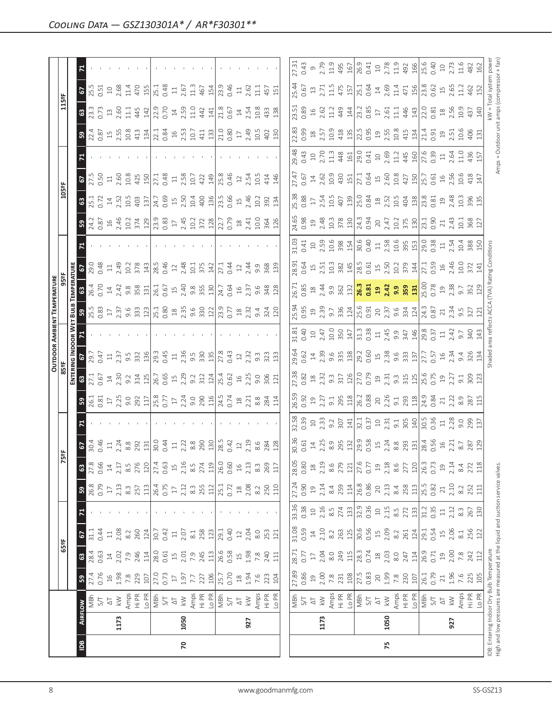|                |      |                                                                                                          |                                                                        |                                                                                                                                                                                                                                                                                                                                                                                                                                                                                   |                                                                                                                                                                                                                                                                                                                     |                     |                                                                                                                                                                                                                                                                                                                                                                                                                         |                                                      |                                                                            |                                                                                                                                                                                                                                                                                                                     |                                                                                                                                                                                                                                                                                                                                                  |                                                                                                                                                                                                                                                                                                             |                                                                                                                                                                                                                                |                                                                                                                                                                                                                                                                                           | <b>OUTDOOR AMBIENT TEMPERATURE</b>                                                                                                                                                                                                                                                                                   |                                                                                                                                                                                                                                                                                            |                                                                                                                                                                                                                               |                                                                                                                                                                                                                                                                                             |                            |                                                                                                                                                                                                                                                                                                                     |                                                                                                                                                                                                                                                                                                     |                                                                                                                                                                                                                                                                                                                                                                                                                     |                           |                                                                                                |
|----------------|------|----------------------------------------------------------------------------------------------------------|------------------------------------------------------------------------|-----------------------------------------------------------------------------------------------------------------------------------------------------------------------------------------------------------------------------------------------------------------------------------------------------------------------------------------------------------------------------------------------------------------------------------------------------------------------------------|---------------------------------------------------------------------------------------------------------------------------------------------------------------------------------------------------------------------------------------------------------------------------------------------------------------------|---------------------|-------------------------------------------------------------------------------------------------------------------------------------------------------------------------------------------------------------------------------------------------------------------------------------------------------------------------------------------------------------------------------------------------------------------------|------------------------------------------------------|----------------------------------------------------------------------------|---------------------------------------------------------------------------------------------------------------------------------------------------------------------------------------------------------------------------------------------------------------------------------------------------------------------|--------------------------------------------------------------------------------------------------------------------------------------------------------------------------------------------------------------------------------------------------------------------------------------------------------------------------------------------------|-------------------------------------------------------------------------------------------------------------------------------------------------------------------------------------------------------------------------------------------------------------------------------------------------------------|--------------------------------------------------------------------------------------------------------------------------------------------------------------------------------------------------------------------------------|-------------------------------------------------------------------------------------------------------------------------------------------------------------------------------------------------------------------------------------------------------------------------------------------|----------------------------------------------------------------------------------------------------------------------------------------------------------------------------------------------------------------------------------------------------------------------------------------------------------------------|--------------------------------------------------------------------------------------------------------------------------------------------------------------------------------------------------------------------------------------------------------------------------------------------|-------------------------------------------------------------------------------------------------------------------------------------------------------------------------------------------------------------------------------|---------------------------------------------------------------------------------------------------------------------------------------------------------------------------------------------------------------------------------------------------------------------------------------------|----------------------------|---------------------------------------------------------------------------------------------------------------------------------------------------------------------------------------------------------------------------------------------------------------------------------------------------------------------|-----------------------------------------------------------------------------------------------------------------------------------------------------------------------------------------------------------------------------------------------------------------------------------------------------|---------------------------------------------------------------------------------------------------------------------------------------------------------------------------------------------------------------------------------------------------------------------------------------------------------------------------------------------------------------------------------------------------------------------|---------------------------|------------------------------------------------------------------------------------------------|
|                |      |                                                                                                          |                                                                        | 65°F                                                                                                                                                                                                                                                                                                                                                                                                                                                                              |                                                                                                                                                                                                                                                                                                                     |                     |                                                                                                                                                                                                                                                                                                                                                                                                                         |                                                      | 5°F                                                                        |                                                                                                                                                                                                                                                                                                                     |                                                                                                                                                                                                                                                                                                                                                  | 85 ap                                                                                                                                                                                                                                                                                                       |                                                                                                                                                                                                                                |                                                                                                                                                                                                                                                                                           |                                                                                                                                                                                                                                                                                                                      |                                                                                                                                                                                                                                                                                            |                                                                                                                                                                                                                               |                                                                                                                                                                                                                                                                                             | 105°F                      |                                                                                                                                                                                                                                                                                                                     |                                                                                                                                                                                                                                                                                                     | 115°F                                                                                                                                                                                                                                                                                                                                                                                                               |                           |                                                                                                |
|                |      |                                                                                                          |                                                                        |                                                                                                                                                                                                                                                                                                                                                                                                                                                                                   |                                                                                                                                                                                                                                                                                                                     |                     |                                                                                                                                                                                                                                                                                                                                                                                                                         |                                                      |                                                                            |                                                                                                                                                                                                                                                                                                                     |                                                                                                                                                                                                                                                                                                                                                  | ENTER                                                                                                                                                                                                                                                                                                       |                                                                                                                                                                                                                                |                                                                                                                                                                                                                                                                                           |                                                                                                                                                                                                                                                                                                                      |                                                                                                                                                                                                                                                                                            |                                                                                                                                                                                                                               |                                                                                                                                                                                                                                                                                             |                            |                                                                                                                                                                                                                                                                                                                     |                                                                                                                                                                                                                                                                                                     |                                                                                                                                                                                                                                                                                                                                                                                                                     |                           |                                                                                                |
| $\overline{B}$ |      | <b>AIRFLOW</b>                                                                                           | ${\bf 59}$                                                             | $8\frac{83}{8}$                                                                                                                                                                                                                                                                                                                                                                                                                                                                   | 2                                                                                                                                                                                                                                                                                                                   |                     | <b>B</b><br>26.8<br>0.79                                                                                                                                                                                                                                                                                                                                                                                                | $\mathbb{G}$                                         | $rac{6}{30.4}$<br>$rac{4}{4}$<br>$rac{4}{4}$<br>$rac{4}{4}$<br>$rac{4}{4}$ |                                                                                                                                                                                                                                                                                                                     | $3\frac{1}{6}$ $\frac{1}{6}$ $\frac{3}{6}$ $\frac{5}{6}$ $\frac{1}{6}$ $\frac{1}{6}$ $\frac{3}{6}$ $\frac{5}{6}$ $\frac{1}{6}$ $\frac{1}{6}$ $\frac{3}{6}$ $\frac{3}{6}$ $\frac{3}{6}$ $\frac{3}{6}$ $\frac{3}{6}$ $\frac{3}{6}$ $\frac{3}{6}$ $\frac{3}{6}$ $\frac{3}{6}$ $\frac{3}{6}$ $\frac{3}{6}$ $\frac{3}{6}$ $\frac{3}{6}$ $\frac{3}{6}$ |                                                                                                                                                                                                                                                                                                             |                                                                                                                                                                                                                                |                                                                                                                                                                                                                                                                                           | $3\frac{1}{2}$ $\frac{1}{2}$ $\frac{1}{2}$ $\frac{1}{2}$ $\frac{1}{2}$ $\frac{1}{2}$ $\frac{1}{2}$ $\frac{1}{2}$ $\frac{1}{2}$ $\frac{1}{2}$ $\frac{1}{2}$ $\frac{1}{2}$ $\frac{1}{2}$ $\frac{1}{2}$ $\frac{1}{2}$ $\frac{1}{2}$ $\frac{1}{2}$ $\frac{1}{2}$ $\frac{1}{2}$ $\frac{1}{2}$ $\frac{1}{2}$ $\frac{1}{2}$ | <b>8</b><br>26.4<br>0.70                                                                                                                                                                                                                                                                   |                                                                                                                                                                                                                               | $\frac{3}{24.2}$                                                                                                                                                                                                                                                                            | 8.1                        | $\overline{5}$                                                                                                                                                                                                                                                                                                      |                                                                                                                                                                                                                                                                                                     | <b>63</b><br>23.3                                                                                                                                                                                                                                                                                                                                                                                                   | <b>67</b><br>25.5<br>0.51 |                                                                                                |
|                |      | MBh                                                                                                      |                                                                        |                                                                                                                                                                                                                                                                                                                                                                                                                                                                                   | 31.1                                                                                                                                                                                                                                                                                                                |                     |                                                                                                                                                                                                                                                                                                                                                                                                                         |                                                      |                                                                            |                                                                                                                                                                                                                                                                                                                     |                                                                                                                                                                                                                                                                                                                                                  |                                                                                                                                                                                                                                                                                                             |                                                                                                                                                                                                                                |                                                                                                                                                                                                                                                                                           |                                                                                                                                                                                                                                                                                                                      |                                                                                                                                                                                                                                                                                            | 29.0<br>0.48                                                                                                                                                                                                                  |                                                                                                                                                                                                                                                                                             |                            | $\frac{27.5}{0.50}$                                                                                                                                                                                                                                                                                                 |                                                                                                                                                                                                                                                                                                     |                                                                                                                                                                                                                                                                                                                                                                                                                     |                           |                                                                                                |
|                |      |                                                                                                          |                                                                        |                                                                                                                                                                                                                                                                                                                                                                                                                                                                                   | 0.44                                                                                                                                                                                                                                                                                                                |                     |                                                                                                                                                                                                                                                                                                                                                                                                                         | 0.66                                                 |                                                                            |                                                                                                                                                                                                                                                                                                                     |                                                                                                                                                                                                                                                                                                                                                  |                                                                                                                                                                                                                                                                                                             |                                                                                                                                                                                                                                |                                                                                                                                                                                                                                                                                           |                                                                                                                                                                                                                                                                                                                      |                                                                                                                                                                                                                                                                                            |                                                                                                                                                                                                                               |                                                                                                                                                                                                                                                                                             |                            |                                                                                                                                                                                                                                                                                                                     |                                                                                                                                                                                                                                                                                                     |                                                                                                                                                                                                                                                                                                                                                                                                                     |                           |                                                                                                |
|                |      |                                                                                                          |                                                                        |                                                                                                                                                                                                                                                                                                                                                                                                                                                                                   | 118.3                                                                                                                                                                                                                                                                                                               |                     |                                                                                                                                                                                                                                                                                                                                                                                                                         | $\ensuremath{\mathop{\mathop{\mathbf{1}}}\nolimits}$ |                                                                            |                                                                                                                                                                                                                                                                                                                     |                                                                                                                                                                                                                                                                                                                                                  |                                                                                                                                                                                                                                                                                                             |                                                                                                                                                                                                                                |                                                                                                                                                                                                                                                                                           |                                                                                                                                                                                                                                                                                                                      |                                                                                                                                                                                                                                                                                            | $11$<br>$2.49$                                                                                                                                                                                                                |                                                                                                                                                                                                                                                                                             | $14$<br>$2.52$             | $11_{2.60}$                                                                                                                                                                                                                                                                                                         |                                                                                                                                                                                                                                                                                                     | 13.60                                                                                                                                                                                                                                                                                                                                                                                                               | $10^{2.68}$               |                                                                                                |
|                | 1173 |                                                                                                          |                                                                        |                                                                                                                                                                                                                                                                                                                                                                                                                                                                                   |                                                                                                                                                                                                                                                                                                                     |                     |                                                                                                                                                                                                                                                                                                                                                                                                                         | 2.17                                                 |                                                                            |                                                                                                                                                                                                                                                                                                                     |                                                                                                                                                                                                                                                                                                                                                  |                                                                                                                                                                                                                                                                                                             |                                                                                                                                                                                                                                |                                                                                                                                                                                                                                                                                           |                                                                                                                                                                                                                                                                                                                      |                                                                                                                                                                                                                                                                                            |                                                                                                                                                                                                                               |                                                                                                                                                                                                                                                                                             |                            |                                                                                                                                                                                                                                                                                                                     |                                                                                                                                                                                                                                                                                                     |                                                                                                                                                                                                                                                                                                                                                                                                                     |                           |                                                                                                |
|                |      |                                                                                                          |                                                                        |                                                                                                                                                                                                                                                                                                                                                                                                                                                                                   |                                                                                                                                                                                                                                                                                                                     |                     |                                                                                                                                                                                                                                                                                                                                                                                                                         |                                                      | 8.8<br>292                                                                 |                                                                                                                                                                                                                                                                                                                     |                                                                                                                                                                                                                                                                                                                                                  |                                                                                                                                                                                                                                                                                                             | $5.777$<br>$5.777$<br>$5.775$<br>$5.32$                                                                                                                                                                                        |                                                                                                                                                                                                                                                                                           |                                                                                                                                                                                                                                                                                                                      |                                                                                                                                                                                                                                                                                            | 10.2<br>378                                                                                                                                                                                                                   |                                                                                                                                                                                                                                                                                             | 10.5                       | 10.8                                                                                                                                                                                                                                                                                                                |                                                                                                                                                                                                                                                                                                     | $\Xi$                                                                                                                                                                                                                                                                                                                                                                                                               | 11.4<br>470               |                                                                                                |
|                |      | $2425$ $2545$ $2545$ $2545$ $2545$ $2545$ $2545$ $2545$ $2545$ $2545$ $2545$ $2545$ $2545$ $2545$ $2545$ | $\begin{array}{cccc}\n7.4 \\ 7.6 \\ 0.9 \\ 8 \\ 7.8 \\ 9\n\end{array}$ | $\frac{1}{2} \times \frac{1}{2} \times \frac{1}{2} \times \frac{1}{2} \times \frac{1}{2} \times \frac{1}{2} \times \frac{1}{2} \times \frac{1}{2} \times \frac{1}{2} \times \frac{1}{2} \times \frac{1}{2} \times \frac{1}{2} \times \frac{1}{2} \times \frac{1}{2} \times \frac{1}{2} \times \frac{1}{2} \times \frac{1}{2} \times \frac{1}{2} \times \frac{1}{2} \times \frac{1}{2} \times \frac{1}{2} \times \frac{1}{2} \times \frac{1}{2} \times \frac{1}{2} \times \frac{1$ | 260<br>124                                                                                                                                                                                                                                                                                                          |                     | $\begin{array}{c c}\n17 & 33 \\ 2.13 & 8.5 \\ 2.5 & 12 \\ 2.6 & 17\n\end{array}$                                                                                                                                                                                                                                                                                                                                        | $8.5$<br>276<br>120                                  |                                                                            |                                                                                                                                                                                                                                                                                                                     |                                                                                                                                                                                                                                                                                                                                                  | $3\frac{1}{2}$ $5\frac{1}{2}$ $4\frac{3}{2}$ $3\frac{3}{2}$ $3\frac{1}{2}$ $5\frac{1}{2}$ $5\frac{1}{2}$ $5\frac{1}{2}$ $5\frac{1}{2}$ $5\frac{1}{2}$ $5\frac{1}{2}$ $5\frac{1}{2}$ $5\frac{1}{2}$ $5\frac{1}{2}$ $5\frac{1}{2}$ $5\frac{1}{2}$ $5\frac{1}{2}$ $5\frac{1}{2}$ $5\frac{1}{2}$ $5\frac{1}{2}$ |                                                                                                                                                                                                                                |                                                                                                                                                                                                                                                                                           |                                                                                                                                                                                                                                                                                                                      |                                                                                                                                                                                                                                                                                            |                                                                                                                                                                                                                               |                                                                                                                                                                                                                                                                                             |                            | 425                                                                                                                                                                                                                                                                                                                 | $\begin{array}{c} 23.85 \\ 23.87 \\ 24.11 \\ 25.12 \\ 26.13 \\ 27.14 \\ 28.11 \\ 29.11 \\ 21.12 \\ 23.12 \\ 24.11 \\ 25.12 \\ 26.12 \\ 27.12 \\ 28.11 \\ 29.11 \\ 20.12 \\ 20.12 \\ 20.13 \\ 20.14 \\ 20.15 \\ 20.15 \\ 20.15 \\ 20.15 \\ 20.15 \\ 20.15 \\ 20.15 \\ 20.15 \\ 20.15 \\ 20.15 \\ 20$ | 445                                                                                                                                                                                                                                                                                                                                                                                                                 |                           |                                                                                                |
|                |      |                                                                                                          |                                                                        |                                                                                                                                                                                                                                                                                                                                                                                                                                                                                   |                                                                                                                                                                                                                                                                                                                     |                     |                                                                                                                                                                                                                                                                                                                                                                                                                         |                                                      | 131                                                                        |                                                                                                                                                                                                                                                                                                                     |                                                                                                                                                                                                                                                                                                                                                  |                                                                                                                                                                                                                                                                                                             | 136                                                                                                                                                                                                                            |                                                                                                                                                                                                                                                                                           |                                                                                                                                                                                                                                                                                                                      |                                                                                                                                                                                                                                                                                            |                                                                                                                                                                                                                               |                                                                                                                                                                                                                                                                                             | 137                        | 150                                                                                                                                                                                                                                                                                                                 |                                                                                                                                                                                                                                                                                                     | 142                                                                                                                                                                                                                                                                                                                                                                                                                 | 155                       |                                                                                                |
|                |      |                                                                                                          |                                                                        |                                                                                                                                                                                                                                                                                                                                                                                                                                                                                   | $30.7$<br>0.42                                                                                                                                                                                                                                                                                                      |                     |                                                                                                                                                                                                                                                                                                                                                                                                                         | $27.4$<br>0.63                                       | $30.0$<br>0.44                                                             |                                                                                                                                                                                                                                                                                                                     |                                                                                                                                                                                                                                                                                                                                                  |                                                                                                                                                                                                                                                                                                             | 29.3<br>0.45                                                                                                                                                                                                                   |                                                                                                                                                                                                                                                                                           |                                                                                                                                                                                                                                                                                                                      |                                                                                                                                                                                                                                                                                            |                                                                                                                                                                                                                               |                                                                                                                                                                                                                                                                                             | 24.7<br>0.69               | 27.1<br>0.48                                                                                                                                                                                                                                                                                                        |                                                                                                                                                                                                                                                                                                     | 22.9<br>0.70                                                                                                                                                                                                                                                                                                                                                                                                        |                           |                                                                                                |
|                |      |                                                                                                          |                                                                        |                                                                                                                                                                                                                                                                                                                                                                                                                                                                                   |                                                                                                                                                                                                                                                                                                                     |                     |                                                                                                                                                                                                                                                                                                                                                                                                                         |                                                      |                                                                            |                                                                                                                                                                                                                                                                                                                     |                                                                                                                                                                                                                                                                                                                                                  |                                                                                                                                                                                                                                                                                                             |                                                                                                                                                                                                                                |                                                                                                                                                                                                                                                                                           |                                                                                                                                                                                                                                                                                                                      |                                                                                                                                                                                                                                                                                            |                                                                                                                                                                                                                               |                                                                                                                                                                                                                                                                                             |                            |                                                                                                                                                                                                                                                                                                                     |                                                                                                                                                                                                                                                                                                     |                                                                                                                                                                                                                                                                                                                                                                                                                     | 0.48                      |                                                                                                |
|                |      |                                                                                                          |                                                                        |                                                                                                                                                                                                                                                                                                                                                                                                                                                                                   | $\Xi$                                                                                                                                                                                                                                                                                                               |                     |                                                                                                                                                                                                                                                                                                                                                                                                                         |                                                      | $\Xi$                                                                      |                                                                                                                                                                                                                                                                                                                     |                                                                                                                                                                                                                                                                                                                                                  |                                                                                                                                                                                                                                                                                                             |                                                                                                                                                                                                                                |                                                                                                                                                                                                                                                                                           |                                                                                                                                                                                                                                                                                                                      |                                                                                                                                                                                                                                                                                            |                                                                                                                                                                                                                               |                                                                                                                                                                                                                                                                                             | $\overline{\mathfrak{u}}$  | $\Xi$                                                                                                                                                                                                                                                                                                               |                                                                                                                                                                                                                                                                                                     | $14\,$                                                                                                                                                                                                                                                                                                                                                                                                              | $\Xi$                     |                                                                                                |
| 20             | 1050 |                                                                                                          |                                                                        |                                                                                                                                                                                                                                                                                                                                                                                                                                                                                   | 2.07                                                                                                                                                                                                                                                                                                                |                     | 2.12                                                                                                                                                                                                                                                                                                                                                                                                                    |                                                      |                                                                            |                                                                                                                                                                                                                                                                                                                     |                                                                                                                                                                                                                                                                                                                                                  |                                                                                                                                                                                                                                                                                                             |                                                                                                                                                                                                                                |                                                                                                                                                                                                                                                                                           |                                                                                                                                                                                                                                                                                                                      |                                                                                                                                                                                                                                                                                            |                                                                                                                                                                                                                               |                                                                                                                                                                                                                                                                                             | 2.50                       | 2.58                                                                                                                                                                                                                                                                                                                |                                                                                                                                                                                                                                                                                                     | 2.59                                                                                                                                                                                                                                                                                                                                                                                                                | 2.67                      |                                                                                                |
|                |      |                                                                                                          |                                                                        |                                                                                                                                                                                                                                                                                                                                                                                                                                                                                   | $\approx 1$                                                                                                                                                                                                                                                                                                         |                     |                                                                                                                                                                                                                                                                                                                                                                                                                         | $2.16$<br>8.5                                        |                                                                            |                                                                                                                                                                                                                                                                                                                     |                                                                                                                                                                                                                                                                                                                                                  |                                                                                                                                                                                                                                                                                                             |                                                                                                                                                                                                                                |                                                                                                                                                                                                                                                                                           |                                                                                                                                                                                                                                                                                                                      |                                                                                                                                                                                                                                                                                            |                                                                                                                                                                                                                               |                                                                                                                                                                                                                                                                                             | 10.4                       | 10.7                                                                                                                                                                                                                                                                                                                |                                                                                                                                                                                                                                                                                                     | 11.0                                                                                                                                                                                                                                                                                                                                                                                                                | 11.3                      |                                                                                                |
|                |      |                                                                                                          | 227                                                                    |                                                                                                                                                                                                                                                                                                                                                                                                                                                                                   | 258                                                                                                                                                                                                                                                                                                                 |                     | $\frac{25}{251}$<br>255<br>25.1<br>25.1                                                                                                                                                                                                                                                                                                                                                                                 |                                                      | $2.22$ $8.8$ $2.90$                                                        |                                                                                                                                                                                                                                                                                                                     |                                                                                                                                                                                                                                                                                                                                                  |                                                                                                                                                                                                                                                                                                             |                                                                                                                                                                                                                                |                                                                                                                                                                                                                                                                                           |                                                                                                                                                                                                                                                                                                                      |                                                                                                                                                                                                                                                                                            | $\frac{14}{285}$<br>$\frac{1}{285}$<br>$\frac{1}{285}$<br>$\frac{1}{285}$<br>$\frac{1}{285}$<br>$\frac{1}{285}$<br>$\frac{1}{285}$<br>$\frac{1}{285}$                                                                         |                                                                                                                                                                                                                                                                                             |                            |                                                                                                                                                                                                                                                                                                                     |                                                                                                                                                                                                                                                                                                     | $442$<br>$141$                                                                                                                                                                                                                                                                                                                                                                                                      |                           |                                                                                                |
|                |      |                                                                                                          |                                                                        |                                                                                                                                                                                                                                                                                                                                                                                                                                                                                   |                                                                                                                                                                                                                                                                                                                     |                     |                                                                                                                                                                                                                                                                                                                                                                                                                         |                                                      |                                                                            |                                                                                                                                                                                                                                                                                                                     |                                                                                                                                                                                                                                                                                                                                                  |                                                                                                                                                                                                                                                                                                             |                                                                                                                                                                                                                                |                                                                                                                                                                                                                                                                                           |                                                                                                                                                                                                                                                                                                                      |                                                                                                                                                                                                                                                                                            |                                                                                                                                                                                                                               |                                                                                                                                                                                                                                                                                             |                            | 422<br>149                                                                                                                                                                                                                                                                                                          |                                                                                                                                                                                                                                                                                                     |                                                                                                                                                                                                                                                                                                                                                                                                                     |                           |                                                                                                |
|                |      |                                                                                                          | $\frac{25.7}{0.70}$                                                    |                                                                                                                                                                                                                                                                                                                                                                                                                                                                                   | $\frac{29.1}{0.40}$                                                                                                                                                                                                                                                                                                 |                     |                                                                                                                                                                                                                                                                                                                                                                                                                         | $\frac{274}{119}$                                    | $\frac{28.5}{0.42}$                                                        |                                                                                                                                                                                                                                                                                                                     |                                                                                                                                                                                                                                                                                                                                                  |                                                                                                                                                                                                                                                                                                             |                                                                                                                                                                                                                                |                                                                                                                                                                                                                                                                                           |                                                                                                                                                                                                                                                                                                                      |                                                                                                                                                                                                                                                                                            |                                                                                                                                                                                                                               |                                                                                                                                                                                                                                                                                             |                            | 25.8                                                                                                                                                                                                                                                                                                                |                                                                                                                                                                                                                                                                                                     |                                                                                                                                                                                                                                                                                                                                                                                                                     | $457$<br>$151$<br>$23$    |                                                                                                |
|                |      |                                                                                                          |                                                                        |                                                                                                                                                                                                                                                                                                                                                                                                                                                                                   |                                                                                                                                                                                                                                                                                                                     |                     |                                                                                                                                                                                                                                                                                                                                                                                                                         | 0.60                                                 |                                                                            |                                                                                                                                                                                                                                                                                                                     |                                                                                                                                                                                                                                                                                                                                                  |                                                                                                                                                                                                                                                                                                             |                                                                                                                                                                                                                                |                                                                                                                                                                                                                                                                                           |                                                                                                                                                                                                                                                                                                                      |                                                                                                                                                                                                                                                                                            | 0.44                                                                                                                                                                                                                          |                                                                                                                                                                                                                                                                                             |                            | 0.46                                                                                                                                                                                                                                                                                                                |                                                                                                                                                                                                                                                                                                     | $\frac{21.8}{0.67}$                                                                                                                                                                                                                                                                                                                                                                                                 | 0.46                      |                                                                                                |
|                |      |                                                                                                          |                                                                        |                                                                                                                                                                                                                                                                                                                                                                                                                                                                                   | $12\,$                                                                                                                                                                                                                                                                                                              |                     |                                                                                                                                                                                                                                                                                                                                                                                                                         | $\frac{16}{1}$                                       |                                                                            |                                                                                                                                                                                                                                                                                                                     |                                                                                                                                                                                                                                                                                                                                                  |                                                                                                                                                                                                                                                                                                             |                                                                                                                                                                                                                                |                                                                                                                                                                                                                                                                                           |                                                                                                                                                                                                                                                                                                                      |                                                                                                                                                                                                                                                                                            |                                                                                                                                                                                                                               |                                                                                                                                                                                                                                                                                             |                            |                                                                                                                                                                                                                                                                                                                     |                                                                                                                                                                                                                                                                                                     |                                                                                                                                                                                                                                                                                                                                                                                                                     |                           |                                                                                                |
|                | 927  |                                                                                                          | $\begin{array}{c} 18 \\ 24 \\ 76 \\ 87 \\ 194 \\ \end{array}$          |                                                                                                                                                                                                                                                                                                                                                                                                                                                                                   | 2.04                                                                                                                                                                                                                                                                                                                |                     |                                                                                                                                                                                                                                                                                                                                                                                                                         |                                                      | 2.19                                                                       |                                                                                                                                                                                                                                                                                                                     |                                                                                                                                                                                                                                                                                                                                                  |                                                                                                                                                                                                                                                                                                             |                                                                                                                                                                                                                                |                                                                                                                                                                                                                                                                                           |                                                                                                                                                                                                                                                                                                                      |                                                                                                                                                                                                                                                                                            | $2\frac{4}{3}$ $3\frac{8}{9}$ $3\frac{3}{9}$                                                                                                                                                                                  | $2,41$<br>$2,9$<br>$364$<br>$326$                                                                                                                                                                                                                                                           | $15$<br>$2.46$             | $12^{254}$                                                                                                                                                                                                                                                                                                          |                                                                                                                                                                                                                                                                                                     | $14$<br>$2.54$<br>$10.8$                                                                                                                                                                                                                                                                                                                                                                                            | $\frac{11}{2.62}$         |                                                                                                |
|                |      |                                                                                                          |                                                                        |                                                                                                                                                                                                                                                                                                                                                                                                                                                                                   | $8.0$                                                                                                                                                                                                                                                                                                               |                     |                                                                                                                                                                                                                                                                                                                                                                                                                         | $\begin{array}{c} 2.13 \\ 8.3 \end{array}$           | 8.6                                                                        |                                                                                                                                                                                                                                                                                                                     |                                                                                                                                                                                                                                                                                                                                                  |                                                                                                                                                                                                                                                                                                             |                                                                                                                                                                                                                                |                                                                                                                                                                                                                                                                                           |                                                                                                                                                                                                                                                                                                                      |                                                                                                                                                                                                                                                                                            |                                                                                                                                                                                                                               |                                                                                                                                                                                                                                                                                             |                            |                                                                                                                                                                                                                                                                                                                     |                                                                                                                                                                                                                                                                                                     |                                                                                                                                                                                                                                                                                                                                                                                                                     | 目                         |                                                                                                |
|                |      | Amps<br>Hi PR<br>Lo PR                                                                                   |                                                                        | 7.8<br>240<br>111                                                                                                                                                                                                                                                                                                                                                                                                                                                                 |                                                                                                                                                                                                                                                                                                                     |                     |                                                                                                                                                                                                                                                                                                                                                                                                                         |                                                      |                                                                            |                                                                                                                                                                                                                                                                                                                     |                                                                                                                                                                                                                                                                                                                                                  |                                                                                                                                                                                                                                                                                                             |                                                                                                                                                                                                                                |                                                                                                                                                                                                                                                                                           |                                                                                                                                                                                                                                                                                                                      |                                                                                                                                                                                                                                                                                            |                                                                                                                                                                                                                               |                                                                                                                                                                                                                                                                                             | $10.2$<br>$39.2$<br>$13.4$ | 10.5                                                                                                                                                                                                                                                                                                                |                                                                                                                                                                                                                                                                                                     |                                                                                                                                                                                                                                                                                                                                                                                                                     |                           |                                                                                                |
|                |      |                                                                                                          |                                                                        |                                                                                                                                                                                                                                                                                                                                                                                                                                                                                   | 253<br>121                                                                                                                                                                                                                                                                                                          |                     |                                                                                                                                                                                                                                                                                                                                                                                                                         | 269<br>117                                           | 284<br>128                                                                 |                                                                                                                                                                                                                                                                                                                     |                                                                                                                                                                                                                                                                                                                                                  |                                                                                                                                                                                                                                                                                                             |                                                                                                                                                                                                                                |                                                                                                                                                                                                                                                                                           |                                                                                                                                                                                                                                                                                                                      |                                                                                                                                                                                                                                                                                            |                                                                                                                                                                                                                               |                                                                                                                                                                                                                                                                                             |                            | 146                                                                                                                                                                                                                                                                                                                 |                                                                                                                                                                                                                                                                                                     | $\begin{array}{c} 43 \\ 138 \end{array}$                                                                                                                                                                                                                                                                                                                                                                            | 457                       |                                                                                                |
|                |      |                                                                                                          |                                                                        |                                                                                                                                                                                                                                                                                                                                                                                                                                                                                   |                                                                                                                                                                                                                                                                                                                     |                     |                                                                                                                                                                                                                                                                                                                                                                                                                         |                                                      |                                                                            |                                                                                                                                                                                                                                                                                                                     |                                                                                                                                                                                                                                                                                                                                                  |                                                                                                                                                                                                                                                                                                             |                                                                                                                                                                                                                                |                                                                                                                                                                                                                                                                                           |                                                                                                                                                                                                                                                                                                                      |                                                                                                                                                                                                                                                                                            |                                                                                                                                                                                                                               |                                                                                                                                                                                                                                                                                             |                            |                                                                                                                                                                                                                                                                                                                     |                                                                                                                                                                                                                                                                                                     |                                                                                                                                                                                                                                                                                                                                                                                                                     |                           |                                                                                                |
|                |      |                                                                                                          |                                                                        |                                                                                                                                                                                                                                                                                                                                                                                                                                                                                   |                                                                                                                                                                                                                                                                                                                     |                     |                                                                                                                                                                                                                                                                                                                                                                                                                         | 28.05                                                |                                                                            | 32.58                                                                                                                                                                                                                                                                                                               |                                                                                                                                                                                                                                                                                                                                                  |                                                                                                                                                                                                                                                                                                             |                                                                                                                                                                                                                                | 31.81                                                                                                                                                                                                                                                                                     | <b>25.94</b>                                                                                                                                                                                                                                                                                                         | 26.71                                                                                                                                                                                                                                                                                      | 28.91                                                                                                                                                                                                                         | 24.65                                                                                                                                                                                                                                                                                       | 25.38                      | 27.47                                                                                                                                                                                                                                                                                                               |                                                                                                                                                                                                                                                                                                     | 23.51                                                                                                                                                                                                                                                                                                                                                                                                               | 25.44                     |                                                                                                |
|                |      |                                                                                                          | 27.89                                                                  | 28.71<br>0.77                                                                                                                                                                                                                                                                                                                                                                                                                                                                     | 31.08<br>0.59                                                                                                                                                                                                                                                                                                       | 33.36<br>0.38       | 27.24                                                                                                                                                                                                                                                                                                                                                                                                                   | 0.80                                                 | 30.36<br>0.61                                                              | 0.39                                                                                                                                                                                                                                                                                                                | 26.59<br>0.92                                                                                                                                                                                                                                                                                                                                    | 27.38                                                                                                                                                                                                                                                                                                       |                                                                                                                                                                                                                                | 0.40                                                                                                                                                                                                                                                                                      | 0.95                                                                                                                                                                                                                                                                                                                 | 0.85                                                                                                                                                                                                                                                                                       | 0.64                                                                                                                                                                                                                          | 0.98                                                                                                                                                                                                                                                                                        | 0.88                       | 0.67                                                                                                                                                                                                                                                                                                                |                                                                                                                                                                                                                                                                                                     | 0.89                                                                                                                                                                                                                                                                                                                                                                                                                | 0.67                      | 0.43                                                                                           |
|                |      | $\frac{1}{2} \approx 2$                                                                                  |                                                                        | $\Gamma$                                                                                                                                                                                                                                                                                                                                                                                                                                                                          | $\ensuremath{\mathop{\mathbf{1}}}\xspace^4$                                                                                                                                                                                                                                                                         | $\Xi$               | $\Xi$                                                                                                                                                                                                                                                                                                                                                                                                                   | $\frac{8}{10}$                                       | $\Xi$                                                                      |                                                                                                                                                                                                                                                                                                                     | $\Xi$                                                                                                                                                                                                                                                                                                                                            |                                                                                                                                                                                                                                                                                                             |                                                                                                                                                                                                                                |                                                                                                                                                                                                                                                                                           |                                                                                                                                                                                                                                                                                                                      |                                                                                                                                                                                                                                                                                            | $15$                                                                                                                                                                                                                          |                                                                                                                                                                                                                                                                                             |                            |                                                                                                                                                                                                                                                                                                                     |                                                                                                                                                                                                                                                                                                     |                                                                                                                                                                                                                                                                                                                                                                                                                     |                           |                                                                                                |
|                | 1173 |                                                                                                          |                                                                        | 2.04                                                                                                                                                                                                                                                                                                                                                                                                                                                                              |                                                                                                                                                                                                                                                                                                                     |                     | 2.14                                                                                                                                                                                                                                                                                                                                                                                                                    |                                                      |                                                                            |                                                                                                                                                                                                                                                                                                                     |                                                                                                                                                                                                                                                                                                                                                  |                                                                                                                                                                                                                                                                                                             |                                                                                                                                                                                                                                |                                                                                                                                                                                                                                                                                           |                                                                                                                                                                                                                                                                                                                      |                                                                                                                                                                                                                                                                                            |                                                                                                                                                                                                                               |                                                                                                                                                                                                                                                                                             |                            |                                                                                                                                                                                                                                                                                                                     |                                                                                                                                                                                                                                                                                                     |                                                                                                                                                                                                                                                                                                                                                                                                                     |                           |                                                                                                |
|                |      |                                                                                                          |                                                                        |                                                                                                                                                                                                                                                                                                                                                                                                                                                                                   |                                                                                                                                                                                                                                                                                                                     |                     |                                                                                                                                                                                                                                                                                                                                                                                                                         | $2.19$<br>8.6                                        |                                                                            |                                                                                                                                                                                                                                                                                                                     |                                                                                                                                                                                                                                                                                                                                                  |                                                                                                                                                                                                                                                                                                             |                                                                                                                                                                                                                                |                                                                                                                                                                                                                                                                                           |                                                                                                                                                                                                                                                                                                                      |                                                                                                                                                                                                                                                                                            |                                                                                                                                                                                                                               |                                                                                                                                                                                                                                                                                             |                            |                                                                                                                                                                                                                                                                                                                     |                                                                                                                                                                                                                                                                                                     | $16$<br>$2.62$<br>$11$                                                                                                                                                                                                                                                                                                                                                                                              |                           | $9.79$<br>$2.79$                                                                               |
|                |      |                                                                                                          |                                                                        |                                                                                                                                                                                                                                                                                                                                                                                                                                                                                   |                                                                                                                                                                                                                                                                                                                     |                     |                                                                                                                                                                                                                                                                                                                                                                                                                         |                                                      |                                                                            |                                                                                                                                                                                                                                                                                                                     |                                                                                                                                                                                                                                                                                                                                                  |                                                                                                                                                                                                                                                                                                             |                                                                                                                                                                                                                                |                                                                                                                                                                                                                                                                                           |                                                                                                                                                                                                                                                                                                                      |                                                                                                                                                                                                                                                                                            |                                                                                                                                                                                                                               |                                                                                                                                                                                                                                                                                             |                            |                                                                                                                                                                                                                                                                                                                     |                                                                                                                                                                                                                                                                                                     |                                                                                                                                                                                                                                                                                                                                                                                                                     |                           | 495                                                                                            |
|                |      |                                                                                                          |                                                                        |                                                                                                                                                                                                                                                                                                                                                                                                                                                                                   |                                                                                                                                                                                                                                                                                                                     |                     |                                                                                                                                                                                                                                                                                                                                                                                                                         |                                                      |                                                                            |                                                                                                                                                                                                                                                                                                                     |                                                                                                                                                                                                                                                                                                                                                  |                                                                                                                                                                                                                                                                                                             |                                                                                                                                                                                                                                |                                                                                                                                                                                                                                                                                           |                                                                                                                                                                                                                                                                                                                      |                                                                                                                                                                                                                                                                                            |                                                                                                                                                                                                                               |                                                                                                                                                                                                                                                                                             |                            |                                                                                                                                                                                                                                                                                                                     |                                                                                                                                                                                                                                                                                                     |                                                                                                                                                                                                                                                                                                                                                                                                                     |                           |                                                                                                |
|                |      |                                                                                                          |                                                                        |                                                                                                                                                                                                                                                                                                                                                                                                                                                                                   |                                                                                                                                                                                                                                                                                                                     |                     |                                                                                                                                                                                                                                                                                                                                                                                                                         |                                                      |                                                                            |                                                                                                                                                                                                                                                                                                                     |                                                                                                                                                                                                                                                                                                                                                  |                                                                                                                                                                                                                                                                                                             |                                                                                                                                                                                                                                |                                                                                                                                                                                                                                                                                           |                                                                                                                                                                                                                                                                                                                      |                                                                                                                                                                                                                                                                                            |                                                                                                                                                                                                                               |                                                                                                                                                                                                                                                                                             |                            |                                                                                                                                                                                                                                                                                                                     |                                                                                                                                                                                                                                                                                                     |                                                                                                                                                                                                                                                                                                                                                                                                                     |                           |                                                                                                |
|                |      |                                                                                                          |                                                                        |                                                                                                                                                                                                                                                                                                                                                                                                                                                                                   |                                                                                                                                                                                                                                                                                                                     |                     |                                                                                                                                                                                                                                                                                                                                                                                                                         |                                                      |                                                                            |                                                                                                                                                                                                                                                                                                                     |                                                                                                                                                                                                                                                                                                                                                  |                                                                                                                                                                                                                                                                                                             |                                                                                                                                                                                                                                |                                                                                                                                                                                                                                                                                           |                                                                                                                                                                                                                                                                                                                      |                                                                                                                                                                                                                                                                                            |                                                                                                                                                                                                                               |                                                                                                                                                                                                                                                                                             |                            |                                                                                                                                                                                                                                                                                                                     |                                                                                                                                                                                                                                                                                                     |                                                                                                                                                                                                                                                                                                                                                                                                                     |                           |                                                                                                |
|                |      |                                                                                                          |                                                                        |                                                                                                                                                                                                                                                                                                                                                                                                                                                                                   |                                                                                                                                                                                                                                                                                                                     |                     |                                                                                                                                                                                                                                                                                                                                                                                                                         |                                                      |                                                                            |                                                                                                                                                                                                                                                                                                                     |                                                                                                                                                                                                                                                                                                                                                  |                                                                                                                                                                                                                                                                                                             |                                                                                                                                                                                                                                |                                                                                                                                                                                                                                                                                           |                                                                                                                                                                                                                                                                                                                      |                                                                                                                                                                                                                                                                                            |                                                                                                                                                                                                                               |                                                                                                                                                                                                                                                                                             |                            |                                                                                                                                                                                                                                                                                                                     |                                                                                                                                                                                                                                                                                                     |                                                                                                                                                                                                                                                                                                                                                                                                                     |                           |                                                                                                |
| 75             | 1050 |                                                                                                          |                                                                        |                                                                                                                                                                                                                                                                                                                                                                                                                                                                                   |                                                                                                                                                                                                                                                                                                                     |                     |                                                                                                                                                                                                                                                                                                                                                                                                                         |                                                      |                                                                            |                                                                                                                                                                                                                                                                                                                     |                                                                                                                                                                                                                                                                                                                                                  |                                                                                                                                                                                                                                                                                                             |                                                                                                                                                                                                                                |                                                                                                                                                                                                                                                                                           |                                                                                                                                                                                                                                                                                                                      |                                                                                                                                                                                                                                                                                            |                                                                                                                                                                                                                               |                                                                                                                                                                                                                                                                                             |                            |                                                                                                                                                                                                                                                                                                                     |                                                                                                                                                                                                                                                                                                     |                                                                                                                                                                                                                                                                                                                                                                                                                     |                           |                                                                                                |
|                |      |                                                                                                          |                                                                        |                                                                                                                                                                                                                                                                                                                                                                                                                                                                                   |                                                                                                                                                                                                                                                                                                                     |                     |                                                                                                                                                                                                                                                                                                                                                                                                                         |                                                      |                                                                            |                                                                                                                                                                                                                                                                                                                     |                                                                                                                                                                                                                                                                                                                                                  |                                                                                                                                                                                                                                                                                                             |                                                                                                                                                                                                                                |                                                                                                                                                                                                                                                                                           |                                                                                                                                                                                                                                                                                                                      |                                                                                                                                                                                                                                                                                            |                                                                                                                                                                                                                               |                                                                                                                                                                                                                                                                                             |                            |                                                                                                                                                                                                                                                                                                                     |                                                                                                                                                                                                                                                                                                     |                                                                                                                                                                                                                                                                                                                                                                                                                     |                           |                                                                                                |
|                |      |                                                                                                          |                                                                        |                                                                                                                                                                                                                                                                                                                                                                                                                                                                                   |                                                                                                                                                                                                                                                                                                                     |                     |                                                                                                                                                                                                                                                                                                                                                                                                                         |                                                      |                                                                            |                                                                                                                                                                                                                                                                                                                     |                                                                                                                                                                                                                                                                                                                                                  |                                                                                                                                                                                                                                                                                                             |                                                                                                                                                                                                                                |                                                                                                                                                                                                                                                                                           |                                                                                                                                                                                                                                                                                                                      |                                                                                                                                                                                                                                                                                            |                                                                                                                                                                                                                               |                                                                                                                                                                                                                                                                                             |                            |                                                                                                                                                                                                                                                                                                                     | $22.83$<br>$23.9$<br>$24.8$<br>$25.9$<br>$25.9$<br>$25.9$<br>$25.9$<br>$25.9$<br>$25.9$<br>$25.9$<br>$25.9$<br>$25.9$<br>$25.9$<br>$25.9$<br>$25.9$                                                                                                                                                 |                                                                                                                                                                                                                                                                                                                                                                                                                     |                           |                                                                                                |
|                |      | Amps<br>Hi PR<br>LO PR<br>S S T<br>S S T<br>LO PR<br>S S T<br>S S T<br>S S T                             |                                                                        |                                                                                                                                                                                                                                                                                                                                                                                                                                                                                   | $\frac{2}{3}$ $\frac{2}{3}$ $\frac{2}{3}$ $\frac{1}{3}$ $\frac{1}{3}$ $\frac{1}{3}$ $\frac{1}{3}$ $\frac{1}{3}$ $\frac{1}{3}$ $\frac{1}{3}$ $\frac{1}{3}$ $\frac{1}{3}$ $\frac{1}{3}$ $\frac{1}{3}$ $\frac{1}{3}$ $\frac{1}{3}$ $\frac{1}{3}$ $\frac{1}{3}$ $\frac{1}{3}$ $\frac{1}{3}$ $\frac{1}{3}$ $\frac{1}{3}$ |                     | $\begin{array}{c c c c c c c c c} \hline \texttt{3} & \texttt{3} & \texttt{2} & \texttt{3} & \texttt{4} & \texttt{5} & \texttt{6} \\ \hline \texttt{4} & \texttt{5} & \texttt{5} & \texttt{5} & \texttt{6} & \texttt{6} & \texttt{6} & \texttt{6} \\ \texttt{5} & \texttt{6} & \texttt{6} & \texttt{6} & \texttt{7} & \texttt{7} & \texttt{7} & \texttt{7} & \texttt{8} & \texttt{7} \\ \hline \texttt{6} & \texttt{7}$ |                                                      |                                                                            | $\frac{1}{2}$ $\frac{1}{2}$ $\frac{1}{2}$ $\frac{1}{2}$ $\frac{1}{2}$ $\frac{1}{2}$ $\frac{1}{2}$ $\frac{1}{2}$ $\frac{1}{2}$ $\frac{1}{2}$ $\frac{1}{2}$ $\frac{1}{2}$ $\frac{1}{2}$ $\frac{1}{2}$ $\frac{1}{2}$ $\frac{1}{2}$ $\frac{1}{2}$ $\frac{1}{2}$ $\frac{1}{2}$ $\frac{1}{2}$ $\frac{1}{2}$ $\frac{1}{2}$ |                                                                                                                                                                                                                                                                                                                                                  |                                                                                                                                                                                                                                                                                                             | $25.6$ $25.4$ $35.8$ $35.8$ $35.8$ $35.8$ $35.8$ $35.8$ $35.8$ $35.8$ $35.8$ $35.8$ $35.8$ $35.8$ $35.8$ $35.8$ $35.8$ $35.8$ $35.8$ $35.8$ $35.8$ $35.8$ $35.8$ $35.8$ $35.8$ $35.8$ $35.8$ $35.8$ $35.8$ $35.8$ $35.8$ $35.$ | $\begin{array}{c} 23.7376 \\ 24.7376 \\ 25.874 \\ 26.974 \\ 27.874 \\ 28.974 \\ 29.874 \\ 20.874 \\ 21.874 \\ 22.874 \\ 23.874 \\ 24.874 \\ 25.874 \\ 26.874 \\ 27.874 \\ 28.874 \\ 29.8744 \\ 20.8744 \\ 21.8744 \\ 22.8744 \\ 23.8744 \\ 24.8744 \\ 25.8744 \\ 26.8744 \\ 27.8744 \\ 2$ | $\begin{array}{c} 23.85 & 24.87 \\ 25.8 & 24.87 \\ 25.8 & 24.87 \\ 25.8 & 25.87 \\ 25.8 & 25.87 \\ 25.8 & 25.87 \\ 25.8 & 25.87 \\ 25.8 & 25.87 \\ 25.8 & 25.87 \\ 25.8 & 25.87 \\ 25.8 & 25.87 \\ 25.8 & 25.87 \\ 25.8 & 25.87 \\ 25.8 & 25.87 \\ 25.8 & 25.87 \\ 25.8 & 25.87 \\ 25.$                              | $\begin{array}{c} 23.4 & 0.0000 \\ 24.4 & 0.0000 \\ 24.4 & 0.0000 \\ 24.4 & 24.4 \\ 25.4 & 25.4 \\ 26.4 & 27.4 \\ 27.4 & 28.4 \\ 28.4 & 29.4 \\ 29.4 & 29.4 \\ 20.4 & 29.4 \\ 20.4 & 29.4 \\ 20.4 & 29.4 \\ 20.4 & 29.4 \\ 20.4 & 29.4 \\ 20.4 & 29.4 \\ 20.4 & 29.4 \\ 20.4 & 29.4 \\ 20$ | $2.51$ 20 30 30 4 5 5 5 5 6 7 8 9 7 8 7 7 7 7 9 9 7 8 9 7 8 7 8 9 7 8 9 7 8 9 7 8 9 7 8 9 7 8 9 7 8 9 7 8 9 7 8 9 7 8 9 7 8 9 7 8 9 7 8 9 7 8 9 7 8 9 7 8 9 7 8 9 7 8 9 7 8 9 7 8 9 7 8 9 7 8 9 7 8 9 7 8 9 7 8 9 7 8 9 7 8 9 | $\begin{array}{c} 23.837 \\ 23.837 \\ 24.837 \\ 25.837 \\ 26.837 \\ 27.837 \\ 28.837 \\ 29.837 \\ 21.837 \\ 23.837 \\ 24.837 \\ 25.837 \\ 26.837 \\ 27.837 \\ 28.837 \\ 29.837 \\ 21.837 \\ 22.837 \\ 23.837 \\ 24.837 \\ 25.837 \\ 27.837 \\ 28.837 \\ 29.837 \\ 21.838 \\ 22.837 \\ 23.8$ |                            | $\frac{1}{2}$ $\frac{1}{2}$ $\frac{1}{3}$ $\frac{1}{3}$ $\frac{1}{3}$ $\frac{1}{3}$ $\frac{1}{6}$ $\frac{1}{2}$ $\frac{1}{3}$ $\frac{1}{2}$ $\frac{1}{6}$ $\frac{1}{2}$ $\frac{1}{3}$ $\frac{1}{2}$ $\frac{1}{3}$ $\frac{1}{6}$ $\frac{1}{3}$ $\frac{1}{6}$ $\frac{1}{3}$ $\frac{1}{2}$ $\frac{1}{4}$ $\frac{1}{2}$ |                                                                                                                                                                                                                                                                                                     | $44 \frac{1}{2} \times 100 \times 100 \times 100 \times 100 \times 100 \times 100 \times 100 \times 100 \times 100 \times 100 \times 100 \times 100 \times 100 \times 100 \times 100 \times 100 \times 100 \times 100 \times 100 \times 100 \times 100 \times 100 \times 100 \times 100 \times 100 \times 100 \times 100 \times 100 \times 100 \times 100 \times 100 \times 100 \times 100 \times 100 \times 100 \$ |                           | $\frac{167}{26.9}$ $\frac{167}{25.7}$ $\frac{128}{25.7}$ $\frac{128}{49.7}$ $\frac{167}{25.7}$ |
|                |      |                                                                                                          |                                                                        |                                                                                                                                                                                                                                                                                                                                                                                                                                                                                   |                                                                                                                                                                                                                                                                                                                     | $\frac{31.2}{0.35}$ |                                                                                                                                                                                                                                                                                                                                                                                                                         |                                                      |                                                                            |                                                                                                                                                                                                                                                                                                                     |                                                                                                                                                                                                                                                                                                                                                  |                                                                                                                                                                                                                                                                                                             |                                                                                                                                                                                                                                |                                                                                                                                                                                                                                                                                           |                                                                                                                                                                                                                                                                                                                      |                                                                                                                                                                                                                                                                                            |                                                                                                                                                                                                                               |                                                                                                                                                                                                                                                                                             |                            |                                                                                                                                                                                                                                                                                                                     |                                                                                                                                                                                                                                                                                                     |                                                                                                                                                                                                                                                                                                                                                                                                                     |                           |                                                                                                |
|                |      |                                                                                                          |                                                                        |                                                                                                                                                                                                                                                                                                                                                                                                                                                                                   |                                                                                                                                                                                                                                                                                                                     |                     |                                                                                                                                                                                                                                                                                                                                                                                                                         |                                                      |                                                                            |                                                                                                                                                                                                                                                                                                                     |                                                                                                                                                                                                                                                                                                                                                  |                                                                                                                                                                                                                                                                                                             |                                                                                                                                                                                                                                |                                                                                                                                                                                                                                                                                           |                                                                                                                                                                                                                                                                                                                      |                                                                                                                                                                                                                                                                                            |                                                                                                                                                                                                                               |                                                                                                                                                                                                                                                                                             |                            |                                                                                                                                                                                                                                                                                                                     |                                                                                                                                                                                                                                                                                                     |                                                                                                                                                                                                                                                                                                                                                                                                                     |                           |                                                                                                |
|                | 927  | $\frac{\Delta\mathsf{T}}{\mathsf{k}\mathsf{W}}$                                                          |                                                                        |                                                                                                                                                                                                                                                                                                                                                                                                                                                                                   |                                                                                                                                                                                                                                                                                                                     | $11$ $2.12$         | $21$<br>$2.10$                                                                                                                                                                                                                                                                                                                                                                                                          | $19$<br>$2.14$                                       |                                                                            |                                                                                                                                                                                                                                                                                                                     |                                                                                                                                                                                                                                                                                                                                                  |                                                                                                                                                                                                                                                                                                             |                                                                                                                                                                                                                                |                                                                                                                                                                                                                                                                                           |                                                                                                                                                                                                                                                                                                                      | $19$<br>$2.38$                                                                                                                                                                                                                                                                             |                                                                                                                                                                                                                               |                                                                                                                                                                                                                                                                                             |                            |                                                                                                                                                                                                                                                                                                                     |                                                                                                                                                                                                                                                                                                     |                                                                                                                                                                                                                                                                                                                                                                                                                     |                           | $\frac{10}{2.73}$                                                                              |
|                |      |                                                                                                          | $\frac{1}{26.79}$<br>0.79<br>2.96<br>7.95<br>7.95                      |                                                                                                                                                                                                                                                                                                                                                                                                                                                                                   | $\approx 1$                                                                                                                                                                                                                                                                                                         | $8.\overline{3}$    |                                                                                                                                                                                                                                                                                                                                                                                                                         |                                                      |                                                                            |                                                                                                                                                                                                                                                                                                                     |                                                                                                                                                                                                                                                                                                                                                  |                                                                                                                                                                                                                                                                                                             |                                                                                                                                                                                                                                |                                                                                                                                                                                                                                                                                           |                                                                                                                                                                                                                                                                                                                      |                                                                                                                                                                                                                                                                                            | $\begin{array}{c} 16 \\ 246 \\ 100 \\ 371 \\ 41 \end{array}$                                                                                                                                                                  |                                                                                                                                                                                                                                                                                             |                            |                                                                                                                                                                                                                                                                                                                     | $\frac{4}{21}$ $\frac{3}{21}$ $\frac{5}{21}$ $\frac{5}{21}$ $\frac{6}{21}$ $\frac{6}{21}$ $\frac{6}{21}$                                                                                                                                                                                            | $2.56$<br>$2.59$                                                                                                                                                                                                                                                                                                                                                                                                    | 11.2                      | 11.6                                                                                           |
|                |      | Amps<br>Hi PR                                                                                            |                                                                        |                                                                                                                                                                                                                                                                                                                                                                                                                                                                                   |                                                                                                                                                                                                                                                                                                                     |                     |                                                                                                                                                                                                                                                                                                                                                                                                                         |                                                      | 8.7<br>287<br>129                                                          |                                                                                                                                                                                                                                                                                                                     |                                                                                                                                                                                                                                                                                                                                                  |                                                                                                                                                                                                                                                                                                             |                                                                                                                                                                                                                                |                                                                                                                                                                                                                                                                                           |                                                                                                                                                                                                                                                                                                                      |                                                                                                                                                                                                                                                                                            |                                                                                                                                                                                                                               |                                                                                                                                                                                                                                                                                             |                            |                                                                                                                                                                                                                                                                                                                     |                                                                                                                                                                                                                                                                                                     | 437                                                                                                                                                                                                                                                                                                                                                                                                                 | 462<br>152                |                                                                                                |
|                |      | Lo <sub>PR</sub>                                                                                         |                                                                        | 112                                                                                                                                                                                                                                                                                                                                                                                                                                                                               | 256<br>122                                                                                                                                                                                                                                                                                                          | 267<br>130          | $\begin{array}{c} 8.2 \\ 2.52 \\ 1.1 \end{array}$                                                                                                                                                                                                                                                                                                                                                                       | $8.4$<br>272<br>118                                  |                                                                            |                                                                                                                                                                                                                                                                                                                     |                                                                                                                                                                                                                                                                                                                                                  |                                                                                                                                                                                                                                                                                                             |                                                                                                                                                                                                                                |                                                                                                                                                                                                                                                                                           |                                                                                                                                                                                                                                                                                                                      | $9.7$<br>$352$<br>$129$                                                                                                                                                                                                                                                                    |                                                                                                                                                                                                                               |                                                                                                                                                                                                                                                                                             |                            |                                                                                                                                                                                                                                                                                                                     |                                                                                                                                                                                                                                                                                                     | 140                                                                                                                                                                                                                                                                                                                                                                                                                 |                           | $rac{2}{162}$                                                                                  |
|                |      | DB: Entering Indoor Dry Bulb Temperature                                                                 |                                                                        |                                                                                                                                                                                                                                                                                                                                                                                                                                                                                   |                                                                                                                                                                                                                                                                                                                     |                     |                                                                                                                                                                                                                                                                                                                                                                                                                         |                                                      |                                                                            |                                                                                                                                                                                                                                                                                                                     |                                                                                                                                                                                                                                                                                                                                                  |                                                                                                                                                                                                                                                                                                             | haded                                                                                                                                                                                                                          | rea refl                                                                                                                                                                                                                                                                                  | cts ACCA                                                                                                                                                                                                                                                                                                             |                                                                                                                                                                                                                                                                                            | (TVA) Rating Conditions                                                                                                                                                                                                       |                                                                                                                                                                                                                                                                                             |                            |                                                                                                                                                                                                                                                                                                                     |                                                                                                                                                                                                                                                                                                     | kW = Total system powe                                                                                                                                                                                                                                                                                                                                                                                              |                           |                                                                                                |
|                |      | -ligh and low pressures are measured at the liquid and suction service valves.                           |                                                                        |                                                                                                                                                                                                                                                                                                                                                                                                                                                                                   |                                                                                                                                                                                                                                                                                                                     |                     |                                                                                                                                                                                                                                                                                                                                                                                                                         |                                                      |                                                                            |                                                                                                                                                                                                                                                                                                                     |                                                                                                                                                                                                                                                                                                                                                  |                                                                                                                                                                                                                                                                                                             |                                                                                                                                                                                                                                |                                                                                                                                                                                                                                                                                           |                                                                                                                                                                                                                                                                                                                      |                                                                                                                                                                                                                                                                                            |                                                                                                                                                                                                                               |                                                                                                                                                                                                                                                                                             |                            |                                                                                                                                                                                                                                                                                                                     | = Outdoor unit amps (compresso                                                                                                                                                                                                                                                                      |                                                                                                                                                                                                                                                                                                                                                                                                                     |                           |                                                                                                |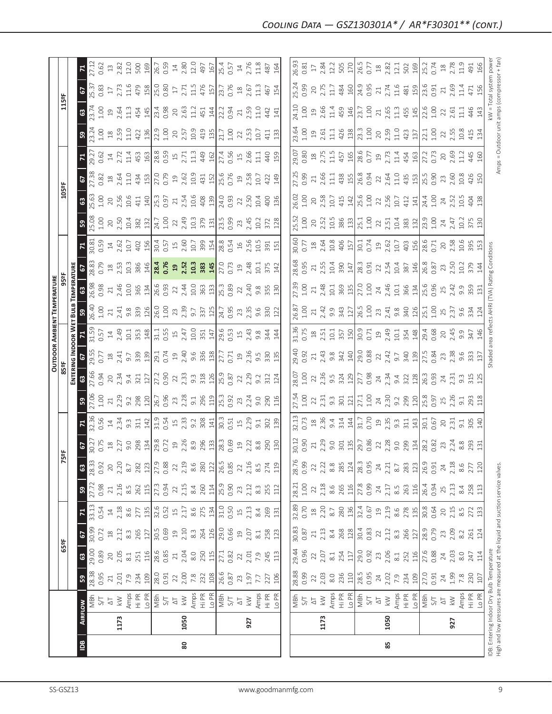|                                                                               |                |                                           |                           |                  |                                                         |                                                                             |                        |                  |                                                                                                     |                   |                                            |                                                         |                                                                                                                                                                                                                                                                            |                                                                                                                            | OUTDOOR AMBIENT TEMPERATURE                                                                          |                                                                                                                                                                                                                                                                     |                                                                                                                                                                                                                                                                                                       |                                                                                                                                                                                                                                                                                                                                |                                                          |                                                                                                    |                                                                                                     |                                                                                                                                                                                                                                                                                                        |                                              |                                                       |              |                     |
|-------------------------------------------------------------------------------|----------------|-------------------------------------------|---------------------------|------------------|---------------------------------------------------------|-----------------------------------------------------------------------------|------------------------|------------------|-----------------------------------------------------------------------------------------------------|-------------------|--------------------------------------------|---------------------------------------------------------|----------------------------------------------------------------------------------------------------------------------------------------------------------------------------------------------------------------------------------------------------------------------------|----------------------------------------------------------------------------------------------------------------------------|------------------------------------------------------------------------------------------------------|---------------------------------------------------------------------------------------------------------------------------------------------------------------------------------------------------------------------------------------------------------------------|-------------------------------------------------------------------------------------------------------------------------------------------------------------------------------------------------------------------------------------------------------------------------------------------------------|--------------------------------------------------------------------------------------------------------------------------------------------------------------------------------------------------------------------------------------------------------------------------------------------------------------------------------|----------------------------------------------------------|----------------------------------------------------------------------------------------------------|-----------------------------------------------------------------------------------------------------|--------------------------------------------------------------------------------------------------------------------------------------------------------------------------------------------------------------------------------------------------------------------------------------------------------|----------------------------------------------|-------------------------------------------------------|--------------|---------------------|
|                                                                               |                |                                           |                           | 65°F             |                                                         |                                                                             |                        | 75               | 능                                                                                                   |                   |                                            | 85 <sup>e</sup> F                                       |                                                                                                                                                                                                                                                                            |                                                                                                                            |                                                                                                      |                                                                                                                                                                                                                                                                     |                                                                                                                                                                                                                                                                                                       |                                                                                                                                                                                                                                                                                                                                |                                                          | 105°F                                                                                              |                                                                                                     |                                                                                                                                                                                                                                                                                                        |                                              | 115°F                                                 |              |                     |
|                                                                               |                |                                           |                           |                  |                                                         |                                                                             |                        |                  |                                                                                                     |                   |                                            |                                                         |                                                                                                                                                                                                                                                                            | ENTERING INDOOR WET BULB                                                                                                   |                                                                                                      | TEMPERATURE                                                                                                                                                                                                                                                         |                                                                                                                                                                                                                                                                                                       |                                                                                                                                                                                                                                                                                                                                |                                                          |                                                                                                    |                                                                                                     |                                                                                                                                                                                                                                                                                                        |                                              |                                                       |              |                     |
| $\overline{B}$                                                                | <b>AIRFLOW</b> |                                           | ${\tt S3}$                | $\mathbbmss{3}$  | 2                                                       | $\mathbf{z}$                                                                | ${\tt S}$              | $\mathbb{G}$     | 67                                                                                                  |                   | ${\tt S}$                                  | $\mathbb{S}^3$                                          | င                                                                                                                                                                                                                                                                          | $\mathbf{z}$                                                                                                               | ဌ                                                                                                    |                                                                                                                                                                                                                                                                     |                                                                                                                                                                                                                                                                                                       |                                                                                                                                                                                                                                                                                                                                | ္တ                                                       | $\mathbb{S}^3$                                                                                     | $\mathbf{5}$                                                                                        |                                                                                                                                                                                                                                                                                                        | 59                                           | 2<br>$\boldsymbol{\mathbb{S}}$                        | $\mathbf{z}$ |                     |
|                                                                               |                | MBh                                       | 28.38                     | 29.00<br>0.89    | 30.99                                                   | 33.13                                                                       | 27.72                  | 28.33            | 30.27                                                                                               | 32.36             | 27.06                                      | 27.66<br>0.94                                           | 29.55                                                                                                                                                                                                                                                                      | 31.59                                                                                                                      | 26.40                                                                                                | 26.98                                                                                                                                                                                                                                                               | 28.83                                                                                                                                                                                                                                                                                                 | 30.81                                                                                                                                                                                                                                                                                                                          | 25.08                                                    | 5.63                                                                                               | 27.38                                                                                               | 9.27                                                                                                                                                                                                                                                                                                   | 23.24                                        | 25.37<br>3.74                                         |              | 27.12               |
|                                                                               |                | 5/7                                       | 0.95                      |                  | 0.72                                                    | 0.54                                                                        | 0.98                   | 0.92             | 0.75                                                                                                | 0.56              | 1.00                                       |                                                         | 0.77                                                                                                                                                                                                                                                                       | 0.57                                                                                                                       | 1.00                                                                                                 | 0.98                                                                                                                                                                                                                                                                | 0.79                                                                                                                                                                                                                                                                                                  | 0.59                                                                                                                                                                                                                                                                                                                           | $1.00$                                                   | 1.00                                                                                               | 0.82                                                                                                | 0.62                                                                                                                                                                                                                                                                                                   | 1.00                                         | 0.83<br>1.00                                          |              | 0.62                |
|                                                                               | 1173           | $\gtrapprox$<br>$\overline{\vartriangle}$ | 2.01<br>$\gtrsim$         | 2.05<br>$20$     | 2.12<br>$\stackrel{\textstyle\circ}{\phantom{}_{\sim}}$ | 2.18<br>$\Xi$                                                               | 2.16<br>$21\,$         | 2.20<br>20       | 2.27<br>$\stackrel{\tt o}{\scriptstyle \pm}$                                                        | $\frac{14}{2.34}$ | 2.29<br>$\gtrsim$                          | $20$                                                    | $18$<br>$2.41$<br>$9.7$                                                                                                                                                                                                                                                    | $\overline{4}$                                                                                                             |                                                                                                      |                                                                                                                                                                                                                                                                     |                                                                                                                                                                                                                                                                                                       | $14$<br>$2.62$<br>$10.7$                                                                                                                                                                                                                                                                                                       | $20\,$                                                   |                                                                                                    |                                                                                                     | $14$<br>$2.72$                                                                                                                                                                                                                                                                                         | $18$<br>$2.59$                               | $17$<br>$2.73$<br>$19^{2.64}$                         |              | $\Xi$               |
|                                                                               |                |                                           | 7.9                       | $\approx 1$      | $8.\overline{3}$                                        | 8.6                                                                         | $8.\overline{5}$       | $8.7\,$          | 9.0                                                                                                 | $9.\overline{3}$  |                                            |                                                         |                                                                                                                                                                                                                                                                            |                                                                                                                            |                                                                                                      |                                                                                                                                                                                                                                                                     |                                                                                                                                                                                                                                                                                                       |                                                                                                                                                                                                                                                                                                                                |                                                          |                                                                                                    |                                                                                                     |                                                                                                                                                                                                                                                                                                        | 11.0                                         | $11.6$<br>11.3                                        |              |                     |
|                                                                               |                | Amps<br>Hi PR                             | 234                       | 251              | 265                                                     | 277                                                                         | 262                    | 282              | 298                                                                                                 | 311               | 9.2<br>298<br>120                          | 2.34<br>9.4<br>321                                      | $\begin{array}{c} 339 \\ 130 \\ 291 \\ 0.74 \end{array}$                                                                                                                                                                                                                   | $2.49$<br>$10.7$<br>$3.53$<br>$148$<br>$11.59$<br>$15.47$                                                                  |                                                                                                      | $21$<br>$2.46$<br>$10.0$<br>$365$<br>$134$<br>$76.6$<br>$76.93$                                                                                                                                                                                                     | $\begin{array}{c} 23.53 \\ 25.53 \\ 26.54 \\ 27.55 \\ 28.54 \\ 29.55 \\ 20.53 \\ 21.54 \\ 22.55 \\ 23.54 \\ 24.55 \\ 25.55 \\ 26.53 \\ 27.53 \\ 28.54 \\ 27.5 \\ 28.54 \\ 27.5 \\ 28.54 \\ 27.5 \\ 29.54 \\ 29.54 \\ 20.5 \\ 23.54 \\ 24.5 \\ 25.5 \\ 27.5 \\ 28.54 \\ 29.5 \\ 29.54 \\ 20.5 \\ 23.5$ | 402<br>156                                                                                                                                                                                                                                                                                                                     | $2.50$<br>$10.4$<br>$382$<br>$132$                       | $\begin{array}{c}\n 20 \\  2.56 \\  10.6 \\  41 \\  \hline\n 49 \\  73 \\  83 \\  7\n \end{array}$ | $\begin{array}{c}\n 18 \\  2.64 \\  11.9 \\  434 \\  \hline\n 150 \\  0.79 \\  \hline\n\end{array}$ | $11.49$ $15.89$ $15.7$ $11.3$                                                                                                                                                                                                                                                                          | 422                                          | 479<br>454                                            |              | 2.82<br>12.0<br>500 |
|                                                                               |                | Lo PR                                     | 109                       | 116              | 127                                                     | 135                                                                         | 115                    | 123              |                                                                                                     | 142               |                                            | 127                                                     |                                                                                                                                                                                                                                                                            |                                                                                                                            |                                                                                                      |                                                                                                                                                                                                                                                                     |                                                                                                                                                                                                                                                                                                       |                                                                                                                                                                                                                                                                                                                                |                                                          |                                                                                                    |                                                                                                     |                                                                                                                                                                                                                                                                                                        | 136                                          | 158<br>145                                            |              | 169                 |
|                                                                               |                | 5/7                                       | 28.0<br>0.91              | 28.6             | 30.5<br>0.69                                            | 32.6<br>0.52                                                                | 27.3<br>0.94           | 27.9             | $\frac{134}{29.8}$                                                                                  | 31.9<br>0.54      | 26.7<br>0.96                               | 27.2<br>0.90                                            |                                                                                                                                                                                                                                                                            |                                                                                                                            |                                                                                                      |                                                                                                                                                                                                                                                                     |                                                                                                                                                                                                                                                                                                       |                                                                                                                                                                                                                                                                                                                                | $24.7$<br>$1.00$<br>$2.49$<br>$2.49$<br>$1.03$<br>$3.79$ |                                                                                                    |                                                                                                     |                                                                                                                                                                                                                                                                                                        | $22.9$<br>$1.00$<br>$2.5$<br>$2.5$<br>$10.9$ | 25.0<br>0.80<br>23.4                                  |              | 26.7<br>0.59        |
|                                                                               |                |                                           |                           | 0.85             |                                                         |                                                                             |                        |                  |                                                                                                     |                   |                                            |                                                         |                                                                                                                                                                                                                                                                            |                                                                                                                            |                                                                                                      |                                                                                                                                                                                                                                                                     |                                                                                                                                                                                                                                                                                                       |                                                                                                                                                                                                                                                                                                                                |                                                          |                                                                                                    |                                                                                                     |                                                                                                                                                                                                                                                                                                        |                                              |                                                       |              |                     |
|                                                                               |                | $\overline{\circlearrowright}$            |                           | $\gtrsim$        | $\Xi$                                                   | $\overline{15}$                                                             | $22$<br>$2.15$         | $22\,$           | $19$<br>$2.26$                                                                                      | $15$<br>$2.33$    | 23<br>2.28                                 | $22$<br>$2.33$                                          |                                                                                                                                                                                                                                                                            |                                                                                                                            |                                                                                                      |                                                                                                                                                                                                                                                                     |                                                                                                                                                                                                                                                                                                       |                                                                                                                                                                                                                                                                                                                                |                                                          |                                                                                                    |                                                                                                     |                                                                                                                                                                                                                                                                                                        |                                              | $\overline{\Box}$<br>$20$<br>$2.63$                   |              | $\frac{14}{2.80}$   |
| 80                                                                            | 1050           | $\lesssim$                                | $\frac{22}{2.00}$         | 2.04             | 2.10                                                    | 2.17                                                                        |                        | 2.19             |                                                                                                     |                   |                                            |                                                         |                                                                                                                                                                                                                                                                            |                                                                                                                            |                                                                                                      |                                                                                                                                                                                                                                                                     |                                                                                                                                                                                                                                                                                                       |                                                                                                                                                                                                                                                                                                                                |                                                          |                                                                                                    |                                                                                                     |                                                                                                                                                                                                                                                                                                        |                                              | 2.71                                                  |              |                     |
|                                                                               |                | Amps<br>Hi PR                             |                           | $_{\rm 8.0}$     | $8.\overline{3}$                                        | $8.6$                                                                       | $8.4\,$                | 8.6              |                                                                                                     | 9.2               | 9.1                                        |                                                         |                                                                                                                                                                                                                                                                            | 10.0                                                                                                                       |                                                                                                      |                                                                                                                                                                                                                                                                     |                                                                                                                                                                                                                                                                                                       |                                                                                                                                                                                                                                                                                                                                |                                                          |                                                                                                    |                                                                                                     |                                                                                                                                                                                                                                                                                                        |                                              | 11.5<br>11.2                                          |              | 12.0                |
|                                                                               |                |                                           | 232                       | 250<br>115       | 264                                                     | 275                                                                         | 260                    | 280              | $\frac{8.9}{2\frac{13}{28.3}}$                                                                      | 308               | 296<br>119                                 | $9.3$ $\frac{3}{2}$ $\frac{26}{25.9}$ $\frac{25}{25.8}$ | $\begin{bmatrix} 2 & 4 & 6 & 8 & 8 \\ 9 & 3 & 3 & 3 & 2 \\ 1 & 0 & 3 & 3 & 2 \end{bmatrix}$                                                                                                                                                                                | $\frac{14}{29.6}$<br>$\frac{14}{29.6}$<br>$\frac{14}{29.4}$<br>$\frac{14}{29.4}$<br>$\frac{14}{29.4}$<br>$\frac{14}{29.4}$ |                                                                                                      | $\begin{array}{c}\n 22 \\  244 \\  \hline\n 19.0 \\  \hline\n 363 \\  \hline\n 19.0 \\  \hline\n 19.3 \\  \hline\n 0.89\n \end{array}$                                                                                                                              |                                                                                                                                                                                                                                                                                                       | $\begin{array}{c} 30.5 \\ 0.57 \\ 1.9 \\ 2.60 \\ 1.07 \\ 3.99 \\ 1.54 \\ \hline \end{array}$                                                                                                                                                                                                                                   |                                                          | $\begin{array}{c} 21 \\ 2.54 \\ 19.6 \\ 40 \\ 8 \\ \end{array}$                                    | $\begin{array}{c} 19 \\ 2.62 \\ 19.9 \\ 431 \\ 150 \\ 0.76 \\ 0.76 \end{array}$                     | 449                                                                                                                                                                                                                                                                                                    | 419                                          | $\frac{476}{157}$<br>451                              |              | 497                 |
|                                                                               |                | Lo PR                                     | 108                       |                  | 126                                                     | 134                                                                         | 114                    | 122              |                                                                                                     | 141               |                                            |                                                         |                                                                                                                                                                                                                                                                            |                                                                                                                            |                                                                                                      |                                                                                                                                                                                                                                                                     |                                                                                                                                                                                                                                                                                                       |                                                                                                                                                                                                                                                                                                                                |                                                          |                                                                                                    |                                                                                                     |                                                                                                                                                                                                                                                                                                        |                                              | 144                                                   |              |                     |
|                                                                               |                | 지<br>이후                                   | 26.6<br>0.87              | $\frac{1}{27.1}$ | $\frac{29.0}{0.66}$                                     | 31.0<br>0.50                                                                | $\frac{25.9}{0.90}$    | 26.5<br>0.85     |                                                                                                     | $\frac{30.3}{ }$  | $\frac{25.3}{0.92}$                        |                                                         | $\sqrt{27.7}$                                                                                                                                                                                                                                                              |                                                                                                                            |                                                                                                      |                                                                                                                                                                                                                                                                     |                                                                                                                                                                                                                                                                                                       | $\begin{bmatrix} 8 & 3 & 5 & 6 \\ 7 & 8 & 5 & 6 \\ 0 & 3 & 5 & 6 \\ 0 & 0 & 0 & 0 \\ 0 & 0 & 0 & 0 \\ 0 & 0 & 0 & 0 \\ 0 & 0 & 0 & 0 \\ 0 & 0 & 0 & 0 \\ 0 & 0 & 0 & 0 \\ 0 & 0 & 0 & 0 \\ 0 & 0 & 0 & 0 \\ 0 & 0 & 0 & 0 \\ 0 & 0 & 0 & 0 \\ 0 & 0 & 0 & 0 & 0 \\ 0 & 0 & 0 & 0 & 0 \\ 0 & 0 & 0 & 0 & 0 \\ 0 & 0 & 0 & 0 & $ | $\frac{131}{23.5}$ 0.99                                  | $\frac{0.50}{0.93}$                                                                                |                                                                                                     | $\frac{27.4}{0.56}$                                                                                                                                                                                                                                                                                    | $21.7$<br>$1.00$                             | 22.2                                                  |              | $\frac{167}{25.4}$  |
|                                                                               |                |                                           |                           | 0.82             |                                                         |                                                                             |                        |                  |                                                                                                     | 0.51              |                                            |                                                         |                                                                                                                                                                                                                                                                            |                                                                                                                            |                                                                                                      |                                                                                                                                                                                                                                                                     |                                                                                                                                                                                                                                                                                                       |                                                                                                                                                                                                                                                                                                                                |                                                          |                                                                                                    |                                                                                                     |                                                                                                                                                                                                                                                                                                        |                                              | 0.76<br>0.94                                          |              |                     |
|                                                                               |                | $\overline{\Delta}$                       | 23                        | 22               | $\Xi$                                                   | $\overline{15}$                                                             | 23                     | $\overline{2}$   | 19                                                                                                  | $\frac{15}{1}$    | 23                                         | 22                                                      | $\overline{19}$                                                                                                                                                                                                                                                            |                                                                                                                            |                                                                                                      |                                                                                                                                                                                                                                                                     |                                                                                                                                                                                                                                                                                                       |                                                                                                                                                                                                                                                                                                                                |                                                          | 22                                                                                                 | 19                                                                                                  |                                                                                                                                                                                                                                                                                                        | 22                                           | 21                                                    |              | $14$                |
|                                                                               | 927            | $\geqslant$                               | 1.97                      | 2.01             | 2.07                                                    | 2.13                                                                        | 2.12                   | 2.16             | 2.22                                                                                                | 2.29              | 2.24                                       | 2.29                                                    | $2.36$<br>9.5<br>330                                                                                                                                                                                                                                                       |                                                                                                                            | $23,35$<br>$2,35$<br>$9,5$<br>$33$                                                                   | $2,40$<br>$2,40$<br>$3,50$<br>$3,50$                                                                                                                                                                                                                                | 2.48                                                                                                                                                                                                                                                                                                  |                                                                                                                                                                                                                                                                                                                                | 2.45                                                     | 2.50<br>10.4                                                                                       | 2.58                                                                                                | 2.66<br>11.1                                                                                                                                                                                                                                                                                           | 2.53<br>10.7                                 | $\frac{18}{2.67}$<br>2.59<br>11.0                     |              | 2.76                |
|                                                                               |                | Amps                                      | 7.7                       | 7.9              | $8.1$                                                   | 8.4                                                                         | $8.\overline{3}$       | $8.\overline{5}$ | 8.8                                                                                                 | $\overline{5}$    | 9.0                                        | 9.2                                                     |                                                                                                                                                                                                                                                                            |                                                                                                                            |                                                                                                      |                                                                                                                                                                                                                                                                     |                                                                                                                                                                                                                                                                                                       |                                                                                                                                                                                                                                                                                                                                |                                                          |                                                                                                    | 10.7                                                                                                |                                                                                                                                                                                                                                                                                                        |                                              | $\frac{3}{11}$                                        |              | $\frac{8}{11}$      |
|                                                                               |                |                                           | 227                       | 245              | 258                                                     | 269                                                                         | 255                    | 274              | 290                                                                                                 | 302               | 290                                        | 312                                                     |                                                                                                                                                                                                                                                                            |                                                                                                                            |                                                                                                      |                                                                                                                                                                                                                                                                     | 10.1<br>375                                                                                                                                                                                                                                                                                           |                                                                                                                                                                                                                                                                                                                                | 372                                                      | 400                                                                                                | 422                                                                                                 | 440                                                                                                                                                                                                                                                                                                    | 41                                           | 467<br>442                                            | 487          |                     |
|                                                                               |                | Hi PR<br>Lo PR                            | 106                       | 113              | 123                                                     | 131                                                                         | 112                    | 119              | 130                                                                                                 | 139               | 116                                        | 124                                                     | 135                                                                                                                                                                                                                                                                        | 144                                                                                                                        | 122                                                                                                  |                                                                                                                                                                                                                                                                     | 142                                                                                                                                                                                                                                                                                                   |                                                                                                                                                                                                                                                                                                                                | 128                                                      | 136                                                                                                | 149                                                                                                 | 159                                                                                                                                                                                                                                                                                                    | 133                                          | 154<br>141                                            |              | 164                 |
|                                                                               |                |                                           |                           |                  |                                                         |                                                                             |                        |                  |                                                                                                     |                   |                                            |                                                         |                                                                                                                                                                                                                                                                            |                                                                                                                            |                                                                                                      |                                                                                                                                                                                                                                                                     |                                                                                                                                                                                                                                                                                                       |                                                                                                                                                                                                                                                                                                                                |                                                          |                                                                                                    |                                                                                                     |                                                                                                                                                                                                                                                                                                        |                                              |                                                       |              |                     |
|                                                                               |                |                                           | 28.88                     | 29.44            | 30.83<br>0.87                                           | 32.89                                                                       | 28.21                  | 28.76            | 30.12                                                                                               | 32.13             | 27.54                                      | 28.07                                                   | 29.40                                                                                                                                                                                                                                                                      | 31.36                                                                                                                      | 26.87                                                                                                | 27.39                                                                                                                                                                                                                                                               | 28.68                                                                                                                                                                                                                                                                                                 | 30.60                                                                                                                                                                                                                                                                                                                          | 25.52                                                    | 26.02                                                                                              | 27.25                                                                                               | 29.07                                                                                                                                                                                                                                                                                                  | 23.64                                        | 25.24<br>24.10                                        |              | 26.93               |
|                                                                               |                | NBM<br>S/T                                |                           |                  |                                                         |                                                                             | $1.00\,$               | 0.99             | 0.90                                                                                                | 0.73              | 1.00                                       | 1.00                                                    | 0.92                                                                                                                                                                                                                                                                       | 0.75                                                                                                                       | 1.00                                                                                                 | 1.00                                                                                                                                                                                                                                                                | 0.95                                                                                                                                                                                                                                                                                                  | 0.77                                                                                                                                                                                                                                                                                                                           | $1.00$                                                   | $1.00$                                                                                             | 0.99                                                                                                | 0.80                                                                                                                                                                                                                                                                                                   | $1.00$                                       | 0.99<br>1.00                                          |              | 0.81                |
|                                                                               |                | $\overline{\Delta}$                       | $22\,$                    | $22\,$           | $21\,$                                                  | $\ensuremath{\mathop{\boxtimes}\limits^{\mathop{\mathop{\rm s}}\nolimits}}$ | 22                     | 22               | $\geq 1$                                                                                            | $^{28}$           | 22                                         | 22                                                      | 21                                                                                                                                                                                                                                                                         | $^{28}$                                                                                                                    | 21                                                                                                   | $\gtrsim$                                                                                                                                                                                                                                                           | $\gtrsim$                                                                                                                                                                                                                                                                                             |                                                                                                                                                                                                                                                                                                                                | 20                                                       | $20\,$                                                                                             |                                                                                                     |                                                                                                                                                                                                                                                                                                        | $\Xi$                                        | $20$<br>$\overline{1}9$                               |              | $17\,$              |
|                                                                               | 1173           | $\lesssim$                                | 2.03                      | 2.07             | 2.13                                                    | 2.20                                                                        | 2.18                   | 2.22             | 2.29                                                                                                | 2.36              | 2.31                                       | $2.36$<br>9.5                                           |                                                                                                                                                                                                                                                                            |                                                                                                                            |                                                                                                      |                                                                                                                                                                                                                                                                     | 2.55                                                                                                                                                                                                                                                                                                  | $\frac{18}{2.64}$                                                                                                                                                                                                                                                                                                              |                                                          |                                                                                                    | 2.66                                                                                                | $\frac{18}{2.75}$                                                                                                                                                                                                                                                                                      | $2.61$<br>11.1                               | 2.75<br>2.66                                          |              | 2.84                |
|                                                                               |                | Amps                                      | $8.0$                     | $\approx 1$      | 8.4                                                     | $8.7\,$                                                                     | 8.6                    | $_{\rm 8.8}$     | 9.0                                                                                                 | 9.4               | $9.\overline{3}$                           |                                                         | $2.43$<br>$9.8$<br>$3.42$<br>$140$                                                                                                                                                                                                                                         |                                                                                                                            | 2.42<br>9.9<br>343                                                                                   |                                                                                                                                                                                                                                                                     | 384                                                                                                                                                                                                                                                                                                   |                                                                                                                                                                                                                                                                                                                                | $2.52$ $86$ $15.1$<br>$2.86$ $15.1$                      | 2.58<br>10.7<br>415                                                                                | $\overline{11}$                                                                                     |                                                                                                                                                                                                                                                                                                        |                                              | 11.7<br>11.4                                          |              | 12.2                |
|                                                                               |                | Hi PR                                     | 236                       | 254              | 268                                                     | 280                                                                         | 265                    | 285              |                                                                                                     | 314               | 301                                        | $\frac{324}{129}$                                       |                                                                                                                                                                                                                                                                            |                                                                                                                            |                                                                                                      |                                                                                                                                                                                                                                                                     |                                                                                                                                                                                                                                                                                                       |                                                                                                                                                                                                                                                                                                                                |                                                          |                                                                                                    | 438                                                                                                 | 457                                                                                                                                                                                                                                                                                                    | 426                                          | 484<br>459                                            |              | 505                 |
|                                                                               |                | Lo PR                                     | 110                       | 117              | 128                                                     | 136                                                                         | 116                    | $124\,$          |                                                                                                     | 144               | 121                                        |                                                         |                                                                                                                                                                                                                                                                            |                                                                                                                            |                                                                                                      |                                                                                                                                                                                                                                                                     |                                                                                                                                                                                                                                                                                                       |                                                                                                                                                                                                                                                                                                                                |                                                          | $\frac{142}{25.6}$                                                                                 |                                                                                                     |                                                                                                                                                                                                                                                                                                        | 138                                          | 160<br>146                                            |              | 170                 |
|                                                                               |                | las<br>NBh                                | 28.5<br>0.95              | 29.0             | 30.4<br>0.83                                            | 32.4                                                                        | 27.8                   | 28.3<br>0.95     |                                                                                                     | 31.7              | 27.1<br>1.00                               | 27.7                                                    |                                                                                                                                                                                                                                                                            |                                                                                                                            |                                                                                                      |                                                                                                                                                                                                                                                                     |                                                                                                                                                                                                                                                                                                       |                                                                                                                                                                                                                                                                                                                                |                                                          |                                                                                                    | 26.8<br>0.94                                                                                        |                                                                                                                                                                                                                                                                                                        | $23.3$<br>$1.00$                             | 24.9<br>0.95<br>23.7                                  |              | 26.5                |
|                                                                               |                | $5/$                                      |                           | 0.92             |                                                         | 0.67                                                                        | 0.99                   |                  |                                                                                                     |                   |                                            |                                                         |                                                                                                                                                                                                                                                                            |                                                                                                                            |                                                                                                      |                                                                                                                                                                                                                                                                     |                                                                                                                                                                                                                                                                                                       |                                                                                                                                                                                                                                                                                                                                |                                                          |                                                                                                    |                                                                                                     |                                                                                                                                                                                                                                                                                                        |                                              | 1.00                                                  | 0.77         |                     |
|                                                                               |                | $\overline{\Delta}$                       | $7.02$<br>$7.9$<br>$7.34$ | 23               | 22                                                      | $\mathfrak{Q}%$                                                             | 24                     | 24               |                                                                                                     | $2.35$<br>$9.3$   |                                            | 24<br>2.34                                              |                                                                                                                                                                                                                                                                            |                                                                                                                            |                                                                                                      |                                                                                                                                                                                                                                                                     |                                                                                                                                                                                                                                                                                                       |                                                                                                                                                                                                                                                                                                                                |                                                          | $2.56$<br>$10.7$<br>$412$                                                                          |                                                                                                     |                                                                                                                                                                                                                                                                                                        | $2.59$<br>$1.10$<br>$423$                    | $2.74$<br>$1.16$<br>$21.3$<br>$2.65$<br>$1.3$<br>$45$ |              |                     |
| 85                                                                            | 1050           | $\lesssim$                                |                           | 2.06             | 2.12                                                    | 2.19                                                                        | 2.17                   | 2.21             |                                                                                                     |                   |                                            |                                                         |                                                                                                                                                                                                                                                                            |                                                                                                                            |                                                                                                      |                                                                                                                                                                                                                                                                     |                                                                                                                                                                                                                                                                                                       |                                                                                                                                                                                                                                                                                                                                |                                                          |                                                                                                    |                                                                                                     |                                                                                                                                                                                                                                                                                                        |                                              |                                                       |              |                     |
|                                                                               |                |                                           |                           | $\approx 1$      | $8.\overline{3}$                                        | $8.6$                                                                       | $\stackrel{5}{\infty}$ | $8.7\,$          |                                                                                                     |                   |                                            |                                                         |                                                                                                                                                                                                                                                                            |                                                                                                                            |                                                                                                      |                                                                                                                                                                                                                                                                     |                                                                                                                                                                                                                                                                                                       |                                                                                                                                                                                                                                                                                                                                |                                                          |                                                                                                    |                                                                                                     |                                                                                                                                                                                                                                                                                                        |                                              |                                                       |              |                     |
|                                                                               |                | Amps<br>Hi PR<br>Lo PR                    |                           | 252              | 266                                                     | 278                                                                         | 263                    | 283              | $\begin{array}{c c}\n301 & 301 \\ 135 & 280 \\ 0.86 & 280 \\ 0.87 & 309 \\ 0.99 & 134\n\end{array}$ | 311               | $24$<br>$2.30$<br>$9.2$<br>$2.99$<br>$120$ | 9.4<br>322<br>128                                       | $\begin{bmatrix} 0.88 & 0.72 & 0.72 & 0.72 & 0.72 & 0.72 & 0.72 & 0.72 & 0.72 & 0.72 & 0.72 & 0.72 & 0.72 & 0.72 & 0.72 & 0.72 & 0.72 & 0.72 & 0.72 & 0.72 & 0.72 & 0.72 & 0.72 & 0.72 & 0.72 & 0.72 & 0.72 & 0.72 & 0.72 & 0.72 & 0.72 & 0.72 & 0.72 & 0.72 & 0.72 & 0.7$ |                                                                                                                            | $\begin{array}{c c}\n 127 \\  26.5 \\  1.00 \\  2.3 \\  3.41 \\  9.8 \\  9.42 \\  126\n \end{array}$ | $\frac{36}{21}$ $\frac{36}{25}$ $\frac{36}{21}$ $\frac{1}{21}$ $\frac{1}{21}$ $\frac{36}{21}$ $\frac{46}{21}$ $\frac{4}{21}$ $\frac{4}{21}$ $\frac{4}{21}$ $\frac{4}{21}$ $\frac{4}{21}$ $\frac{4}{21}$ $\frac{4}{21}$ $\frac{4}{21}$ $\frac{4}{21}$ $\frac{4}{21}$ | $\begin{array}{c} 28.3 \\ 20.91 \\ 0.91 \\ 2.54 \\ 1.98 \\ 2.54 \\ 2.87 \\ 2.96 \\ \hline \end{array}$                                                                                                                                                                                                | $\frac{15}{10}$<br>$\frac{17}{10}$<br>$\frac{17}{10}$<br>$\frac{17}{10}$<br>$\frac{17}{10}$<br>$\frac{17}{10}$<br>$\frac{17}{10}$<br>$\frac{17}{10}$<br>$\frac{17}{10}$<br>$\frac{17}{10}$<br>$\frac{17}{10}$<br>$\frac{17}{10}$<br>$\frac{17}{10}$                                                                            | $22$<br>$2.51$<br>$10.4$<br>$383$<br>$132$               |                                                                                                    | $22.54$<br>$2.54$<br>$4.5$<br>$4.5$                                                                 | $\begin{vmatrix} 0.5 & 0.7 \\ 0.7 & 0.7 \\ 0.7 & 0.7 \\ 0.7 & 0.7 \\ 0.7 & 0.7 \\ 0.7 & 0.7 \\ 0.7 & 0.7 \\ 0.7 & 0.7 \\ 0.7 & 0.7 \\ 0.7 & 0.7 \\ 0.7 & 0.7 \\ 0.7 & 0.7 \\ 0.7 & 0.7 \\ 0.7 & 0.7 \\ 0.7 & 0.7 \\ 0.7 & 0.7 \\ 0.7 & 0.7 \\ 0.7 & 0.7 \\ 0.7 & 0.7 \\ 0.7 & 0.7 \\ 0.7 & 0.7 \\ 0.7$ |                                              | 481                                                   |              |                     |
|                                                                               |                |                                           | 109                       | 116              | 127                                                     | 135                                                                         | 116                    | 123              |                                                                                                     | 143               |                                            |                                                         |                                                                                                                                                                                                                                                                            |                                                                                                                            |                                                                                                      |                                                                                                                                                                                                                                                                     |                                                                                                                                                                                                                                                                                                       |                                                                                                                                                                                                                                                                                                                                |                                                          | 141                                                                                                |                                                                                                     |                                                                                                                                                                                                                                                                                                        | 137                                          | 145                                                   |              |                     |
|                                                                               |                | NBh                                       | 27.0                      | 27.6             | 28.9<br>0.79                                            | 30.8<br>0.64                                                                | 26.4<br>0.94           | 26.9<br>0.91     | 28.2<br>0.82                                                                                        | 30.1              | 25.8                                       | 26.3                                                    | $\frac{27.5}{0.84}$                                                                                                                                                                                                                                                        |                                                                                                                            | $\frac{1}{1.3}$                                                                                      | 25.6<br>0.96                                                                                                                                                                                                                                                        | 26.8<br>0.87                                                                                                                                                                                                                                                                                          | 28.6<br>0.71                                                                                                                                                                                                                                                                                                                   | 23.9<br>1.00                                             | $\frac{1}{4.3}$                                                                                    | $\frac{25.5}{0.90}$                                                                                 | 27.2<br>0.73                                                                                                                                                                                                                                                                                           | $22.1$<br>$1.00$                             | $\frac{23.6}{0.91}$<br>$22.6$<br>$1.00$               | 25.2<br>0.74 |                     |
|                                                                               |                | 5/1                                       | 0.91                      | 0.88             |                                                         |                                                                             |                        |                  |                                                                                                     | 0.67              |                                            | 0.93                                                    |                                                                                                                                                                                                                                                                            |                                                                                                                            |                                                                                                      |                                                                                                                                                                                                                                                                     |                                                                                                                                                                                                                                                                                                       |                                                                                                                                                                                                                                                                                                                                |                                                          |                                                                                                    |                                                                                                     |                                                                                                                                                                                                                                                                                                        |                                              |                                                       |              |                     |
|                                                                               |                | $\overline{\sim}$                         | $24$<br>1.99              | $24$<br>$2.03$   | 23<br>2.09                                              | $20$<br>$2.15$                                                              | $25$<br>$2.13$         | $24\,$           | 2.3                                                                                                 | $20^{2}$          | 25                                         | 24                                                      | 23                                                                                                                                                                                                                                                                         |                                                                                                                            | 25<br>2.37                                                                                           | $25$<br>$2.42$                                                                                                                                                                                                                                                      | 23<br>2.50                                                                                                                                                                                                                                                                                            | 20<br>2.58                                                                                                                                                                                                                                                                                                                     | $24$<br>$2.47$                                           | 24<br>2.52                                                                                         | $23$<br>$2.60$                                                                                      | 2.69                                                                                                                                                                                                                                                                                                   | 2.55                                         | $21$<br>$2.69$<br>2.61                                |              | $\frac{18}{2.78}$   |
|                                                                               | 927            | $\gtrapprox$                              |                           |                  |                                                         |                                                                             |                        | 2.18             |                                                                                                     |                   | 2.26                                       | 2.31                                                    |                                                                                                                                                                                                                                                                            |                                                                                                                            |                                                                                                      |                                                                                                                                                                                                                                                                     |                                                                                                                                                                                                                                                                                                       |                                                                                                                                                                                                                                                                                                                                |                                                          |                                                                                                    |                                                                                                     |                                                                                                                                                                                                                                                                                                        |                                              |                                                       |              |                     |
|                                                                               |                | Amps<br>Hi PR                             | 7.8                       | 8.0              | 8.2                                                     | $8.\overline{5}$                                                            | $8.4\,$                | 8.6              | $_{\infty}^{\infty}$                                                                                | 9.1               | $\overline{5}$                             |                                                         | 9.6<br>333                                                                                                                                                                                                                                                                 | 9.9<br>347                                                                                                                 | 9.6                                                                                                  | 9.9                                                                                                                                                                                                                                                                 | 10.2<br>379                                                                                                                                                                                                                                                                                           | 10.6                                                                                                                                                                                                                                                                                                                           | 10.2                                                     | 10.5                                                                                               | 10.8                                                                                                | 11.2                                                                                                                                                                                                                                                                                                   |                                              | 11.4<br>급                                             |              | 11.9                |
|                                                                               |                |                                           |                           | 247              | 261<br>124                                              | 272                                                                         | 258<br>113             | 277              | 293                                                                                                 | 305               | 293<br>118                                 | 9.3<br>3 11<br>12<br>13                                 |                                                                                                                                                                                                                                                                            |                                                                                                                            | 334                                                                                                  | 359                                                                                                                                                                                                                                                                 |                                                                                                                                                                                                                                                                                                       | 395                                                                                                                                                                                                                                                                                                                            |                                                          | 404                                                                                                | 426<br>150                                                                                          | 445<br>160                                                                                                                                                                                                                                                                                             | 10.8<br>415<br>134                           | 471<br>446                                            |              | 491                 |
|                                                                               |                | Lo PR                                     | 10 <sub>7</sub>           | 114              |                                                         | 133                                                                         |                        | 120              | $\overline{131}$                                                                                    |                   |                                            |                                                         | 137                                                                                                                                                                                                                                                                        |                                                                                                                            | 124                                                                                                  |                                                                                                                                                                                                                                                                     | 144                                                                                                                                                                                                                                                                                                   |                                                                                                                                                                                                                                                                                                                                |                                                          |                                                                                                    |                                                                                                     |                                                                                                                                                                                                                                                                                                        |                                              | 156<br>143                                            |              | 166                 |
| IDB: Entering Indoor Dry Bulb Temperature                                     |                |                                           |                           |                  |                                                         |                                                                             |                        |                  |                                                                                                     |                   |                                            |                                                         |                                                                                                                                                                                                                                                                            |                                                                                                                            | Shaded area reflects AHRI (TVA) Rating Conditions                                                    |                                                                                                                                                                                                                                                                     |                                                                                                                                                                                                                                                                                                       |                                                                                                                                                                                                                                                                                                                                |                                                          |                                                                                                    |                                                                                                     |                                                                                                                                                                                                                                                                                                        |                                              | kW = Total system                                     |              | power               |
| High and low pressures are measured at the liquid and suction service valves. |                |                                           |                           |                  |                                                         |                                                                             |                        |                  |                                                                                                     |                   |                                            |                                                         |                                                                                                                                                                                                                                                                            |                                                                                                                            |                                                                                                      |                                                                                                                                                                                                                                                                     |                                                                                                                                                                                                                                                                                                       |                                                                                                                                                                                                                                                                                                                                |                                                          |                                                                                                    |                                                                                                     |                                                                                                                                                                                                                                                                                                        | Amps = Outdoor unit amps (compressor + fan)  |                                                       |              |                     |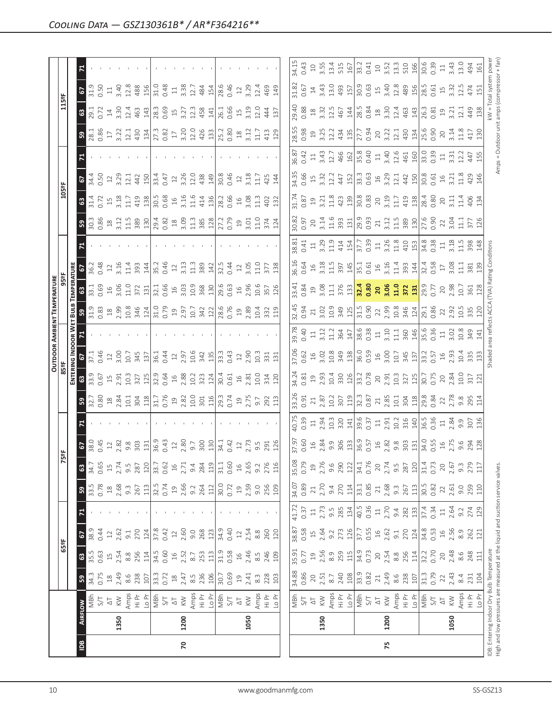|                |      |                                                                                                                                                                                                                                                                                                                                                      |                                                                                                                                                                                                                                                                                                               |                                                                                                                                                                                                                                                                                                                                                                                                                                                                   |                                                                                                                                                                                                                                                                                                                     |                                                                                                                                                                                                                                                                                                     |                                                                                                                                                                                                                                                                                                                                                   |                                                                                                                                                                                                                                                                                                                                                                                                       |                                                                                                                                                                                                                                                                                                 |                                                                                                                 |                                                                                                                                                                                                                                                                                                                                                   |                                             |                           |                                                                                                                                                                                                                                                                                                                                                                                              | <b>OUTDOOR AMBIENT TEMPERATURE</b>                                                                                                                                                                                                                                    |                                            |                                                                |       |                                                                                                                                                                                                                                                                                                     |                                                                                 |                                   |                               |                                                                                                          |                                                                                                 |                                                                                                                                                                                                                                                                                                             |                                                                    |
|----------------|------|------------------------------------------------------------------------------------------------------------------------------------------------------------------------------------------------------------------------------------------------------------------------------------------------------------------------------------------------------|---------------------------------------------------------------------------------------------------------------------------------------------------------------------------------------------------------------------------------------------------------------------------------------------------------------|-------------------------------------------------------------------------------------------------------------------------------------------------------------------------------------------------------------------------------------------------------------------------------------------------------------------------------------------------------------------------------------------------------------------------------------------------------------------|---------------------------------------------------------------------------------------------------------------------------------------------------------------------------------------------------------------------------------------------------------------------------------------------------------------------|-----------------------------------------------------------------------------------------------------------------------------------------------------------------------------------------------------------------------------------------------------------------------------------------------------|---------------------------------------------------------------------------------------------------------------------------------------------------------------------------------------------------------------------------------------------------------------------------------------------------------------------------------------------------|-------------------------------------------------------------------------------------------------------------------------------------------------------------------------------------------------------------------------------------------------------------------------------------------------------------------------------------------------------------------------------------------------------|-------------------------------------------------------------------------------------------------------------------------------------------------------------------------------------------------------------------------------------------------------------------------------------------------|-----------------------------------------------------------------------------------------------------------------|---------------------------------------------------------------------------------------------------------------------------------------------------------------------------------------------------------------------------------------------------------------------------------------------------------------------------------------------------|---------------------------------------------|---------------------------|----------------------------------------------------------------------------------------------------------------------------------------------------------------------------------------------------------------------------------------------------------------------------------------------------------------------------------------------------------------------------------------------|-----------------------------------------------------------------------------------------------------------------------------------------------------------------------------------------------------------------------------------------------------------------------|--------------------------------------------|----------------------------------------------------------------|-------|-----------------------------------------------------------------------------------------------------------------------------------------------------------------------------------------------------------------------------------------------------------------------------------------------------|---------------------------------------------------------------------------------|-----------------------------------|-------------------------------|----------------------------------------------------------------------------------------------------------|-------------------------------------------------------------------------------------------------|-------------------------------------------------------------------------------------------------------------------------------------------------------------------------------------------------------------------------------------------------------------------------------------------------------------|--------------------------------------------------------------------|
|                |      |                                                                                                                                                                                                                                                                                                                                                      |                                                                                                                                                                                                                                                                                                               | 65°F                                                                                                                                                                                                                                                                                                                                                                                                                                                              |                                                                                                                                                                                                                                                                                                                     |                                                                                                                                                                                                                                                                                                     |                                                                                                                                                                                                                                                                                                                                                   | Ñ                                                                                                                                                                                                                                                                                                                                                                                                     | 5°F                                                                                                                                                                                                                                                                                             |                                                                                                                 |                                                                                                                                                                                                                                                                                                                                                   | 85°F                                        |                           |                                                                                                                                                                                                                                                                                                                                                                                              |                                                                                                                                                                                                                                                                       |                                            |                                                                |       |                                                                                                                                                                                                                                                                                                     | 105°F                                                                           |                                   |                               |                                                                                                          | 115°F                                                                                           |                                                                                                                                                                                                                                                                                                             |                                                                    |
|                |      |                                                                                                                                                                                                                                                                                                                                                      |                                                                                                                                                                                                                                                                                                               |                                                                                                                                                                                                                                                                                                                                                                                                                                                                   |                                                                                                                                                                                                                                                                                                                     |                                                                                                                                                                                                                                                                                                     |                                                                                                                                                                                                                                                                                                                                                   |                                                                                                                                                                                                                                                                                                                                                                                                       |                                                                                                                                                                                                                                                                                                 |                                                                                                                 |                                                                                                                                                                                                                                                                                                                                                   | ENTERI                                      | NG INDOOR W               |                                                                                                                                                                                                                                                                                                                                                                                              | BULB                                                                                                                                                                                                                                                                  | <b>TEMPERATUR</b>                          |                                                                |       |                                                                                                                                                                                                                                                                                                     |                                                                                 |                                   |                               |                                                                                                          |                                                                                                 |                                                                                                                                                                                                                                                                                                             |                                                                    |
| $\overline{a}$ |      | <b>AIRFLOW</b>                                                                                                                                                                                                                                                                                                                                       | ${\bf 59}$                                                                                                                                                                                                                                                                                                    | $\mathbf{G}$                                                                                                                                                                                                                                                                                                                                                                                                                                                      | 2                                                                                                                                                                                                                                                                                                                   |                                                                                                                                                                                                                                                                                                     | $\mathbf{B}$                                                                                                                                                                                                                                                                                                                                      | $\boldsymbol{\mathsf{c}}$                                                                                                                                                                                                                                                                                                                                                                             | <b>6</b><br>38.0<br>38.0                                                                                                                                                                                                                                                                        |                                                                                                                 | ន $\vert$                                                                                                                                                                                                                                                                                                                                         | $\mathbb{S}^3$                              | $\boldsymbol{\mathsf{s}}$ |                                                                                                                                                                                                                                                                                                                                                                                              |                                                                                                                                                                                                                                                                       | $\mathbbmss{3}$                            |                                                                |       | ္တ                                                                                                                                                                                                                                                                                                  | $\mathbbmss{3}$                                                                 | 2                                 |                               |                                                                                                          |                                                                                                 | 2                                                                                                                                                                                                                                                                                                           |                                                                    |
|                |      |                                                                                                                                                                                                                                                                                                                                                      |                                                                                                                                                                                                                                                                                                               |                                                                                                                                                                                                                                                                                                                                                                                                                                                                   | 38.9                                                                                                                                                                                                                                                                                                                |                                                                                                                                                                                                                                                                                                     | 33.5<br>0.78                                                                                                                                                                                                                                                                                                                                      | 34.7                                                                                                                                                                                                                                                                                                                                                                                                  |                                                                                                                                                                                                                                                                                                 |                                                                                                                 |                                                                                                                                                                                                                                                                                                                                                   |                                             | 37.1<br>0.46              |                                                                                                                                                                                                                                                                                                                                                                                              | $\begin{array}{c} 31.9 \\ 0.83 \end{array}$                                                                                                                                                                                                                           | $\frac{1}{33}$ .                           | 36.2<br>0.48                                                   |       | $30.\overline{3}$<br>0.86                                                                                                                                                                                                                                                                           | 31.4                                                                            | 34.4<br>0.50                      |                               | 3.38                                                                                                     | $\frac{29.1}{0.72}$                                                                             | 31.9                                                                                                                                                                                                                                                                                                        |                                                                    |
|                |      |                                                                                                                                                                                                                                                                                                                                                      |                                                                                                                                                                                                                                                                                                               |                                                                                                                                                                                                                                                                                                                                                                                                                                                                   | 0.44                                                                                                                                                                                                                                                                                                                |                                                                                                                                                                                                                                                                                                     |                                                                                                                                                                                                                                                                                                                                                   | 0.65                                                                                                                                                                                                                                                                                                                                                                                                  |                                                                                                                                                                                                                                                                                                 |                                                                                                                 |                                                                                                                                                                                                                                                                                                                                                   |                                             |                           |                                                                                                                                                                                                                                                                                                                                                                                              |                                                                                                                                                                                                                                                                       | 0.69                                       |                                                                |       |                                                                                                                                                                                                                                                                                                     | 0.72                                                                            |                                   |                               |                                                                                                          |                                                                                                 | 0.50                                                                                                                                                                                                                                                                                                        |                                                                    |
|                |      |                                                                                                                                                                                                                                                                                                                                                      |                                                                                                                                                                                                                                                                                                               |                                                                                                                                                                                                                                                                                                                                                                                                                                                                   |                                                                                                                                                                                                                                                                                                                     |                                                                                                                                                                                                                                                                                                     |                                                                                                                                                                                                                                                                                                                                                   | $15$<br>$2.74$                                                                                                                                                                                                                                                                                                                                                                                        | $12^{28}$                                                                                                                                                                                                                                                                                       |                                                                                                                 |                                                                                                                                                                                                                                                                                                                                                   | 33.9<br>0.67<br>15<br>2.91                  | $\frac{12}{3.00}$         |                                                                                                                                                                                                                                                                                                                                                                                              |                                                                                                                                                                                                                                                                       | $16$<br>3.06<br>11.0                       | $12\,$                                                         |       | $\frac{18}{3.12}$                                                                                                                                                                                                                                                                                   | $15$<br>3.18                                                                    | $12$                              |                               | $\frac{17}{3.22}$                                                                                        | $\frac{14}{3.30}$                                                                               | $\Xi$                                                                                                                                                                                                                                                                                                       |                                                                    |
|                | 1350 |                                                                                                                                                                                                                                                                                                                                                      |                                                                                                                                                                                                                                                                                                               |                                                                                                                                                                                                                                                                                                                                                                                                                                                                   |                                                                                                                                                                                                                                                                                                                     |                                                                                                                                                                                                                                                                                                     |                                                                                                                                                                                                                                                                                                                                                   |                                                                                                                                                                                                                                                                                                                                                                                                       |                                                                                                                                                                                                                                                                                                 |                                                                                                                 |                                                                                                                                                                                                                                                                                                                                                   |                                             |                           |                                                                                                                                                                                                                                                                                                                                                                                              |                                                                                                                                                                                                                                                                       |                                            | 3.16                                                           |       |                                                                                                                                                                                                                                                                                                     |                                                                                 | 3.29                              |                               |                                                                                                          |                                                                                                 | 3.40                                                                                                                                                                                                                                                                                                        |                                                                    |
|                |      |                                                                                                                                                                                                                                                                                                                                                      |                                                                                                                                                                                                                                                                                                               |                                                                                                                                                                                                                                                                                                                                                                                                                                                                   |                                                                                                                                                                                                                                                                                                                     |                                                                                                                                                                                                                                                                                                     |                                                                                                                                                                                                                                                                                                                                                   | 9.5<br>287                                                                                                                                                                                                                                                                                                                                                                                            | $9.\overline{8}$                                                                                                                                                                                                                                                                                |                                                                                                                 |                                                                                                                                                                                                                                                                                                                                                   | 10.3<br>327                                 | 10.7                      |                                                                                                                                                                                                                                                                                                                                                                                              |                                                                                                                                                                                                                                                                       |                                            | 11.4                                                           |       |                                                                                                                                                                                                                                                                                                     | 11.7                                                                            | 12.1                              |                               |                                                                                                          | 12.4                                                                                            | 12.8                                                                                                                                                                                                                                                                                                        |                                                                    |
|                |      |                                                                                                                                                                                                                                                                                                                                                      | $\frac{34.5}{36.5}$ $\frac{84.6}{36.8}$ $\frac{88.5}{36.2}$ $\frac{10.7}{36.2}$ $\frac{84.7}{36.2}$ $\frac{84.7}{36.2}$ $\frac{84.7}{36.2}$ $\frac{84.7}{36.2}$ $\frac{84.7}{36.2}$ $\frac{84.7}{36.2}$ $\frac{84.7}{36.2}$ $\frac{84.7}{36.2}$ $\frac{84.7}{36.2}$ $\frac{84.7}{36.2$                        | $\begin{array}{l} \begin{array}{l} \text{!} \\ \text{!} \\ \text{!} \\ \text{!} \\ \text{!} \\ \text{!} \\ \text{!} \\ \text{!} \\ \text{!} \\ \text{!} \\ \text{!} \\ \text{!} \\ \text{!} \\ \text{!} \\ \text{!} \\ \text{!} \\ \text{!} \\ \text{!} \\ \text{!} \\ \text{!} \\ \text{!} \\ \text{!} \\ \text{!} \\ \text{!} \\ \text{!} \\ \text{!} \\ \text{!} \\ \text{!} \\ \text{!} \\ \text{!} \\ \text{!} \\ \text{!} \\ \text{!} \\ \text{!} \\ \text$ |                                                                                                                                                                                                                                                                                                                     |                                                                                                                                                                                                                                                                                                     | $\begin{array}{c}\n 2.68 \\  2.69 \\  3.72 \\  4.73 \\  5.74 \\  6.74 \\  7.75 \\  7.75 \\  7.75 \\  7.75 \\  7.75 \\  7.75 \\  7.75 \\  7.75 \\  7.75 \\  7.75 \\  7.75 \\  7.75 \\  7.75 \\  7.75 \\  7.75 \\  7.75 \\  7.75 \\  7.75 \\  7.75 \\  7.75 \\  7.75 \\  7.75 \\  7.75 \\  7.75 \\  7.75 \\  7.75 \\  7.75 \\  7.75 \\  7.75 \\  7$ |                                                                                                                                                                                                                                                                                                                                                                                                       | 303                                                                                                                                                                                                                                                                                             |                                                                                                                 |                                                                                                                                                                                                                                                                                                                                                   |                                             | 345                       |                                                                                                                                                                                                                                                                                                                                                                                              | $\begin{array}{c} 23.83 & 24.83 & 25.83 & 26.83 & 27.83 & 28.83 & 27.83 & 28.83 & 27.83 & 28.83 & 27.83 & 28.83 & 27.83 & 28.83 & 27.83 & 28.83 & 27.83 & 28.83 & 27.83 & 28.83 & 27.83 & 28.83 & 27.83 & 28.83 & 28.83 & 28.83 & 28.83 & 29.83 & 29.83 & 29.83 & 29$ | 372                                        | 393                                                            |       | 11.589                                                                                                                                                                                                                                                                                              | 419                                                                             | 442                               |                               | $\frac{12.1}{430}$                                                                                       | 463                                                                                             | 488<br>156                                                                                                                                                                                                                                                                                                  |                                                                    |
|                |      |                                                                                                                                                                                                                                                                                                                                                      |                                                                                                                                                                                                                                                                                                               |                                                                                                                                                                                                                                                                                                                                                                                                                                                                   |                                                                                                                                                                                                                                                                                                                     |                                                                                                                                                                                                                                                                                                     |                                                                                                                                                                                                                                                                                                                                                   | 120                                                                                                                                                                                                                                                                                                                                                                                                   | 131                                                                                                                                                                                                                                                                                             |                                                                                                                 |                                                                                                                                                                                                                                                                                                                                                   |                                             | 137                       |                                                                                                                                                                                                                                                                                                                                                                                              |                                                                                                                                                                                                                                                                       | 131                                        | 144                                                            |       |                                                                                                                                                                                                                                                                                                     | 138                                                                             | 150                               |                               |                                                                                                          | 143                                                                                             |                                                                                                                                                                                                                                                                                                             |                                                                    |
|                |      |                                                                                                                                                                                                                                                                                                                                                      |                                                                                                                                                                                                                                                                                                               |                                                                                                                                                                                                                                                                                                                                                                                                                                                                   |                                                                                                                                                                                                                                                                                                                     |                                                                                                                                                                                                                                                                                                     |                                                                                                                                                                                                                                                                                                                                                   | $33.7$<br>0.62<br>16                                                                                                                                                                                                                                                                                                                                                                                  | 36.9                                                                                                                                                                                                                                                                                            |                                                                                                                 |                                                                                                                                                                                                                                                                                                                                                   | $\frac{125}{32.9}$                          | $36.1$<br>0.44            |                                                                                                                                                                                                                                                                                                                                                                                              |                                                                                                                                                                                                                                                                       | 32.1<br>0.66                               | 35.2                                                           |       | 29.4<br>0.82<br>18                                                                                                                                                                                                                                                                                  | 30.5                                                                            | 33.4                              |                               | 27.3<br>0.82<br>17                                                                                       | 28.3<br>0.69<br>15                                                                              | 31.0                                                                                                                                                                                                                                                                                                        |                                                                    |
|                |      |                                                                                                                                                                                                                                                                                                                                                      |                                                                                                                                                                                                                                                                                                               |                                                                                                                                                                                                                                                                                                                                                                                                                                                                   |                                                                                                                                                                                                                                                                                                                     |                                                                                                                                                                                                                                                                                                     |                                                                                                                                                                                                                                                                                                                                                   |                                                                                                                                                                                                                                                                                                                                                                                                       | 0.43                                                                                                                                                                                                                                                                                            |                                                                                                                 |                                                                                                                                                                                                                                                                                                                                                   |                                             |                           |                                                                                                                                                                                                                                                                                                                                                                                              |                                                                                                                                                                                                                                                                       |                                            | 0.46                                                           |       |                                                                                                                                                                                                                                                                                                     | 0.68                                                                            | 0.47                              |                               |                                                                                                          |                                                                                                 | 0.48                                                                                                                                                                                                                                                                                                        |                                                                    |
|                |      |                                                                                                                                                                                                                                                                                                                                                      |                                                                                                                                                                                                                                                                                                               |                                                                                                                                                                                                                                                                                                                                                                                                                                                                   |                                                                                                                                                                                                                                                                                                                     |                                                                                                                                                                                                                                                                                                     |                                                                                                                                                                                                                                                                                                                                                   |                                                                                                                                                                                                                                                                                                                                                                                                       | $\ensuremath{\mathop{\mathit{2}}\nolimits}$                                                                                                                                                                                                                                                     |                                                                                                                 |                                                                                                                                                                                                                                                                                                                                                   |                                             | $12$<br>$2.97$            |                                                                                                                                                                                                                                                                                                                                                                                              |                                                                                                                                                                                                                                                                       | $16$                                       | $\Box$                                                         |       |                                                                                                                                                                                                                                                                                                     | $\frac{16}{2}$                                                                  | $12\,$                            |                               |                                                                                                          |                                                                                                 | $\Xi$                                                                                                                                                                                                                                                                                                       |                                                                    |
| 20             | 1200 |                                                                                                                                                                                                                                                                                                                                                      |                                                                                                                                                                                                                                                                                                               |                                                                                                                                                                                                                                                                                                                                                                                                                                                                   |                                                                                                                                                                                                                                                                                                                     |                                                                                                                                                                                                                                                                                                     |                                                                                                                                                                                                                                                                                                                                                   |                                                                                                                                                                                                                                                                                                                                                                                                       | 2.80<br>9.7                                                                                                                                                                                                                                                                                     |                                                                                                                 |                                                                                                                                                                                                                                                                                                                                                   | $16$<br>$2.88$<br>$10.2$                    |                           |                                                                                                                                                                                                                                                                                                                                                                                              |                                                                                                                                                                                                                                                                       | $3.03$<br>$10.9$                           | 3.13                                                           |       | 3.09                                                                                                                                                                                                                                                                                                | 3.16                                                                            | 3.26                              |                               |                                                                                                          | 3.27                                                                                            | 3.38                                                                                                                                                                                                                                                                                                        |                                                                    |
|                |      |                                                                                                                                                                                                                                                                                                                                                      |                                                                                                                                                                                                                                                                                                               |                                                                                                                                                                                                                                                                                                                                                                                                                                                                   |                                                                                                                                                                                                                                                                                                                     |                                                                                                                                                                                                                                                                                                     |                                                                                                                                                                                                                                                                                                                                                   |                                                                                                                                                                                                                                                                                                                                                                                                       |                                                                                                                                                                                                                                                                                                 |                                                                                                                 |                                                                                                                                                                                                                                                                                                                                                   |                                             | 10.6                      |                                                                                                                                                                                                                                                                                                                                                                                              |                                                                                                                                                                                                                                                                       |                                            | 11.3                                                           |       | 11.3                                                                                                                                                                                                                                                                                                | 11.6                                                                            | 12.0                              |                               |                                                                                                          | 12.3                                                                                            | 12.7                                                                                                                                                                                                                                                                                                        |                                                                    |
|                |      |                                                                                                                                                                                                                                                                                                                                                      |                                                                                                                                                                                                                                                                                                               |                                                                                                                                                                                                                                                                                                                                                                                                                                                                   |                                                                                                                                                                                                                                                                                                                     |                                                                                                                                                                                                                                                                                                     |                                                                                                                                                                                                                                                                                                                                                   | $\begin{array}{c}\n 2.71 \\  9.4 \\  2.84 \\  2.49 \\  \hline\n 1.1 \\  0.60 \\  0.65 \\  2.76 \\  0.27 \\  0.27 \\  0.116 \\  \hline\n\end{array}$                                                                                                                                                                                                                                                   | 300<br>130                                                                                                                                                                                                                                                                                      |                                                                                                                 |                                                                                                                                                                                                                                                                                                                                                   | 323<br>124                                  | 342<br>135                |                                                                                                                                                                                                                                                                                                                                                                                              |                                                                                                                                                                                                                                                                       | $\frac{368}{130}$                          | 389                                                            |       | 385                                                                                                                                                                                                                                                                                                 | 414<br>136                                                                      | 438<br>149                        |                               | $3.20$<br>$12.4$<br>$42$<br>$13$<br>$13$<br>$13$<br>$15$<br>$12$<br>$13$<br>$13$<br>$15$<br>$15$<br>$13$ | 458                                                                                             | 484<br>154                                                                                                                                                                                                                                                                                                  |                                                                    |
|                |      |                                                                                                                                                                                                                                                                                                                                                      |                                                                                                                                                                                                                                                                                                               |                                                                                                                                                                                                                                                                                                                                                                                                                                                                   |                                                                                                                                                                                                                                                                                                                     |                                                                                                                                                                                                                                                                                                     |                                                                                                                                                                                                                                                                                                                                                   |                                                                                                                                                                                                                                                                                                                                                                                                       |                                                                                                                                                                                                                                                                                                 |                                                                                                                 |                                                                                                                                                                                                                                                                                                                                                   |                                             |                           |                                                                                                                                                                                                                                                                                                                                                                                              |                                                                                                                                                                                                                                                                       |                                            | 142                                                            |       |                                                                                                                                                                                                                                                                                                     |                                                                                 |                                   |                               |                                                                                                          |                                                                                                 |                                                                                                                                                                                                                                                                                                             |                                                                    |
|                |      |                                                                                                                                                                                                                                                                                                                                                      |                                                                                                                                                                                                                                                                                                               |                                                                                                                                                                                                                                                                                                                                                                                                                                                                   |                                                                                                                                                                                                                                                                                                                     |                                                                                                                                                                                                                                                                                                     |                                                                                                                                                                                                                                                                                                                                                   |                                                                                                                                                                                                                                                                                                                                                                                                       | $34.1$<br>0.42                                                                                                                                                                                                                                                                                  |                                                                                                                 |                                                                                                                                                                                                                                                                                                                                                   |                                             | 33.3                      |                                                                                                                                                                                                                                                                                                                                                                                              |                                                                                                                                                                                                                                                                       | 29.6                                       | 32.5                                                           |       | 27.2<br>0.79                                                                                                                                                                                                                                                                                        | 28.2                                                                            | $\frac{8}{30.8}$                  |                               |                                                                                                          | 26.1<br>0.66                                                                                    | 28.6                                                                                                                                                                                                                                                                                                        |                                                                    |
|                |      |                                                                                                                                                                                                                                                                                                                                                      |                                                                                                                                                                                                                                                                                                               |                                                                                                                                                                                                                                                                                                                                                                                                                                                                   |                                                                                                                                                                                                                                                                                                                     |                                                                                                                                                                                                                                                                                                     |                                                                                                                                                                                                                                                                                                                                                   |                                                                                                                                                                                                                                                                                                                                                                                                       |                                                                                                                                                                                                                                                                                                 |                                                                                                                 |                                                                                                                                                                                                                                                                                                                                                   |                                             | 0.43                      |                                                                                                                                                                                                                                                                                                                                                                                              |                                                                                                                                                                                                                                                                       | 0.63                                       | 0.44                                                           |       |                                                                                                                                                                                                                                                                                                     | 0.66                                                                            | 0.46                              |                               |                                                                                                          |                                                                                                 | 0.46                                                                                                                                                                                                                                                                                                        |                                                                    |
|                |      |                                                                                                                                                                                                                                                                                                                                                      |                                                                                                                                                                                                                                                                                                               |                                                                                                                                                                                                                                                                                                                                                                                                                                                                   |                                                                                                                                                                                                                                                                                                                     |                                                                                                                                                                                                                                                                                                     |                                                                                                                                                                                                                                                                                                                                                   |                                                                                                                                                                                                                                                                                                                                                                                                       | $\ensuremath{\mathop{\mathop{\boldsymbol{2}}}}\nolimits$                                                                                                                                                                                                                                        |                                                                                                                 |                                                                                                                                                                                                                                                                                                                                                   |                                             |                           |                                                                                                                                                                                                                                                                                                                                                                                              |                                                                                                                                                                                                                                                                       |                                            |                                                                |       | $\mathfrak{Q}$                                                                                                                                                                                                                                                                                      | $16$                                                                            |                                   |                               |                                                                                                          | $15$                                                                                            | $\ensuremath{\mathop{\mathop{\boldsymbol{2}}}}$                                                                                                                                                                                                                                                             |                                                                    |
|                | 1050 |                                                                                                                                                                                                                                                                                                                                                      |                                                                                                                                                                                                                                                                                                               |                                                                                                                                                                                                                                                                                                                                                                                                                                                                   |                                                                                                                                                                                                                                                                                                                     |                                                                                                                                                                                                                                                                                                     |                                                                                                                                                                                                                                                                                                                                                   |                                                                                                                                                                                                                                                                                                                                                                                                       | 2.73                                                                                                                                                                                                                                                                                            |                                                                                                                 |                                                                                                                                                                                                                                                                                                                                                   |                                             | $\frac{12}{2.90}$         |                                                                                                                                                                                                                                                                                                                                                                                              |                                                                                                                                                                                                                                                                       | $16$<br>$2.96$<br>$10.6$<br>$357$<br>$126$ |                                                                |       |                                                                                                                                                                                                                                                                                                     | 3.08                                                                            | 3.18                              |                               |                                                                                                          | 3.19                                                                                            | 3.29                                                                                                                                                                                                                                                                                                        |                                                                    |
|                |      |                                                                                                                                                                                                                                                                                                                                                      |                                                                                                                                                                                                                                                                                                               | $8.\overline{5}$                                                                                                                                                                                                                                                                                                                                                                                                                                                  |                                                                                                                                                                                                                                                                                                                     |                                                                                                                                                                                                                                                                                                     |                                                                                                                                                                                                                                                                                                                                                   |                                                                                                                                                                                                                                                                                                                                                                                                       | $9.\overline{5}$                                                                                                                                                                                                                                                                                |                                                                                                                 |                                                                                                                                                                                                                                                                                                                                                   |                                             | 10.3                      |                                                                                                                                                                                                                                                                                                                                                                                              |                                                                                                                                                                                                                                                                       |                                            | $3.05$<br>11.0                                                 |       | $3.01$<br>$1.0$<br>$374$                                                                                                                                                                                                                                                                            | $\frac{3}{11}$                                                                  | 11.7                              |                               | 11.7                                                                                                     | 12.0                                                                                            | 12.4                                                                                                                                                                                                                                                                                                        |                                                                    |
|                |      |                                                                                                                                                                                                                                                                                                                                                      |                                                                                                                                                                                                                                                                                                               |                                                                                                                                                                                                                                                                                                                                                                                                                                                                   |                                                                                                                                                                                                                                                                                                                     |                                                                                                                                                                                                                                                                                                     |                                                                                                                                                                                                                                                                                                                                                   |                                                                                                                                                                                                                                                                                                                                                                                                       | 291                                                                                                                                                                                                                                                                                             |                                                                                                                 |                                                                                                                                                                                                                                                                                                                                                   |                                             | 331                       |                                                                                                                                                                                                                                                                                                                                                                                              |                                                                                                                                                                                                                                                                       |                                            |                                                                |       |                                                                                                                                                                                                                                                                                                     | 402                                                                             | 425                               |                               | 413                                                                                                      | 444                                                                                             | 469                                                                                                                                                                                                                                                                                                         |                                                                    |
|                |      |                                                                                                                                                                                                                                                                                                                                                      | 8.3<br>228<br>103                                                                                                                                                                                                                                                                                             | 246<br>109                                                                                                                                                                                                                                                                                                                                                                                                                                                        | $\begin{array}{c} 12 \\ 2.54 \\ 8.8 \\ 260 \\ 120 \end{array}$                                                                                                                                                                                                                                                      |                                                                                                                                                                                                                                                                                                     | $\begin{array}{c} 19 \\ 2.59 \\ 9.0 \\ 2.56 \\ 109 \end{array}$                                                                                                                                                                                                                                                                                   |                                                                                                                                                                                                                                                                                                                                                                                                       | 126                                                                                                                                                                                                                                                                                             |                                                                                                                 |                                                                                                                                                                                                                                                                                                                                                   |                                             | 131                       |                                                                                                                                                                                                                                                                                                                                                                                              |                                                                                                                                                                                                                                                                       |                                            | 377<br>138                                                     |       | 124                                                                                                                                                                                                                                                                                                 | 132                                                                             | 144                               |                               | 129                                                                                                      | 137                                                                                             | 149                                                                                                                                                                                                                                                                                                         |                                                                    |
|                |      |                                                                                                                                                                                                                                                                                                                                                      |                                                                                                                                                                                                                                                                                                               |                                                                                                                                                                                                                                                                                                                                                                                                                                                                   |                                                                                                                                                                                                                                                                                                                     |                                                                                                                                                                                                                                                                                                     |                                                                                                                                                                                                                                                                                                                                                   |                                                                                                                                                                                                                                                                                                                                                                                                       |                                                                                                                                                                                                                                                                                                 |                                                                                                                 |                                                                                                                                                                                                                                                                                                                                                   |                                             |                           |                                                                                                                                                                                                                                                                                                                                                                                              |                                                                                                                                                                                                                                                                       |                                            |                                                                |       |                                                                                                                                                                                                                                                                                                     |                                                                                 |                                   |                               |                                                                                                          |                                                                                                 |                                                                                                                                                                                                                                                                                                             |                                                                    |
|                |      |                                                                                                                                                                                                                                                                                                                                                      |                                                                                                                                                                                                                                                                                                               |                                                                                                                                                                                                                                                                                                                                                                                                                                                                   | 38.87<br>0.58                                                                                                                                                                                                                                                                                                       |                                                                                                                                                                                                                                                                                                     |                                                                                                                                                                                                                                                                                                                                                   | 35.08<br>0.79                                                                                                                                                                                                                                                                                                                                                                                         | 37.97                                                                                                                                                                                                                                                                                           | 40.75                                                                                                           | 33.26                                                                                                                                                                                                                                                                                                                                             | 34.24                                       | 37.06                     | 39.78                                                                                                                                                                                                                                                                                                                                                                                        | 32.45                                                                                                                                                                                                                                                                 | 33.41                                      | 36.16                                                          | 88.81 | 30.82                                                                                                                                                                                                                                                                                               | 31.74                                                                           | 34.35                             | 36.87                         | 28.55                                                                                                    | 29.40                                                                                           | 31.82                                                                                                                                                                                                                                                                                                       | 34.15                                                              |
|                |      |                                                                                                                                                                                                                                                                                                                                                      |                                                                                                                                                                                                                                                                                                               | 35.91<br>0.77                                                                                                                                                                                                                                                                                                                                                                                                                                                     |                                                                                                                                                                                                                                                                                                                     |                                                                                                                                                                                                                                                                                                     | 34.07<br>0.89                                                                                                                                                                                                                                                                                                                                     |                                                                                                                                                                                                                                                                                                                                                                                                       | 0.60                                                                                                                                                                                                                                                                                            | 0.39                                                                                                            | 0.91                                                                                                                                                                                                                                                                                                                                              | 0.81                                        | 0.62                      | 0.40                                                                                                                                                                                                                                                                                                                                                                                         | 0.94                                                                                                                                                                                                                                                                  | 0.84                                       | 0.64                                                           | 0.41  | 0.97                                                                                                                                                                                                                                                                                                | 0.87                                                                            | 0.66                              | 0.42                          | 0.98                                                                                                     | 0.88                                                                                            | 0.67                                                                                                                                                                                                                                                                                                        | 0.43                                                               |
|                |      |                                                                                                                                                                                                                                                                                                                                                      |                                                                                                                                                                                                                                                                                                               |                                                                                                                                                                                                                                                                                                                                                                                                                                                                   | $15$<br>$2.64$                                                                                                                                                                                                                                                                                                      |                                                                                                                                                                                                                                                                                                     | $\sqrt{21}$                                                                                                                                                                                                                                                                                                                                       |                                                                                                                                                                                                                                                                                                                                                                                                       | $\exists$                                                                                                                                                                                                                                                                                       | $\Xi$                                                                                                           | 21                                                                                                                                                                                                                                                                                                                                                | $\Xi$                                       |                           | $\Xi$                                                                                                                                                                                                                                                                                                                                                                                        | $21\,$                                                                                                                                                                                                                                                                | $\overline{19}$                            |                                                                | $\Xi$ | 20                                                                                                                                                                                                                                                                                                  | 19                                                                              | $\Xi$                             | $\Xi$                         |                                                                                                          | $^{28}$                                                                                         |                                                                                                                                                                                                                                                                                                             | $\Box$                                                             |
|                | 1350 |                                                                                                                                                                                                                                                                                                                                                      |                                                                                                                                                                                                                                                                                                               |                                                                                                                                                                                                                                                                                                                                                                                                                                                                   |                                                                                                                                                                                                                                                                                                                     |                                                                                                                                                                                                                                                                                                     |                                                                                                                                                                                                                                                                                                                                                   |                                                                                                                                                                                                                                                                                                                                                                                                       | $2.84$<br>9.9                                                                                                                                                                                                                                                                                   | 2.94<br>10.3                                                                                                    |                                                                                                                                                                                                                                                                                                                                                   |                                             |                           |                                                                                                                                                                                                                                                                                                                                                                                              |                                                                                                                                                                                                                                                                       |                                            |                                                                |       |                                                                                                                                                                                                                                                                                                     |                                                                                 |                                   |                               |                                                                                                          | $3.\overline{3}$<br>12.5                                                                        | $14$<br>3.43<br>13.0                                                                                                                                                                                                                                                                                        | 3.55                                                               |
|                |      |                                                                                                                                                                                                                                                                                                                                                      |                                                                                                                                                                                                                                                                                                               |                                                                                                                                                                                                                                                                                                                                                                                                                                                                   |                                                                                                                                                                                                                                                                                                                     |                                                                                                                                                                                                                                                                                                     |                                                                                                                                                                                                                                                                                                                                                   |                                                                                                                                                                                                                                                                                                                                                                                                       |                                                                                                                                                                                                                                                                                                 |                                                                                                                 | $2.87$<br>$10.2$<br>$307$<br>$119$                                                                                                                                                                                                                                                                                                                | $2.93$<br>$10.4$<br>$300$<br>$126$          |                           |                                                                                                                                                                                                                                                                                                                                                                                              |                                                                                                                                                                                                                                                                       |                                            | $3.18$<br>$11.5$                                               |       |                                                                                                                                                                                                                                                                                                     | $3.21$<br>$11.8$<br>$423$<br>$139$                                              | $3.32$<br>$1.24$<br>$1.52$        |                               | $19.734$<br>$3.234$<br>$4.35$                                                                            |                                                                                                 |                                                                                                                                                                                                                                                                                                             | 13.4                                                               |
|                |      |                                                                                                                                                                                                                                                                                                                                                      |                                                                                                                                                                                                                                                                                                               |                                                                                                                                                                                                                                                                                                                                                                                                                                                                   |                                                                                                                                                                                                                                                                                                                     |                                                                                                                                                                                                                                                                                                     |                                                                                                                                                                                                                                                                                                                                                   |                                                                                                                                                                                                                                                                                                                                                                                                       |                                                                                                                                                                                                                                                                                                 |                                                                                                                 |                                                                                                                                                                                                                                                                                                                                                   |                                             |                           |                                                                                                                                                                                                                                                                                                                                                                                              |                                                                                                                                                                                                                                                                       |                                            |                                                                |       |                                                                                                                                                                                                                                                                                                     |                                                                                 |                                   |                               |                                                                                                          | 467                                                                                             |                                                                                                                                                                                                                                                                                                             | 515                                                                |
|                |      |                                                                                                                                                                                                                                                                                                                                                      |                                                                                                                                                                                                                                                                                                               |                                                                                                                                                                                                                                                                                                                                                                                                                                                                   |                                                                                                                                                                                                                                                                                                                     |                                                                                                                                                                                                                                                                                                     |                                                                                                                                                                                                                                                                                                                                                   |                                                                                                                                                                                                                                                                                                                                                                                                       | $\frac{306}{13}$                                                                                                                                                                                                                                                                                |                                                                                                                 |                                                                                                                                                                                                                                                                                                                                                   |                                             |                           |                                                                                                                                                                                                                                                                                                                                                                                              |                                                                                                                                                                                                                                                                       |                                            | 397                                                            |       |                                                                                                                                                                                                                                                                                                     |                                                                                 |                                   |                               |                                                                                                          |                                                                                                 |                                                                                                                                                                                                                                                                                                             | 167                                                                |
|                |      |                                                                                                                                                                                                                                                                                                                                                      |                                                                                                                                                                                                                                                                                                               |                                                                                                                                                                                                                                                                                                                                                                                                                                                                   |                                                                                                                                                                                                                                                                                                                     |                                                                                                                                                                                                                                                                                                     |                                                                                                                                                                                                                                                                                                                                                   |                                                                                                                                                                                                                                                                                                                                                                                                       |                                                                                                                                                                                                                                                                                                 |                                                                                                                 |                                                                                                                                                                                                                                                                                                                                                   | 33.2<br>0.78                                |                           |                                                                                                                                                                                                                                                                                                                                                                                              |                                                                                                                                                                                                                                                                       |                                            | $\begin{array}{c} 35.1 \\ 0.61 \end{array}$                    |       |                                                                                                                                                                                                                                                                                                     |                                                                                 |                                   |                               |                                                                                                          |                                                                                                 |                                                                                                                                                                                                                                                                                                             | $33.2$<br>0.41                                                     |
|                |      |                                                                                                                                                                                                                                                                                                                                                      |                                                                                                                                                                                                                                                                                                               |                                                                                                                                                                                                                                                                                                                                                                                                                                                                   |                                                                                                                                                                                                                                                                                                                     |                                                                                                                                                                                                                                                                                                     |                                                                                                                                                                                                                                                                                                                                                   |                                                                                                                                                                                                                                                                                                                                                                                                       |                                                                                                                                                                                                                                                                                                 |                                                                                                                 |                                                                                                                                                                                                                                                                                                                                                   |                                             |                           |                                                                                                                                                                                                                                                                                                                                                                                              |                                                                                                                                                                                                                                                                       |                                            |                                                                |       |                                                                                                                                                                                                                                                                                                     |                                                                                 |                                   |                               |                                                                                                          |                                                                                                 |                                                                                                                                                                                                                                                                                                             |                                                                    |
|                |      |                                                                                                                                                                                                                                                                                                                                                      |                                                                                                                                                                                                                                                                                                               |                                                                                                                                                                                                                                                                                                                                                                                                                                                                   |                                                                                                                                                                                                                                                                                                                     |                                                                                                                                                                                                                                                                                                     |                                                                                                                                                                                                                                                                                                                                                   |                                                                                                                                                                                                                                                                                                                                                                                                       |                                                                                                                                                                                                                                                                                                 |                                                                                                                 |                                                                                                                                                                                                                                                                                                                                                   |                                             |                           |                                                                                                                                                                                                                                                                                                                                                                                              |                                                                                                                                                                                                                                                                       |                                            |                                                                |       |                                                                                                                                                                                                                                                                                                     |                                                                                 |                                   |                               |                                                                                                          |                                                                                                 |                                                                                                                                                                                                                                                                                                             |                                                                    |
| 75             | 1200 |                                                                                                                                                                                                                                                                                                                                                      |                                                                                                                                                                                                                                                                                                               |                                                                                                                                                                                                                                                                                                                                                                                                                                                                   |                                                                                                                                                                                                                                                                                                                     |                                                                                                                                                                                                                                                                                                     |                                                                                                                                                                                                                                                                                                                                                   |                                                                                                                                                                                                                                                                                                                                                                                                       |                                                                                                                                                                                                                                                                                                 |                                                                                                                 |                                                                                                                                                                                                                                                                                                                                                   |                                             |                           |                                                                                                                                                                                                                                                                                                                                                                                              |                                                                                                                                                                                                                                                                       |                                            |                                                                |       |                                                                                                                                                                                                                                                                                                     |                                                                                 |                                   |                               |                                                                                                          |                                                                                                 |                                                                                                                                                                                                                                                                                                             |                                                                    |
|                |      |                                                                                                                                                                                                                                                                                                                                                      |                                                                                                                                                                                                                                                                                                               |                                                                                                                                                                                                                                                                                                                                                                                                                                                                   |                                                                                                                                                                                                                                                                                                                     |                                                                                                                                                                                                                                                                                                     |                                                                                                                                                                                                                                                                                                                                                   |                                                                                                                                                                                                                                                                                                                                                                                                       |                                                                                                                                                                                                                                                                                                 |                                                                                                                 |                                                                                                                                                                                                                                                                                                                                                   |                                             |                           |                                                                                                                                                                                                                                                                                                                                                                                              |                                                                                                                                                                                                                                                                       |                                            |                                                                |       |                                                                                                                                                                                                                                                                                                     |                                                                                 |                                   |                               |                                                                                                          |                                                                                                 |                                                                                                                                                                                                                                                                                                             |                                                                    |
|                |      |                                                                                                                                                                                                                                                                                                                                                      |                                                                                                                                                                                                                                                                                                               |                                                                                                                                                                                                                                                                                                                                                                                                                                                                   |                                                                                                                                                                                                                                                                                                                     |                                                                                                                                                                                                                                                                                                     |                                                                                                                                                                                                                                                                                                                                                   |                                                                                                                                                                                                                                                                                                                                                                                                       |                                                                                                                                                                                                                                                                                                 | $\begin{array}{c}\n 320 \\  741 \\  89.5 \\  037 \\  140 \\  037 \\  140 \\  037 \\  038 \\  039\n \end{array}$ |                                                                                                                                                                                                                                                                                                                                                   | 20<br>2.91<br>10.3<br>327<br>125            |                           |                                                                                                                                                                                                                                                                                                                                                                                              | $\begin{array}{c c c c c c} 3.09 & 0.000 & 0.000 & 0.000 & 0.000 & 0.000 & 0.000 & 0.000 & 0.000 & 0.000 & 0.000 & 0.000 & 0.000 & 0.000 & 0.000 & 0.000 & 0.000 & 0.000 & 0.000 & 0.000 & 0.000 & 0.000 & 0.000 & 0.000 & 0.000 & 0.000 & 0.000 & 0.000 & 0.000 & $  |                                            | $\begin{array}{c} 16 \\ 3.16 \\ 11.4 \\ 393 \\ 44 \end{array}$ |       |                                                                                                                                                                                                                                                                                                     | $\begin{array}{ l } \hline 30.83 \\ 0.83 \\ 2.01 \\ 3.11 \\ \hline \end{array}$ |                                   |                               | $\begin{array}{c} 7.7 \\ 2.94 \\ 0.94 \\ 2.0 \\ 3.21 \\ 4.30 \\ 4.34 \\ \hline \end{array}$              | $\frac{14}{28}$ $\frac{18}{28}$ $\frac{38}{28}$ $\frac{39}{24}$ $\frac{31}{48}$ $\frac{49}{43}$ | $\frac{15}{20}$<br>$\frac{15}{20}$ $\frac{35}{20}$ $\frac{35}{20}$ $\frac{45}{20}$ $\frac{35}{20}$ $\frac{35}{20}$ $\frac{35}{20}$ $\frac{35}{20}$ $\frac{35}{20}$ $\frac{35}{20}$ $\frac{35}{20}$ $\frac{35}{20}$ $\frac{35}{20}$ $\frac{35}{20}$ $\frac{35}{20}$ $\frac{35}{20}$ $\frac{35}{20}$ $\frac{$ | $\begin{array}{c} 10 \\ 3.53 \\ 13.3 \\ 540 \\ \hline \end{array}$ |
|                |      | $\frac{1}{2}$<br>$\frac{1}{2}$<br>$\frac{1}{2}$<br>$\frac{1}{2}$<br>$\frac{1}{2}$<br>$\frac{1}{2}$<br>$\frac{1}{2}$<br>$\frac{1}{2}$<br>$\frac{1}{2}$<br>$\frac{1}{2}$<br>$\frac{1}{2}$<br>$\frac{1}{2}$<br>$\frac{1}{2}$<br>$\frac{1}{2}$<br>$\frac{1}{2}$<br>$\frac{1}{2}$<br>$\frac{1}{2}$<br>$\frac{1}{2}$<br>$\frac{1}{2}$<br>$\frac{1}{2}$<br> | $\begin{array}{l} 33.88 \\ 0.86 \\ 0.87 \\ 0.87 \\ 0.87 \\ 0.87 \\ 0.87 \\ 0.87 \\ 0.87 \\ 0.87 \\ 0.87 \\ 0.87 \\ 0.87 \\ 0.87 \\ 0.87 \\ 0.87 \\ 0.87 \\ 0.87 \\ 0.87 \\ 0.87 \\ 0.87 \\ 0.87 \\ 0.87 \\ 0.87 \\ 0.87 \\ 0.87 \\ 0.87 \\ 0.87 \\ 0.87 \\ 0.87 \\ 0.87 \\ 0.87 \\ 0.87 \\ 0.87 \\ 0.87 \\ 0$ | $\begin{array}{c} 21.65 & 23.67 & 24.67 & 25.67 \\ 25.65 & 23.67 & 24.67 & 25.67 \\ 26.67 & 27.67 & 27.67 & 26.67 \\ 27.67 & 27.67 & 27.67 & 27.67 \\ 28.67 & 27.67 & 27.67 & 27.67 \\ 29.67 & 27.67 & 27.67 & 27.67 \\ 20.67 & 27.67 & 27.67 & 27.67 \\ 21.67 & 27.67 & 27$                                                                                                                                                                                      | $\frac{3}{2}$ $\frac{1}{2}$ $\frac{1}{2}$ $\frac{1}{2}$ $\frac{1}{2}$ $\frac{1}{2}$ $\frac{1}{2}$ $\frac{1}{2}$ $\frac{1}{2}$ $\frac{1}{2}$ $\frac{1}{2}$ $\frac{1}{2}$ $\frac{1}{2}$ $\frac{1}{2}$ $\frac{1}{2}$ $\frac{1}{2}$ $\frac{1}{2}$ $\frac{1}{2}$ $\frac{1}{2}$ $\frac{1}{2}$ $\frac{1}{2}$ $\frac{1}{2}$ | $\begin{array}{l} 12.75 \\ 13.75 \\ 14.75 \\ 15.75 \\ 16.75 \\ 17.75 \\ 18.88 \\ 19.19 \\ 19.19 \\ 19.19 \\ 19.19 \\ 19.19 \\ 19.19 \\ 19.19 \\ 19.19 \\ 19.19 \\ 19.19 \\ 19.19 \\ 19.19 \\ 19.19 \\ 19.19 \\ 19.19 \\ 19.19 \\ 19.19 \\ 19.19 \\ 19.19 \\ 19.19 \\ 19.19 \\ 19.19 \\ 19.19 \\ 19$ | $\begin{array}{c} 2.74 \\ 9.74 \\ 2.75 \\ 2.75 \\ 2.75 \\ 2.75 \\ 2.75 \\ 2.75 \\ 2.75 \\ 2.75 \\ 2.75 \\ 2.75 \\ 2.75 \\ 2.75 \\ 2.75 \\ 2.75 \\ 2.75 \\ 2.75 \\ 2.75 \\ 2.75 \\ 2.75 \\ 2.75 \\ 2.75 \\ 2.75 \\ 2.75 \\ 2.75 \\ 2.75 \\ 2.75 \\ 2.75 \\ 2.75 \\ 2.75 \\ 2.75 \\ 2.75 \\ 2.75 \\ 2.75 \\ 2.$                                     | $\begin{array}{c c c c c c} \hline \text{13} & \text{14} & \text{15} & \text{16} & \text{17} \\ \hline \text{25} & \text{35} & \text{25} & \text{26} & \text{27} & \text{28} & \text{28} \\ \hline \text{36} & \text{37} & \text{38} & \text{38} & \text{38} & \text{28} \\ \hline \text{47} & \text{48} & \text{49} & \text{49} & \text{40} & \text{47} \\ \hline \text{58} & \text{58} & \text{58}$ |                                                                                                                                                                                                                                                                                                 |                                                                                                                 | $\begin{array}{l} \n 3.87 \\  3.87 \\  2.87 \\  3.97 \\  4.87 \\  5.97 \\  6.97 \\  7.88 \\  7.89 \\  7.89 \\  7.99 \\  7.49 \\  7.49 \\  7.49 \\  7.49 \\  7.40 \\  7.40 \\  7.40 \\  7.40 \\  7.40 \\  7.40 \\  7.40 \\  7.40 \\  7.40 \\  7.40 \\  7.40 \\  7.40 \\  7.40 \\  7.40 \\  7.40 \\  7.40 \\  7.40 \\  7.40 \\  7.40 \\  7.40 \\  $ |                                             |                           | $\frac{1}{2} \frac{1}{2} \frac{1}{3} \frac{1}{3} \frac{1}{3} \frac{1}{3} \frac{1}{3} \frac{1}{3} \frac{1}{3} \frac{1}{3} \frac{1}{3} \frac{1}{3} \frac{1}{3} \frac{1}{3} \frac{1}{3} \frac{1}{3} \frac{1}{3} \frac{1}{3} \frac{1}{3} \frac{1}{3} \frac{1}{3} \frac{1}{3} \frac{1}{3} \frac{1}{3} \frac{1}{3} \frac{1}{3} \frac{1}{3} \frac{1}{3} \frac{1}{3} \frac{1}{3} \frac{1}{3} \frac{$ |                                                                                                                                                                                                                                                                       | 3.03 m 3.08 a 3.09 m 3.07                  |                                                                |       | $\begin{array}{c} 1.716 \\ 1.116 \\ 2.017 \\ 3.010 \\ 4.010 \\ 5.010 \\ 6.011 \\ 7.010 \\ 7.010 \\ 7.010 \\ 7.010 \\ 7.010 \\ 7.010 \\ 7.010 \\ 7.010 \\ 7.010 \\ 7.010 \\ 7.010 \\ 7.010 \\ 7.010 \\ 7.010 \\ 7.010 \\ 7.010 \\ 7.010 \\ 7.010 \\ 7.010 \\ 7.010 \\ 7.010 \\ 7.010 \\ 7.010 \\ 7.$ |                                                                                 |                                   | $3.7588418367784500337777775$ |                                                                                                          |                                                                                                 |                                                                                                                                                                                                                                                                                                             |                                                                    |
|                |      |                                                                                                                                                                                                                                                                                                                                                      |                                                                                                                                                                                                                                                                                                               |                                                                                                                                                                                                                                                                                                                                                                                                                                                                   |                                                                                                                                                                                                                                                                                                                     |                                                                                                                                                                                                                                                                                                     |                                                                                                                                                                                                                                                                                                                                                   |                                                                                                                                                                                                                                                                                                                                                                                                       |                                                                                                                                                                                                                                                                                                 | $36.5$<br>0.36                                                                                                  |                                                                                                                                                                                                                                                                                                                                                   | 30.7                                        |                           |                                                                                                                                                                                                                                                                                                                                                                                              | $\frac{13.86}{0.86}$                                                                                                                                                                                                                                                  |                                            | $\frac{32.4}{0.58}$                                            |       |                                                                                                                                                                                                                                                                                                     | $\frac{28.8}{0.80}$                                                             |                                   |                               | $\frac{16}{25.6}$                                                                                        | 26.3<br>0.81                                                                                    | $\frac{28.5}{0.61}$                                                                                                                                                                                                                                                                                         | $\frac{6}{30.39}$                                                  |
|                |      |                                                                                                                                                                                                                                                                                                                                                      |                                                                                                                                                                                                                                                                                                               |                                                                                                                                                                                                                                                                                                                                                                                                                                                                   |                                                                                                                                                                                                                                                                                                                     |                                                                                                                                                                                                                                                                                                     |                                                                                                                                                                                                                                                                                                                                                   |                                                                                                                                                                                                                                                                                                                                                                                                       |                                                                                                                                                                                                                                                                                                 |                                                                                                                 |                                                                                                                                                                                                                                                                                                                                                   |                                             |                           |                                                                                                                                                                                                                                                                                                                                                                                              |                                                                                                                                                                                                                                                                       |                                            |                                                                |       |                                                                                                                                                                                                                                                                                                     |                                                                                 | $\frac{8}{30.61}$<br>0.61<br>3.21 |                               | $20$                                                                                                     | $\overline{19}$                                                                                 |                                                                                                                                                                                                                                                                                                             | $\Xi$                                                              |
|                | 1050 |                                                                                                                                                                                                                                                                                                                                                      |                                                                                                                                                                                                                                                                                                               |                                                                                                                                                                                                                                                                                                                                                                                                                                                                   |                                                                                                                                                                                                                                                                                                                     |                                                                                                                                                                                                                                                                                                     |                                                                                                                                                                                                                                                                                                                                                   |                                                                                                                                                                                                                                                                                                                                                                                                       |                                                                                                                                                                                                                                                                                                 | $\frac{11}{2.84}$                                                                                               |                                                                                                                                                                                                                                                                                                                                                   |                                             |                           |                                                                                                                                                                                                                                                                                                                                                                                              | 2.92                                                                                                                                                                                                                                                                  | $20^{2}$                                   | $17$ $3.08$                                                    |       | $22$<br>3.04                                                                                                                                                                                                                                                                                        | $\frac{20}{3.11}$                                                               |                                   |                               | 3.14                                                                                                     | 3.21                                                                                            | $15$ 3.32                                                                                                                                                                                                                                                                                                   | 3.43                                                               |
|                |      |                                                                                                                                                                                                                                                                                                                                                      |                                                                                                                                                                                                                                                                                                               |                                                                                                                                                                                                                                                                                                                                                                                                                                                                   |                                                                                                                                                                                                                                                                                                                     |                                                                                                                                                                                                                                                                                                     |                                                                                                                                                                                                                                                                                                                                                   | $\begin{array}{c} 20 \\ 2.67 \\ 9.3 \\ 2.79 \\ 117 \end{array}$                                                                                                                                                                                                                                                                                                                                       | $\begin{bmatrix} 0.5 & 0.5 & 0.5 \\ 0.5 & 0.5 & 0.5 \\ 0.5 & 0.5 & 0.5 \\ 0.5 & 0.5 & 0.5 \\ 0.5 & 0.5 & 0.5 \\ 0.5 & 0.5 & 0.5 \\ 0.5 & 0.5 & 0.5 \\ 0.5 & 0.5 & 0.5 \\ 0.5 & 0.5 & 0.5 \\ 0.5 & 0.5 & 0.5 \\ 0.5 & 0.5 & 0.5 \\ 0.5 & 0.5 & 0.5 \\ 0.5 & 0.5 & 0.5 \\ 0.5 & 0.5 & 0.5 \\ 0.5$ |                                                                                                                 |                                                                                                                                                                                                                                                                                                                                                   | $284$<br>$2.84$<br>$10.0$<br>$317$<br>$121$ | 10.4                      |                                                                                                                                                                                                                                                                                                                                                                                              |                                                                                                                                                                                                                                                                       | 10.7                                       | $\overline{11}$                                                |       | 급                                                                                                                                                                                                                                                                                                   | 11.4                                                                            | $\frac{8}{11}$                    |                               | 11.8                                                                                                     | 12.1                                                                                            | 12.5                                                                                                                                                                                                                                                                                                        | 13.0                                                               |
|                |      | Amps<br>E F<br>Lo Pr                                                                                                                                                                                                                                                                                                                                 | 8.4<br>231<br>104                                                                                                                                                                                                                                                                                             |                                                                                                                                                                                                                                                                                                                                                                                                                                                                   | 262<br>121                                                                                                                                                                                                                                                                                                          |                                                                                                                                                                                                                                                                                                     | $9.59$<br>$259$                                                                                                                                                                                                                                                                                                                                   |                                                                                                                                                                                                                                                                                                                                                                                                       |                                                                                                                                                                                                                                                                                                 | 9.9<br>307<br>136                                                                                               |                                                                                                                                                                                                                                                                                                                                                   |                                             | 335                       | 349                                                                                                                                                                                                                                                                                                                                                                                          | 10.5<br>335                                                                                                                                                                                                                                                           | 361                                        | 381<br>139                                                     | 398   | 377                                                                                                                                                                                                                                                                                                 | 406                                                                             | 429                               |                               | 417<br>130                                                                                               | 449                                                                                             | 474                                                                                                                                                                                                                                                                                                         | 494                                                                |
|                |      |                                                                                                                                                                                                                                                                                                                                                      |                                                                                                                                                                                                                                                                                                               |                                                                                                                                                                                                                                                                                                                                                                                                                                                                   |                                                                                                                                                                                                                                                                                                                     |                                                                                                                                                                                                                                                                                                     |                                                                                                                                                                                                                                                                                                                                                   |                                                                                                                                                                                                                                                                                                                                                                                                       |                                                                                                                                                                                                                                                                                                 |                                                                                                                 |                                                                                                                                                                                                                                                                                                                                                   |                                             | 133                       | 141                                                                                                                                                                                                                                                                                                                                                                                          | 120                                                                                                                                                                                                                                                                   |                                            |                                                                |       | 126                                                                                                                                                                                                                                                                                                 | 134                                                                             | 146                               |                               |                                                                                                          | 138                                                                                             | 151                                                                                                                                                                                                                                                                                                         | 161                                                                |
|                |      |                                                                                                                                                                                                                                                                                                                                                      | DB: Entering Indoor Dry Bulb Temperature<br>-ligh and low pressures are measured at the liquid and suction service valves.                                                                                                                                                                                    |                                                                                                                                                                                                                                                                                                                                                                                                                                                                   |                                                                                                                                                                                                                                                                                                                     |                                                                                                                                                                                                                                                                                                     |                                                                                                                                                                                                                                                                                                                                                   |                                                                                                                                                                                                                                                                                                                                                                                                       |                                                                                                                                                                                                                                                                                                 |                                                                                                                 |                                                                                                                                                                                                                                                                                                                                                   |                                             |                           |                                                                                                                                                                                                                                                                                                                                                                                              | shaded area reflects ACCA (TVA) Rating Conditions                                                                                                                                                                                                                     |                                            |                                                                |       |                                                                                                                                                                                                                                                                                                     |                                                                                 |                                   |                               | Amps = Outdoor unit amps (compressor                                                                     | kW = Total system powe                                                                          |                                                                                                                                                                                                                                                                                                             |                                                                    |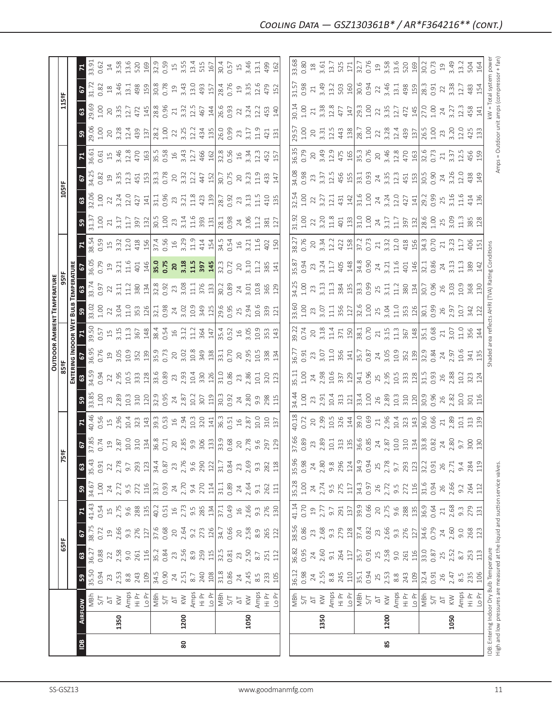|                                           |      |                                                                                                                                                                                                                                                                                                                                                                                                                                                                                                                                                                        |                                                                                              |                                                                                                                      |                                                                                                                 |                                                                                                        |                                                                                                                                             |                                                                                               |                           |                   |              |                   |                |                           | <b>OUTDOOR AMBIENT TEMPERATURE</b> |                        |                         |                           |                    |               |                    |                                                          |                                             |                        |                  |                                                      |
|-------------------------------------------|------|------------------------------------------------------------------------------------------------------------------------------------------------------------------------------------------------------------------------------------------------------------------------------------------------------------------------------------------------------------------------------------------------------------------------------------------------------------------------------------------------------------------------------------------------------------------------|----------------------------------------------------------------------------------------------|----------------------------------------------------------------------------------------------------------------------|-----------------------------------------------------------------------------------------------------------------|--------------------------------------------------------------------------------------------------------|---------------------------------------------------------------------------------------------------------------------------------------------|-----------------------------------------------------------------------------------------------|---------------------------|-------------------|--------------|-------------------|----------------|---------------------------|------------------------------------|------------------------|-------------------------|---------------------------|--------------------|---------------|--------------------|----------------------------------------------------------|---------------------------------------------|------------------------|------------------|------------------------------------------------------|
|                                           |      |                                                                                                                                                                                                                                                                                                                                                                                                                                                                                                                                                                        |                                                                                              | 65°F                                                                                                                 |                                                                                                                 |                                                                                                        |                                                                                                                                             | 75°F                                                                                          |                           |                   |              | 85ªF              |                |                           |                                    | 95°F                   |                         |                           |                    | 105°F         |                    |                                                          |                                             | 115°F                  |                  |                                                      |
|                                           |      |                                                                                                                                                                                                                                                                                                                                                                                                                                                                                                                                                                        |                                                                                              |                                                                                                                      |                                                                                                                 |                                                                                                        |                                                                                                                                             |                                                                                               |                           |                   |              |                   |                | ENTERING INDOOR WET       | Bula <sup>-</sup>                  | TEMPERATURE            |                         |                           |                    |               |                    |                                                          |                                             |                        |                  |                                                      |
| Bal                                       |      | AIRFLOW                                                                                                                                                                                                                                                                                                                                                                                                                                                                                                                                                                | $\bigcirc$                                                                                   | $\mathbbmss{3}$                                                                                                      | 67                                                                                                              | $\mathbf{z}$                                                                                           | ${\tt s3}$                                                                                                                                  | $\frac{3}{2}$                                                                                 | $\boldsymbol{\mathsf{s}}$ |                   | ${\tt S}$    | ශ                 | 6              |                           | 59                                 | ය                      |                         | $\mathbf{z}$              | ${\tt S3}$         | $\frac{3}{2}$ | 5                  |                                                          | ${\tt S}$                                   | ශී                     | 2                | $\mathbf{z}$                                         |
|                                           |      | MBh                                                                                                                                                                                                                                                                                                                                                                                                                                                                                                                                                                    | 35.50                                                                                        | 36.27                                                                                                                | 38.75                                                                                                           | 41.43<br>0.54                                                                                          | 34.67                                                                                                                                       | 35.43                                                                                         | 37.85                     | 40.46             | 33.85        | 34.59             | 36.95          | 39.50                     | 33.02                              | 33.74                  | 36.05                   | 38.54                     | 31.37              | 32.06         | 34.25              | 36.61                                                    | 29.06                                       | 29.69                  | 31.72            | 33.91                                                |
|                                           |      |                                                                                                                                                                                                                                                                                                                                                                                                                                                                                                                                                                        | 0.94                                                                                         | 0.88                                                                                                                 | 0.72                                                                                                            |                                                                                                        | 1.00                                                                                                                                        | 0.91                                                                                          | 0.74                      | 0.56              | 1.00         | 0.94              | 0.76           | 0.57                      | $1.00$                             | 0.97                   | 0.79                    | 0.59                      | 1.00               | 1.00          | 0.82               | 0.61                                                     | 1.00                                        | 1.00                   | 0.82             | 0.62                                                 |
|                                           |      | $\frac{1}{\sqrt{2}}$                                                                                                                                                                                                                                                                                                                                                                                                                                                                                                                                                   |                                                                                              |                                                                                                                      |                                                                                                                 |                                                                                                        |                                                                                                                                             | 22                                                                                            | $\Xi$                     | $\overline{\Box}$ | 23           | 22                | $\overline{c}$ | $15$<br>3.15              | 22                                 | $\overline{2}$         | $\overline{c}$          | $15$<br>3.32              | 21                 | 22            | $\overline{c}$     |                                                          | 20<br>3.28                                  | $20$                   | $^{28}$          | $\ensuremath{\mathop{\mathop{\mathbf{1}}}\nolimits}$ |
|                                           | 1350 | $\lesssim$                                                                                                                                                                                                                                                                                                                                                                                                                                                                                                                                                             |                                                                                              |                                                                                                                      |                                                                                                                 |                                                                                                        |                                                                                                                                             | 2.78                                                                                          | 2.87                      | 2.96              | 2.89         | 2.95              | 3.05           |                           | 3.04                               | 3.11                   | 3.21                    |                           | 3.17               | 3.24          | 3.35               |                                                          |                                             | 3.35                   | 3.46             | 3.58                                                 |
|                                           |      |                                                                                                                                                                                                                                                                                                                                                                                                                                                                                                                                                                        |                                                                                              | $2.58$<br>$9.0$<br>$2.58$                                                                                            |                                                                                                                 |                                                                                                        | $24$<br>$2.72$<br>$9.5$<br>$272$                                                                                                            |                                                                                               | 10.0                      | 10.4              | 10.3         | 10.5              | 10.9           | 11.3                      | 11.0                               | 11.2                   | 11.6                    | 12.0                      | 11.7               | 12.0          | 12.3               | $\begin{array}{c} 15 \\ 3,46 \\ 12.8 \\ 470 \end{array}$ | 12.4                                        | 12.7                   | 13.1             | 13.6                                                 |
|                                           |      |                                                                                                                                                                                                                                                                                                                                                                                                                                                                                                                                                                        | $\frac{23}{2.53}$ $\frac{8}{8}$ $\frac{47}{8}$ $\frac{8}{10}$ $\frac{10}{34}$ $\frac{6}{30}$ |                                                                                                                      | $\begin{array}{c c}\n19 & 0.66 \\ 2.66 & 2.76 \\ 2.76 & 2.76 \\ 3.76 & 0.68 \\ 2.64\n\end{array}$               |                                                                                                        |                                                                                                                                             | $9.7$<br>$293$<br>$124$<br>$36$<br>$75$<br>$75$<br>$75$<br>$9.6$<br>$9.6$                     | 310                       | 323               | 310          | 333               | 352            | 367                       | 353                                | 380                    | 401                     | 418                       | 397                | 427           | 451                |                                                          | 439                                         | 472                    | 498              | 520                                                  |
|                                           |      |                                                                                                                                                                                                                                                                                                                                                                                                                                                                                                                                                                        |                                                                                              |                                                                                                                      |                                                                                                                 |                                                                                                        |                                                                                                                                             |                                                                                               | 134                       | 143               | 120          | 128               | 139            | 148                       | 126                                | 134                    |                         | 156                       | 132                | 141           | 153                | 163                                                      | 137                                         | 145                    | 159              | 169                                                  |
|                                           |      |                                                                                                                                                                                                                                                                                                                                                                                                                                                                                                                                                                        |                                                                                              | $\frac{116}{35.2}$                                                                                                   |                                                                                                                 |                                                                                                        |                                                                                                                                             |                                                                                               | 36.8                      | 39.3              | 32.9         | 33.6              | 35.9           | 38.4<br>0.54              | 32.1<br>0.98                       | 32.8<br>0.92           | $\frac{146}{35.0}$      | 37.4<br>0.56              | $30.5$<br>$1.00$   | 31.1          | 33.3               | 35.5                                                     | 28.2                                        | 28.8                   | 30.8             | 32.9                                                 |
|                                           |      |                                                                                                                                                                                                                                                                                                                                                                                                                                                                                                                                                                        |                                                                                              |                                                                                                                      |                                                                                                                 |                                                                                                        |                                                                                                                                             |                                                                                               | 0.71                      | 0.53              | 0.95         | 0.89              | 0.73           |                           |                                    |                        |                         |                           |                    | 0.96          | 0.78               | 0.58                                                     | 1.00                                        | 0.96                   | 0.78             | 0.59<br>15                                           |
|                                           |      |                                                                                                                                                                                                                                                                                                                                                                                                                                                                                                                                                                        |                                                                                              |                                                                                                                      |                                                                                                                 |                                                                                                        |                                                                                                                                             |                                                                                               | 20                        | $\frac{1}{6}$     | 24           | 23                | $20$           | $16$                      | $24\,$                             |                        | 20                      | $16$                      | 23                 | 23            | 20                 | $16$                                                     | 22                                          | 21                     | $\overline{19}$  |                                                      |
| 80                                        | 1200 |                                                                                                                                                                                                                                                                                                                                                                                                                                                                                                                                                                        |                                                                                              |                                                                                                                      |                                                                                                                 |                                                                                                        |                                                                                                                                             |                                                                                               | 2.85                      | 2.94              | 2.87         | 2.93              | 3.02           | 3.12                      | 3.02                               |                        | 3.18                    | 3.29                      | 3.14               | 3.21          | 3.32               | 3.43                                                     | 3.25                                        | 3.32                   | 3.43             | 3.55                                                 |
|                                           |      |                                                                                                                                                                                                                                                                                                                                                                                                                                                                                                                                                                        | $2.51$<br>$2.51$<br>8.7                                                                      |                                                                                                                      |                                                                                                                 |                                                                                                        |                                                                                                                                             |                                                                                               | 9.9                       | 10.3              | 10.2         | 10.4              | 10.8           | 11.2                      | 10.9                               | $23$<br>$3.08$<br>$11$ | 11.5                    | 11.9                      | 11.6               | 11.8          | 12.2               | 12.7                                                     | 12.2                                        | 12.5                   | 13.0             | 13.4                                                 |
|                                           |      |                                                                                                                                                                                                                                                                                                                                                                                                                                                                                                                                                                        |                                                                                              |                                                                                                                      |                                                                                                                 |                                                                                                        |                                                                                                                                             |                                                                                               | 306                       | 320               | 307          |                   |                |                           | 349                                |                        | $\frac{397}{145}$       |                           | 393                |               | 447                | 466                                                      |                                             | 467                    | 493              | 515                                                  |
|                                           |      |                                                                                                                                                                                                                                                                                                                                                                                                                                                                                                                                                                        |                                                                                              |                                                                                                                      |                                                                                                                 |                                                                                                        |                                                                                                                                             |                                                                                               | 133                       | 141               | 119          | $\frac{330}{126}$ | 349            | 364<br>147                | 125                                | $\frac{376}{133}$      |                         | 414<br>154                | 131                | 423<br>139    | 152                |                                                          | 434<br>135                                  | 144                    | 157              | 167                                                  |
|                                           |      |                                                                                                                                                                                                                                                                                                                                                                                                                                                                                                                                                                        | $\frac{28}{100}$                                                                             | $\begin{array}{c}\n 23 \\  2.56 \\  \hline\n 8.9 \\  2.59 \\  \hline\n 115 \\  32.5 \\  \hline\n 0.81\n \end{array}$ | $9.2$<br>$273$<br>$126$<br>$34.7$<br>$0.66$                                                                     |                                                                                                        | $\frac{19}{33.7}$<br>$\frac{33.7}{33.7}$<br>$\frac{4}{33.7}$<br>$\frac{5}{4}$<br>$\frac{4}{33.7}$<br>$\frac{11}{33.7}$<br>$\frac{11}{33.8}$ | $290$<br>$\frac{12}{31}$ , 84                                                                 | 33.9                      | 36.3              | 30.3         | 31.0              | 33.1           |                           | 29.6<br>0.95                       | 30.2                   |                         | 34.5                      |                    | 28.7          | 30.7               |                                                          | 26.0                                        | 26.6                   | 28.4             | 30.4                                                 |
|                                           |      |                                                                                                                                                                                                                                                                                                                                                                                                                                                                                                                                                                        |                                                                                              |                                                                                                                      |                                                                                                                 |                                                                                                        |                                                                                                                                             |                                                                                               | 0.68                      | 0.51              | 0.92         | 0.86              | 0.70           |                           |                                    | 0.89                   | 32.3<br>0.72            | 0.54                      | $28.1$<br>0.98     | 0.92          | 0.75               | 32.8<br>0.56                                             | 0.99                                        | 0.93                   | 0.76             | 0.57                                                 |
|                                           |      | $\overline{\Delta}$                                                                                                                                                                                                                                                                                                                                                                                                                                                                                                                                                    |                                                                                              | $23\,$                                                                                                               | $20$                                                                                                            |                                                                                                        |                                                                                                                                             |                                                                                               | 20                        | 16                | 24           | 23                | $20$           | 35.4<br>0.52<br>3.05      |                                    |                        | 20                      |                           |                    | 23            | 20                 | $16$                                                     | 23                                          | 22                     | $\Xi$            | $15$                                                 |
|                                           | 1050 | $\lesssim$                                                                                                                                                                                                                                                                                                                                                                                                                                                                                                                                                             |                                                                                              | 2.50                                                                                                                 | 2.58                                                                                                            |                                                                                                        | $24$<br>$2.64$                                                                                                                              | 23<br>2.69                                                                                    | 2.78                      | 2.87              | 2.80         | 2.86              | 2.95           |                           | $2.5$<br>$2.94$                    |                        | 3.10                    | $16$<br>$3.21$            | 24<br>3.06         | 3.13          | 3.23               | 3.34                                                     | 3.17                                        | 3.24                   | 3.35             | 3.46                                                 |
|                                           |      |                                                                                                                                                                                                                                                                                                                                                                                                                                                                                                                                                                        |                                                                                              | 8.7                                                                                                                  |                                                                                                                 | $9.\overline{3}$                                                                                       |                                                                                                                                             | $9.\overline{3}$                                                                              | 9.6                       | 10.0              | 9.9          | 10.1              | 10.5           | 10.9                      | 10.6                               | $24$<br>3.01<br>10.8   | 11.2                    | 11.6                      | 11.2               | 11.5          | 11.9               | 12.3                                                     | 11.9                                        | 12.2                   | 12.6             | 13.1                                                 |
|                                           |      | Amps<br>도시<br>모르크                                                                                                                                                                                                                                                                                                                                                                                                                                                                                                                                                      | $24$<br>$2.45$<br>$8.5$<br>$2.33$<br>$105$                                                   |                                                                                                                      | 8.9<br>265<br>122                                                                                               |                                                                                                        | $3.1$<br>$262$<br>$11$                                                                                                                      |                                                                                               | 297                       |                   |              | 320               | 338            | 353                       | 339                                | 365                    | 385                     | 402                       | 381                |               |                    |                                                          | 421                                         | 453                    |                  | 499                                                  |
|                                           |      |                                                                                                                                                                                                                                                                                                                                                                                                                                                                                                                                                                        |                                                                                              | 251                                                                                                                  |                                                                                                                 | 276<br>130                                                                                             |                                                                                                                                             | 282<br>118                                                                                    |                           | 310               | 298          |                   |                |                           |                                    |                        |                         |                           |                    | 410           | 433                | 452<br>157                                               |                                             |                        | 479              |                                                      |
|                                           |      |                                                                                                                                                                                                                                                                                                                                                                                                                                                                                                                                                                        |                                                                                              | 112                                                                                                                  |                                                                                                                 |                                                                                                        |                                                                                                                                             |                                                                                               | 129                       | 137               | 115          | 123               | 134            | 143                       | 121                                | 129                    | 141                     | 150                       | 127                | 135           | 147                |                                                          | 131                                         | 140                    | 152              | 162                                                  |
|                                           |      |                                                                                                                                                                                                                                                                                                                                                                                                                                                                                                                                                                        |                                                                                              |                                                                                                                      |                                                                                                                 |                                                                                                        |                                                                                                                                             |                                                                                               |                           |                   |              |                   |                |                           |                                    |                        |                         |                           |                    |               |                    |                                                          |                                             |                        |                  |                                                      |
|                                           |      |                                                                                                                                                                                                                                                                                                                                                                                                                                                                                                                                                                        | 36.12                                                                                        | 36.82                                                                                                                |                                                                                                                 |                                                                                                        |                                                                                                                                             | 35.96<br>0.98                                                                                 | 37.66                     | 40.18             | 34.44        | 35.11             | 36.77          | 39.22                     | 33.60                              | 34.25                  | 35.87                   | 38.27                     | 31.92              | 32.54         | 34.08              | 36.35                                                    | 29.57                                       | 30.14                  | 31.57            | 33.68                                                |
|                                           |      |                                                                                                                                                                                                                                                                                                                                                                                                                                                                                                                                                                        | 0.98                                                                                         | 0.95                                                                                                                 | 38.56<br>0.86                                                                                                   | 41.14<br>0.70                                                                                          | $35.28$<br>$1.00$                                                                                                                           |                                                                                               | 0.89                      | 0.72              | 1.00         | 1.00              | 0.91           | 0.74                      | 1.00                               | 1.00                   | 0.94                    | 0.76                      |                    | 1.00          | 0.98               |                                                          |                                             | 1.00                   | 0.98             | 0.80                                                 |
|                                           |      | $\frac{1}{4}$ S $\frac{1}{4}$                                                                                                                                                                                                                                                                                                                                                                                                                                                                                                                                          |                                                                                              |                                                                                                                      |                                                                                                                 |                                                                                                        |                                                                                                                                             | $24\,$                                                                                        | 23                        | 20                | 23           | 24                | 23             | 20                        | 23                                 | 23                     | 23                      | $20$                      | 22                 | 22            |                    | 20                                                       |                                             | $21\,$                 | $21\,$           | $\stackrel{\textstyle\circ}{\phantom{}_{\sim}}$      |
|                                           | 1350 |                                                                                                                                                                                                                                                                                                                                                                                                                                                                                                                                                                        |                                                                                              |                                                                                                                      |                                                                                                                 |                                                                                                        |                                                                                                                                             | 2.80                                                                                          | 2.89                      |                   | 2.91         | 2.98              | 3.07           | 3.18                      | 3.07                               | 3.13                   | 3.24                    |                           |                    | 3.27          | 3.37               |                                                          |                                             | 3.38                   |                  | 3.61                                                 |
|                                           |      |                                                                                                                                                                                                                                                                                                                                                                                                                                                                                                                                                                        |                                                                                              |                                                                                                                      |                                                                                                                 |                                                                                                        |                                                                                                                                             | $9.\overline{8}$                                                                              | 10.1                      | 2.99<br>10.5      | 10.4         | 10.6              | 11.0           | 11.4                      | $\frac{11}{11}$                    | 11.3                   | 11.7                    | $3.\overline{3}4$<br>12.2 | $3.20$<br>$11.8$   | 12.1          |                    |                                                          | 20<br>3.31<br>12.5                          | 12.8                   | $3.49$<br>$13.2$ | 13.7                                                 |
|                                           |      |                                                                                                                                                                                                                                                                                                                                                                                                                                                                                                                                                                        |                                                                                              |                                                                                                                      |                                                                                                                 |                                                                                                        |                                                                                                                                             |                                                                                               | 313                       | 326               | 313          | 337               | 356            | 371                       | 356                                |                        | 405                     |                           | 401                | 431           |                    |                                                          | 443                                         | 477                    | 503              |                                                      |
|                                           |      | $\begin{array}{l}\n\hline\n\searrow \\ \hline\n\searrow \\ \hline\n\searrow \\ \hline\n\searrow \\ \hline\n\searrow \\ \hline\n\searrow \\ \hline\n\searrow \\ \hline\n\searrow \\ \hline\n\searrow \\ \hline\n\searrow \\ \hline\n\searrow \\ \hline\n\searrow \\ \hline\n\searrow \\ \hline\n\searrow \\ \hline\n\searrow \\ \hline\n\searrow \\ \hline\n\searrow \\ \hline\n\searrow \\ \hline\n\searrow \\ \hline\n\searrow \\ \hline\n\searrow \\ \hline\n\searrow \\ \hline\n\searrow \\ \hline\n\searrow \\ \hline\n\searrow \\ \hline\n\searrow \\ \hline\n$   | $24$<br>$2.55$<br>$8.8$<br>$245$<br>$110$                                                    | $24$<br>$2.60$<br>$9.1$<br>$264$<br>$117$                                                                            |                                                                                                                 | $\begin{array}{c c}\n19 \\ 2.77 \\ 9.91 \\ 2.91 \\ 139 \\ 9.66 \\ 0.67 \\ 2.75 \\ \hline\n\end{array}$ | $24$<br>$2.74$<br>$9.5$<br>$275$<br>$11$<br>$34.3$<br>$0.97$                                                                                | $\begin{array}{c c}\n 296 \\  \hline\n 124 \\  \hline\n 34.9 \\  \hline\n 0.94\n \end{array}$ | 135                       | 144               | 121          | 129               | 141            | 150                       | 127                                | 384                    | 148                     | 422                       | 133                | 142           | 12.5<br>456<br>155 | 3.49<br>12.9<br>475<br>165                               | 138                                         | 147                    | 160              | 525                                                  |
|                                           |      |                                                                                                                                                                                                                                                                                                                                                                                                                                                                                                                                                                        | 35.1<br>0.94                                                                                 | 35.7<br>0.91                                                                                                         |                                                                                                                 |                                                                                                        |                                                                                                                                             |                                                                                               | 36.6<br>0.85              | 39.0<br>0.69      | 33.4<br>1.00 | 34.1              | 35.7           | 38.1<br>0.70              |                                    | 33.3<br>0.99           | 34.8<br>0.90            | 37.2<br>0.73              | 31.00              | 31.6<br>1.00  | 33.1<br>0.93       | 35.3<br>0.76                                             | 28.7<br>1.00                                | 29.3<br>1.00           | 30.6             |                                                      |
|                                           |      |                                                                                                                                                                                                                                                                                                                                                                                                                                                                                                                                                                        |                                                                                              |                                                                                                                      |                                                                                                                 |                                                                                                        |                                                                                                                                             |                                                                                               |                           |                   |              | 0.96              |                |                           | $32.6$<br>$1.00$<br>$25$<br>$3.04$ |                        |                         |                           |                    |               |                    |                                                          |                                             |                        |                  | 32.7<br>0.76                                         |
|                                           |      |                                                                                                                                                                                                                                                                                                                                                                                                                                                                                                                                                                        |                                                                                              |                                                                                                                      |                                                                                                                 |                                                                                                        |                                                                                                                                             |                                                                                               | 24<br>2.87                | $21\,$            | 26           | 25                | $24\,$         | $21$<br>$3.15$            |                                    | $25$<br>$3.11$         | $24$<br>3.21            | $21$<br>3.32              | $\frac{24}{3.17}$  | $24$<br>3.24  | 24<br>3.35         | 20                                                       | 22<br>3.28                                  | 22                     | 22<br>3.46       |                                                      |
| 85                                        | 1200 |                                                                                                                                                                                                                                                                                                                                                                                                                                                                                                                                                                        |                                                                                              |                                                                                                                      |                                                                                                                 |                                                                                                        |                                                                                                                                             |                                                                                               |                           | 2.96              | 2.89         | 2.95              | 3.05           |                           |                                    |                        |                         |                           |                    |               |                    | 3.46<br>12.8<br>470                                      |                                             | 3.35                   |                  | $\begin{array}{c} 19 \\ 3.58 \\ 13.6 \\ \end{array}$ |
|                                           |      |                                                                                                                                                                                                                                                                                                                                                                                                                                                                                                                                                                        |                                                                                              |                                                                                                                      |                                                                                                                 |                                                                                                        |                                                                                                                                             |                                                                                               | 10.0                      | 10.4              | 10.3         | 10.5              | 10.9           | 11.3                      | 11.0                               | 11.2                   | 11.6                    | 12.0                      | 11.7               | 12.0          | 12.3               |                                                          | 12.4                                        | 12.7                   | 13.1             |                                                      |
|                                           |      |                                                                                                                                                                                                                                                                                                                                                                                                                                                                                                                                                                        | $2.53$ $8.8$ $2.43$ $109$ $3.44$                                                             | $25$ $2.58$ $9.0$ $7.51$ $116$ $13.0$                                                                                |                                                                                                                 |                                                                                                        |                                                                                                                                             |                                                                                               | 310                       | 323               | 310          | 333               | 352<br>139     | 367                       | 353                                | 380                    | 401                     | 418                       | 397                | 427           | 451                |                                                          | 439                                         | 472                    | 498<br>159       |                                                      |
|                                           |      |                                                                                                                                                                                                                                                                                                                                                                                                                                                                                                                                                                        |                                                                                              |                                                                                                                      |                                                                                                                 |                                                                                                        |                                                                                                                                             |                                                                                               | 134                       | 143               | 120          | 128               |                | $\frac{148}{35.1}$        | 126                                | 134                    | 146                     | 156                       | $\frac{132}{28.6}$ | 141           | $\frac{153}{30.5}$ | 163                                                      | 137                                         | 145                    |                  | 169                                                  |
|                                           |      | $\begin{array}{c}\n\text{Area} \\ \text{Area} \\ \text{Area} \\ \text{Area} \\ \text{Area} \\ \text{Area} \\ \text{Area} \\ \text{Area} \\ \text{Area} \\ \text{Area} \\ \text{Area} \\ \text{Area} \\ \text{Area} \\ \text{Area} \\ \text{Area} \\ \text{Area} \\ \text{Area} \\ \text{Area} \\ \text{Area} \\ \text{Area} \\ \text{Area} \\ \text{Area} \\ \text{Area} \\ \text{Area} \\ \text{Area} \\ \text{Area} \\ \text{Area} \\ \text{Area} \\ \text{Area} \\ \text{Area} \\ \text{Area} \\ \text{Area} \\ \text{Area} \\ \text{Area} \\ \text{Area} \\ \text$ |                                                                                              |                                                                                                                      | $\begin{array}{c}\n 23 \\  23 \\  37 \\  28 \\  37 \\  4 \\  52 \\  6 \\  74 \\  75 \\  87 \\  9\n \end{array}$ | $9.88$ $13\frac{1}{3}$ $6.64$ $1$                                                                      | $2.72$<br>$9.5$<br>$7.72$<br>$116$<br>$116$<br>$31.6$<br>$0.94$                                                                             | $25$<br>$2.78$<br>$9.7$<br>$2.93$<br>$123$<br>$32.2$<br>$0.91$                                | 33.8                      | 36.0              | 30.9         | $\frac{15}{21}$   | 32.9           |                           | 30.1                               | 30.7                   | 32.1                    | 34.3<br>0.70              |                    | 29.2          |                    | 32.6                                                     | 26.5                                        | 27.0                   | 28.3             | 30.2<br>0.73                                         |
|                                           |      |                                                                                                                                                                                                                                                                                                                                                                                                                                                                                                                                                                        | 0.91                                                                                         | 0.87                                                                                                                 |                                                                                                                 |                                                                                                        |                                                                                                                                             |                                                                                               | 0.82                      | 0.66              | 0.96         | 0.93              | 0.84           | 0.68                      | 0.99                               | 0.96                   | 0.86                    |                           | 1.00               | 0.99          | 0.90               | 0.73                                                     | 1.00                                        | 1.00                   | 0.91             |                                                      |
|                                           |      |                                                                                                                                                                                                                                                                                                                                                                                                                                                                                                                                                                        | 26                                                                                           | 25                                                                                                                   | $24\,$                                                                                                          |                                                                                                        | 26                                                                                                                                          | 26                                                                                            | 24                        | $\overline{21}$   | 26           | 26                | 24             | 21                        | 26                                 | 26                     | 24                      | 21                        | 25                 | 25            | 24                 | 21                                                       | 23                                          | 24                     | 22               | 19                                                   |
|                                           | 1050 | $\leqslant$                                                                                                                                                                                                                                                                                                                                                                                                                                                                                                                                                            | 2.47                                                                                         | 2.52                                                                                                                 | 2.60                                                                                                            | 2.68                                                                                                   | 2.66                                                                                                                                        | 2.71                                                                                          | 2.80                      | 2.89              | 2.82         | 2.88              | 2.97           | 3.07                      | 2.97                               | 3.03                   | 3.13                    | 3.23                      | 3.09               | 3.16          | 3.26               | 3.37                                                     | 3.20                                        | 3.27                   | 3.38             | 3.49                                                 |
|                                           |      | Amps                                                                                                                                                                                                                                                                                                                                                                                                                                                                                                                                                                   | $\frac{5}{8}$                                                                                | $8.7\,$                                                                                                              | 9.0                                                                                                             | $9.\overline{3}$                                                                                       |                                                                                                                                             | 9.4                                                                                           | 9.7                       | 10.1              | 10.0         | 10.2              | 10.6           | 11.0                      | 10.7                               | 10.9                   | $\frac{3}{11}$          | 11.7                      | 11.3               | 11.6          | 12.0               | 12.5                                                     | 12.0                                        | 12.3                   | 12.7             | 13.2                                                 |
|                                           |      | $rac{\tilde{\rho}}{\tilde{\pi}}$                                                                                                                                                                                                                                                                                                                                                                                                                                                                                                                                       | 235                                                                                          | 253                                                                                                                  | 268<br>123                                                                                                      | 279<br>131                                                                                             | 9.2<br>264<br>112                                                                                                                           | 284<br>119                                                                                    | 300                       | 313               | 301<br>116   | 323               | 341            | 356                       | 342                                | 368                    | 389                     | 406                       | 385                | 414           | 438<br>149         | 456<br>159                                               | 425                                         | 458<br>141             | 483              | 504                                                  |
|                                           |      | Lo Pr                                                                                                                                                                                                                                                                                                                                                                                                                                                                                                                                                                  | 106                                                                                          | 113                                                                                                                  |                                                                                                                 |                                                                                                        |                                                                                                                                             |                                                                                               | 130                       | 139               |              | 124               | 135            | 144                       |                                    |                        |                         |                           | 128                | 136           |                    |                                                          |                                             |                        | - 54             | 164                                                  |
| IDB: Entering Indoor Dry Bulb Temperature |      |                                                                                                                                                                                                                                                                                                                                                                                                                                                                                                                                                                        |                                                                                              |                                                                                                                      |                                                                                                                 |                                                                                                        |                                                                                                                                             |                                                                                               |                           |                   |              |                   |                | Shaded area reflects AHRI |                                    |                        | (TVA) Rating Conditions |                           |                    |               |                    |                                                          |                                             | kW = Total system powe |                  |                                                      |
|                                           |      | High and low pressures are measured at the liquid and suction service valves.                                                                                                                                                                                                                                                                                                                                                                                                                                                                                          |                                                                                              |                                                                                                                      |                                                                                                                 |                                                                                                        |                                                                                                                                             |                                                                                               |                           |                   |              |                   |                |                           |                                    |                        |                         |                           |                    |               |                    |                                                          | Amps = Outdoor unit amps (compressor + fan) |                        |                  |                                                      |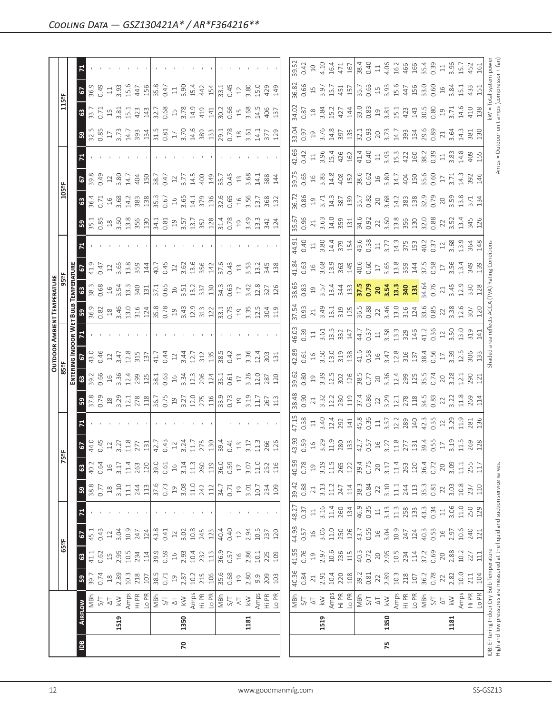|                |      |                          |                                                                                                                            |                 |                                             |            |                 |                |                                                                                                                                                                                                                                                                                                                                        |                            |                                                                                                                                                                                                                                                                                                               |                                                                                                   |                                                                              |                                                                                                                                                                                                                                                                               | <b>OUTDOOR AMBIENT TEMPERATURE</b>                |                                                                                                                                                                                                  |                                                                                            |       |                                                                                  |                                                                                                                                                                                                                                                                                                                                                                           |                                                                                               |                                                                      |                                                                                                                                  |                                                                                                                                                                                                                                                                                                 |                                                                                                                                       |                            |
|----------------|------|--------------------------|----------------------------------------------------------------------------------------------------------------------------|-----------------|---------------------------------------------|------------|-----------------|----------------|----------------------------------------------------------------------------------------------------------------------------------------------------------------------------------------------------------------------------------------------------------------------------------------------------------------------------------------|----------------------------|---------------------------------------------------------------------------------------------------------------------------------------------------------------------------------------------------------------------------------------------------------------------------------------------------------------|---------------------------------------------------------------------------------------------------|------------------------------------------------------------------------------|-------------------------------------------------------------------------------------------------------------------------------------------------------------------------------------------------------------------------------------------------------------------------------|---------------------------------------------------|--------------------------------------------------------------------------------------------------------------------------------------------------------------------------------------------------|--------------------------------------------------------------------------------------------|-------|----------------------------------------------------------------------------------|---------------------------------------------------------------------------------------------------------------------------------------------------------------------------------------------------------------------------------------------------------------------------------------------------------------------------------------------------------------------------|-----------------------------------------------------------------------------------------------|----------------------------------------------------------------------|----------------------------------------------------------------------------------------------------------------------------------|-------------------------------------------------------------------------------------------------------------------------------------------------------------------------------------------------------------------------------------------------------------------------------------------------|---------------------------------------------------------------------------------------------------------------------------------------|----------------------------|
|                |      |                          |                                                                                                                            | 65ºF            |                                             |            |                 | $\mathbf{r}$   | 능                                                                                                                                                                                                                                                                                                                                      |                            |                                                                                                                                                                                                                                                                                                               | 85 <sup>o</sup> F                                                                                 |                                                                              |                                                                                                                                                                                                                                                                               |                                                   |                                                                                                                                                                                                  |                                                                                            |       |                                                                                  | 105°F                                                                                                                                                                                                                                                                                                                                                                     |                                                                                               |                                                                      |                                                                                                                                  | 115°F                                                                                                                                                                                                                                                                                           |                                                                                                                                       |                            |
|                |      |                          |                                                                                                                            |                 |                                             |            |                 |                |                                                                                                                                                                                                                                                                                                                                        |                            |                                                                                                                                                                                                                                                                                                               |                                                                                                   | ENTERING INDOOR W                                                            |                                                                                                                                                                                                                                                                               | BULB                                              | <b>EMPERATURE</b>                                                                                                                                                                                |                                                                                            |       |                                                                                  |                                                                                                                                                                                                                                                                                                                                                                           |                                                                                               |                                                                      |                                                                                                                                  |                                                                                                                                                                                                                                                                                                 |                                                                                                                                       |                            |
| $\overline{a}$ |      | <b>AIRFLOW</b>           | ${\tt S}$                                                                                                                  | $\mathbbmss{3}$ | 5                                           |            | ${\tt S}$       | $\mathbb{S}^3$ | 2                                                                                                                                                                                                                                                                                                                                      |                            | ${\tt S}$                                                                                                                                                                                                                                                                                                     | $\mathbb{G}$                                                                                      |                                                                              |                                                                                                                                                                                                                                                                               |                                                   | $\mathbbmss{3}$                                                                                                                                                                                  |                                                                                            |       | $\boldsymbol{\mathsf{s}}$                                                        | ${\tt G3}$                                                                                                                                                                                                                                                                                                                                                                | 5                                                                                             |                                                                      | ន                                                                                                                                | $\mathbb{S}^3$                                                                                                                                                                                                                                                                                  | 5                                                                                                                                     |                            |
|                |      | MBh                      | 39.7                                                                                                                       | 41.1            | 45.1                                        |            | 38.8            | 40.2           | 44.0<br>0.45                                                                                                                                                                                                                                                                                                                           |                            | 37.8<br>0.79                                                                                                                                                                                                                                                                                                  | 39.2                                                                                              | 43.0                                                                         |                                                                                                                                                                                                                                                                               |                                                   | 38.3                                                                                                                                                                                             |                                                                                            |       | 35.1<br>0.85                                                                     | $\frac{36.4}{0.71}$                                                                                                                                                                                                                                                                                                                                                       | 39.8                                                                                          |                                                                      |                                                                                                                                  | 33.7                                                                                                                                                                                                                                                                                            | 36.9<br>0.49                                                                                                                          |                            |
|                |      | 5/7                      | 0.74                                                                                                                       | 0.62            | 0.43                                        |            | 0.77            | 0.64           |                                                                                                                                                                                                                                                                                                                                        |                            |                                                                                                                                                                                                                                                                                                               | 0.66                                                                                              | 0.46                                                                         |                                                                                                                                                                                                                                                                               |                                                   | 0.68                                                                                                                                                                                             | 0.47                                                                                       |       |                                                                                  |                                                                                                                                                                                                                                                                                                                                                                           | 0.49                                                                                          |                                                                      |                                                                                                                                  |                                                                                                                                                                                                                                                                                                 |                                                                                                                                       |                            |
|                |      | $\overline{\sim}$        | $18$<br>$2.89$                                                                                                             | 15<br>2.95      | $\ensuremath{\mathop{\mathop{\mathbf{2}}}}$ |            | $^{26}$         | $16$           | $\frac{12}{3.27}$                                                                                                                                                                                                                                                                                                                      |                            |                                                                                                                                                                                                                                                                                                               | 16<br>3.36                                                                                        | $12$                                                                         |                                                                                                                                                                                                                                                                               |                                                   |                                                                                                                                                                                                  | 12 <sup>0.55</sup>                                                                         |       | $\begin{array}{c} 18 \\ 3.60 \\ 13.8 \\ 356 \end{array}$                         | $16$<br>3.68                                                                                                                                                                                                                                                                                                                                                              | $12\,$                                                                                        |                                                                      |                                                                                                                                  | $\begin{array}{c} 15 \\ 3.81 \end{array}$                                                                                                                                                                                                                                                       | $\Xi$                                                                                                                                 |                            |
|                | 1519 | $\lesssim$               |                                                                                                                            |                 | 3.04                                        |            | 3.10            | 3.17           |                                                                                                                                                                                                                                                                                                                                        |                            |                                                                                                                                                                                                                                                                                                               |                                                                                                   | 3.47                                                                         |                                                                                                                                                                                                                                                                               |                                                   |                                                                                                                                                                                                  |                                                                                            |       |                                                                                  |                                                                                                                                                                                                                                                                                                                                                                           | 3.80                                                                                          |                                                                      |                                                                                                                                  |                                                                                                                                                                                                                                                                                                 | 3.93                                                                                                                                  |                            |
|                |      | Amps<br>Hi PR            | 218<br>10.3                                                                                                                | 10.5            | 10.9                                        |            | $11.1$<br>$244$ | 11.4           | 11.8                                                                                                                                                                                                                                                                                                                                   |                            |                                                                                                                                                                                                                                                                                                               |                                                                                                   | 12.8<br>315                                                                  |                                                                                                                                                                                                                                                                               |                                                   |                                                                                                                                                                                                  | 13.8<br>359                                                                                |       |                                                                                  | 14.2<br>383                                                                                                                                                                                                                                                                                                                                                               | 14.7                                                                                          |                                                                      |                                                                                                                                  | 15.1                                                                                                                                                                                                                                                                                            | 15.6                                                                                                                                  |                            |
|                |      | Lo PR                    | 107                                                                                                                        | 234<br>114      | 247<br>124                                  |            | 113             | 263<br>120     | 277<br>131                                                                                                                                                                                                                                                                                                                             |                            |                                                                                                                                                                                                                                                                                                               | $\frac{12.4}{299}$                                                                                | 137                                                                          |                                                                                                                                                                                                                                                                               |                                                   | $\begin{array}{c} 16 \\ 3.54 \\ 13.3 \\ 340 \\ \hline \end{array}$                                                                                                                               | 144                                                                                        |       | 130                                                                              | 138                                                                                                                                                                                                                                                                                                                                                                       | 150<br>404                                                                                    |                                                                      | $\begin{array}{c} 3.56 \\ 0.85 \\ 0.7 \\ 3.73 \\ 4.7 \\ 8.9 \\ 1 \\ 3.3 \\ 4 \\ 1 \\ 3.5 \\ 2. \\ 5. \\ 6. \\ 7. \\ \end{array}$ | 423<br>143                                                                                                                                                                                                                                                                                      | 156<br>447                                                                                                                            |                            |
|                |      |                          | 38.5                                                                                                                       | 39.9            | 43.8                                        |            | 37.6            | 39.0           | 42.7                                                                                                                                                                                                                                                                                                                                   |                            |                                                                                                                                                                                                                                                                                                               |                                                                                                   | 41.7                                                                         |                                                                                                                                                                                                                                                                               |                                                   |                                                                                                                                                                                                  | 40.7                                                                                       |       |                                                                                  |                                                                                                                                                                                                                                                                                                                                                                           | 38.7                                                                                          |                                                                      |                                                                                                                                  |                                                                                                                                                                                                                                                                                                 |                                                                                                                                       |                            |
|                |      | $\frac{1}{19}$           | 0.71                                                                                                                       | 0.59            | 0.41                                        |            | 0.73            | 0.61           | 0.43                                                                                                                                                                                                                                                                                                                                   |                            |                                                                                                                                                                                                                                                                                                               | 38.1<br>0.63                                                                                      | 0.44                                                                         |                                                                                                                                                                                                                                                                               |                                                   | 37.1<br>0.65                                                                                                                                                                                     | 0.45                                                                                       |       | $34.1$<br>0.81                                                                   | $35.3$<br>0.67                                                                                                                                                                                                                                                                                                                                                            | 0.47                                                                                          |                                                                      |                                                                                                                                  | 32.7                                                                                                                                                                                                                                                                                            | $35.8$<br>0.47<br>11                                                                                                                  |                            |
|                |      | $\overline{\Delta}$      | $\mathfrak{Q}$                                                                                                             | $\frac{1}{2}$   | $\supseteq$                                 |            | 19              | $\frac{16}{1}$ |                                                                                                                                                                                                                                                                                                                                        |                            |                                                                                                                                                                                                                                                                                                               | $16$                                                                                              | $12\,$                                                                       |                                                                                                                                                                                                                                                                               |                                                   | $16$                                                                                                                                                                                             | $\ensuremath{\mathop{\mathop{\boldsymbol{2}}}}$                                            |       | 19                                                                               | $16$                                                                                                                                                                                                                                                                                                                                                                      | $12$                                                                                          |                                                                      |                                                                                                                                  | $15$                                                                                                                                                                                                                                                                                            |                                                                                                                                       |                            |
| 20             | 1350 | $\lesssim$               | 2.87                                                                                                                       | 2.93            | 3.02                                        |            | 3.08            | 3.14           | $3.24$<br>11.7                                                                                                                                                                                                                                                                                                                         |                            |                                                                                                                                                                                                                                                                                                               | 3.34                                                                                              | 3.44                                                                         |                                                                                                                                                                                                                                                                               |                                                   | 3.51                                                                                                                                                                                             | 3.62                                                                                       |       |                                                                                  | 3.65                                                                                                                                                                                                                                                                                                                                                                      | 3.77                                                                                          |                                                                      |                                                                                                                                  | $3.78$<br>14.9                                                                                                                                                                                                                                                                                  | 3.90                                                                                                                                  |                            |
|                |      | Amps                     | 10.2                                                                                                                       | 10.4            | 10.8                                        |            | 11.0            | 11.3           |                                                                                                                                                                                                                                                                                                                                        |                            |                                                                                                                                                                                                                                                                                                               | 12.3                                                                                              | 12.7                                                                         |                                                                                                                                                                                                                                                                               |                                                   |                                                                                                                                                                                                  | 13.6                                                                                       |       |                                                                                  | 14.1                                                                                                                                                                                                                                                                                                                                                                      | 14.5                                                                                          |                                                                      |                                                                                                                                  |                                                                                                                                                                                                                                                                                                 | 15.4                                                                                                                                  |                            |
|                |      | Hi PR                    | 215                                                                                                                        | 232             | 245                                         |            | 242<br>112      | 260            | 275                                                                                                                                                                                                                                                                                                                                    |                            | $\begin{array}{c} 3.27 \\ 12.0 \\ 275 \\ 116 \\ 33.3 \\ 0.73 \\ 9 \end{array}$                                                                                                                                                                                                                                | 296                                                                                               | 312                                                                          |                                                                                                                                                                                                                                                                               |                                                   | $\frac{3}{3} \cdot \frac{3}{2}$                                                                                                                                                                  | $\frac{356}{142}$                                                                          |       | $\begin{array}{c} 3.57 \\ 13.7 \\ 352 \\ \hline \end{array}$                     | 379                                                                                                                                                                                                                                                                                                                                                                       | 400                                                                                           |                                                                      | $3.70$<br>$14.6$<br>$389$<br>$131$<br>$29.1$<br>$0.78$                                                                           | 419                                                                                                                                                                                                                                                                                             | 442<br>154                                                                                                                            |                            |
|                |      | Lo PR                    | 106                                                                                                                        | 113             | 123                                         |            |                 | 119            | 130                                                                                                                                                                                                                                                                                                                                    |                            |                                                                                                                                                                                                                                                                                                               |                                                                                                   |                                                                              |                                                                                                                                                                                                                                                                               |                                                   |                                                                                                                                                                                                  |                                                                                            |       |                                                                                  | 136                                                                                                                                                                                                                                                                                                                                                                       | 149                                                                                           |                                                                      |                                                                                                                                  | 141                                                                                                                                                                                                                                                                                             |                                                                                                                                       |                            |
|                |      | MBh                      | 35.6                                                                                                                       | 36.9            | 40.4                                        |            | $34.7$<br>0.71  | 36.0           | 39.4                                                                                                                                                                                                                                                                                                                                   |                            |                                                                                                                                                                                                                                                                                                               | $\begin{bmatrix} 1 \\ 35 \\ 0 \\ 0 \end{bmatrix}$                                                 | $38.5$<br>0.42                                                               |                                                                                                                                                                                                                                                                               |                                                   | $34.3$<br>0.63<br>17                                                                                                                                                                             | 37.6                                                                                       |       | 31.4<br>0.78                                                                     | 32.6<br>0.65                                                                                                                                                                                                                                                                                                                                                              | 35.7                                                                                          |                                                                      |                                                                                                                                  | 30.2                                                                                                                                                                                                                                                                                            | 33.1                                                                                                                                  |                            |
|                |      | S/T                      | 0.68                                                                                                                       | 0.57            | 0.40                                        |            |                 | 0.59           | 0.41                                                                                                                                                                                                                                                                                                                                   |                            |                                                                                                                                                                                                                                                                                                               |                                                                                                   |                                                                              |                                                                                                                                                                                                                                                                               |                                                   |                                                                                                                                                                                                  | 0.43                                                                                       |       |                                                                                  |                                                                                                                                                                                                                                                                                                                                                                           | 0.45                                                                                          |                                                                      |                                                                                                                                  | 0.66                                                                                                                                                                                                                                                                                            | 0.45                                                                                                                                  |                            |
|                |      | $\overline{\triangle}$   | $\mathfrak{Q}%$                                                                                                            | $\Xi$           | $12$                                        |            | $\mathfrak{Q}$  | $17\,$         | $13$                                                                                                                                                                                                                                                                                                                                   |                            |                                                                                                                                                                                                                                                                                                               | $\overline{\mathcal{L}}$                                                                          | $\Xi$                                                                        |                                                                                                                                                                                                                                                                               |                                                   |                                                                                                                                                                                                  | $\ensuremath{\mathop{\mathbb{1}}}\xspace$                                                  |       | $\Xi$                                                                            | $16$                                                                                                                                                                                                                                                                                                                                                                      | $\Xi$                                                                                         |                                                                      |                                                                                                                                  |                                                                                                                                                                                                                                                                                                 | $\ensuremath{\mathop{\mathop{\mathbf{2}}}}$                                                                                           |                            |
|                | 1181 | $\geqslant$              | 2.80                                                                                                                       | 2.86            | 2.94                                        |            | 3.01            | 3.07           | 3.17                                                                                                                                                                                                                                                                                                                                   |                            | 3.19                                                                                                                                                                                                                                                                                                          | 3.26                                                                                              | 3.36                                                                         |                                                                                                                                                                                                                                                                               |                                                   | 3.42                                                                                                                                                                                             |                                                                                            |       |                                                                                  |                                                                                                                                                                                                                                                                                                                                                                           | 3.68                                                                                          |                                                                      |                                                                                                                                  |                                                                                                                                                                                                                                                                                                 | 3.80                                                                                                                                  |                            |
|                |      | Amps                     | 9.9                                                                                                                        | 10.1            | 10.5                                        |            | 10.7            | 11.0           | 11.3                                                                                                                                                                                                                                                                                                                                   |                            | 11.7                                                                                                                                                                                                                                                                                                          | 12.0                                                                                              | 12.4                                                                         |                                                                                                                                                                                                                                                                               |                                                   | 12.8<br>327<br>126                                                                                                                                                                               | 3.53<br>3.345<br>3.438                                                                     |       | 3.49<br>13.3                                                                     | 3.56<br>13.7                                                                                                                                                                                                                                                                                                                                                              | 14.1                                                                                          |                                                                      | $\begin{array}{c}\n 18 \\  361 \\  472 \\  502\n \end{array}$                                                                    | $15,68$<br>$3,68$                                                                                                                                                                                                                                                                               | 15.0                                                                                                                                  |                            |
|                |      |                          | 209                                                                                                                        | 225             | 237                                         |            | 234             | 252            | 266                                                                                                                                                                                                                                                                                                                                    |                            | 267                                                                                                                                                                                                                                                                                                           | 287                                                                                               | 303                                                                          |                                                                                                                                                                                                                                                                               |                                                   |                                                                                                                                                                                                  |                                                                                            |       | 342                                                                              | 368                                                                                                                                                                                                                                                                                                                                                                       | 388                                                                                           |                                                                      |                                                                                                                                  |                                                                                                                                                                                                                                                                                                 | 429                                                                                                                                   |                            |
|                |      | Hi PR<br>Lo PR           | 103                                                                                                                        | 109             | 120                                         |            | 109             | 116            | 126                                                                                                                                                                                                                                                                                                                                    |                            | 113                                                                                                                                                                                                                                                                                                           | 120                                                                                               | 131                                                                          |                                                                                                                                                                                                                                                                               |                                                   |                                                                                                                                                                                                  |                                                                                            |       |                                                                                  | 132                                                                                                                                                                                                                                                                                                                                                                       | 144                                                                                           |                                                                      |                                                                                                                                  | 406<br>137                                                                                                                                                                                                                                                                                      | 149                                                                                                                                   |                            |
|                |      |                          |                                                                                                                            |                 |                                             |            |                 |                |                                                                                                                                                                                                                                                                                                                                        |                            |                                                                                                                                                                                                                                                                                                               |                                                                                                   |                                                                              |                                                                                                                                                                                                                                                                               |                                                   |                                                                                                                                                                                                  |                                                                                            |       |                                                                                  |                                                                                                                                                                                                                                                                                                                                                                           |                                                                                               |                                                                      |                                                                                                                                  |                                                                                                                                                                                                                                                                                                 |                                                                                                                                       |                            |
|                |      |                          | 40.36                                                                                                                      | 41.55           | 44.98                                       | 48.27      | 39.42           | 40.59          | 43.93                                                                                                                                                                                                                                                                                                                                  |                            |                                                                                                                                                                                                                                                                                                               | 39.62                                                                                             | 42.89                                                                        | 46.03                                                                                                                                                                                                                                                                         | 37.54                                             | 38.65                                                                                                                                                                                            | 41.84                                                                                      | 44.91 | 35.67                                                                            | 36.72                                                                                                                                                                                                                                                                                                                                                                     | 39.75                                                                                         | 42.66                                                                | 33.04                                                                                                                            | 34.02                                                                                                                                                                                                                                                                                           |                                                                                                                                       | 39.52                      |
|                |      | $\frac{1}{2}$            | 0.84                                                                                                                       | 0.76            | 0.57                                        | 0.37       | 0.88            | 0.78           | 0.59                                                                                                                                                                                                                                                                                                                                   | 0.38                       | 38.48<br>0.90                                                                                                                                                                                                                                                                                                 | 0.80                                                                                              | 0.61                                                                         | 0.39                                                                                                                                                                                                                                                                          | 0.93                                              | 0.83                                                                                                                                                                                             | 0.63                                                                                       | 0.40  | 0.96                                                                             | 0.86                                                                                                                                                                                                                                                                                                                                                                      | 0.65                                                                                          |                                                                      | 0.97                                                                                                                             | 0.87                                                                                                                                                                                                                                                                                            |                                                                                                                                       | 0.42                       |
|                |      | $\overline{\mathcal{L}}$ | $21\,$                                                                                                                     | $\overline{c}$  | $16$                                        | $\Xi$      | $21\,$          | $\overline{c}$ | $\frac{16}{1}$                                                                                                                                                                                                                                                                                                                         | $\Xi$                      | 21                                                                                                                                                                                                                                                                                                            | $\overline{1}9$                                                                                   |                                                                              | $\Xi$                                                                                                                                                                                                                                                                         | 21                                                | $\overline{19}$                                                                                                                                                                                  | $16$                                                                                       | $\Xi$ | $\geq 1$                                                                         | 19                                                                                                                                                                                                                                                                                                                                                                        | $\frac{1}{2}$                                                                                 |                                                                      |                                                                                                                                  |                                                                                                                                                                                                                                                                                                 |                                                                                                                                       | $\supseteq$                |
|                | 1519 | $\leqslant$              | 2.91                                                                                                                       | 2.97            | 3.06                                        | 3.16       | 3.13            | 3.19           | $3.29$<br>$11.9$                                                                                                                                                                                                                                                                                                                       |                            |                                                                                                                                                                                                                                                                                                               | $3.39$<br>$12.5$                                                                                  |                                                                              |                                                                                                                                                                                                                                                                               |                                                   |                                                                                                                                                                                                  |                                                                                            |       |                                                                                  |                                                                                                                                                                                                                                                                                                                                                                           |                                                                                               |                                                                      |                                                                                                                                  |                                                                                                                                                                                                                                                                                                 |                                                                                                                                       | 4.10                       |
|                |      | Amps                     | 10.4                                                                                                                       | 10.6            | $11.0$                                      | 11.4       | 11.2            | $11.5$         |                                                                                                                                                                                                                                                                                                                                        | $3.40$<br>12.4             | $\begin{array}{c} 3.32 \\ 12.2 \\ 280 \\ 1 \end{array}$                                                                                                                                                                                                                                                       |                                                                                                   | $16$<br>$3.50$<br>$13.0$                                                     | $\begin{array}{c} 3.61 \\ 13.5 \\ 3.32 \\ 147 \end{array}$                                                                                                                                                                                                                    |                                                   |                                                                                                                                                                                                  | $3.58$<br>$13.363$<br>$145$                                                                |       | 3.63<br>14.0<br>359<br>131                                                       | $3.71$<br>$14.3$<br>$387$<br>$139$                                                                                                                                                                                                                                                                                                                                        | $3.83$<br>$4.8$<br>$4.8$<br>$15$                                                              | $\begin{array}{c} 0.42 \\ 11 \\ 3.96 \\ 4.26 \\ 4.62 \\ \end{array}$ | $\begin{array}{c} 19 \\ 3.76 \\ 14.8 \\ 397 \\ \hline \end{array}$                                                               | $\begin{array}{c} 18 \\ 38 \\ 151 \\ 274 \\ 384 \\ 44 \\ \end{array}$                                                                                                                                                                                                                           | 36.82<br>0.66<br>0.57<br>3.97<br>457<br>457                                                                                           | 16.4                       |
|                |      | Hi PR                    | 220                                                                                                                        | 236             | 250                                         | 260        | 247             | 265            | 280                                                                                                                                                                                                                                                                                                                                    | 292                        |                                                                                                                                                                                                                                                                                                               |                                                                                                   | 319<br>138                                                                   |                                                                                                                                                                                                                                                                               |                                                   |                                                                                                                                                                                                  |                                                                                            |       |                                                                                  |                                                                                                                                                                                                                                                                                                                                                                           |                                                                                               |                                                                      |                                                                                                                                  |                                                                                                                                                                                                                                                                                                 |                                                                                                                                       | 471                        |
|                |      | Lo PR                    | 108                                                                                                                        | 115             | 126                                         | 134        | 114             | 122            | 133                                                                                                                                                                                                                                                                                                                                    |                            |                                                                                                                                                                                                                                                                                                               | $\frac{302}{126}$<br>$\frac{126}{38.5}$                                                           |                                                                              |                                                                                                                                                                                                                                                                               |                                                   | $\frac{3.57}{13.4}$ $\frac{4}{31}$ $\frac{3}{31}$ $\frac{13}{31}$ $\frac{5}{31}$ $\frac{13}{31}$ $\frac{13}{31}$ $\frac{13}{31}$ $\frac{13}{31}$ $\frac{13}{31}$ $\frac{13}{31}$ $\frac{13}{31}$ |                                                                                            |       |                                                                                  |                                                                                                                                                                                                                                                                                                                                                                           |                                                                                               |                                                                      |                                                                                                                                  |                                                                                                                                                                                                                                                                                                 |                                                                                                                                       | 167                        |
|                |      | MBh                      | 39.2                                                                                                                       | 40.3            | 43.7                                        | 46.9       | 38.3<br>0.84    | 39.4           |                                                                                                                                                                                                                                                                                                                                        |                            |                                                                                                                                                                                                                                                                                                               |                                                                                                   |                                                                              |                                                                                                                                                                                                                                                                               |                                                   |                                                                                                                                                                                                  |                                                                                            |       |                                                                                  |                                                                                                                                                                                                                                                                                                                                                                           |                                                                                               |                                                                      |                                                                                                                                  |                                                                                                                                                                                                                                                                                                 |                                                                                                                                       | 38.4<br>0.40               |
|                |      | $5\sqrt{ }$              | 0.81                                                                                                                       | 0.72            | 0.55                                        | 0.35       |                 | 0.75           |                                                                                                                                                                                                                                                                                                                                        | $\frac{141}{45.8}$ 0.36    |                                                                                                                                                                                                                                                                                                               |                                                                                                   |                                                                              |                                                                                                                                                                                                                                                                               |                                                   |                                                                                                                                                                                                  |                                                                                            |       |                                                                                  |                                                                                                                                                                                                                                                                                                                                                                           |                                                                                               |                                                                      |                                                                                                                                  |                                                                                                                                                                                                                                                                                                 |                                                                                                                                       |                            |
|                |      | $\overline{\mathcal{L}}$ | 22                                                                                                                         | 20              | $\overline{16}$                             | $\Xi$      | 22              | 20             |                                                                                                                                                                                                                                                                                                                                        |                            |                                                                                                                                                                                                                                                                                                               |                                                                                                   |                                                                              |                                                                                                                                                                                                                                                                               |                                                   |                                                                                                                                                                                                  |                                                                                            |       |                                                                                  |                                                                                                                                                                                                                                                                                                                                                                           |                                                                                               |                                                                      |                                                                                                                                  |                                                                                                                                                                                                                                                                                                 |                                                                                                                                       | $\Xi$                      |
| 75             | 1350 | $\gtrapprox$             | 2.89                                                                                                                       | 2.95            | 3.04                                        | 3.13       | 3.10            | 3.17           |                                                                                                                                                                                                                                                                                                                                        |                            |                                                                                                                                                                                                                                                                                                               |                                                                                                   |                                                                              |                                                                                                                                                                                                                                                                               |                                                   |                                                                                                                                                                                                  |                                                                                            |       |                                                                                  |                                                                                                                                                                                                                                                                                                                                                                           |                                                                                               |                                                                      |                                                                                                                                  |                                                                                                                                                                                                                                                                                                 |                                                                                                                                       |                            |
|                |      |                          | $10.3$                                                                                                                     | 10.5<br>234     | 10.9                                        | $11.3$     | 11.1<br>244     | $11.4\,$       |                                                                                                                                                                                                                                                                                                                                        |                            |                                                                                                                                                                                                                                                                                                               |                                                                                                   |                                                                              |                                                                                                                                                                                                                                                                               |                                                   |                                                                                                                                                                                                  |                                                                                            |       |                                                                                  |                                                                                                                                                                                                                                                                                                                                                                           |                                                                                               |                                                                      |                                                                                                                                  |                                                                                                                                                                                                                                                                                                 |                                                                                                                                       |                            |
|                |      | Amps<br>Hi PR<br>Lo PR   | 218<br>107                                                                                                                 | 114             | 124<br>247                                  | 258<br>133 | 113             | 263<br>120     |                                                                                                                                                                                                                                                                                                                                        | 3.37<br>12.2<br>289<br>140 |                                                                                                                                                                                                                                                                                                               |                                                                                                   | $\begin{array}{c} 41.6 \\ 0.58 \\ 1.47 \\ 2.3 \\ 12.8 \\ 137 \\ \end{array}$ |                                                                                                                                                                                                                                                                               |                                                   | $\begin{array}{c} 20 \\ 3.54 \\ 13.3 \\ \end{array}$                                                                                                                                             |                                                                                            |       | $\begin{array}{c} 34.6 \\ 0.92 \\ 2.8 \\ 3.60 \\ 1.38 \\ 4.9 \\ 1.2 \end{array}$ |                                                                                                                                                                                                                                                                                                                                                                           |                                                                                               | $41.4$<br>0.40<br>1.5, 3, 3, 3, 2, 2<br>40<br>1.60                   |                                                                                                                                  | $\begin{bmatrix} 0.8 & 0.8 & 0.8 \\ 0.8 & 0.8 & 0.8 \\ 0.8 & 0.8 & 0.8 \\ 0.8 & 0.8 & 0.8 \\ 0.8 & 0.8 & 0.8 \\ 0.8 & 0.8 & 0.8 \\ 0.8 & 0.8 & 0.8 \\ 0.8 & 0.8 & 0.8 \\ 0.8 & 0.8 & 0.8 \\ 0.8 & 0.8 & 0.8 \\ 0.8 & 0.8 & 0.8 \\ 0.8 & 0.8 & 0.8 \\ 0.8 & 0.8 & 0.8 \\ 0.8 & 0.8 & 0.8 \\ 0.8$ | $\begin{bmatrix} .7 & .7 & .7 & .7 \\ .7 & .7 & .7 & .7 \\ .7 & .7 & .7 & .7 \\ .7 & .7 & .7 & .7 \\ .7 & .7 & .7 & .7 \end{bmatrix}$ | 4.06<br>16.2<br>466<br>166 |
|                |      |                          |                                                                                                                            | 37.2            | 40.3                                        |            |                 | 36.4           | $\sqrt{\frac{1}{4}}$ , $\frac{5}{5}$ , $\frac{6}{1}$ , $\frac{5}{1}$ , $\frac{3}{1}$ , $\frac{2}{1}$ , $\frac{1}{2}$ , $\frac{1}{2}$ , $\frac{1}{2}$ , $\frac{1}{2}$ , $\frac{1}{2}$ , $\frac{1}{2}$ , $\frac{1}{2}$ , $\frac{1}{2}$ , $\frac{1}{2}$ , $\frac{1}{2}$ , $\frac{1}{2}$ , $\frac{1}{2}$ , $\frac{1}{2}$ , $\frac{1}{2}$ , |                            | $\begin{array}{c} 7.86 \\ 7.86 \\ 0.32 \\ 2.71 \\ 2.78 \\ 2.78 \\ 2.78 \\ 2.79 \\ 2.79 \\ 2.73 \\ 2.73 \\ 2.73 \\ 2.73 \\ 2.73 \\ 2.73 \\ 2.73 \\ 2.73 \\ 2.73 \\ 2.73 \\ 2.73 \\ 2.73 \\ 2.73 \\ 2.73 \\ 2.73 \\ 2.73 \\ 2.73 \\ 2.73 \\ 2.73 \\ 2.73 \\ 2.73 \\ 2.73 \\ 2.73 \\ 2.73 \\ 2.73 \\ 2.73 \\ 2.$ | $\begin{array}{c}\n 20 \\  3.36 \\  12.9 \\  29 \\  \hline\n 1.5 \\  3.54 \\  0.74\n \end{array}$ |                                                                              | $\begin{array}{ l l } \hline 1.75 & 1.80 & 0.00 & 0.00 & 0.00 & 0.00 & 0.00 & 0.00 & 0.00 & 0.00 & 0.00 & 0.00 & 0.00 & 0.00 & 0.00 & 0.00 & 0.00 & 0.00 & 0.00 & 0.00 & 0.00 & 0.00 & 0.00 & 0.00 & 0.00 & 0.00 & 0.00 & 0.00 & 0.00 & 0.00 & 0.00 & 0.00 & 0.00 & 0.00 & 0$ |                                                   | 34.64                                                                                                                                                                                            | $\begin{array}{c c}\n\hline\n966 \\ 067 \\ 1088 \\ 1389 \\ 141 \\ 158 \\ 168\n\end{array}$ |       |                                                                                  | $\left  \frac{1}{35} \frac{1}{28} \frac{1}{28} \frac{1}{28} \frac{1}{28} \frac{1}{28} \frac{1}{28} \frac{1}{28} \frac{1}{28} \frac{1}{28} \frac{1}{28} \frac{1}{28} \frac{1}{28} \frac{1}{28} \frac{1}{28} \frac{1}{28} \frac{1}{28} \frac{1}{28} \frac{1}{28} \frac{1}{28} \frac{1}{28} \frac{1}{28} \frac{1}{28} \frac{1}{28} \frac{1}{28} \frac{1}{28} \frac{1}{28} \$ | $\begin{array}{c}\n 38.6 \\  0.62 \\  2.80 \\  3.41 \\  4.50 \\  5.60 \\  0.60\n \end{array}$ |                                                                      |                                                                                                                                  |                                                                                                                                                                                                                                                                                                 |                                                                                                                                       | $35.4$<br>0.39             |
|                |      | $M_{\text{BH}}$          | 36.2<br>0.78                                                                                                               | 0.69            | 0.53                                        | 43.34      | 35.3<br>0.81    | 0.72           |                                                                                                                                                                                                                                                                                                                                        | 42.3<br>0.35               |                                                                                                                                                                                                                                                                                                               |                                                                                                   |                                                                              |                                                                                                                                                                                                                                                                               |                                                   |                                                                                                                                                                                                  |                                                                                            |       | 32.0<br>0.88                                                                     |                                                                                                                                                                                                                                                                                                                                                                           |                                                                                               | $38.2$<br>0.39                                                       |                                                                                                                                  | 30.5<br>0.80                                                                                                                                                                                                                                                                                    | $\frac{1}{33.60}$                                                                                                                     |                            |
|                |      | $\overline{\sim}$        | 22                                                                                                                         | 20              | $16$                                        | $\Xi$      | 22              | $20$           | $\Gamma$                                                                                                                                                                                                                                                                                                                               |                            |                                                                                                                                                                                                                                                                                                               |                                                                                                   | $\frac{38.4}{0.56}$<br>0.56<br>3.39                                          |                                                                                                                                                                                                                                                                               |                                                   |                                                                                                                                                                                                  |                                                                                            |       |                                                                                  |                                                                                                                                                                                                                                                                                                                                                                           | $\overline{\mathbb{L}}$                                                                       |                                                                      |                                                                                                                                  |                                                                                                                                                                                                                                                                                                 |                                                                                                                                       |                            |
|                | 1181 | $\gtrapprox$             | 2.82                                                                                                                       | 2.88            | 2.97                                        | 3.06       | 3.03            | 3.09           | $3.19$<br>$11.5$                                                                                                                                                                                                                                                                                                                       | $12$<br>3.29               | 22<br>3.22                                                                                                                                                                                                                                                                                                    | 20<br>3.28                                                                                        |                                                                              |                                                                                                                                                                                                                                                                               |                                                   |                                                                                                                                                                                                  | $17$<br>$3.56$                                                                             |       | 22<br>3.52                                                                       |                                                                                                                                                                                                                                                                                                                                                                           | 3.71                                                                                          | $\begin{array}{c} 11 \\ 3.83 \end{array}$                            |                                                                                                                                  | $19$<br>$3.71$                                                                                                                                                                                                                                                                                  |                                                                                                                                       | $\frac{11}{3.96}$          |
|                |      | Amps                     | 10.0                                                                                                                       | 10.2            | 10.6                                        | $11.0$     | 10.8            | 11.1           |                                                                                                                                                                                                                                                                                                                                        | 11.9                       |                                                                                                                                                                                                                                                                                                               |                                                                                                   | 12.5<br>306                                                                  |                                                                                                                                                                                                                                                                               | 12.6                                              | $21$<br>$3.45$<br>$12.9$<br>$330$                                                                                                                                                                | 13.4                                                                                       | 13.9  |                                                                                  | $20$<br>3.59<br>13.8                                                                                                                                                                                                                                                                                                                                                      |                                                                                               |                                                                      |                                                                                                                                  |                                                                                                                                                                                                                                                                                                 |                                                                                                                                       | 15.7                       |
|                |      | Hi PR                    | 211                                                                                                                        | 227             | 240                                         | 250        | 237             | 255            | 269                                                                                                                                                                                                                                                                                                                                    | 281<br>136                 | 11.8<br>269<br>114                                                                                                                                                                                                                                                                                            | 12.1<br>290<br>12.1                                                                               |                                                                              | 319                                                                                                                                                                                                                                                                           | 307                                               |                                                                                                                                                                                                  |                                                                                            | 364   | 13.4<br>345<br>126                                                               | 371<br>134                                                                                                                                                                                                                                                                                                                                                                | 14.3<br>392<br>146                                                                            | 14.8<br>409<br>155                                                   |                                                                                                                                  | 14.6<br>410<br>138                                                                                                                                                                                                                                                                              | $484$ $434$<br>$451$                                                                                                                  | 452                        |
|                |      | Lo PR                    | 104                                                                                                                        | 111             | 121                                         | 129        | 110             | 117            | 128                                                                                                                                                                                                                                                                                                                                    |                            |                                                                                                                                                                                                                                                                                                               |                                                                                                   | 133                                                                          | 141                                                                                                                                                                                                                                                                           | 120                                               | 128                                                                                                                                                                                              |                                                                                            |       |                                                                                  |                                                                                                                                                                                                                                                                                                                                                                           |                                                                                               |                                                                      |                                                                                                                                  |                                                                                                                                                                                                                                                                                                 |                                                                                                                                       | 161                        |
|                |      |                          | -ligh and low pressures are measured at the liquid and suction service valves.<br>DB: Entering Indoor Dry Bulb Temperature |                 |                                             |            |                 |                |                                                                                                                                                                                                                                                                                                                                        |                            |                                                                                                                                                                                                                                                                                                               |                                                                                                   |                                                                              |                                                                                                                                                                                                                                                                               | Shaded area reflects ACCA (TVA) Rating Conditions |                                                                                                                                                                                                  |                                                                                            |       |                                                                                  |                                                                                                                                                                                                                                                                                                                                                                           |                                                                                               |                                                                      | Amps = Outdoor unit amps (compressor                                                                                             | kW = Total system powe                                                                                                                                                                                                                                                                          |                                                                                                                                       |                            |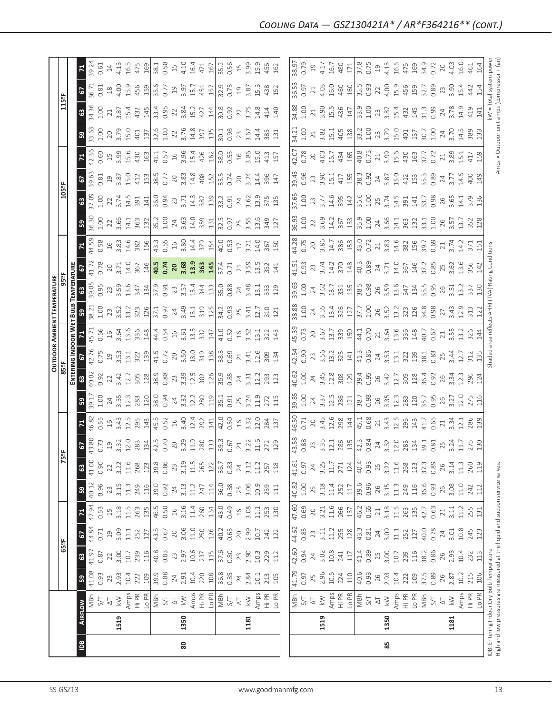|                                                                               |                |                                |                 |            |                |                 |            |            |              |                |                |                   |                  |                              | OUTDOOR AMBIENT TEMPERATURE                       |                                           |                   |                   |                  |                           |              |              |                                             |                   |                 |                                                      |
|-------------------------------------------------------------------------------|----------------|--------------------------------|-----------------|------------|----------------|-----------------|------------|------------|--------------|----------------|----------------|-------------------|------------------|------------------------------|---------------------------------------------------|-------------------------------------------|-------------------|-------------------|------------------|---------------------------|--------------|--------------|---------------------------------------------|-------------------|-----------------|------------------------------------------------------|
|                                                                               |                |                                |                 | 65°F       |                |                 |            | K          | 빬            |                |                |                   | 85°F             |                              |                                                   | 95°F                                      |                   |                   |                  | 105°F                     |              |              |                                             | 115°F             |                 |                                                      |
|                                                                               |                |                                |                 |            |                |                 |            |            |              |                |                |                   |                  | ENTERING INDOOR WET BULB     |                                                   | TEMPERATURE                               |                   |                   |                  |                           |              |              |                                             |                   |                 |                                                      |
| $\overline{a}$                                                                | <b>AIRFLOW</b> |                                | ${\tt s3}$      | 63         | 67             | <b>R</b>        | ${\tt S}$  | 63         | 2            |                | S <sub>9</sub> | ය                 | 5                |                              | S9                                                | ඎ                                         | 5                 | $\mathbf{z}$      | S,               | $\boldsymbol{\mathsf{s}}$ | 2            |              | ${\tt S3}$                                  | $\mathbf{3}$      | 2               |                                                      |
|                                                                               |                | MBh                            | 41.08<br>0.93   | 41.97      | 44.84          | 47.94           | 40.12      | 41.00      | 43.80        | 46.82          | 39.17          | 40.02             | 42.76            | 45.71                        | 38.21                                             | 39.05                                     | 41.72             | 44.59             | 36.30            | 37.09                     | 39.63        | 42.36        | 33.63                                       | 34.36             | 36.71           | 39.24                                                |
|                                                                               |                | 5/7                            |                 | 0.87       | 0.71           | 0.53            | 0.96       | 0.90       | 0.73         | 0.55           | 1.00           | 0.92              | 0.75             | 0.56                         | 1.00                                              | 0.95                                      | 0.78              | 0.58              | 1.00             | 1.00                      | 0.81         | 0.60         | 1.00                                        | 1.00              | 0.81            | 0.61                                                 |
|                                                                               |                | $\overline{\circ}$             | 23              | 22         | $\overline{c}$ | $\overline{15}$ | 23         | 22         | $\Xi$        | $\frac{16}{1}$ | 24             | 22                | $\overline{c}$   | $\frac{16}{1}$               | 23<br>3.52                                        | 23                                        | 20                | $\frac{16}{1}$    | 22               | $\overline{2}$            | 19<br>3.87   | $15$<br>3.99 | $20$                                        | 21                | $^{28}$         | $\ensuremath{\mathop{\mathop{\mathbf{1}}}\nolimits}$ |
|                                                                               | 1519           | $\lesssim$                     | 2.93            | 3.00       | 3.09           | 3.18            | 3.15       | 3.22       | 3.32         | 3.43           | 3.35           | 3.42              | 3.53             | 3.64                         |                                                   | 3.59                                      | 3.71              | 3.83              | 3.66             | 3.74                      |              |              | 3.79                                        | 3.87              | 4.00            | 4.13                                                 |
|                                                                               |                | Amps<br>Hi PR                  | 10.4            | $10.7$     | 11.1           | 11.5            | 11.3       | $11.6$     | 12.0         | 12.5           | 12.3           | 12.7              | 13.1             | 13.6                         | 13.2                                              | 13.6                                      | 14.0              | 14.6              | 14.1             | 14.5                      | 15.0         | 15.6         | 15.0                                        | 15.4              | 15.9            | 16.5                                                 |
|                                                                               |                |                                | 109<br>222      | 239<br>116 | 252<br>127     | 263<br>135      | 249<br>116 | 268<br>123 | 283<br>134   | 295<br>143     | 283<br>120     | 305<br>128        | 322<br>139       | 336                          | 126<br>323                                        | 134<br>347                                | 146<br>367        | 382<br>156        | 363<br>132       | 391<br>141                | 412<br>153   | 430<br>163   | 401<br>137                                  | 145<br>432        | 456<br>159      | 475<br>169                                           |
|                                                                               |                | Lo PR                          | 39.9            | 40.8       | 43.5           | 46.5            | 39.0       | 39.8       | 42.5         | 45.5           | 38.0           | 38.9              | 41.5             | 148                          |                                                   |                                           | 40.5              |                   | 35.2             | 36.0                      | 38.5         | 41.1         | 32.6                                        | 33.4              | 35.6            | 38.1                                                 |
|                                                                               |                | $\frac{27}{15}$                | 0.88            | 0.83       | 0.67           | 0.50            | 0.92       | 0.86       | 0.70         | 0.52           | 0.94           | 0.88              | 0.72             |                              | 37.1<br>0.97                                      | 37.9<br>0.91                              | 0.74              | 43.3<br>0.55      | 1.00             | 0.94                      | 0.77         | 0.57         | 1.00                                        | 0.95              | 0.77            | 0.58                                                 |
|                                                                               |                | $\overline{\circ}$             | $\overline{24}$ | 23         | 20             | $\frac{16}{1}$  | 24         | 23         | 20           | 16             | 24             | 23                | $20$             |                              | 24                                                | 23                                        | 20                | $16$              | 24               | 23                        | 20           | $16$         | 22                                          | 22                | $\overline{19}$ | $15$                                                 |
| 80                                                                            | 1350           | $\geqslant$                    | 2.91            | 2.97       | 3.06           | 3.16            | 3.13       | 3.19       | 3.29         | 3.40           | 3.32           | 3.39              |                  | $44.4$<br>0.54<br>16<br>3.61 | 3.49                                              | 3.57                                      | 3.68              | 3.80              | 3.63             | 3.71                      | 3.83         | 3.96         | 3.76                                        | 3.84              | 3.97            | 4.10                                                 |
|                                                                               |                | Amps                           | 10.4            | 10.6       | $11.0$         | 11.4            | 11.2       | $11.5$     | 11.9         | 12.4           | 12.2           | 12.5              | $3.50$<br>$13.0$ | 13.5                         | 13.1                                              | 13.4                                      | 13.9              | 14.4              | 14.0             | 14.3                      | 14.8         | 15.4         | 14.8                                        | 15.2              | 15.7            | 16.4                                                 |
|                                                                               |                | Hi PR                          | 220             | 237        | 250            | 260             | 247        | 265        | 280          | 292            | 280            | 302               | 319              | 332                          |                                                   | 344                                       | 363               | 379               | 359              | 387                       |              |              |                                             | 427               |                 | 471                                                  |
|                                                                               |                | Lo PR                          | 108             | 115        | 126            | 134             | 114        | 122        | 133          | 141            | 119            | 126               | 138              | 147                          | 319                                               | 133                                       | 145               | 154               | 131              | 139                       | 408          | 426<br>162   | 397                                         | 144               | 451<br>157      | 167                                                  |
|                                                                               |                |                                | 36.8            | 37.6       | 40.2           | 43.0            | 36.0       | 36.7       | 39.3         | 42.0           | 35.1           |                   | 38.3             |                              |                                                   | 35.0                                      | 37.4              | 40.0              | 32.5             | 33.2                      | 35.5         | 38.0         | 30.1                                        | 30.8              | 32.9            | 35.2                                                 |
|                                                                               |                | $\frac{1}{2}$ igh              | 0.85            | 0.80       | 0.65           | 0.49            | 0.88       | 0.83       | 0.67         | 0.50           | 0.91           | 35.9<br>0.85      | 0.69             |                              | 34.2<br>0.93                                      | 0.88                                      | 0.71              | 0.53              | 0.97             | 0.91                      | 0.74         | 0.55         | 0.98                                        | 0.92              | 0.75            | 0.56                                                 |
|                                                                               |                | $\overline{\Delta}$            | 24              | 23         | $20\,$         | $16$            | 25         | 24         | 21           | $16$           | 25             | 24                | $\gtrsim$        |                              |                                                   | $\overline{24}$                           | $\gtrsim$         | $\overline{17}$   | 25               | 24                        | 20           |              | 23                                          | 22                | $\overline{19}$ | $15$                                                 |
|                                                                               | 1181           | $\leqslant$                    | 2.84            | 2.90       | 2.99           | 3.08            | 3.06       | 3.12       | 3.22         | 3.32           | 3.24           | $3.\overline{3}1$ | 3.41             | $41.0$<br>0.52<br>16<br>3.52 | $25$<br>3.41                                      | 3.48                                      | 3.59              | 3.71              | 3.55             | 3.62                      | 3.74         | 16<br>3.86   | 3.67                                        | 3.75              | 3.87            | 3.99                                                 |
|                                                                               |                | Amps                           | 10.1            | 10.3       | 10.7           | 11.1            | 10.9       | 11.2       | 11.6         | 12.0           | 11.9           | 12.2              | 12.6             | 13.1                         | 12.7                                              | $\overline{13.1}$                         | 13.5              | 14.0              | 13.6             | 13.9                      | 14.4         | <b>L5.0</b>  | 14.4                                        | 14.8              | 15.3            | 15.9                                                 |
|                                                                               |                | Hi PR                          | 213             | 229        | 242            | 253             | 239        | 257        | 272          | 284            | 272            | 293               | 309              | 322                          | 310                                               | 333                                       | 352               | 367               | 349              | 375                       | 396          | 413          | 385                                         | 414               | 438             | 456                                                  |
|                                                                               |                | Lo PR                          | 105             | 112        | 122            | 130             | 111        | 118        | 129          | 137            | 115            | 123               | 134              | 143                          | 121                                               | 129                                       | 141               | 150               | 127              | 135                       | 147          | 157          | 131                                         | 140               | 152             | 162                                                  |
|                                                                               |                |                                |                 |            |                |                 |            |            |              |                |                |                   |                  |                              |                                                   |                                           |                   |                   |                  |                           |              |              |                                             |                   |                 |                                                      |
|                                                                               |                |                                | 41.79           | 42.60      | 44.62          | 47.60           | 40.82      | 41.61      | 43.58        | 46.50          | 39.85          | 40.62             | 42.54            | 45.39                        | 38.88                                             | 39.63                                     | 41.51             | 44.28             | 36.93            | 37.65                     | 39.43        | 42.07        | 34.21                                       | 34.88             | 36.53           | 38.97                                                |
|                                                                               |                | $\frac{27}{980}$               | 0.97            | 0.94       | 0.85           | 0.69            | $1.00$     | 0.97       | 0.88         | 0.71           | 1.00           | 1.00              | 0.90             | 0.73                         | 1.00                                              | 1.00                                      | 0.93              | 0.75              | 1.00             | 1.00                      | 0.96         | 0.78         |                                             | 1.00              | 0.97            | 0.79                                                 |
|                                                                               |                | $\Delta \mathbb{T}$            | 25              | 24         | 23             | 20              | 25         | 24         | 23           | 20             | 24             | 24                | 23               | 20                           | $24\,$                                            | 24                                        | 23                | $20\,$            | 22               | 23                        | 23           | 20           | $21\,$                                      | $21\,$            | 21              | 19                                                   |
|                                                                               | 1519           | $\stackrel{\textstyle<}{\sim}$ | 2.96            | 3.02       | 3.11           | 3.21            | 3.18       | 3.25       | 3.35         | 3.45           | 3.37           | 3.45              |                  |                              | 3.55                                              | 3.62                                      | 3.74              |                   | 3.69             | 3.77                      | 3.90         | 4.03         |                                             | 3.90              | 4.03            | 4.17                                                 |
|                                                                               |                |                                | $10.5$          | 10.8       | 11.2           | 11.6            | 11.4       | $11.7\,$   | 12.1         | 12.6           | 12.5           | 12.8              | 3.56<br>13.2     | $3.67$<br>$13.7$             | 13.4                                              | 13.7                                      | 14.2              | 3.86<br>14.7      | 14.2             | 14.6                      | 15.1         | 15.7         | $3.82$<br>15.1                              | 15.5              | 16.0            | 16.7                                                 |
|                                                                               |                | Amps<br>Hi PR                  | 224             | 241        | 255            | 266             | 252        | 271        | 286          | 298            | 286            | 308               | 325              |                              | 326                                               | $\begin{array}{c} 351 \\ 135 \end{array}$ | 370               | 386               | 367              | 395                       | 417          | 434<br>165   | 405                                         | 436               | 460             | 480                                                  |
|                                                                               |                | Lo PR                          | 110             | 117        | 128            | 137             | 117        | 124        | 135          | 144            | 121            | 129               | 141              | 339                          | 127                                               |                                           | 148               | 158               | 133              | 142                       | 155          |              | 138                                         | 147               | 160             | 171                                                  |
|                                                                               |                | MBh                            | 40.6            | 41.4       | 43.3<br>0.81   | 46.2<br>0.65    | 39.6       | 40.4       | 42.3<br>0.84 | 45.1           | 38.7           | 39.4<br>0.95      | 41.3<br>0.86     | 44.1<br>0.70                 | 37.7<br>1.00                                      | 38.5<br>0.98                              | 40.3<br>0.89      | 43.0<br>0.72      | $35.9$<br>$1.00$ | 36.6<br>1.00              | 38.3<br>0.92 | 40.8<br>0.75 | 33.2<br>1.00                                | 33.9<br>1.00      | 35.5<br>0.93    | 37.8<br>0.75                                         |
|                                                                               |                | $5\sqrt{ }$                    | 0.93            | 0.89       |                |                 | 0.96       | 0.93       |              | 0.68           |                |                   |                  |                              |                                                   |                                           |                   |                   |                  |                           |              |              |                                             |                   |                 |                                                      |
|                                                                               |                | $\overline{\Delta}$            | 26              | 25         | 24             | $\gtrsim$       | 26         | 25         | 24<br>3.32   | $21\,$         | 26<br>3.35     | 26                | $\overline{24}$  | $21$<br>$3.64$               | 26                                                | 26<br>3.59                                | $\frac{24}{3.71}$ | $\frac{21}{3.83}$ | 24<br>3.66       | 25                        | 24           | $21$<br>3.99 | 23                                          | 23                | 22              | $\overline{19}$                                      |
| 85                                                                            | 1350           | $\leq$                         | 2.93            | 3.00       | 3.09           | 3.18            | 3.15       | 3.22       |              | 3.43           |                | 3.42              | 3.53             |                              | 3.52                                              |                                           |                   |                   |                  | 3.74                      | 3.87         |              | 3.79                                        | 3.87              | 4.00            | 4.13                                                 |
|                                                                               |                |                                | 10.4            | 10.7       | $11.1$         | $11.5$          | $11.3$     | $11.6$     | 12.0         | 12.5<br>295    | 12.3           | 12.7              | 13.1             | 13.6                         | 13.2                                              | 13.6                                      | 14.0              | 14.6              | 14.1<br>363      | 14.5                      | 15.0         |              | 15.0                                        | 15.4              | 15.9            | 16.5                                                 |
|                                                                               |                | Amps<br>Hi PR                  | 222             | 239        | 252            | 263             | 249        | 268        | 283          |                | 283            | 305               | 322              | 336                          | 323                                               | 347                                       | 367               | 382               |                  | 391                       | 412          | 15.6<br>430  | 401                                         | 432               | 456<br>159      | 475                                                  |
|                                                                               |                | Lo PR                          | 109             | 116        | 127            | 135             | 116        | 123        | 134          | 143            | 120            | 128               | 139              | 148                          | 126                                               | 134                                       | 146               | 156               | 132              | 141                       | 153          | 163          | 137                                         | 145               |                 | $\frac{169}{2}$                                      |
|                                                                               |                | N <sub>S</sub><br>S/T          | 37.5            | 38.2       | 40.0           | 42.7            | 36.6       | 37.3       | 39.1         | 41.7           | 35.7           | 36.4              | 38.1             | 40.7                         | 34.8<br>0.98                                      | 35.5                                      | 37.2              | $\sqrt{39.7}$     | 33.1             | 33.7                      | 35.3         | 37.7         | 30.7                                        | 31.3              | 32.7            | 34.9                                                 |
|                                                                               |                |                                | 0.89            | 0.86       | 0.78           | 0.63            | 0.93       | 0.89       | 0.81         | 0.65           | 0.95           | 0.92              | 0.83             | 0.67                         |                                                   | 0.95                                      | 0.85              | 0.69              | 1.00             | 0.98                      | 0.89         | 0.72         | 1.00                                        | 0.99              | 0.89            | 0.72                                                 |
|                                                                               |                | $\overline{\triangle}$         | 26              | 26         | 24             | 21              | 26         | 26         | 25           | 21             | 26             | 26                | 25               | 21                           | 27                                                | 26                                        | 25                | 21                | 26               | 26                        | 24           | 21           | 24                                          | 24                | 23              | 20                                                   |
|                                                                               | 1181           | $\leqslant$                    | 2.87            | 2.93       | 3.01           | 3.11            | 3.08       | 3.14       | 3.24         | 3.34           | 3.27           | 3.34              | 3.44             | 3.55                         | 3.43                                              | 3.51                                      | 3.62              | 3.74              | 3.57             | 3.65                      | 3.77         | 3.89         | 3.70                                        | 3.78              | 3.90            | 4.03                                                 |
|                                                                               |                | Amps                           | 10.2            | 10.4       | 10.8           | 11.2            | $11.0$     | 11.3       | 11.7         | 12.1           | 12.0           | 12.3              | 12.7             | 13.2                         | 12.9                                              | 13.2                                      | 13.6              | 14.2              | 13.7             | 14.1                      | 14.5         | 15.1         | 14.5                                        | 14.9              | 15.4            | 16.0                                                 |
|                                                                               |                | Hi PR                          | 215             | 232        | 245            | 255             | 242        | 260        | 275          | 286<br>139     | 275            | 296               | 312              | 326                          | 313                                               | 337                                       | 356               | 371               | 352<br>128       | 379<br>136                | 400          | 417<br>159   | 389<br>133                                  | 419               | 442             | 461                                                  |
|                                                                               |                | LO PR                          | 106             | 113        | 123            | 131             | 112        | 119        | 130          |                | 116            | 124               | 135              | 144                          |                                                   |                                           |                   |                   |                  |                           | 149          |              |                                             | 141               | 154             | 164                                                  |
| IDB: Entering Indoor Dry Bulb Temperature                                     |                |                                |                 |            |                |                 |            |            |              |                |                |                   |                  |                              | Shaded area reflects AHRI (TVA) Rating Conditions |                                           |                   |                   |                  |                           |              |              |                                             | kW = Total system |                 | powe                                                 |
| High and low pressures are measured at the liquid and suction service valves. |                |                                |                 |            |                |                 |            |            |              |                |                |                   |                  |                              |                                                   |                                           |                   |                   |                  |                           |              |              | Amps = Outdoor unit amps (compressor + fan) |                   |                 |                                                      |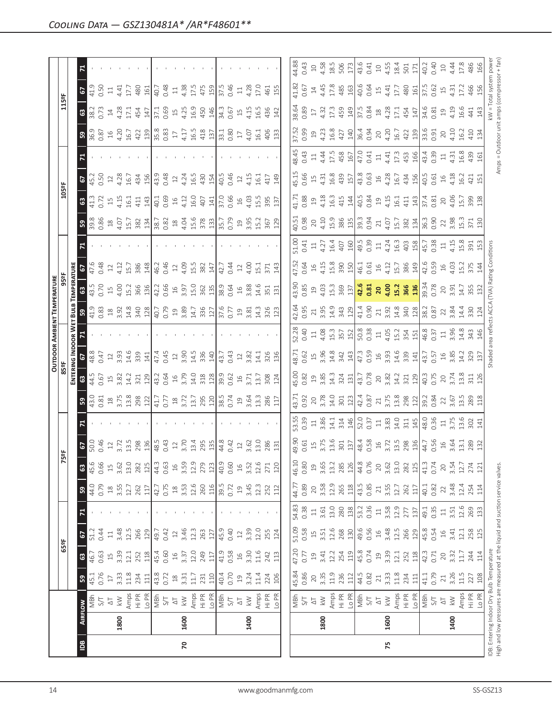|                |      |                                                                                                                            |                                                                              |                    |                |              |                    |                           |                      |                |                                                                 |                 |                                           |                                    | <b>OUTDOOR AMBIENT TEMPERATURE</b>                                              |                            |               |                |                   |                           |              |              |                                             |                                                      |              |                                              |
|----------------|------|----------------------------------------------------------------------------------------------------------------------------|------------------------------------------------------------------------------|--------------------|----------------|--------------|--------------------|---------------------------|----------------------|----------------|-----------------------------------------------------------------|-----------------|-------------------------------------------|------------------------------------|---------------------------------------------------------------------------------|----------------------------|---------------|----------------|-------------------|---------------------------|--------------|--------------|---------------------------------------------|------------------------------------------------------|--------------|----------------------------------------------|
|                |      |                                                                                                                            |                                                                              | 65°F               |                |              |                    | k,                        | 능                    |                |                                                                 | 85°F            |                                           |                                    |                                                                                 | 95°F                       |               |                |                   | 105°F                     |              |              |                                             | 115°F                                                |              |                                              |
|                |      |                                                                                                                            |                                                                              |                    |                |              |                    |                           |                      |                |                                                                 |                 |                                           | ENTERING INDOOR WET                | <b>Buus</b>                                                                     | TEMPERATURE                |               |                |                   |                           |              |              |                                             |                                                      |              |                                              |
| $\overline{a}$ |      | <b>AIRFLOW</b>                                                                                                             | ${\tt S}$                                                                    | $\mathbbmss{3}$    | 67             |              | <b>S</b>           | $\boldsymbol{\mathbb{S}}$ | $\mathbf{c}$         |                | 59                                                              | ${\tt G}$       | <b>G</b>                                  | $\mathbf{z}$                       | <b>S</b>                                                                        | $\mathbbmss{3}$            | 2             |                | ${\tt S}$         | $\mathbf{G}$              | 67           |              | 59                                          | $\mathbb{S}^3$                                       | 2            | $\mathbf{z}$                                 |
|                |      | MBh                                                                                                                        | 45.1                                                                         | 46.7               | 51.2           |              | 44.0               | 45.6                      | 50.0                 |                | 43.0                                                            | 44.5            | 48.8                                      |                                    | 41.9                                                                            | 43.5<br>0.70               | 47.6          |                | 39.8              | 41.3                      | 45.2         |              | 36.9<br>0.87                                | 38.2                                                 | 41.9         |                                              |
|                |      | 5/7                                                                                                                        | 0.76                                                                         | 0.63               | 0.44           |              | 0.79               | 0.66                      | 0.46                 |                | 0.81                                                            | 0.67            | 0.47                                      |                                    | 0.83                                                                            |                            | 0.48          |                | 0.86              | 0.72                      | 0.50         |              |                                             | 0.73                                                 | 0.50         |                                              |
|                |      | $\overleftarrow{\!\!\!\!\sim}$                                                                                             | $17\,$                                                                       | $\Xi$              | $\Box$         |              | $18$<br>3.55       | $15$                      |                      |                |                                                                 | $15$<br>3.82    | 12                                        |                                    |                                                                                 | $\overline{15}$            | $12\,$        |                | $\frac{18}{4.07}$ | $\overline{\Box}$         | $12$         |              | $16$<br>4.20                                | $\ensuremath{\mathop{\mathop{\mathbf{1}}}\nolimits}$ | $\Xi$        |                                              |
|                | 1800 | $\lesssim$                                                                                                                 | 3.33                                                                         | 3.39               | 3.48           |              |                    | 3.62                      | 3.72                 |                | $18$<br>$3.75$                                                  |                 | 3.93                                      |                                    |                                                                                 | 4.00                       | 4.12          |                |                   | 4.15                      | 4.28         |              |                                             | 4.28                                                 | 4.41         |                                              |
|                |      |                                                                                                                            | 11.8                                                                         | 12.1               | 12.5           |              |                    | 13.0                      | 13.5                 |                |                                                                 | 14.2            | 14.6                                      |                                    |                                                                                 | 15.2                       | 15.7          |                | 15.7              | 16.1                      | 16.7         |              | 16.7                                        | 17.1                                                 | 17.7         |                                              |
|                |      | Amps<br>Hi PR                                                                                                              | 234                                                                          | 252                | 266            |              | 12.7               | 282                       | 298                  |                |                                                                 | 321             | 339                                       |                                    |                                                                                 | 366                        | 386           |                | 382               | 411                       | 434          |              | 422                                         | 454                                                  | 480          |                                              |
|                |      |                                                                                                                            | $\Xi$                                                                        |                    | 129            |              | 117                | 125                       | 136                  |                | $\begin{array}{c} 13.8 \\ 298 \\ 12 \end{array}$                | 129             | 141                                       |                                    | $\begin{array}{c} 28 \\ 21 \\ 23 \\ 34 \\ 40 \\ 54 \\ 61 \\ \hline \end{array}$ | 136                        | 148           |                | 134               | 143                       | 156          |              |                                             | 147                                                  | 161          |                                              |
|                |      | 이들                                                                                                                         | 43.8                                                                         | $\frac{118}{45.4}$ | 49.7           |              | 42.7               | 44.3                      | 48.5                 |                | 41.7                                                            | 43.2            | 47.4                                      |                                    |                                                                                 | 42.2                       | 46.2          |                | 38.7              | 40.1                      | 43.9         |              | $\frac{139}{35.8}$                          | 37.1                                                 | 40.7         |                                              |
|                |      |                                                                                                                            | 0.72                                                                         | 0.60               | 0.42           |              | 0.75               | 0.63                      | 0.43                 |                | 0.77                                                            | 0.64            | 0.45                                      |                                    | 40.79                                                                           | 0.66                       | 0.46          |                | 0.82              | 0.69                      | 0.48         |              |                                             | 0.69                                                 | 0.48         |                                              |
|                |      | $\overline{\triangle}$                                                                                                     | $\ensuremath{\mathop{\boxtimes}\limits^{\mathop{\mathop{\rm SO}}\nolimits}}$ | $16$               | $\supseteq$    |              | $\frac{\infty}{2}$ | $\frac{16}{2}$            | 12                   |                | $^{28}$                                                         | $16$            | $12\,$                                    |                                    | $\overline{19}$                                                                 | $16$                       |               |                | $\frac{8}{10}$    | 16                        | 12           |              | $17\,$                                      | $15$                                                 | $\Xi$        |                                              |
| 20             | 1600 | $\leqslant$                                                                                                                | 3.31                                                                         | 3.37               | 3.46           |              | 3.53               | 3.59                      | 3.70                 |                | 3.72                                                            | 3.79            | 3.90                                      |                                    |                                                                                 | 3.97                       | 4.09          |                |                   | 4.12                      | 4.24         |              | 4.17                                        | 4.25                                                 | 4.38         |                                              |
|                |      | Amps                                                                                                                       | $11.7\,$                                                                     | 12.0               | 12.3           |              | 12.6               | 12.9                      | 13.4                 |                |                                                                 | 14.0            | 14.5                                      |                                    | $3.89$<br>14.7                                                                  | 15.0                       | 15.5          |                | 4.04<br>15.6      | 16.0                      | 16.5         |              | 16.5                                        | 16.9                                                 | 17.5         |                                              |
|                |      | Hi PR                                                                                                                      | 231                                                                          | 249                | 263            |              | 260<br>116         | 279                       | 295                  |                | 13.7<br>295<br>120                                              |                 | 336                                       |                                    | 336                                                                             | 362                        | 382           |                | 378               | 407                       | 430          |              | 418                                         | 450                                                  | 475          |                                              |
|                |      | Lo PR                                                                                                                      | 110                                                                          | 117                | 127            |              |                    | 123                       | 135                  |                |                                                                 | 318             | 140                                       |                                    | 127                                                                             | 135                        | 147           |                | 133               | 141                       | 154          |              | 137                                         | 146                                                  | 159          |                                              |
|                |      | MBh                                                                                                                        | 40.4                                                                         | 41.9               | 45.9           |              | 39.5<br>0.72       | 40.9                      | 44.8                 |                | $\frac{38.5}{0.74}$                                             | 39.9            | 43.7                                      |                                    | $\frac{37.6}{0.77}$                                                             | 38.9                       | 42.7          |                | 35.7<br>0.79      | 37.0                      | 40.5         |              | 33.1<br>0.80                                | 34.3                                                 | 37.5         |                                              |
|                |      | $5\sqrt{ }$                                                                                                                | 0.70                                                                         | 0.58               | 0.40           |              |                    | 0.60                      | 0.42                 |                |                                                                 | 0.62            | 0.43                                      |                                    |                                                                                 | 0.64                       | 0.44          |                |                   | 0.66                      | 0.46         |              |                                             | 0.67                                                 | 0.46         |                                              |
|                |      | $\overline{\circ}$                                                                                                         | $\Xi$                                                                        | $\Xi$              | $12$           |              | $\mathfrak{Q}$     | $16$                      | $12$                 |                | $\mathfrak{Q}$                                                  | $16$            | $12$                                      |                                    |                                                                                 | $\exists$                  | $12$          |                | $\Xi$             | $\frac{16}{1}$            |              |              | $17\,$                                      | $15$                                                 | $\Xi$        |                                              |
|                | 1400 | $\lesssim$                                                                                                                 | 3.24                                                                         | 3.30               | 3.39           |              | 3.45               | 3.52                      | 3.62                 |                | 3.64                                                            | 3.71            | 3.82                                      |                                    | $\begin{array}{c} 25 \\ 3.81 \end{array}$                                       | 3.88                       | 4.00          |                |                   | 4.03                      | 4.15         |              | 4.07                                        | 4.15                                                 | 4.28         |                                              |
|                |      | Amps                                                                                                                       | 11.4                                                                         | 11.6               | 12.0           |              | 12.3               | 12.6                      | 13.0                 |                | 13.3                                                            | 13.7            | 14.1                                      |                                    | 14.3                                                                            | 14.6                       | 15.1          |                | 3.95<br>15.2      | 15.5                      | 16.1         |              | 16.1                                        | 16.5                                                 | 17.0         |                                              |
|                |      |                                                                                                                            | 224                                                                          | 242                | 255            |              | 252                | 271                       | 286                  |                | 286                                                             | 308             | 326                                       |                                    | 326                                                                             | 351                        | 371           |                | 367               | 395                       | 417          |              | 406                                         | 436                                                  | 461          |                                              |
|                |      | Hi PR<br>Lo PR                                                                                                             | 106                                                                          | 113                | 124            |              | 112                | 120                       | 131                  |                | 117                                                             | 124             | 136                                       |                                    | 123                                                                             | 131                        | 143           |                | 129               | 137                       | 149          |              | 133                                         | 142                                                  | 155          |                                              |
|                |      |                                                                                                                            |                                                                              |                    |                |              |                    |                           |                      |                |                                                                 |                 |                                           |                                    |                                                                                 |                            |               |                |                   |                           |              |              |                                             |                                                      |              |                                              |
|                |      |                                                                                                                            | 45.84<br>0.86                                                                | 47.20              | 51.09          | 54.83        | 44.77              | 46.10                     | 49.90                | 53.55          | 43.71                                                           | 45.00           | 48.71                                     | 52.28                              | 42.64                                                                           | 43.90                      | 47.52         | 51.00          | 40.51             | 41.71                     | 45.15        | 48.45        | 37.52                                       | 38.64                                                | 41.82        | 44.88                                        |
|                |      | 지 것<br>자동                                                                                                                  |                                                                              | 0.77               | 0.58           | 0.38         | 0.89               | 0.80                      | 0.61                 | 0.39           | 0.92                                                            | 0.82            | 0.62                                      | 0.40                               | 0.95                                                                            | 0.85                       | 0.64          | 0.41           | 0.98              | 0.88                      | 0.66         | 0.43         | 0.99                                        | 0.89                                                 | 0.67         | 0.43                                         |
|                |      |                                                                                                                            | 20                                                                           | $\overline{c}$     | $\Xi$          | $\Xi$        | $20$               | 19                        | $\Xi$                | $\Xi$          | 20                                                              | $\overline{a}$  | $15$                                      | $\Xi$                              | 21                                                                              | $\mathfrak{Q}$             | $\frac{6}{1}$ | $\Xi$          | $20\,$            | 19                        | $\Xi$        | $\Xi$        | $\overline{a}$                              | $\overline{\mathbb{L}}$                              | $14\,$       | $\square$                                    |
|                | 1800 | $\leqslant$                                                                                                                | 3.35                                                                         | 3.41               | 3.51           | 3.61         | 3.58               | 3.65                      | 3.75                 | 3.86           | 3.78                                                            | 3.85            | 3.96                                      | 4.08<br>15.3                       | 3.95                                                                            | 4.03                       | 4.15          | 4.27           | 4.10              | 4.18                      | 4.31         |              | 4.23                                        | 4.32                                                 | 4.45         | 4.58                                         |
|                |      | Amps                                                                                                                       | 11.9                                                                         | 12.2               | 12.6           | 13.0         | 12.9               | 13.2                      | 13.6                 | 14.1           | 14.0                                                            | 14.3            | 14.8                                      |                                    | 14.9                                                                            | 15.3                       | 15.8          | 16.4           | 15.9              | 16.3                      | 16.8         | 4.44<br>17.5 | 16.8                                        | 17.3                                                 | 17.8         | 18.5                                         |
|                |      | Hi PR<br>Lo PR                                                                                                             | 236                                                                          | 254                | 268            | 280          | 265                | 285                       | 301                  | 314            | 301                                                             | $324$<br>131    | 342                                       | 357                                | 343                                                                             | 369                        | 390<br>150    | 407            | 386               | 415                       | 439          | 458          | 427                                         | 459                                                  | 485          | 506                                          |
|                |      |                                                                                                                            | 112                                                                          | 119                | 130            | 138          | 118                | 126                       | 137                  | 146            | 123                                                             |                 | 143                                       | 152                                | 129                                                                             | 137                        |               | 160            | 135               | 144                       | 157          | 167          | 140                                         | 149                                                  | 163          | 173                                          |
|                |      | MBh                                                                                                                        | 44.5                                                                         | 45.8               | 49.6           | 53.2         | 43.5               | 44.8                      | 48.4<br>0.58         | 52.0<br>0.37   | 42.4<br>0.87                                                    | 43.7<br>0.78    | 47.3                                      |                                    | 41.4<br>0.90                                                                    | 42.6<br>0.81               | 46.1          | 49.5<br>0.39   | 39.3              | 40.5                      | 43.8         | 47.0         | 36.4<br>0.94                                | 37.5<br>0.84                                         | 40.6         | 43.6                                         |
|                |      | 5 <sub>1</sub>                                                                                                             | 0.82                                                                         | 0.74               | 0.56           | 0.36         | 0.85               | 0.76                      |                      |                |                                                                 |                 | 0.59                                      | $\frac{50.8}{0.38}$                |                                                                                 |                            | 0.61          |                | 0.94              | 0.84                      | 0.63         | 0.41         |                                             |                                                      | 0.64         | 0.41                                         |
|                |      | $\overline{\triangle}$                                                                                                     | $\geq 1$                                                                     | $\overline{c}$     | $\frac{16}{1}$ | $\Xi$        | $21\,$             | 20                        | $16$<br>3.72<br>13.5 | $\Xi$          |                                                                 | 20              | $\begin{array}{c} 16 \\ 3.93 \end{array}$ |                                    | $\gtrsim$                                                                       | $\overline{20}$            | $16$          | $\Xi$          | $21\,$            | $\overline{19}$           | $16$         | $\Xi$        | 20                                          | $^{28}$                                              | $15$         | $\supseteq$                                  |
| 75             | 1600 | $\lesssim$                                                                                                                 | 3.33                                                                         | 3.39               | 3.48           | 3.58<br>12.9 | $3.55$<br>$12.7$   | 3.62                      |                      | $3.83$<br>14.0 |                                                                 | 3.82            |                                           |                                    |                                                                                 |                            | 4.12          | $4.24$<br>16.3 | 4.07              | $4.15$<br>$16.1$<br>$411$ | 4.28<br>16.7 | 4.41         | 4.20                                        | $4.28$<br>17.1                                       | 4.41         | $4.55$<br>18.4                               |
|                |      | Amps<br>Hi PR                                                                                                              | $11.8$                                                                       | 12.1               | 12.5           |              |                    | 13.0                      |                      |                |                                                                 | 14.2            | 14.6                                      |                                    |                                                                                 |                            | 15.7          |                | 15.7              |                           |              | $17.3\,$     | 16.7                                        |                                                      | 17.7         |                                              |
|                |      | Lo PR                                                                                                                      | 234<br>111                                                                   | 118<br>252         | 266<br>129     | 277<br>137   | 262<br>117         | 282<br>125                | 298<br>136           | 145<br>311     | $\begin{array}{c} 21 \\ 3.75 \\ 13.8 \\ 298 \\ 122 \end{array}$ | 321<br>129      | 339<br>141                                | $4.05$<br>$15.2$<br>$354$<br>$151$ | $\begin{array}{c} 3.92 \\ 3.48 \\ 3.40 \\ 128 \end{array}$                      | 4.00<br>15.2<br>366<br>136 | 386<br>149    | 403<br>158     | 134<br>382        | 143                       | 434<br>156   | 453<br>166   | 139<br>422                                  | 454<br>147                                           | 480<br>161   | $\frac{501}{171}$                            |
|                |      |                                                                                                                            | 41.1                                                                         |                    |                |              |                    | 41.3                      | 44.7                 |                |                                                                 |                 |                                           |                                    |                                                                                 |                            |               |                |                   |                           |              |              |                                             |                                                      |              | 40.2                                         |
|                |      | NBh<br>S/T                                                                                                                 | 0.79                                                                         | 42.3<br>0.71       | 45.8<br>0.54   | 49.1<br>0.35 | 40.1<br>0.82       | 0.74                      | 0.56                 | 48.0<br>0.36   | 39.2<br>0.84                                                    | 40.3<br>0.75    | 43.7<br>0.57                              | 46.8<br>0.37                       | 38.2<br>0.87                                                                    | 39.34                      | 42.6<br>0.59  | 45.7<br>0.38   | 36.3<br>0.90      | 37.4<br>0.81              | 40.5<br>0.61 | 43.4<br>0.39 | $33.6$<br>0.91                              | 34.6<br>0.81                                         | 37.5<br>0.62 | 0.40                                         |
|                |      | $\overline{\sim}$                                                                                                          | $21\,$                                                                       | 20                 | $16$           | $\Xi$        | $22$               | 20                        | 16<br>3.64           | $\Xi$          | $22$<br>3.67                                                    | $rac{20}{3.74}$ | 16<br>3.85                                | $\frac{11}{3.96}$                  |                                                                                 |                            | $16$<br>4.03  | $\Xi$          | 22                | 20<br>4.06                | $16$<br>4.18 | $\Xi$        | $20\,$                                      | $\overline{c}$                                       | $\Xi$        | $\ensuremath{\mathop{\mathop{\mathbf{Cl}}}}$ |
|                | 1400 | $\leqslant$                                                                                                                | 3.26                                                                         | 3.32               | 3.41           | 3.51         | 3.48               | 3.54                      |                      | 3.75           |                                                                 |                 |                                           |                                    | $\frac{22}{3.84}$                                                               | $rac{20}{3.91}$            |               | 4.15           | 3.98              |                           |              | 4.31         | 4.10                                        | 4.19                                                 | 4.31         | 4.44                                         |
|                |      | Amps<br>Hi PR                                                                                                              | 11.5                                                                         | 11.7               | 12.1           | 12.6         | 12.4               | 12.7                      | 13.1                 | 13.6           | 13.5<br>289                                                     | 13.8            | 14.2                                      | 14.8                               | 14.4                                                                            | 14.7                       | 15.2          | 15.8           | 15.3              | 15.7                      | 16.2         | 16.8         | 16.2                                        | 16.6                                                 | 17.2         | 17.8                                         |
|                |      |                                                                                                                            | 227                                                                          | 244                | 258            | 269<br>133   | 254                | 274                       | 289                  | 302            |                                                                 | 311             | 329                                       | 343                                | 330                                                                             | 355                        | 375           | 391            | 371               | 399                       | 421          | 439          | 410<br>134                                  | 441                                                  | 466          | 486                                          |
|                |      | Lo PR                                                                                                                      | 108                                                                          | 114                | 125            |              | 114                | 121                       | 132                  | 141            | 118                                                             | 126             | 137                                       | 146                                | 124                                                                             | 132                        | 144           | 153            | 130               | 138                       | 151          | 161          |                                             | 143                                                  | 156          | 166                                          |
|                |      | High and low pressures are measured at the liquid and suction service valves.<br>IDB: Entering Indoor Dry Bulb Temperature |                                                                              |                    |                |              |                    |                           |                      |                |                                                                 |                 |                                           |                                    | Shaded area reflects ACCA (TVA) Rating Conditions                               |                            |               |                |                   |                           |              |              | Amps = Outdoor unit amps (compressor + fan) | kW = Total system powe                               |              |                                              |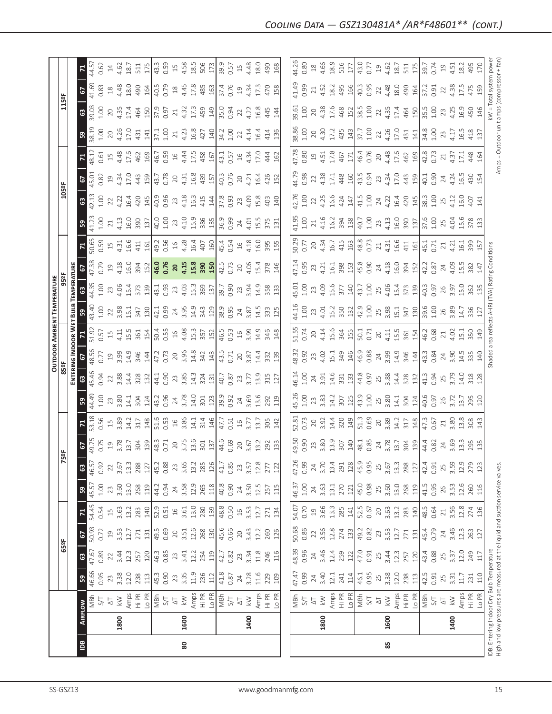|                                                                               |                |                             |             |            |              |                |              |                |               |                        |              |            |                |                          | OUTDOOR AMBIENT TEMPERATURE                       |                   |                |                |                |                        |                        |                           |                                             |                        |                                         |                |
|-------------------------------------------------------------------------------|----------------|-----------------------------|-------------|------------|--------------|----------------|--------------|----------------|---------------|------------------------|--------------|------------|----------------|--------------------------|---------------------------------------------------|-------------------|----------------|----------------|----------------|------------------------|------------------------|---------------------------|---------------------------------------------|------------------------|-----------------------------------------|----------------|
|                                                                               |                |                             |             | 65°F       |              |                |              | ĸ              | 능             |                        |              | 85°F       |                |                          |                                                   | 95 <sup>2</sup> F |                |                |                | 105°F                  |                        |                           |                                             | 115°F                  |                                         |                |
|                                                                               |                |                             |             |            |              |                |              |                |               |                        |              |            |                |                          | ENTERING INDOOR WET BULB TEMPERATURE              |                   |                |                |                |                        |                        |                           |                                             |                        |                                         |                |
| $\overline{a}$                                                                | <b>AIRFLOW</b> |                             | ${\tt S}^2$ | ශ          | 67           | $\mathbf{z}$   | ${\tt S}$    | $\mathbb{S}^3$ | 67            |                        | ဌ            | ය          | 5              | $\mathsf{z}$             | 59                                                | ශී                | င              | $\mathbf{z}$   | <b>S</b>       | 3                      | 2                      |                           | <b>S</b>                                    | ය                      | 2                                       | $\mathbf{z}$   |
|                                                                               |                | MBh                         | 46.66       | 47.67      | 50.93        | 54.45          | 45.57        | 46.57          | 49.75         | 53.18                  | 44.49        | 45.46      | 48.56          | 51.92                    | 43.40                                             | 44.35             | 47.38          | 50.65          | 41.23          | 42.13                  | 45.01                  | 48.12                     | 38.19                                       | 39.03                  | 41.69                                   | 44.57          |
|                                                                               |                | 5/1                         | 0.95        | 0.89       | 0.72         | 0.54           | $1.00$       | 0.92           | 0.75          | 0.56                   | 1.00         | 0.94       | 0.77           | 0.57                     | 1.00                                              | 1.00              | 0.79           | 0.59           | 1.00           | 1.00                   | 0.82                   | 0.61                      | 1.00                                        | 1.00                   | 0.83                                    | 0.62           |
|                                                                               |                | $\overline{\circ}$          | 3.38<br>23  | 3.44<br>22 | $\Xi$        | $\Xi$          | 23           | $22$           | 3.78<br>$\Xi$ | 3.89<br>$\overline{1}$ | 23           | 3.88<br>22 | $\overline{c}$ | $15$                     | 22                                                | 23                | $\overline{c}$ | 4.31<br>$\Xi$  | 4.13<br>$21\,$ | 4.22<br>$\overline{2}$ | 4.34<br>$\overline{c}$ | 4.48<br>$\overline{\Box}$ | $20$                                        | 20                     | $^{26}$                                 | $14$           |
|                                                                               | 1800           | Amps<br>$\lesssim$          | 12.0        | 12.3       | 3.53<br>12.7 | 3.63<br>13.2   | 3.60<br>13.0 | 13.3<br>3.67   | 13.7          | 14.2                   | 3.80<br>14.1 | 14.4       | 3.99<br>14.9   | 15.5<br>4.11             | 3.98<br>15.1                                      | 4.06<br>15.4      | 4.18<br>16.0   | 16.6           | 16.0           | 16.4                   | 17.0                   | 17.6                      | 4.26<br>17.0                                | 4.35<br>17.4           | 18.0<br>4.48                            | 4.62<br>18.7   |
|                                                                               |                | Hi PR                       | 238         | 257        | 271          | 283            | 268          | 288            | 304           | 317                    | 304          | 328        | 346            | 361                      | 347                                               | 373               | 394            | 411            | 390            | 420                    | 443                    | 462                       | 431                                         | 464                    | 490                                     | 511            |
|                                                                               |                | Lo PR                       | 113         | 120        | 131          | 140            | 119          | 127            | 139           | 148                    | 124          | 132        | 144            | 154                      | 130                                               | 139               | 152            | 161            | 137            | 145                    | 159                    | 169                       | 141                                         | 150                    | 164                                     | 175            |
|                                                                               |                | MBh                         | 45.3        | 46.3       | 49.5         |                | 44.2         | 45.2           | 48.3          | 51.6                   |              | 44.1       | 47.2           |                          | 42.1                                              | 43.1              |                | 49.2           | 40.0           | 40.9                   | 43.7                   | 46.7                      | 37.1                                        | 37.9                   | 40.5                                    | 43.3           |
|                                                                               |                | $\sqrt{S}$                  | 0.90        | 0.85       | 0.69         | 52.9<br>0.51   | 0.94         | 0.88           | 0.71          | 0.53                   | 43.2<br>0.96 | 0.90       | 0.73           | 50.4<br>0.55             | 0.99                                              | 0.93              | 46.0<br>0.76   | 0.56           | 1.00           | 0.96                   | 0.78                   | 0.59                      | 1.00                                        | 0.97                   | 0.79                                    | 0.59           |
|                                                                               |                | $\overline{\circ}$          | 23          | 23         | $20\,$       | $\mathfrak{g}$ | 24           | 23             | $20$          | $\frac{16}{1}$         | 24           |            | 20             | $\frac{1}{6}$            |                                                   |                   | 20             | $\exists$      | 23             | $23$                   | 20                     | $16$                      | 21                                          | 21                     | $\overset{\text{\tiny \textsf{SO}}}{-}$ | $\Xi$          |
| 80                                                                            | 1600           | $\lesssim$                  | 3.35        | 3.41       | 3.51         | 3.61           | 3.58         | 3.65           | 3.75          | 3.86                   | 3.78         | 23<br>3.85 | 3.96           | 4.08                     | 24<br>3.95                                        | $23$<br>4.03      | 4.15           | 4.28           | 4.10           | 4.18                   | 4.31                   | 4.44                      | 4.23                                        | 4.32                   | 4.45                                    | 4.58           |
|                                                                               |                | Amps                        | 11.9        | 12.2       | 12.6         | 13.0           | 12.9         | 13.2           | 13.6          | 14.1                   | 14.0         | 14.3       | 14.8           | 15.3                     | 14.9                                              | 15.3              | 15.8           | 16.4           | 15.9           | 16.3                   | 16.8                   | 17.5                      | 16.8                                        | 17.3                   | 17.8                                    | 18.5           |
|                                                                               |                | Hi PR                       | 236         | 254        | 268          | 280            | 265          | 285            | 301           | 314                    | 301          | 324        | 342            | 357                      | 343                                               | 369<br>137        | 390            | 407            | 386            | 415                    | 439                    | 458                       | 427                                         | 459                    | 485                                     | 506            |
|                                                                               |                | Lo PR                       | 112         | 119        | 130          | 139            | 118          | 126            | 137           | 146                    | 123          | 131        | 143            | 152                      | 129                                               |                   | 150            | 160            | 135            | 144                    | 157                    | 167                       | 140                                         | 149                    | 163                                     | 173            |
|                                                                               |                | MBh                         | 41.8        | 42.7       | 45.6         | 48.8           | 40.8         | 41.7           | 44.6          | 47.7                   | 39.9         | 40.7       | 43.5           | 46.5                     | 38.9                                              | 39.7              | 42.5           | 45.4           | 36.9           | 37.8                   | 40.3                   | 43.1                      | 34.2                                        | 35.0                   | 37.4                                    | 39.9           |
|                                                                               |                | 5/1                         | 0.87        | 0.82       | 0.66         | 0.50           | 0.90         | 0.85           | 0.69          | 0.51                   | 0.92         | 0.87       | 0.71           |                          | 0.95                                              | 0.90              | 0.73           | 0.54           | 0.99           | 0.93                   | 0.76                   | 0.57                      | 1.00                                        | 0.94                   | 0.76                                    | 0.57           |
|                                                                               |                | $\overleftarrow{\triangle}$ | 24          | 23         | $20$         | $\frac{16}{2}$ | 24           | 23             | 20            | $16$                   | 24           | 23         | $20$           |                          | $\overline{24}$                                   | 23                | $20$           | $\frac{16}{1}$ | 24             | 23                     | 20                     | $\frac{16}{2}$            | 22                                          | 22                     | $\overline{c}$                          | $15$           |
|                                                                               | 1400           | $\lesssim$                  | 3.28        | 3.34       | 3.43         | 3.53           | 3.50         | 3.57           | 3.67          | 3.77                   | 3.69         | 3.77       | 3.87           | $0.53$<br>$16$<br>$3.99$ | 3.87                                              | 3.94              | 4.06           | 4.18           | 4.01           | 4.09                   | 4.21                   | 4.34                      | 4.14                                        | 4.22                   | 4.34                                    | 4.48           |
|                                                                               |                | Amps                        | 11.6        | 11.8       | 12.2         | 12.7           | 12.5         | 12.8           | 13.2          | 13.7                   | 13.6         | 13.9       | 14.4           | 14.9                     | 14.5                                              | 14.9              | 15.4           | 16.0           | 15.5           | 15.8                   | 16.4                   | 17.0                      | 16.4                                        | 16.8                   | 17.3                                    | 18.0           |
|                                                                               |                | Hi PR                       | 229         | 246        | 260          | 271            | 257          | 277            | 292           | 305                    | 292          | 315        | 332            | 346                      | 333                                               | 358               | 378            | 395            | 375            | 403                    | 426                    | 444                       | 414                                         | 445                    | 470                                     | 490            |
|                                                                               |                | Lo PR                       | 109         | 116        | 126          | 134            | 115          | 122            | 133           | 142                    | 119          | 127        | 139            | 148                      | 125                                               | 133               | 146            | 155            | 131            | 140                    | 152                    | 162                       | 136                                         | 144                    | 158                                     | 168            |
|                                                                               |                |                             |             |            |              |                |              |                |               |                        |              |            |                |                          |                                                   |                   |                |                |                |                        |                        |                           |                                             |                        |                                         |                |
|                                                                               |                |                             | 47.47       | 48.39      | 50.68        | 54.07          | 46.37        | 47.26          | 49.50         | 52.81                  | 45.26        | 46.14      | 48.32          | 51.55                    | 44.16                                             | 45.01             | 47.14          | 50.29          | 41.95          | 42.76                  | 44.79                  | 47.78                     | 38.86                                       | 39.61                  | 41.49                                   | 44.26          |
|                                                                               |                | NBM<br>S/T                  | 0.99        | 0.96       | 0.86         | 0.70           | $1.00$       | 0.99           | 0.90          | 0.73                   | 1.00         | 1.00       | 0.92           | 0.74                     | 1.00                                              | 001               | 0.95           | 0.77           | 1.00           | 1.00                   | 0.98                   | 0.80                      | 1.00                                        | 1.00                   | 0.99                                    | 0.80           |
|                                                                               |                | $\overline{\triangle}$      | 24          | 24         | 22           | $\overline{c}$ | 24           | 24             | 23            | 20                     | 23           | 24         | 23             | 20                       | 23                                                | 23                | 23             | $20$           | 21             | 22                     | 22                     | $\overline{19}$           | 20                                          | 20                     | 21                                      | $^{28}$        |
|                                                                               | 1800           | $\lesssim$                  | 3.40        | 3.46       | 3.56         | 3.66           | 3.63         | 3.70           | 3.80          | 3.92                   | 3.83         | 3.91       | 4.02           | 4.14                     | 4.01                                              | 4.09              | 4.21           | 4.34           | 4.16           | 4.25                   | 4.38                   | 4.51                      | 4.30                                        | 4.38                   | 4.52                                    | 4.66           |
|                                                                               |                | Amps                        | 12.1        | 12.4       | 12.8         | 13.3           | 13.1         | 13.4           | 13.9          | 14.4                   | 14.2         | 14.6       | 15.1           | 15.6                     | 15.2                                              | 15.6              | 16.1           | 16.7           | 16.2           | 16.6                   | 17.1                   | 17.8                      | 17.2                                        | 17.6                   | 18.2                                    | 18.9           |
|                                                                               |                | Hi PR                       | 241         | 259        | 274          | 285            | 270          | 291            | 307           | 320                    | 307          | 331        | 349            | 364                      | 350                                               | 377               | 398            | 415            | 394            | 424                    | 448                    | 467                       | 435                                         | 468                    | 495                                     | 516            |
|                                                                               |                | Lo PR                       | 114         | 122        | $133$        | 141            | $121\,$      | 128            | 140           | 149                    | 125          | 133        | 146            | 155                      | 132                                               | 140               | 153            | 163            | 138            | 147                    | 160                    | 171                       | 143                                         | 152                    | 166                                     | 177            |
|                                                                               |                | MBh                         | 46.1        | 47.0       | 49.2         | 52.5           | 45.0         | 45.9           | 48.1          | 51.3                   | 43.9         | 44.8       | 46.9           | 50.1                     | 42.9                                              | 43.7              | 45.8           | 48.8           | 40.7           | 41.5                   | 43.5                   | 46.4                      | 37.7                                        | 38.5                   | 40.3                                    | 43.0           |
|                                                                               |                | 5/1                         | 0.95        | 0.91       | 0.82         | 0.67           | 0.98         | 0.95           | 0.85          | 0.69                   | 1.00         | 0.97       | 0.88           | 0.71                     | 1.00                                              | 1.00              | 0.90           | 0.73           | 1.00           | 1.00                   | 0.94                   | 0.76                      | 1.00                                        | 1.00                   | 0.95                                    | 0.77           |
|                                                                               |                | $\overline{\Delta}$         | $25$        | $25$       | 23           | $20\,$         | 25           | 25             | 24            | 20                     | 25           | 25         | $24\,$         | 20                       | 25                                                | 25                | 24             | $21\,$         | 23             | 24                     | 23                     | 20                        | 22                                          | 22                     | 22                                      | $\overline{c}$ |
| 85                                                                            | 1600           | $\lesssim$                  | 3.38        | 3.44       | 3.53         | 3.63           | 3.60         | 3.67           | 3.78          | 3.89                   | 3.80         | 3.88       | 3.99           | 4.11                     | 3.98                                              | 4.06              | 4.18           | 4.31           | 4.13           | 4.22                   | 4.34                   | 4.48                      | 4.26                                        | 4.35                   | 4.48                                    | 4.62           |
|                                                                               |                | Amps                        | 12.0        | 12.3       | 12.7         | 13.2           | 13.0         | 13.3           | 13.7          | 14.2                   | 14.1         | 14.4       | 14.9           | 15.5                     | 15.1                                              | 15.4              | 16.0           | 16.6           | 16.0           | 16.4                   | 17.0                   | 17.6                      | 17.0                                        | 17.4                   | 18.0                                    | 18.7           |
|                                                                               |                | Hi PR                       | 238         | 257        | 271          | 283            | 268          | 288            | 304           | 317                    | 304          | 328        | 346            | 361<br>154               | 347                                               | 373               | 394            | 411            | 390            | 420                    | 443                    | 462                       | 431                                         | 464                    | 490                                     | 511            |
|                                                                               |                | Lo PR                       | $113$       | 120        | 131          | 140            | 119          | 127            | 139           | 148                    | 124          | 132        | 144            |                          | 130                                               | 139               | 152            | 161            | 137            | 145                    | 159                    | 169                       | 141                                         | 150                    | 164                                     | 175            |
|                                                                               |                | MBh                         | 42.5        | 43.4       | 45.4         | 48.5           | 41.5         | 42.4           | 44.4          | 47.3                   | 40.6         | 41.3       | 43.3           | 46.2                     | 39.6                                              | 40.3              | 42.2           | 45.1           | 37.6           | 38.3                   | 40.1                   | 42.8                      | 34.8                                        | 35.5                   | 37.2                                    | 39.7           |
|                                                                               |                | 5/1                         | 0.91        | 0.88       | 0.79         | 0.64           | 0.95         | 0.91           | 0.82          | 0.67                   | 0.97         | 0.94       | 0.84           | 0.68                     | 1.00                                              | 0.97              | 0.87           | 0.71           | 1.00           | 1.00                   | 0.90                   | 0.73                      | 1.00                                        | 1.00                   | 0.91                                    | 0.74           |
|                                                                               |                | $\overline{\triangle}$      | 25          | 25         | 24           | $\geq 1$       | 26           | 25             | 24            | 21                     | 26           | 25<br>3.79 | $24\,$         | $21\,$                   | 26                                                | 26                | 24             | 21             | 25             | 25                     | 24                     | 21                        | 23                                          | 23                     | $\overline{2}$                          | $\Xi$          |
|                                                                               | 1400           | $\leqslant$                 | 3.31        | 3.37       | 3.46         | 3.56           | 3.53         | 3.59           | 3.69          | 3.80                   | 3.72         |            | 3.90           | 4.02                     | 3.89                                              | 3.97              | 4.09           | 4.21           | 4.04           | 4.12                   | 4.24                   | 4.37                      | 4.17                                        | 4.25                   | 4.38                                    | 4.51           |
|                                                                               |                | Amps                        | 11.7        | 12.0       | 12.3         | 12.8           | 12.6         | 12.9           | 13.3          | 13.8                   | 13.7         | 14.0       | 14.5           | 15.1                     | 14.7                                              | 15.0              | 15.5           | 16.1           | 15.6           | 16.0                   | 16.5                   | 17.1                      | 16.5                                        | 16.9                   | 17.5                                    | 18.2           |
|                                                                               |                | Hi PR                       | 231         | 249        | 263          | 274            | 260          | 279            | 295           | 308                    | 295          | 318        | 335            | 350                      | 336                                               | 362               | 382            | 399            | 378            | 407                    | 430                    | 448                       | 418<br>137                                  | 450                    | 475                                     | 495            |
|                                                                               |                | Lo PR                       | 110         | 117        | 127          | 136            | 116          | 123            | 135           | 143                    | 120          | 128        | 140            | 149                      | 127                                               |                   | 147            | 157            | 133            | 141                    | 154                    | 164                       |                                             | 146                    | 159                                     | 170            |
| IDB: Entering Indoor Dry Bulb Temperature                                     |                |                             |             |            |              |                |              |                |               |                        |              |            |                |                          | Shaded area reflects AHRI (TVA) Rating Conditions |                   |                |                |                |                        |                        |                           |                                             | kW = Total system powe |                                         |                |
| High and low pressures are measured at the liquid and suction service valves. |                |                             |             |            |              |                |              |                |               |                        |              |            |                |                          |                                                   |                   |                |                |                |                        |                        |                           | Amps = Outdoor unit amps (compressor + fan) |                        |                                         |                |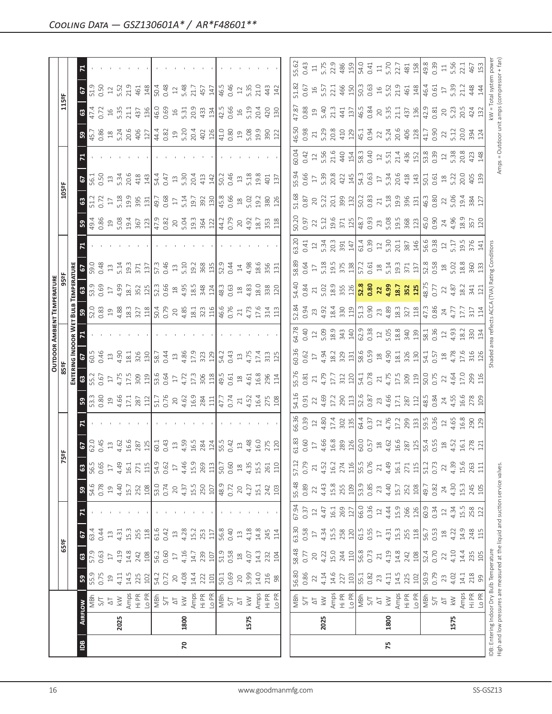|                |      |                                                                                                                            |                |                 |                |        |                    |                 |                                                                         |                            |                                                                                                                  |                                    |                                                                             |                                                                                | <b>OUTDOOR AMBIENT TEMPERATURE</b>                                                                                                                                                                                                                                                                                    |                                           |                                    |                                                                                                      |                                                                               |                                                                                 |                                                                                                                                                                                                                                                                                                               |                                                                                                                                                                                                                                                                                                               |                                                                   |                                |                                                 |                                            |
|----------------|------|----------------------------------------------------------------------------------------------------------------------------|----------------|-----------------|----------------|--------|--------------------|-----------------|-------------------------------------------------------------------------|----------------------------|------------------------------------------------------------------------------------------------------------------|------------------------------------|-----------------------------------------------------------------------------|--------------------------------------------------------------------------------|-----------------------------------------------------------------------------------------------------------------------------------------------------------------------------------------------------------------------------------------------------------------------------------------------------------------------|-------------------------------------------|------------------------------------|------------------------------------------------------------------------------------------------------|-------------------------------------------------------------------------------|---------------------------------------------------------------------------------|---------------------------------------------------------------------------------------------------------------------------------------------------------------------------------------------------------------------------------------------------------------------------------------------------------------|---------------------------------------------------------------------------------------------------------------------------------------------------------------------------------------------------------------------------------------------------------------------------------------------------------------|-------------------------------------------------------------------|--------------------------------|-------------------------------------------------|--------------------------------------------|
|                |      |                                                                                                                            |                | 65°F            |                |        |                    | Ñ               | 59                                                                      |                            |                                                                                                                  | 85°F                               |                                                                             |                                                                                |                                                                                                                                                                                                                                                                                                                       | 95°F                                      |                                    |                                                                                                      |                                                                               | 105°F                                                                           |                                                                                                                                                                                                                                                                                                               |                                                                                                                                                                                                                                                                                                               |                                                                   | 115°F                          |                                                 |                                            |
|                |      |                                                                                                                            |                |                 |                |        |                    |                 |                                                                         |                            |                                                                                                                  | ENTERI                             | NG INDOOR W                                                                 |                                                                                | BuuB                                                                                                                                                                                                                                                                                                                  | TEMPERATUR                                |                                    |                                                                                                      |                                                                               |                                                                                 |                                                                                                                                                                                                                                                                                                               |                                                                                                                                                                                                                                                                                                               |                                                                   |                                |                                                 |                                            |
| $\overline{B}$ |      | <b>AIRFLOW</b>                                                                                                             | ${\tt S}$      | $\mathbbmss{3}$ | 67             |        | ${\tt S}$          | 63              | $\mathbf{c}$                                                            |                            | ${\tt S3}$                                                                                                       | $\mathbf{63}$                      | e.                                                                          |                                                                                | 32.8                                                                                                                                                                                                                                                                                                                  | $\mathbbmss{3}$                           | $\mathbf{c}$                       |                                                                                                      | ន $\vert$                                                                     | ${\tt G3}$                                                                      | $\mathbf{c}$                                                                                                                                                                                                                                                                                                  |                                                                                                                                                                                                                                                                                                               | ္ဗ                                                                | ${\tt G3}$                     | Σ,<br>$\mathbf{c}$                              |                                            |
|                |      | MBh                                                                                                                        | 55.9           | 57.9            | 63.4           |        | 54.6               | 56.5            | 62.0<br>0.45                                                            |                            | $\begin{array}{c} 5.3 \\ 0.80 \end{array}$                                                                       | 55.2                               | 60.5                                                                        |                                                                                |                                                                                                                                                                                                                                                                                                                       | 53.9                                      | 59.0<br>0.48                       |                                                                                                      | 49.4<br>0.86                                                                  | 51.2                                                                            | 56.1<br>0.50                                                                                                                                                                                                                                                                                                  |                                                                                                                                                                                                                                                                                                               | $\frac{15.7}{0.86}$                                               | 47.4<br>0.72                   | 51.9<br>0.50                                    |                                            |
|                |      | 5/1                                                                                                                        | 0.75           | 0.63            | 0.44           |        | 0.78               | 0.65            |                                                                         |                            |                                                                                                                  | 0.67                               | 0.46                                                                        |                                                                                |                                                                                                                                                                                                                                                                                                                       |                                           |                                    |                                                                                                      |                                                                               |                                                                                 |                                                                                                                                                                                                                                                                                                               |                                                                                                                                                                                                                                                                                                               |                                                                   |                                |                                                 |                                            |
|                |      | $\overline{\triangle}$                                                                                                     | $\overline{c}$ | $\Box$          | $13$           |        | $\overline{c}$     | 17              | $13$                                                                    |                            |                                                                                                                  | $17\,$                             | $\Xi$                                                                       |                                                                                |                                                                                                                                                                                                                                                                                                                       | $\overline{\mathbb{L}}$                   | $13$                               |                                                                                                      | 19<br>5.08                                                                    | $17\,$                                                                          | $13$                                                                                                                                                                                                                                                                                                          |                                                                                                                                                                                                                                                                                                               |                                                                   | 16<br>5.35                     | $\ensuremath{\mathop{\mathop{\boldsymbol{2}}}}$ |                                            |
|                | 2025 | $\leqslant$                                                                                                                | 4.11           | 4.19            | 4.31           |        | 4.40               | 4.49            | 4.62                                                                    |                            |                                                                                                                  | 4.75                               | 4.90                                                                        |                                                                                |                                                                                                                                                                                                                                                                                                                       | 4.99                                      | 5.14                               |                                                                                                      |                                                                               | 5.18                                                                            | 5.34                                                                                                                                                                                                                                                                                                          |                                                                                                                                                                                                                                                                                                               |                                                                   |                                | 5.52                                            |                                            |
|                |      |                                                                                                                            | 14.5           | 14.8            | 15.3           |        | 15.7               | $16.1\,$        | 16.6                                                                    |                            | $\begin{array}{c} 19 \\ 4.66 \\ 17.1 \\ 287 \end{array}$                                                         | 17.5                               | $18.1\,$                                                                    |                                                                                |                                                                                                                                                                                                                                                                                                                       | 18.7                                      | 19.3                               |                                                                                                      | 19.4<br>367                                                                   | 19.9                                                                            | 20.6                                                                                                                                                                                                                                                                                                          |                                                                                                                                                                                                                                                                                                               |                                                                   | 21.1                           | 21.9                                            |                                            |
|                |      | Amps<br>Hi PR                                                                                                              | 225            | 242             | 255            |        | 252                | 271             | 287                                                                     |                            |                                                                                                                  | 309                                | 326                                                                         |                                                                                | $\begin{array}{c}\n 19 \\  4.88 \\  12 \\  72 \\  13 \\  14 \\  15 \\  0.79 \\  0.\n\end{array}$                                                                                                                                                                                                                      | 352                                       | 371                                |                                                                                                      |                                                                               | 395                                                                             | 418                                                                                                                                                                                                                                                                                                           |                                                                                                                                                                                                                                                                                                               | $\begin{array}{c} 18 \\ 5.24 \\ 20.6 \\ 40 \\ \hline \end{array}$ | 437                            | 461                                             |                                            |
|                |      | Lo PR                                                                                                                      | 102            | 108             | 118            |        | 108                | 115             | 125                                                                     |                            |                                                                                                                  | 119                                |                                                                             |                                                                                |                                                                                                                                                                                                                                                                                                                       | 125                                       | 137                                |                                                                                                      | 123                                                                           | 131                                                                             | 143                                                                                                                                                                                                                                                                                                           |                                                                                                                                                                                                                                                                                                               |                                                                   | 136                            | 148                                             |                                            |
|                |      | $\frac{1}{2}$ S/T                                                                                                          | 54.2           | 56.2            | 61.6           |        | 53.0               | 54.9            | 60.1                                                                    |                            |                                                                                                                  |                                    | 58.7                                                                        |                                                                                |                                                                                                                                                                                                                                                                                                                       | 52.3                                      | 57.3                               |                                                                                                      | 47.9                                                                          | 49.7                                                                            | 54.4                                                                                                                                                                                                                                                                                                          |                                                                                                                                                                                                                                                                                                               |                                                                   | 46.0                           |                                                 |                                            |
|                |      |                                                                                                                            | 0.72           | 0.60            | 0.42           |        | 0.74               | 0.62            | 0.43                                                                    |                            |                                                                                                                  | 53.6<br>0.64                       | 0.44                                                                        |                                                                                |                                                                                                                                                                                                                                                                                                                       | 0.66                                      | 0.46                               |                                                                                                      | 0.82                                                                          | 0.68                                                                            | 0.47                                                                                                                                                                                                                                                                                                          |                                                                                                                                                                                                                                                                                                               |                                                                   | 0.69                           | 50.48                                           |                                            |
|                |      | $\overline{\triangle}$                                                                                                     | 20             | $\Gamma$        | $\Xi$          |        | $20$               | $\overline{17}$ | $13$                                                                    |                            |                                                                                                                  | $\overline{\phantom{0}}$           | $13$                                                                        |                                                                                |                                                                                                                                                                                                                                                                                                                       | $\stackrel{\textstyle\circ}{\mathcal{A}}$ | $\Xi$                              |                                                                                                      | $\overline{20}$                                                               | $17\,$                                                                          | $\Xi$                                                                                                                                                                                                                                                                                                         |                                                                                                                                                                                                                                                                                                               |                                                                   |                                | $12$                                            |                                            |
| $\mathsf{R}$   | 1800 | $\lesssim$                                                                                                                 | 4.08           | 4.16            | 4.28           |        | 4.37               | 4.46            | 4.59                                                                    |                            |                                                                                                                  | 4.72                               | 4.86                                                                        |                                                                                |                                                                                                                                                                                                                                                                                                                       |                                           | 5.10                               |                                                                                                      | 5.04                                                                          | 5.14                                                                            | 5.30                                                                                                                                                                                                                                                                                                          |                                                                                                                                                                                                                                                                                                               | $44.4$<br>0.82<br>19<br>5.20                                      | $16$<br>5.31                   | 5.48                                            |                                            |
|                |      | Amps                                                                                                                       | 14.4           | 14.7            | 15.2           |        | 15.5               | 15.9            | 16.5                                                                    |                            |                                                                                                                  | 17.3                               | 17.9                                                                        |                                                                                |                                                                                                                                                                                                                                                                                                                       | $4.95$<br>$18.5$                          | 19.2                               |                                                                                                      |                                                                               | 19.7                                                                            | 20.4                                                                                                                                                                                                                                                                                                          |                                                                                                                                                                                                                                                                                                               |                                                                   | 20.9                           | 21.7                                            |                                            |
|                |      | Hi PR<br>Lo PR                                                                                                             | 222            | 239             | 253            |        | 250                | 269             | 284                                                                     |                            | $\begin{array}{c c} 111 & 0.76 \\ 111 & 0.76 \\ 0.76 & 0.63 \\ 0.63 & 0.83 \\ 0.74 & 0.74 \\ \hline \end{array}$ | 306                                |                                                                             |                                                                                | $\begin{array}{c} 20 \\ 4.85 \\ 13.1 \\ 323 \\ \hline \end{array}$                                                                                                                                                                                                                                                    | 348                                       | 368<br>135                         |                                                                                                      | 19.3<br>364<br>122                                                            | 392                                                                             | 413                                                                                                                                                                                                                                                                                                           |                                                                                                                                                                                                                                                                                                               | 20.4<br>402<br>126                                                |                                | 457                                             |                                            |
|                |      |                                                                                                                            | 101            | 107             | 117            |        | 107                | $113$           | 124                                                                     |                            |                                                                                                                  | 118                                | 323<br>129                                                                  |                                                                                |                                                                                                                                                                                                                                                                                                                       | 124                                       |                                    |                                                                                                      |                                                                               | 130                                                                             | 142                                                                                                                                                                                                                                                                                                           |                                                                                                                                                                                                                                                                                                               |                                                                   | 433<br>134                     | 147                                             |                                            |
|                |      |                                                                                                                            | 50.1           | 51.9            | 56.8           |        | 48.9               | 50.7            | 55.5                                                                    |                            |                                                                                                                  | 49.5                               | 54.2                                                                        |                                                                                |                                                                                                                                                                                                                                                                                                                       | 48.3                                      | 52.9                               |                                                                                                      |                                                                               | 45.8                                                                            | 50.2                                                                                                                                                                                                                                                                                                          |                                                                                                                                                                                                                                                                                                               |                                                                   | 42.5                           | 46.5                                            |                                            |
|                |      | $\frac{1}{\sqrt{2}}$                                                                                                       | 0.69           | 0.58            | 0.40           |        | 0.72               | 0.60            | 0.42                                                                    |                            |                                                                                                                  |                                    | 0.43                                                                        |                                                                                | 46.6<br>0.76                                                                                                                                                                                                                                                                                                          | 0.63                                      | 0.44                               |                                                                                                      | 44.2<br>0.79                                                                  | 0.66                                                                            | 0.46                                                                                                                                                                                                                                                                                                          |                                                                                                                                                                                                                                                                                                               |                                                                   | 0.66                           | 0.46                                            |                                            |
|                |      | $\Delta\top$                                                                                                               | 20             | $^{28}$         | $\Xi$          |        | 20                 | $\frac{8}{18}$  | $13$                                                                    |                            | $21\,$                                                                                                           |                                    | $\Xi$                                                                       |                                                                                | $\mathbf{21}$                                                                                                                                                                                                                                                                                                         | $\overset{\text{\tiny \textsf{SO}}}{-}$   |                                    |                                                                                                      | 20                                                                            | $\overset{\text{\tiny \textregistered}}{1}$                                     | $13$                                                                                                                                                                                                                                                                                                          |                                                                                                                                                                                                                                                                                                               | $\begin{array}{c} 2.0 \\ 0.80 \\ 0.9 \end{array}$                 |                                | $\gtrsim$                                       |                                            |
|                | 1575 | $\gtrapprox$                                                                                                               | 3.99           | 4.07            | 4.18           |        | 4.27               | 4.35            | 4.48                                                                    |                            |                                                                                                                  | 0.61<br>18<br>4.61                 | 4.75                                                                        |                                                                                |                                                                                                                                                                                                                                                                                                                       |                                           | 4.98                               |                                                                                                      | 4.92                                                                          | 5.02                                                                            | 5.18                                                                                                                                                                                                                                                                                                          |                                                                                                                                                                                                                                                                                                               |                                                                   | $16$<br>5.19                   |                                                 |                                            |
|                |      | Amps                                                                                                                       | 14.0           | 14.3            | 14.8           |        | 15.1               | 15.5            | 16.0                                                                    |                            |                                                                                                                  | 16.8                               | 17.4                                                                        |                                                                                |                                                                                                                                                                                                                                                                                                                       |                                           | 18.6                               |                                                                                                      |                                                                               | 19.2                                                                            | 19.8                                                                                                                                                                                                                                                                                                          |                                                                                                                                                                                                                                                                                                               |                                                                   | 20.4                           | 5.35<br>21.0                                    |                                            |
|                |      |                                                                                                                            | 216            | 232             | 245            |        | 242                | 261             |                                                                         |                            | 4.52<br>16.4<br>275<br>108                                                                                       | 296                                |                                                                             |                                                                                | 4.73<br>17.6<br>314<br>113                                                                                                                                                                                                                                                                                            | $4.83$<br>$18.0$<br>$338$                 | 356                                |                                                                                                      | 18.7<br>353                                                                   | 380                                                                             | 401                                                                                                                                                                                                                                                                                                           |                                                                                                                                                                                                                                                                                                               | 5.08<br>19.9<br>390                                               | 420                            | 443                                             |                                            |
|                |      | Hi PR<br>Lo PR                                                                                                             | $98$           | 104             | 114            |        | 103                | 110             | 275                                                                     |                            |                                                                                                                  | 114                                | $\begin{array}{c} 313 \\ 125 \end{array}$                                   |                                                                                |                                                                                                                                                                                                                                                                                                                       | 120                                       | 131                                |                                                                                                      | 118                                                                           | 126                                                                             | 137                                                                                                                                                                                                                                                                                                           |                                                                                                                                                                                                                                                                                                               | 122                                                               | 130                            | 142                                             |                                            |
|                |      |                                                                                                                            |                |                 |                |        |                    |                 |                                                                         |                            |                                                                                                                  |                                    |                                                                             |                                                                                |                                                                                                                                                                                                                                                                                                                       |                                           |                                    |                                                                                                      |                                                                               |                                                                                 |                                                                                                                                                                                                                                                                                                               |                                                                                                                                                                                                                                                                                                               |                                                                   |                                |                                                 |                                            |
|                |      |                                                                                                                            |                |                 |                |        |                    |                 |                                                                         |                            |                                                                                                                  |                                    |                                                                             |                                                                                |                                                                                                                                                                                                                                                                                                                       |                                           |                                    |                                                                                                      |                                                                               |                                                                                 |                                                                                                                                                                                                                                                                                                               |                                                                                                                                                                                                                                                                                                               |                                                                   |                                |                                                 |                                            |
|                |      | MBh                                                                                                                        | 56.80          | 58.48           | 63.30          | 67.94  | 55.48              | 57.12           | 61.83                                                                   | 66.36                      | 54.16                                                                                                            | 55.76                              | 60.36                                                                       | 64.78                                                                          | 52.84                                                                                                                                                                                                                                                                                                                 | 54.40                                     | 58.89                              | 53.20                                                                                                | 50.20                                                                         | 51.68                                                                           | 55.94                                                                                                                                                                                                                                                                                                         | 50.O4                                                                                                                                                                                                                                                                                                         | 46.50                                                             | 47.87                          | 51.82                                           | 55.62                                      |
|                |      | $5/1$                                                                                                                      | 0.86           | 0.77            | 0.58           | 0.37   | 0.89               | 0.79            | 0.60                                                                    | 0.39                       | 0.91                                                                                                             | 0.81                               | 0.62                                                                        | 0.40                                                                           | 0.94                                                                                                                                                                                                                                                                                                                  | 0.84                                      | 0.64                               | 0.41                                                                                                 | 0.97                                                                          | 0.87                                                                            | 0.66                                                                                                                                                                                                                                                                                                          | 0.42                                                                                                                                                                                                                                                                                                          | 0.98                                                              | 0.88                           | 0.67                                            | 0.43                                       |
|                |      | $\overline{\mathcal{L}}$                                                                                                   | 22             | 20              | $\Box$         | 12     | 22                 | 21              | $\overline{17}$                                                         | $\mathfrak{Q}$             | 22                                                                                                               | $21\,$                             | $17\,$                                                                      | $\Xi$                                                                          | 23                                                                                                                                                                                                                                                                                                                    | $21\,$                                    | $\Gamma$                           |                                                                                                      | $\geq$                                                                        | 20                                                                              |                                                                                                                                                                                                                                                                                                               |                                                                                                                                                                                                                                                                                                               | $\geq 1$                                                          | 19<br>5.40<br>21.3             | $16$                                            | $\Xi$                                      |
|                | 2025 | $\leqslant$                                                                                                                | 4.14           | 4.22            | 4.34           | 4.47   | 4.43               | 4.52            | 4.66                                                                    | 4.80                       |                                                                                                                  | 4.79                               | 4.94                                                                        |                                                                                |                                                                                                                                                                                                                                                                                                                       |                                           |                                    |                                                                                                      | $5.12$<br>$19.6$                                                              |                                                                                 |                                                                                                                                                                                                                                                                                                               |                                                                                                                                                                                                                                                                                                               | 5.29                                                              |                                | 5.57<br>22.1                                    |                                            |
|                |      | Amps                                                                                                                       | 14.6           | 15.0            | 15.5           | 16.1   | 15.8<br>255<br>109 | 16.2            | 16.8                                                                    | 17.4                       | 4.69<br>17.2<br>290                                                                                              | $17.7$<br>$312$<br>$120$           |                                                                             |                                                                                |                                                                                                                                                                                                                                                                                                                       |                                           | 5.18<br>19.5<br>375<br>138         | $5.\overline{3}4$<br>20.3<br>391                                                                     |                                                                               | 5.22<br>20.1<br>399<br>132                                                      | $\frac{17}{5.39}$                                                                                                                                                                                                                                                                                             | $12$<br>5.56<br>21.6                                                                                                                                                                                                                                                                                          | 20.8                                                              |                                |                                                 | 5.75<br>22.9<br>486<br>159                 |
|                |      | Hi PR                                                                                                                      | 227            | 244             | 258            | 269    |                    | 274             |                                                                         | 302<br>135                 |                                                                                                                  |                                    |                                                                             |                                                                                |                                                                                                                                                                                                                                                                                                                       |                                           |                                    |                                                                                                      | 371<br>125                                                                    |                                                                                 | 422                                                                                                                                                                                                                                                                                                           | 440<br>154                                                                                                                                                                                                                                                                                                    | 410<br>129                                                        | 441                            | 466<br>150                                      |                                            |
|                |      | Lo PR                                                                                                                      | 103            | 110             | 120            | 127    |                    | 116             | 289<br>126                                                              |                            |                                                                                                                  |                                    | $\frac{2}{3}$ $\frac{2}{3}$ $\frac{1}{2}$                                   | $5.09$<br>$18.3$<br>$34.4$<br>$140$                                            |                                                                                                                                                                                                                                                                                                                       | $5.02$<br>$18.9$<br>$35.5$<br>$12$        |                                    |                                                                                                      |                                                                               |                                                                                 | 145                                                                                                                                                                                                                                                                                                           |                                                                                                                                                                                                                                                                                                               |                                                                   | 137                            |                                                 |                                            |
|                |      | MBh                                                                                                                        | 55.1<br>0.82   | 56.8            | 61.5           | 66.0   | 53.9               | 55.5            |                                                                         | 64.4<br>0.37<br>12         |                                                                                                                  | 54.1<br>0.78                       |                                                                             |                                                                                |                                                                                                                                                                                                                                                                                                                       | 52.8<br>0.80<br>22                        | 57.2                               |                                                                                                      |                                                                               |                                                                                 |                                                                                                                                                                                                                                                                                                               |                                                                                                                                                                                                                                                                                                               |                                                                   |                                |                                                 | 54.0<br>0.41                               |
|                |      | $5\sqrt{1}$                                                                                                                |                | 0.73            | 0.55           | 0.36   | 0.85               | 0.76            |                                                                         |                            |                                                                                                                  |                                    |                                                                             |                                                                                |                                                                                                                                                                                                                                                                                                                       |                                           | 0.61                               |                                                                                                      |                                                                               |                                                                                 |                                                                                                                                                                                                                                                                                                               |                                                                                                                                                                                                                                                                                                               |                                                                   |                                |                                                 |                                            |
|                |      | $\overline{\Delta}$                                                                                                        | 23             | $21\,$          | $\Box$         | $12\,$ | 23                 | 21              |                                                                         |                            | $\begin{array}{c} 113 \\ 52.6 \\ 0.8 \\ 7.1 \\ 2.8 \\ 1.1 \\ 2.8 \\ 1 \end{array}$                               | $21$<br>4.75<br>17.5<br>309<br>119 | 58.6<br>0.59<br>4.90<br>4.31<br>30<br>130                                   | $\begin{array}{c} 62.9 \\ 0.38 \\ 1.05 \\ 5.05 \\ 1.83 \\ 1.39 \\ \end{array}$ | $4.92$ $\frac{3}{4}$ $\frac{3}{4}$ $\frac{3}{8}$ $\frac{3}{8}$ $\frac{3}{8}$ $\frac{3}{8}$ $\frac{3}{8}$ $\frac{3}{8}$ $\frac{3}{8}$ $\frac{3}{8}$ $\frac{3}{8}$ $\frac{3}{8}$ $\frac{3}{8}$ $\frac{3}{8}$ $\frac{3}{8}$ $\frac{3}{8}$ $\frac{3}{8}$ $\frac{3}{8}$ $\frac{3}{8}$ $\frac{3}{8}$ $\frac{3}{8}$ $\frac{$ |                                           | $^{28}$                            |                                                                                                      | $\begin{array}{c} 48.7 \\ 0.93 \\ 0.3 \\ 5.08 \\ 1.98 \\ 1.23 \\ \end{array}$ | $\frac{22}{383}$ $\frac{24}{35}$ $\frac{89}{35}$ $\frac{9}{35}$ $\frac{47}{35}$ | $\begin{array}{c} 3.3 \\ 3.63 \\ 0.63 \\ 1.7 \\ 0.83 \\ 0.84 \\ 0.43 \\ 0.43 \\ 0.43 \\ 0.43 \\ 0.43 \\ 0.43 \\ 0.43 \\ 0.43 \\ 0.43 \\ 0.43 \\ 0.43 \\ 0.43 \\ 0.43 \\ 0.43 \\ 0.43 \\ 0.43 \\ 0.43 \\ 0.43 \\ 0.43 \\ 0.43 \\ 0.43 \\ 0.43 \\ 0.43 \\ 0.43 \\ 0.43 \\ 0.43 \\ 0.43 \\ 0.43 \\ 0.43 \\ 0.43$ |                                                                                                                                                                                                                                                                                                               | $45.1$<br>0.94<br>5.24<br>5.24<br>406<br>428                      | 46.5<br>0.84<br>5.35<br>5.31.1 | 50.63<br>0.63<br>5.52<br>461                    | $\Xi$                                      |
| 75             | 1800 | $\leqslant$                                                                                                                | 4.11           | 4.19            | 4.31           | 4.44   | 4.40               | 4.49            |                                                                         |                            |                                                                                                                  |                                    |                                                                             |                                                                                |                                                                                                                                                                                                                                                                                                                       |                                           |                                    |                                                                                                      |                                                                               |                                                                                 |                                                                                                                                                                                                                                                                                                               |                                                                                                                                                                                                                                                                                                               |                                                                   |                                |                                                 | 5.70                                       |
|                |      |                                                                                                                            | 14.5           | 14.8            | 15.3           | 15.9   | $15.7\,$           | $16.1\,$        |                                                                         |                            |                                                                                                                  |                                    |                                                                             |                                                                                |                                                                                                                                                                                                                                                                                                                       |                                           |                                    |                                                                                                      |                                                                               |                                                                                 |                                                                                                                                                                                                                                                                                                               |                                                                                                                                                                                                                                                                                                               |                                                                   |                                |                                                 |                                            |
|                |      | Amps<br>Hi PR<br>Lo PR                                                                                                     | 225            | 242             | 255            | 266    | 252<br>108         | 271             |                                                                         | 4.76<br>17.2<br>133<br>133 |                                                                                                                  |                                    |                                                                             |                                                                                |                                                                                                                                                                                                                                                                                                                       | 4.99<br>18.7<br>352<br>125                | $5.14$<br>$19.3$<br>$371$<br>$137$ |                                                                                                      |                                                                               |                                                                                 |                                                                                                                                                                                                                                                                                                               |                                                                                                                                                                                                                                                                                                               |                                                                   | 437<br>136                     | $481$<br>$158$                                  |                                            |
|                |      |                                                                                                                            | 102            | 108             | 118            | 126    |                    | 115             | $0.57$<br>$0.52$<br>$4.62$<br>$8.5$<br>$2.8$<br>$1.4$<br>$5.5$<br>$0.5$ |                            |                                                                                                                  |                                    |                                                                             |                                                                                |                                                                                                                                                                                                                                                                                                                       |                                           |                                    | $\begin{array}{c} 61.4 \\ 0.39 \\ 1.30 \\ 5.30 \\ 2.01 \\ 8.7 \\ 146 \\ 56.8 \\ 0.38 \\ \end{array}$ |                                                                               |                                                                                 |                                                                                                                                                                                                                                                                                                               | $\begin{array}{c} 58.3 \\ 0.40 \\ 0.71 \\ 0.71 \\ 0.71 \\ 0.72 \\ 0.80 \\ 0.03 \\ 0.03 \\ 0.03 \\ 0.03 \\ 0.03 \\ 0.03 \\ 0.03 \\ 0.03 \\ 0.03 \\ 0.03 \\ 0.03 \\ 0.03 \\ 0.03 \\ 0.03 \\ 0.03 \\ 0.03 \\ 0.03 \\ 0.03 \\ 0.03 \\ 0.03 \\ 0.03 \\ 0.03 \\ 0.03 \\ 0.03 \\ 0.03 \\ 0.03 \\ 0.03 \\ 0.03 \\ 0.$ |                                                                   |                                | 148                                             |                                            |
|                |      | NBh<br>S/T                                                                                                                 | 50.9           | 52.4            | 56.7<br>0.53   | 60.9   | 49.7               | 51.2            |                                                                         | 59.36                      | $8.34 \times 15$<br>0.84<br>4.55                                                                                 |                                    | $54.1$<br>0.57                                                              | 58.1<br>0.36                                                                   | $\frac{47.3}{0.86}$                                                                                                                                                                                                                                                                                                   | 48.75<br>0.77                             | 52.8<br>0.58                       |                                                                                                      | $\frac{15.0}{45.0}$                                                           | 46.3<br>0.80                                                                    | $\frac{50.1}{0.61}$                                                                                                                                                                                                                                                                                           |                                                                                                                                                                                                                                                                                                               | 41.7<br>0.90                                                      | 42.9<br>0.81                   | 46.4<br>0.61                                    | 49.8<br>0.39                               |
|                |      |                                                                                                                            |                | 0.70            |                | 0.34   | 0.82               | 0.73            |                                                                         |                            |                                                                                                                  |                                    |                                                                             |                                                                                |                                                                                                                                                                                                                                                                                                                       |                                           |                                    |                                                                                                      |                                                                               |                                                                                 |                                                                                                                                                                                                                                                                                                               |                                                                                                                                                                                                                                                                                                               |                                                                   |                                |                                                 |                                            |
|                |      | $\overline{\triangle}$                                                                                                     | 23             | $\overline{2}$  | $\frac{8}{18}$ | $12\,$ | 24                 | 22              | $18 \n4.52$                                                             | $12^{4.65}$                |                                                                                                                  | 22                                 | $\ensuremath{\mathop{\boxtimes}\limits^{\mathop{\mathop{\rm s}}\nolimits}}$ | $12$ $4.93$                                                                    | $24$<br>4.77                                                                                                                                                                                                                                                                                                          | $22\,$                                    | $^{28}$                            | $12 \over 5.17$                                                                                      | 24.96                                                                         | 22<br>5.06                                                                      | $^{28}$                                                                                                                                                                                                                                                                                                       |                                                                                                                                                                                                                                                                                                               | $22\,$                                                            | $20$                           | $17\,$                                          | $\Xi$                                      |
|                | 1575 | $\leqslant$                                                                                                                | 4.02           | 4.10            | 4.22           | 4.34   | 4.30               | 4.39            |                                                                         |                            |                                                                                                                  | 4.64                               | 4.78                                                                        |                                                                                |                                                                                                                                                                                                                                                                                                                       | 4.87                                      | 5.02                               |                                                                                                      |                                                                               |                                                                                 | 5.22                                                                                                                                                                                                                                                                                                          |                                                                                                                                                                                                                                                                                                               | 5.12                                                              | 5.23                           | 5.39                                            | 5.56                                       |
|                |      | Amps                                                                                                                       | 14.1           | 14.4            | 14.9           | 15.5   | 15.3               | 15.6            | 16.1                                                                    | 16.8                       | 16.6                                                                                                             |                                    | 17.6                                                                        | 18.2                                                                           | 17.7                                                                                                                                                                                                                                                                                                                  | 18.2                                      | 18.8<br>360                        | 19.5                                                                                                 | 18.9                                                                          | 19.4                                                                            | 20.0                                                                                                                                                                                                                                                                                                          |                                                                                                                                                                                                                                                                                                               | 20.0                                                              | 20.5                           | 21.2                                            | 22.1                                       |
|                |      | Hi PR                                                                                                                      | 218            | 235             | 248            | 258    | 245                | 263             | 278                                                                     | 290                        | 278                                                                                                              | 17.0<br>299<br>116                 | 316                                                                         | 330                                                                            | 317                                                                                                                                                                                                                                                                                                                   | 341                                       |                                    | 376                                                                                                  | 357<br>120                                                                    | 384                                                                             | 405<br>139                                                                                                                                                                                                                                                                                                    | 20.8<br>423<br>148                                                                                                                                                                                                                                                                                            | 394                                                               | 424                            | 448                                             | 467                                        |
|                |      | Lo <sub>PR</sub>                                                                                                           | $99$           | 105             | 115            | 122    | 105                | 111             | 121                                                                     | 129                        | 109                                                                                                              |                                    | 126                                                                         | 134                                                                            | 114                                                                                                                                                                                                                                                                                                                   | 121                                       | 133                                | 141                                                                                                  |                                                                               | 127                                                                             |                                                                                                                                                                                                                                                                                                               |                                                                                                                                                                                                                                                                                                               | 124                                                               | 132                            | 144                                             | 153                                        |
|                |      | -ligh and low pressures are measured at the liquid and suction service valves.<br>DB: Entering Indoor Dry Bulb Temperature |                |                 |                |        |                    |                 |                                                                         |                            |                                                                                                                  |                                    |                                                                             |                                                                                | shaded area reflects ACCA (TVA) Rating Conditions                                                                                                                                                                                                                                                                     |                                           |                                    |                                                                                                      |                                                                               |                                                                                 |                                                                                                                                                                                                                                                                                                               |                                                                                                                                                                                                                                                                                                               |                                                                   | kW = Total system              |                                                 | powe                                       |
|                |      |                                                                                                                            |                |                 |                |        |                    |                 |                                                                         |                            |                                                                                                                  |                                    |                                                                             |                                                                                |                                                                                                                                                                                                                                                                                                                       |                                           |                                    |                                                                                                      |                                                                               |                                                                                 |                                                                                                                                                                                                                                                                                                               |                                                                                                                                                                                                                                                                                                               |                                                                   |                                |                                                 | Amps = Outdoor unit amps (compressor + fan |

16 www.goodmanmfg.com 3S-GSZ13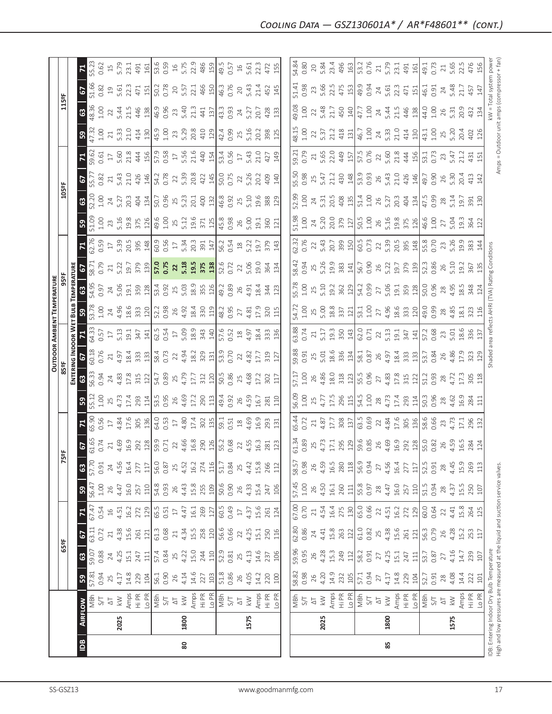|                                                                               |                |                                |           |                 |        |                |                |       |              |                         |                 |                                           |                    |                           | <b>OUTDOOR AMBIENT TEMPERATURE</b>   |                                            |                     |                                                                              |                            |                     |                            |                                            |                                             |                                    |                    |                      |
|-------------------------------------------------------------------------------|----------------|--------------------------------|-----------|-----------------|--------|----------------|----------------|-------|--------------|-------------------------|-----------------|-------------------------------------------|--------------------|---------------------------|--------------------------------------|--------------------------------------------|---------------------|------------------------------------------------------------------------------|----------------------------|---------------------|----------------------------|--------------------------------------------|---------------------------------------------|------------------------------------|--------------------|----------------------|
|                                                                               |                |                                |           | 65°F            |        |                |                | Ř     | 능            |                         |                 | 85°F                                      |                    |                           |                                      | 95°F                                       |                     |                                                                              |                            | 105°F               |                            |                                            |                                             | 115°F                              |                    |                      |
|                                                                               |                |                                |           |                 |        |                |                |       |              |                         |                 |                                           |                    |                           | ENTERING INDOOR WET BULB TEMPERATURE |                                            |                     |                                                                              |                            |                     |                            |                                            |                                             |                                    |                    |                      |
| Bal                                                                           | <b>AIRFLOW</b> |                                | ${\tt S}$ | $\mathbbmss{3}$ | 5      | $\mathbf{z}$   | $\mathfrak{S}$ | 63    | 2            |                         | <b>S</b>        | 63                                        | 5                  |                           | ၵ္တ                                  |                                            |                     | $\mathbf{z}$                                                                 | ${\tt S}$                  | $\mathbf{3}$        | 2                          |                                            | 59                                          | 2<br>$\mathbf{G}$                  |                    |                      |
|                                                                               |                | NBh                            | 57.81     | 59.07           | 63.11  | 67.47          | 56.47          | 57.70 | 61.65        | 65.90                   | 55.12           | 56.33                                     | 50.18              | 64.33                     | 53.78                                | 54.95                                      | 58.71               | 62.76                                                                        | 51.09                      | 52.20               | 55.77                      | 59.62                                      | 47.32                                       | 18.36                              | 51.66              | 55.23                |
|                                                                               |                | 5/1                            | 0.94      | 0.88            | 0.72   | 0.54           | $1.00\,$       | 0.91  | 0.74         | 0.56                    | 1.00            | 0.94                                      | 0.76               | 0.57                      | 1.00                                 | 0.97                                       | 0.79                | 0.59                                                                         | 1.00                       | 1.00                | 0.82                       | 0.61                                       | 1.00                                        | 0.82<br>1.00                       | 0.62               |                      |
|                                                                               |                | $\overline{\circlearrowright}$ | 25        | 24              | $\geq$ | $\frac{16}{1}$ | 26             | 24    | $\geq 1$     | $\Box$                  | 25              | 24                                        | $21\,$             | $17\,$                    |                                      |                                            | $\gtrsim$           | $\Box$                                                                       | 23                         | $24\,$              | $\gtrsim$                  | $\Box$                                     | $\gtrsim$                                   | 22                                 |                    | $\overline{15}$      |
|                                                                               | 2025           | $\gtrapprox$                   | 4.17      | 4.25            | 4.38   | 4.51           | 4.47           | 4.56  | 4.69         | 4.84<br>17.6            | 4.73            | 4.83                                      | 4.97               | 5.13                      | $74.96$<br>$18.6$                    |                                            | 5.22<br>19.7<br>379 | 5.39                                                                         | 5.16                       | 5.27                | 5.43                       |                                            | 5.33                                        | $19$<br>5.61<br>22.3<br>5.44       |                    | 5.79                 |
|                                                                               |                | Amps                           | 14.8      | 15.1            | 15.6   | 16.2           | 16.0           | 16.4  | 16.9         |                         | 17.4            | 17.8<br>315                               | 18.4               | 19.1                      |                                      |                                            |                     |                                                                              | 19.8                       | 20.3                | 21.0<br>426                |                                            | 21.0                                        | 21.5                               | 23.1               |                      |
|                                                                               |                | Hi PR                          | 229       | 247             | 261    | 272            | 257            | 277   | 292          | 305                     | 293             |                                           | 333<br>133         | 347                       | 333                                  | $24$<br>5.06<br>19.1<br>359<br>128         |                     | 20.5<br>395<br>148                                                           | 375                        | 404                 |                            | 5.60<br>21.8<br>444<br>156                 | 414                                         | 471<br>446                         | 491                |                      |
|                                                                               |                | Lo PR                          | 104       | 111             | 121    | 129            | 110            | 117   | 128          | 136                     | 114             | 122                                       |                    | 141                       | 120                                  |                                            | 139                 |                                                                              | 126                        | 134                 | 146                        |                                            | 130                                         | 151<br>138                         | 161                |                      |
|                                                                               |                | MBh                            | 56.1      | 57.4            | 61.3   | 65.5           | 54.8           | 56.0  | 59.9<br>0.71 | 64.0<br>0.53            | 53.5<br>0.95    | 54.7                                      | 58.4<br>0.73       | 62.5<br>0.54<br>17        | 52.2<br>0.98                         |                                            | 57.0<br>0.75        |                                                                              | 49.6<br>1.00               | 50.7                | 54.2<br>0.78               |                                            | 45.9<br>1.00                                | 50.2<br>0.78<br>46.9<br>0.96       |                    | 53.6<br>0.59         |
|                                                                               |                | $\gtrsim$                      | 0.90      | 0.84            | 0.68   | 0.51           | 0.93           | 0.87  |              |                         |                 | 0.89                                      |                    |                           |                                      |                                            |                     |                                                                              |                            |                     |                            |                                            |                                             |                                    |                    |                      |
|                                                                               |                | $\overline{\small{\sim}}$      | 26        | 25              | $21\,$ | $\Box$         | 26             | 25    | 22           | $\overline{\mathbb{1}}$ |                 | 25<br>4.79                                | 22                 |                           |                                      |                                            |                     |                                                                              |                            |                     |                            |                                            |                                             |                                    |                    |                      |
| 80                                                                            | 1800           | $\geqslant$                    | 4.14      | 4.22            | 4.34   | 4.47           | 4.43           | 4.52  | 4.66         | 4.80                    | 26<br>4.69      |                                           | 4.94               | 5.09                      | 26<br>4.92                           | 53.4<br>0.92<br>5.03<br>18.9               | $22$<br>$5.18$      | $60.56$<br>$17$<br>$5.34$                                                    | 25.12                      | 25<br>5.23          | 22<br>5.39                 | 57.9<br>0.58<br>5.56<br>5.56<br>21.6       | 23<br>5.29                                  | 20<br>5.57<br>$73$<br>5.40<br>21.3 |                    | $16$<br>5.75<br>22.9 |
|                                                                               |                | Amps                           | 14.6      | 15.0            | 15.5   | 16.1           | 15.8           | 16.2  | 16.8         | 17.4                    | 17.2            | 17.7                                      | 18.2               | 18.9                      | 18.4                                 |                                            |                     | 20.3                                                                         | 19.6                       | 20.1                | 20.8                       |                                            | 20.8                                        | 22.1                               |                    |                      |
|                                                                               |                | Hi PR                          | 227       | 244             | 258    | 269            | 255            | 274   | 290          | 302                     | 290             | 312                                       |                    |                           |                                      | 355<br>126                                 | 19.5<br>375         | 391                                                                          | 371                        | 400                 |                            | 44<br>154                                  |                                             | 441                                |                    |                      |
|                                                                               |                | Lo PR                          | 103       | 110             | 120    | 127            | 109            | 116   | 126          | 135                     | 113             | 120                                       | 329<br>131         | $343$<br>140              | 330<br>119                           |                                            | 138                 | 147                                                                          | 125                        | 132                 | 422<br>145                 |                                            | 410                                         | 466<br>150<br>137                  |                    | 486<br>159           |
|                                                                               |                | MBh                            | 51.8      | 52.9            | 56.6   | 60.5           | 50.6           | 51.7  | 55.2         | 59.1                    | 49.4<br>0.92    | 50.5                                      | $\frac{53.9}{ }$   |                           | 48.2                                 | $\sqrt{49.2}$                              | 52.6<br>0.72        | 56.2<br>0.54<br>18                                                           | 45.8                       | 46.8<br>0.92        |                            | 53.4<br>0.56                               | 42.4                                        | 46.3<br>$\frac{3}{3}$              | $\sqrt{49.5}$      |                      |
|                                                                               |                | 5/7                            | 0.86      | 0.81            | 0.66   | 0.49           | 0.90           | 0.84  | 0.68         | 0.51                    |                 | 0.86                                      | 0.70               |                           | 0.95                                 | 0.89                                       |                     |                                                                              | 0.98                       |                     | 50.0<br>0.75               |                                            | 0.99                                        | 0.76<br>0.93                       |                    |                      |
|                                                                               |                | $\overline{\Delta}$            | 26        | 25              | 22     | $\Box$         | 26             | 25    | 22           | $\frac{8}{18}$          | 26              | 25                                        | 22                 | 57.6<br>0.52<br>4.97      | 27                                   |                                            | 22                  |                                                                              |                            | 25                  | 22                         | $17\,$                                     |                                             | 20<br>24                           | 0.57<br>16<br>5.61 |                      |
|                                                                               |                |                                | 4.05      | 4.13            | 4.25   | 4.37           | 4.33           |       | 4.55         | 4.69                    | 4.59            | 4.68                                      | 4.82               |                           |                                      | $26$<br>4.91                               | 5.06                | 5.22                                                                         | 26<br>5.00                 | 5.10                | 5.26                       | 5.43                                       | 25<br>5.16                                  | 5.43<br>5.27                       |                    |                      |
|                                                                               | 1575           | $\geq$                         |           |                 |        |                |                | 4.42  |              |                         |                 |                                           |                    |                           | 4.81<br>17.9                         |                                            |                     |                                                                              |                            |                     |                            |                                            |                                             |                                    |                    |                      |
|                                                                               |                | Amps                           | 14.2      | 14.6            | 15.1   | 15.6           | 15.4           | 15.8  | 16.3         | 16.9                    | 16.7            | 17.2                                      | 17.7               | 18.4                      |                                      | 18.4                                       | 19.0                | 19.7                                                                         | 19.1                       | 19.6                | 20.2                       | 21.0                                       | 20.2                                        | 21.4<br>20.7                       | 22.3               |                      |
|                                                                               |                | Hi PR                          | 220       | 237             | 250    | 261            | 247            | 266   | 281          | 293                     | 281             | 302                                       | 319                | 333                       | 320                                  | 344                                        | 364                 | 379                                                                          | 360                        | 388                 | 409                        | 427                                        | 398                                         | 452<br>428                         | 472                |                      |
|                                                                               |                | Lo PR                          | 100       | 106             | 116    | 124            | 106            | 112   | 123          | 131                     | 110             | 117                                       | 127                | 136                       | 115                                  | 123                                        | 134                 | 143                                                                          | 121                        | 129                 | 140                        | 149                                        | 125                                         | 145<br>133                         | 155                |                      |
|                                                                               |                |                                |           |                 |        |                |                |       |              |                         |                 |                                           |                    |                           |                                      |                                            |                     |                                                                              |                            |                     |                            |                                            |                                             |                                    |                    |                      |
|                                                                               |                |                                | 58.82     | 59.96           | 62.80  | 67.00          | 57.45          | 58.57 | 61.34        | 65.44                   | 56.09           | 57.17                                     | 59.88              | 63.88                     | 54.72                                | 55.78                                      | 58.42               | 62.32                                                                        | 51.98                      | 52.99               | 55.50                      | 59.21                                      | 48.15                                       | 51.41<br>49.08                     |                    | 54.84                |
|                                                                               |                | NBh<br>S/T                     | 0.98      | 0.95            | 0.86   | 0.70           | $1.00\,$       | 0.98  | 0.89         | 0.72                    | $1.00$          | 1.00                                      | 0.91               | 0.74                      | 1.00                                 | 1.00                                       | 0.94                | 0.76                                                                         | 1.00                       | 1.00                | 0.98                       | 0.79                                       | 1.00                                        | 0.98<br>1.00                       |                    | 0.80                 |
|                                                                               |                | $\overline{\Delta}$            | 26        | 26              | 24     | $\gtrsim$      | 26             | 26    | 25           | 21                      | 25              | 26                                        | 25                 | 21                        | $25$                                 | 25                                         | 25                  | 22                                                                           | 24                         | 24                  | 25                         | 21                                         | 22                                          | 23<br>22                           |                    | 20                   |
|                                                                               | 2025           | $\gtrapprox$                   | 4.20      | 4.28            | 4.41   | 4.54           | 4.50           | 4.59  | 4.73         | 4.87                    | 4.77            | 4.86                                      | 5.01               | 5.17                      |                                      | 5.10                                       | 5.26                | 5.43                                                                         | 5.20                       |                     | 5.47                       | 5.65                                       | 5.37                                        | 5.66<br>5.48                       |                    | 5.84                 |
|                                                                               |                | Amps                           | 14.9      | 15.3            | 15.8   | 16.4           | 16.1           | 16.5  | $17.1\,$     | 17.7                    | 17.5            | 18.0                                      | 18.6               | 19.3                      | $5.00$<br>$18.8$                     | 19.2                                       | 19.9                | 20.7                                                                         | 20.0                       | 5.31<br>20.5<br>408 | 21.2                       | 22.0<br>449                                | 21.2                                        | 22.5<br>21.7                       |                    | 23.4                 |
|                                                                               |                | Hi PR                          | 232       | 249             | 263    | 275            | 260            | 280   | 295          | 308                     |                 |                                           | 336                |                           | 337                                  |                                            | 383                 |                                                                              | 379                        |                     |                            |                                            |                                             | 475<br>450                         |                    | 496                  |
|                                                                               |                | Lo PR                          | 105       | 112             | 122    | 130            | 111            | 118   | 129          | 137                     | 296             | $\begin{array}{c} 318 \\ 123 \end{array}$ | 134                | $\frac{350}{143}$         | 121                                  | $\begin{bmatrix} 362 \\ 129 \end{bmatrix}$ | $\frac{141}{2}$     | 39 50                                                                        | $\frac{127}{2}$            | 135                 | $430$<br>$148$             | 157                                        | $4\,131$                                    | 153<br>140                         |                    | 163                  |
|                                                                               |                | MBh                            | 57.1      | 58.2            | 61.0   | 65.0           | 55.8           | 56.9  | 59.6         | 63.5<br>0.69            | 54.5            | 55.5<br>0.96                              | 58.1               | 62.0<br>0.71              |                                      | 54.2<br>0.99                               | 56.7<br>0.90        |                                                                              | 50.5<br>1.00               |                     | 53.9<br>0.93               |                                            | 46.7                                        | 49.9<br>0.94<br>47.7               |                    | 53.2<br>0.76         |
|                                                                               |                | 5/1                            | 0.94      | 0.91            | 0.82   | 0.66           | 0.97           | 0.94  | 0.85         |                         | 1.00            |                                           | 0.87               |                           | $53.1$<br>$1.00$<br>$27$<br>$4.96$   |                                            |                     |                                                                              |                            | 51.4<br>1.00<br>26  |                            |                                            | 1.00                                        | 1.00                               |                    |                      |
|                                                                               |                | $\overline{\sim}$              | 27        | 27              | 25     | 22             | 28             | 27    | 26<br>4.69   | 22<br>4.84<br>17.6      | $28$            | 27                                        | 26                 | $22$ 5.13                 |                                      |                                            | 26                  |                                                                              | 26                         |                     | 26                         |                                            | $24$<br>5.33                                | $24$<br>5.61<br>22.3<br>$24\,$     |                    | $21\,$               |
| 85                                                                            | 1800           | $\leqslant$                    | 4.17      | 4.25            | 4.38   | 4.51           | 4.47           | 4.56  |              |                         | $4.73$<br>17.4  | 4.83                                      | 4.97               |                           |                                      |                                            | 5.22                |                                                                              |                            | 5.27<br>20.3        |                            |                                            |                                             | 5.44                               |                    | 5.79                 |
|                                                                               |                | Amps                           | 14.8      | 15.1            | 15.6   | 16.2           | 16.0           | 16.4  | 16.9         |                         |                 |                                           |                    | 19.1                      |                                      |                                            | 19.7                |                                                                              |                            |                     |                            |                                            | 21.0                                        | 21.5                               |                    | 23.1                 |
|                                                                               |                | Hi PR                          | 229       | 247             | 261    | 272            | 257            | 277   | 292          | 305                     | 293             | 17.8<br>315                               | 18.4<br>333<br>133 | $347$<br>141              | 18.6<br>333<br>120                   | $27$<br>5.06<br>19.1<br>359<br>22          | 379                 | $\begin{array}{c} 60.5 \\ 0.73 \\ 5.39 \\ 2.05 \\ 2.9 \\ 148 \\ \end{array}$ | 5.16<br>19.8<br>375<br>126 | 404                 | 5.43<br>21.0<br>426<br>146 | 57.5<br>0.76<br>5.60<br>5.1.3<br>44<br>156 | 414<br>130                                  | 471<br>446                         | $491$<br>$161$     |                      |
|                                                                               |                | Lo PR                          | 104       | 111             | 121    | 129            | 110            | 117   | 128          | 136                     | 114             | 122                                       |                    |                           |                                      |                                            |                     |                                                                              |                            | 134                 |                            |                                            |                                             | 151<br>138                         |                    |                      |
|                                                                               |                | MBh                            | 52.7      | 53.7            | 56.3   | 60.0           | 51.5           | 52.5  | 55.0         | 58.6<br>0.66            | 50.3<br>0.96    | 51.2                                      | 53.7               | 57.2<br>0.68              | 49.0                                 | 50.0<br>0.96                               | 52.3<br>0.86        | 55.8                                                                         | 46.6<br>1.00               | $47.5$<br>0.99      | 49.7                       | 53.1<br>0.73                               | 43.1                                        | 46.1<br>44.0                       | 49.1<br>0.73       |                      |
|                                                                               |                | 5/1                            | 0.91      | 0.87            | 0.79   | 0.64           | 0.94           | 0.91  | 0.82         |                         |                 | 0.93                                      | 0.84               |                           | 0.99                                 |                                            |                     |                                                                              |                            |                     | 0.90                       |                                            | 1.00                                        | 0.91<br>1.00                       |                    |                      |
|                                                                               |                | $\overline{\Delta}$            | $28$      | $\overline{27}$ | 26     | 22             | 28             | 28    | 26           | 23                      | $28$            | $28$                                      | $26$<br>4.86       | 23                        | $28$<br>4.85                         | 28<br>4.95                                 | $26$<br>5.10        | 23<br>5.26                                                                   | 27                         | $28$<br>5.14        | 26<br>5.30                 | 23                                         | 25.20                                       | $24\,$<br>$26$<br>5.31             |                    | $\gtrsim$            |
|                                                                               | 1575           | $\lesssim$                     | 4.08      | 4.16            | 4.28   | 4.41           | 4.37           | 4.45  | 4.59         | 4.73                    | 4.62            | 4.72                                      |                    |                           |                                      |                                            |                     |                                                                              | 5.04                       |                     |                            | 5.47                                       |                                             | 5.48                               |                    | 5.65                 |
|                                                                               |                | Amps                           | 14.4      | 14.7            | 15.2   | 15.8           | 15.5           | 15.9  | 16.5         | 17.1                    | 16.9            | 17.3                                      | 17.9               | 18.6                      | 18.1                                 | 18.5                                       | 19.2                | 19.9                                                                         | 19.3                       | 19.7                | 20.4                       | 21.2                                       | 20.4                                        | 21.7<br>20.9                       |                    | 22.5                 |
|                                                                               |                | Hi PR                          | 222       | 239             | 253    | 264            | 250            | 269   | 284          | 296                     | 284             | 305<br>118                                | 323                | 336                       | 323                                  | 348                                        | 367                 | 383                                                                          | 364                        | 391                 | 413                        | 431                                        | 402<br>126                                  | 457<br>147<br>432                  |                    | 476                  |
|                                                                               |                | Lo PR                          | 101       | 107             | 117    | 125            | 107            | 113   |              | 132                     | $\overline{11}$ |                                           | 129                | 137                       |                                      |                                            |                     |                                                                              | 122                        | 130                 | 142                        |                                            |                                             | 134                                |                    | 156                  |
| IDB: Entering Indoor Dry Bulb Temperature                                     |                |                                |           |                 |        |                |                |       |              |                         |                 |                                           |                    | shaded area reflects AHRI |                                      | (TVA) Rating Conditions                    |                     |                                                                              |                            |                     |                            |                                            |                                             | kW = Total system power            |                    |                      |
| High and low pressures are measured at the liquid and suction service valves. |                |                                |           |                 |        |                |                |       |              |                         |                 |                                           |                    |                           |                                      |                                            |                     |                                                                              |                            |                     |                            |                                            | Amps = Outdoor unit amps (compressor + fan) |                                    |                    |                      |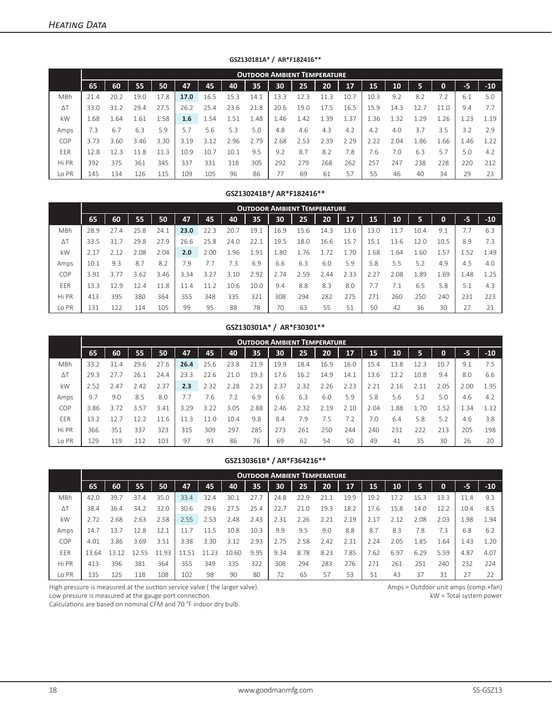|            |      |          |      |      |      |      |      | <b>OUTDOOR AMBIENT TEMPERATURE</b> |      |      |      |      |                 |      |      |      |      |       |
|------------|------|----------|------|------|------|------|------|------------------------------------|------|------|------|------|-----------------|------|------|------|------|-------|
|            | 65   | 60       | 55   | 50   | 47   | 45   | 40   | 35                                 | 30   | 25   | 20   | 17   | 15 <sup>1</sup> | 10   | 5    | O    | въ   | $-10$ |
| MBh        | 21.4 | 20.2     | 19.0 | 17.8 | 17.0 | 16.5 | 15.3 | 14.1                               | 13.3 | 12.3 |      | 10.7 | 10.3            | 9.2  | 8.2  |      | 6.1  | 5.0   |
| $\Delta T$ | 33.0 | 31<br>.2 | 29.4 | 27.5 | 26.2 | 25.4 | 23.6 | 21.8                               | 20.6 | 19.0 | 17.5 | 16.5 | 15.9            | 14.3 | 2.1  |      | 9.4  | 7.7   |
| kW         | 1.68 | 1.64     | 1.61 | 1.58 | 1.6  | 1.54 | 1.51 | 1.48                               | 1.46 | 1.42 | 1.39 | L.37 | 1.36            | 32   | .29  | 1.26 | . 23 | 1.19  |
| Amps       | 7.3  | 6.7      | 6.3  | 5.9  | 5.7  | 5.6  | 5.3  | 5.0                                | 4.8  | 4.6  | 4.3  | 4.2  | 4.2             | 4.0  | 3.7  | 3.5  | 3.2  | 2.9   |
| COP        | 3.73 | 3.60     | 3.46 | 3.30 | 3.19 | 3.12 | 2.96 | 2.79                               | 2.68 | 2.53 | 2.39 | 2.29 | 2.22            | 2.04 | 1.86 | 1.66 | 1.46 | .22   |
| EER        | 2.8  | 123      | 11.8 | 11.3 | 10.9 | 10.7 | 10.1 | 9.5                                | 9.2  | 8.7  | 8.2  | 7.8  | 7.6             | 7.0  | 6.3  | 5.7  | 5.0  | 4.2   |
| Hi PR      | 392  | 375      | 361  | 345  | 337  | 331  | 318  | 305                                | 292  | 279  | 268  | 262  | 257             | 247  | 238  | 228  | 220  | 212   |
| Lo PR      | 145  | 134      | 126  | 115  | 109  | 105  | 96   | 86                                 |      | 69   | 61   | 57   | 55              | 46   | 40   | 34   | 29   | 23    |

**GSZ130181A\* / AR\*F182416\*\***

### **GSZ130241B\*/ AR\*F182416\*\***

|            |      |      |                |      |      |      |      | <b>OUTDOOR AMBIENT TEMPERATURE</b> |      |      |      |      |      |      |      |      |      |       |
|------------|------|------|----------------|------|------|------|------|------------------------------------|------|------|------|------|------|------|------|------|------|-------|
|            | 65   | 60   | 55             | 50   | 47   | 45   | 40   | 35                                 | 30   | 25   | 20   | 17   | 15   | 10   |      | 0    | $-5$ | $-10$ |
| MBh        | 28.9 | 27.4 | 25.8           | 24.1 | 23.0 | 22.3 | 20.7 | 19.1                               | 16.9 | 15.6 | 14.3 | 13.6 | 13.0 | 1.7  | 10.4 | 9.1  |      | 6.3   |
| $\Delta T$ | 33.5 | 31.7 | 29.8           | 27.9 | 26.6 | 25.8 | 24.0 | 22.1                               | 19.5 | 18.0 | 16.6 | 15.7 | 15.1 | 13.6 | 12.0 | 10.5 | 8.9  | 7.3   |
| kW         | 2.17 | 2.12 | 2.08           | 2.04 | 2.0  | 2.00 | 1.96 | 1.91                               | 1.80 | 1.76 | 1.72 | 1.70 | 68   | -64. | 1.60 | 1.57 | 1.52 | 1.49  |
| Amps       | 10.1 | 9.3  | 8.7            | 8.2  | 7.9  | 7.7  | 7.3  | 6.9                                | 6.6  | 6.3  | 6.0  | 5.9  | 5.8  | 5.5  | 5.2  | 4.9  | 4.5  | 4.0   |
| COP        | 3.91 | 3.77 | 3.62           | 3.46 | 3.34 | 3.27 | 3.10 | 2.92                               | 2.74 | 2.59 | 2.44 | 2.33 | 2.27 | 2.08 | . 89 | .69  | 1.48 | 1.25  |
| EER        | 13.3 | 129  | $\overline{4}$ | 11.8 | 11.4 | 11.2 | 10.6 | 10.0                               | 9.4  | 8.8  | 8.3  | 8.0  | 7.7  | 7.1  | 6.5  | 5.8  | 5.1  | 4.3   |
| Hi PR      | 413  | 395  | 380            | 364  | 355  | 348  | 335  | 321                                | 308  | 294  | 282  | 275  | 271  | 260  | 250  | 240  | 231  | 223   |
| Lo PR      | 131  | 22   |                | 105  | 99   | 95   | 88   | 78                                 | 70   | 63   | 55   | 51   | 50   | 42   | 36   | 30   |      | 21    |

#### **GSZ130301A\* / AR\*F30301\*\***

|            |      |      |      |      |      |      |      | <b>OUTDOOR AMBIENT TEMPERATURE</b> |      |      |      |      |      |      |      |      |      |       |
|------------|------|------|------|------|------|------|------|------------------------------------|------|------|------|------|------|------|------|------|------|-------|
|            | 65   | 60   | 55   | 50   | 47   | 45   | 40   | 35                                 | 30   | 25   | 20   | 17   | 15   | 10   |      | 0    | $-5$ | $-10$ |
| MBh        | 33.2 | 31.4 | 29.6 | 27.6 | 26.4 | 25.6 | 23.8 | 21.9                               | 19.9 | 18.4 | 16.9 | 16.0 | 15.4 | 13.8 |      | 10.7 | 9.1  | 7.5   |
| $\Delta T$ | 29.3 |      | 26.1 | 24.4 | 23.3 | 22.6 | 21.0 | 19.3                               | 17.6 | 16.2 | 14.9 | 14.1 | 13.6 | 12.2 | 10.8 | 9.4  | 8.0  | 6.6   |
| kW         | 2.52 | 2.47 | 2.42 | 2.37 | 2.3  | 2.32 | 2.28 | 2.23                               | 2.37 | 2.32 | 2.26 | 2.23 | 2.21 | 2.16 | 2.11 | 2.05 | 2.00 | 1.95  |
| Amps       | 9.7  | 9.0  | 8.5  | 8.0  |      | 7.6  | 7.2  | 6.9                                | 6.6  | 6.3  | 6.0  | 5.9  | 5.8  | 5.6  | 5.2  | 5.0  | 4.6  | 4.2   |
| <b>COP</b> | 3.86 | 3.72 | 3.57 | 3.41 | 3.29 | 3.22 | 3.05 | 2.88                               | 2.46 | 2.32 | 2.19 | 2.10 | 2.04 | 1.88 | .70  | 1.52 | 1.34 | 1.12  |
| EER        | 13.2 |      |      | -6   | 11.3 | 11.0 | 10.4 | 9.8                                | 8.4  | 7.9  | 7.5  | 7.2  | 7.0  | 6.4  | 5.8  | 5.2  | 4.6  | 3.8   |
| Hi PR      | 366  | 351  | 337  | 323  | 315  | 309  | 297  | 285                                | 273  | 261  | 250  | 244  | 240  | 231  | 222  | 213  | 205  | 198   |
| Lo PR      | 129  | L19  |      | 103  | 97   | 93   | 86   | 76                                 | 69   | 62   | 54   | 50   | 49   | 41   | 35   | 30   | 26   | 20    |

#### **GSZ130361B\* / AR\*F364216\*\***

|            |       |      |      |      |       |      |       |      | <b>OUTDOOR AMBIENT TEMPERATURE</b> |      |      |      |       |      |      |      |      |       |
|------------|-------|------|------|------|-------|------|-------|------|------------------------------------|------|------|------|-------|------|------|------|------|-------|
|            | 65    | 60   | 55   | 50   | 47    | 45   | 40    | 35   | 30                                 | 25   | 20   | 17   | 15    | 10   | 5    | 0    | -5   | $-10$ |
| MBh        | 42.0  | 39.7 | 37.4 | 35.0 | 33.4  | 32.4 | 30.1  | 27.7 | 24.8                               | 22.9 | 21.1 | 19.9 | 19.2  | 17.2 | 15.3 | 13.3 | 11.4 | 9.3   |
| $\Delta T$ | 38.4  | 36.4 | 34.2 | 32.0 | 30.6  | 29.6 | 27.5  | 25.4 | 22.7                               | 21.0 | 19.3 | 18.2 | 17.6  | 15.8 | 14.0 |      | 10.4 | 8.5   |
| kW         | 2.72  | .68  | 2.63 | 2.58 | 2.55  | 2.53 | 2.48  | 2.43 | 2.31                               | 2.26 | 2.21 | 2.19 | 2.17  | 2.12 | 2.08 | 2.03 | 1.98 | 1.94  |
| Amps       | 14.7  | 13.7 | 12.8 | 12.1 |       | 11.5 | 10.8  | 10.3 | 9.9                                | 9.5  | 9.0  | 8.8  | 8.7   | 8.3  | 7.8  | 7.3  | 6.8  | 6.2   |
| COP        | 4.01  | 3.86 | 3.69 | 3.51 | 3.38  | 3.30 | 3.12  | 2.93 | 2.75                               | 2.58 | 2.42 | 2.31 | 2.24  | 2.05 | 1.85 | .64  | 1.43 | 1.20  |
| <b>FFR</b> | 13.64 | 13   |      | 1193 | 11 51 | つコ   | 10.60 | 9.95 | 9.34                               | 8.78 | 8.23 | 7.85 | /0.62 | 6.97 | 6.29 | 5.59 | 4.87 | 4.07  |
| Hi PR      | 413   | 396  | 381  | 364  | 355   | 349  | 335   | 322  | 308                                | 294  | 283  | 276  | 271   | 261  | 251  | 240  | 232  | 224   |
| Lo PR      | 135   | 125  | 118  | 108  | 102   | 98   | 90    | 80   | 72                                 | 65   | 57   | 53   | 51    | 43   | 37   | 31   |      | 22    |

High pressure is measured at the suction service valve ( the larger valve).

Low pressure is measured at the gauge port connection.

Calculations are based on nominal CFM and 70 °F indoor dry bulb.

Amps = Outdoor unit amps (comp.+fan) kW = Total system power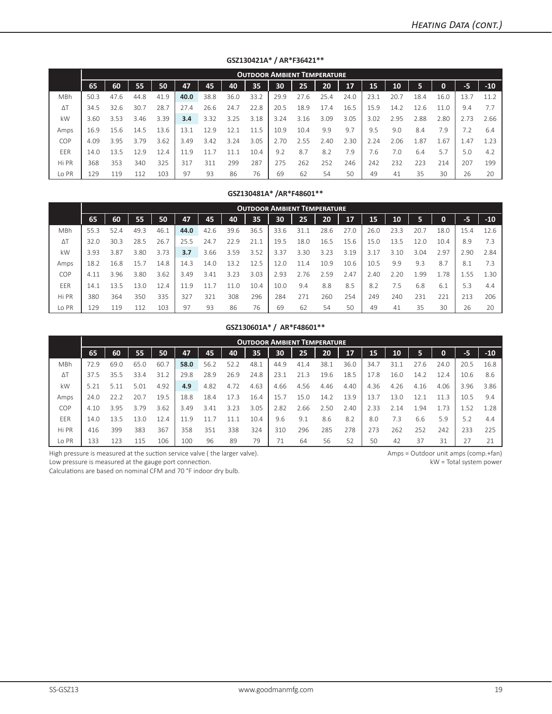|            |      |      |      |      |      |      |      | <b>OUTDOOR AMBIENT TEMPERATURE</b> |      |      |      |      |      |      |      |      |      |       |
|------------|------|------|------|------|------|------|------|------------------------------------|------|------|------|------|------|------|------|------|------|-------|
|            | 65   | 60   | 55   | 50   | 47   | 45   | 40   | 35                                 | 30   | 25   | 20   | 17   | 15   | 10   | 5    | 0    | -5   | $-10$ |
| MBh        | 50.3 | 47.6 | 44.8 | 41.9 | 40.0 | 38.8 | 36.0 | 33.2                               | 29.9 | 27.6 | 25.4 | 24.0 | 23.1 | 20.7 | 18.4 | 16.0 | 13.7 | 11.2  |
| $\Delta T$ | 34.5 | 32.6 | 30.7 | 28.7 | 27.4 | 26.6 | 24.7 | 22.8                               | 20.5 | 18.9 | 17.4 | 16.5 | 15.9 | 14.2 | 12.6 | 1 O  | 9.4  | 7.7   |
| kW         | 3.60 | 3.53 | 3.46 | 3.39 | 3.4  | 3.32 | 3.25 | 3.18                               | 3.24 | 3.16 | 3.09 | 3.05 | 3.02 | 2.95 | 2.88 | 2.80 | 2.73 | 2.66  |
| Amps       | 16.9 | 15.6 | 14.5 | 13.6 | 13.1 | 12.9 | 12.1 | 11.5                               | 10.9 | 10.4 | 9.9  | 9.7  | 9.5  | 9.0  | 8.4  | 7.9  | 7.2  | 6.4   |
| COP        | 4.09 | 3.95 | 3.79 | 3.62 | 3.49 | 3.42 | 3.24 | 3.05                               | 2.70 | 2.55 | 2.40 | 2.30 | 2.24 | 2.06 | .87  | .67  | 1.47 | 1.23  |
| EER        | 14.0 | 13.5 | 12.9 | 12.4 | 11.9 | 11 7 | 11.1 | 10.4                               | 9.2  | 8.7  | 8.2  | 7.9  | 7.6  | 7.0  | 6.4  | 5.7  | 5.0  | 4.2   |
| Hi PR      | 368  | 353  | 340  | 325  | 317  | 311  | 299  | 287                                | 275  | 262  | 252  | 246  | 242  | 232  | 223  | 214  | 207  | 199   |
| Lo PR      | 129  | 119  |      | 103  | 97   | 93   | 86   | 76                                 | 69   | 62   | 54   | 50   | 49   | 41   | 35   | 30   | 26   | 20    |

**GSZ130421A\* / AR\*F36421\*\***

#### **GSZ130481A\* /AR\*F48601\*\***

|            |      |      |      |      |      |      |      |      | <b>OUTDOOR AMBIENT TEMPERATURE</b> |      |      |      |      |      |      |      |      |       |
|------------|------|------|------|------|------|------|------|------|------------------------------------|------|------|------|------|------|------|------|------|-------|
|            | 65   | 60   | 55.  | 50   | 47   | 45   | 40   | 35   | 30                                 | 25   | 20   | 17   | 15   | 10   | ъ.   |      | -5   | $-10$ |
| MBh        | 55.3 | 52.4 | 49.3 | 46.1 | 44.0 | 42.6 | 39.6 | 36.5 | 33.6                               | 31.1 | 28.6 | 27.0 | 26.0 | 23.3 | 20.7 | 18.0 | 15.4 | 12.6  |
| $\Delta T$ | 32.0 | 30.3 | 28.5 | 26.7 | 25.5 | 24.7 | 22.9 | 21.1 | 19.5                               | 18.0 | 16.5 | 15.6 | 15.0 | 13.5 | .2.0 | 10.4 | 8.9  | 7.3   |
| kW         | 3.93 | 3.87 | 3.80 | 3.73 | 3.7  | 3.66 | 3.59 | 3.52 | 3.37                               | 3.30 | 3.23 | 3.19 | 3.17 | 3.10 | 3.04 | 2.97 | 2.90 | 2.84  |
| Amps       | 18.2 | 16.8 | 15.7 | 14.8 | 14.3 | 14.0 | 13.2 | 12.5 | .2.0                               | 11.4 | 10.9 | 10.6 | 10.5 | 9.9  | 9.3  | 8.7  | 8.1  | 7.3   |
| COP        | 4.11 | 3.96 | 3.80 | 3.62 | 3.49 | 3.41 | 3.23 | 3.03 | 2.93                               | 2.76 | 2.59 | 2.47 | 2.40 | 2.20 | 1.99 | 1.78 | 1.55 | 1.30  |
| EER        | 14.1 | 13.5 | 13.0 | 12.4 | 11.9 |      | 11.0 | 10.4 | 10.0                               | 9.4  | 8.8  | 8.5  | 8.2  | 7.5  | 6.8  | 6.1  | 5.3  | 4.4   |
| Hi PR      | 380  | 364  | 350  | 335  | 327  | 321  | 308  | 296  | 284                                | 271  | 260  | 254  | 249  | 240  | 231  | 221  | 213  | 206   |
| Lo PR      | 129  | L19  | 112  | 103  | 97   | 93   | 86   | 76   | 69                                 | 62   | 54   | 50   | 49   | 41   | 35   | 30   | 26   | 20    |

#### **GSZ130601A\* / AR\*F48601\*\***

|            |      |      |      |      |      |      |      | <b>OUTDOOR AMBIENT TEMPERATURE</b> |      |      |      |      |      |      |      |      |      |       |
|------------|------|------|------|------|------|------|------|------------------------------------|------|------|------|------|------|------|------|------|------|-------|
|            | 65   | 60   | 55   | 50   | 47   | 45   | 40   | 35                                 | 30   | 25   | 20   | 17   | 15   | 10   | 5    | 0    | -5   | $-10$ |
| MBh        | 72.9 | 69.0 | 65.0 | 60.7 | 58.0 | 56.2 | 52.2 | 48.1                               | 44.9 | 41.4 | 38.1 | 36.0 | 34.7 | 31.1 | 27.6 | 24.0 | 20.5 | 16.8  |
| $\Delta T$ | 37.5 | 35.5 | 33.4 | 31.2 | 29.8 | 28.9 | 26.9 | 24.8                               | 23.1 | 21.3 | 19.6 | 18.5 | 17.8 | 16.0 | 14.2 | 12.4 | 10.6 | 8.6   |
| kW         | 5.21 |      | 5.01 | 4.92 | 4.9  | 4.82 | 4.72 | 4.63                               | 4.66 | 4.56 | 4.46 | 4.40 | 4.36 | 4.26 | 4.16 | 4.06 | 3.96 | 3.86  |
| Amps       | 24.0 | 22.2 | 20.7 | 19.5 | 18.8 | 18.4 | 17.3 | 16.4                               | 15.7 | 15.0 | 14.2 | 13.9 | 13.7 | 13.0 | 12.1 | 11.3 | 10.5 | 9.4   |
| COP        | 4.10 | 3.95 | 3.79 | 3.62 | 3.49 | 3.41 | 3.23 | 3.05                               | 2.82 | 2.66 | 2.50 | 2.40 | 2.33 | 2.14 | 1.94 | 1.73 | 1.52 | 1.28  |
| EER        | 14.0 | 13.5 | 13.0 | 12.4 | 11.9 | 11.7 | 11.1 | 10.4                               | 9.6  | 9.1  | 8.6  | 8.2  | 8.0  | 7.3  | 6.6  | 5.9  | 5.2  | 4.4   |
| Hi PR      | 416  | 399  | 383  | 367  | 358  | 351  | 338  | 324                                | 310  | 296  | 285  | 278  | 273  | 262  | 252  | 242  | 233  | 225   |
| Lo PR      | 133  | 123  | 115  | 106  | 100  | 96   | 89   | 79                                 |      | 64   | 56   | 52   | 50   | 42   | 37   | 31   |      |       |

High pressure is measured at the suction service valve ( the larger valve).

Low pressure is measured at the gauge port connection.

Calculations are based on nominal CFM and 70 °F indoor dry bulb.

Amps = Outdoor unit amps (comp.+fan)

kW = Total system power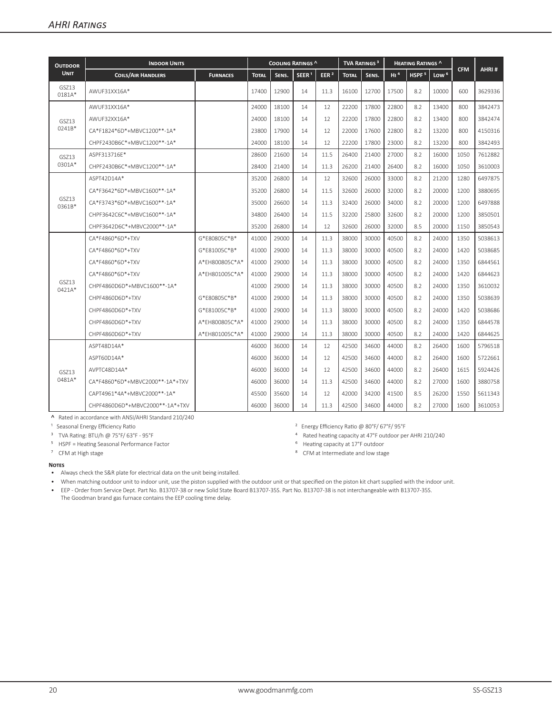| <b>OUTDOOR</b>  | <b>INDOOR UNITS</b>             |                 | COOLING RATINGS ^ |       |                   | <b>TVA RATINGS<sup>3</sup></b> |              | <b>HEATING RATINGS ^</b> |                 |                   |                  |            |         |
|-----------------|---------------------------------|-----------------|-------------------|-------|-------------------|--------------------------------|--------------|--------------------------|-----------------|-------------------|------------------|------------|---------|
| <b>UNIT</b>     | <b>COILS/AIR HANDLERS</b>       | <b>FURNACES</b> | <b>TOTAL</b>      | SENS. | SEER <sup>1</sup> | EER $2$                        | <b>TOTAL</b> | SENS.                    | H1 <sup>4</sup> | HSPF <sup>5</sup> | Low <sup>6</sup> | <b>CFM</b> | AHRI#   |
| GSZ13<br>0181A* | AWUF31XX16A*                    |                 | 17400             | 12900 | 14                | 11.3                           | 16100        | 12700                    | 17500           | 8.2               | 10000            | 600        | 3629336 |
| GS713<br>0241B* | AWUF31XX16A*                    |                 | 24000             | 18100 | 14                | 12                             | 22200        | 17800                    | 22800           | 8.2               | 13400            | 800        | 3842473 |
|                 | AWUF32XX16A*                    |                 | 24000             | 18100 | 14                | 12                             | 22200        | 17800                    | 22800           | 8.2               | 13400            | 800        | 3842474 |
|                 | CA*F1824*6D*+MBVC1200**-1A*     |                 | 23800             | 17900 | 14                | 12                             | 22000        | 17600                    | 22800           | 8.2               | 13200            | 800        | 4150316 |
|                 | CHPF2430B6C*+MBVC1200**-1A*     |                 | 24000             | 18100 | 14                | 12                             | 22200        | 17800                    | 23000           | 8.2               | 13200            | 800        | 3842493 |
| GSZ13<br>0301A* | ASPF313716E*                    |                 | 28600             | 21600 | 14                | 11.5                           | 26400        | 21400                    | 27000           | 8.2               | 16000            | 1050       | 7612882 |
|                 | CHPF2430B6C*+MBVC1200**-1A*     |                 | 28400             | 21400 | 14                | 11.3                           | 26200        | 21400                    | 26400           | 8.2               | 16000            | 1050       | 3610003 |
| GSZ13<br>0361B* | ASPT42D14A*                     |                 | 35200             | 26800 | 14                | 12                             | 32600        | 26000                    | 33000           | 8.2               | 21200            | 1280       | 6497875 |
|                 | CA*F3642*6D*+MBVC1600**-1A*     |                 | 35200             | 26800 | 14                | 11.5                           | 32600        | 26000                    | 32000           | 8.2               | 20000            | 1200       | 3880695 |
|                 | CA*F3743*6D*+MBVC1600**-1A*     |                 | 35000             | 26600 | 14                | 11.3                           | 32400        | 26000                    | 34000           | 8.2               | 20000            | 1200       | 6497888 |
|                 | CHPF3642C6C*+MBVC1600**-1A*     |                 | 34800             | 26400 | 14                | 11.5                           | 32200        | 25800                    | 32600           | 8.2               | 20000            | 1200       | 3850501 |
|                 | CHPF3642D6C*+MBVC2000**-1A*     |                 | 35200             | 26800 | 14                | 12                             | 32600        | 26000                    | 32000           | 8.5               | 20000            | 1150       | 3850543 |
| GSZ13<br>0421A* | CA*F4860*6D*+TXV                | G*E80805C*B*    | 41000             | 29000 | 14                | 11.3                           | 38000        | 30000                    | 40500           | 8.2               | 24000            | 1350       | 5038613 |
|                 | CA*F4860*6D*+TXV                | G*E81005C*B*    | 41000             | 29000 | 14                | 11.3                           | 38000        | 30000                    | 40500           | 8.2               | 24000            | 1420       | 5038685 |
|                 | $CA*F4860*6D*+TXV$              | A*EH800805C*A*  | 41000             | 29000 | 14                | 11.3                           | 38000        | 30000                    | 40500           | 8.2               | 24000            | 1350       | 6844561 |
|                 | $CA*F4860*6D*+TXV$              | A*EH801005C*A*  | 41000             | 29000 | 14                | 11.3                           | 38000        | 30000                    | 40500           | 8.2               | 24000            | 1420       | 6844623 |
|                 | CHPF4860D6D*+MBVC1600**-1A*     |                 | 41000             | 29000 | 14                | 11.3                           | 38000        | 30000                    | 40500           | 8.2               | 24000            | 1350       | 3610032 |
|                 | CHPF4860D6D*+TXV                | G*E80805C*B*    | 41000             | 29000 | 14                | 11.3                           | 38000        | 30000                    | 40500           | 8.2               | 24000            | 1350       | 5038639 |
|                 | CHPF4860D6D*+TXV                | G*E81005C*B*    | 41000             | 29000 | 14                | 11.3                           | 38000        | 30000                    | 40500           | 8.2               | 24000            | 1420       | 5038686 |
|                 | CHPF4860D6D*+TXV                | A*EH800805C*A*  | 41000             | 29000 | 14                | 11.3                           | 38000        | 30000                    | 40500           | 8.2               | 24000            | 1350       | 6844578 |
|                 | CHPF4860D6D*+TXV                | A*EH801005C*A*  | 41000             | 29000 | 14                | 11.3                           | 38000        | 30000                    | 40500           | 8.2               | 24000            | 1420       | 6844625 |
| GS713<br>0481A* | ASPT48D14A*                     |                 | 46000             | 36000 | 14                | 12                             | 42500        | 34600                    | 44000           | 8.2               | 26400            | 1600       | 5796518 |
|                 | ASPT60D14A*                     |                 | 46000             | 36000 | 14                | 12                             | 42500        | 34600                    | 44000           | 8.2               | 26400            | 1600       | 5722661 |
|                 | AVPTC48D14A*                    |                 | 46000             | 36000 | 14                | 12                             | 42500        | 34600                    | 44000           | 8.2               | 26400            | 1615       | 5924426 |
|                 | CA*F4860*6D*+MBVC2000**-1A*+TXV |                 | 46000             | 36000 | 14                | 11.3                           | 42500        | 34600                    | 44000           | 8.2               | 27000            | 1600       | 3880758 |
|                 | CAPT4961*4A*+MBVC2000**-1A*     |                 | 45500             | 35600 | 14                | 12                             | 42000        | 34200                    | 41500           | 8.5               | 26200            | 1550       | 5611343 |
|                 | CHPF4860D6D*+MBVC2000**-1A*+TXV |                 | 46000             | 36000 | 14                | 11.3                           | 42500        | 34600                    | 44000           | 8.2               | 27000            | 1600       | 3610053 |

**˄** Rated in accordance with ANSI/AHRI Standard 210/240

<sup>1</sup> Seasonal Energy Efficiency Ratio

³ TVA Rating: BTU/h @ 75°F/ 63°F - 95°F

⁵ HSPF = Heating Seasonal Performance Factor

⁷ CFM at High stage

² Energy Efficiency Ratio @ 80°F/ 67°F/ 95°F

⁴ Rated heating capacity at 47°F outdoor per AHRI 210/240

- ⁶ Heating capacity at 17°F outdoor
- ⁸ CFM at Intermediate and low stage

#### **Notes**

• Always check the S&R plate for electrical data on the unit being installed.

• When matching outdoor unit to indoor unit, use the piston supplied with the outdoor unit or that specified on the piston kit chart supplied with the indoor unit.

• EEP - Order from Service Dept. Part No. B13707-38 or new Solid State Board B13707-35S. Part No. B13707-38 is not interchangeable with B13707-35S. The Goodman brand gas furnace contains the EEP cooling time delay.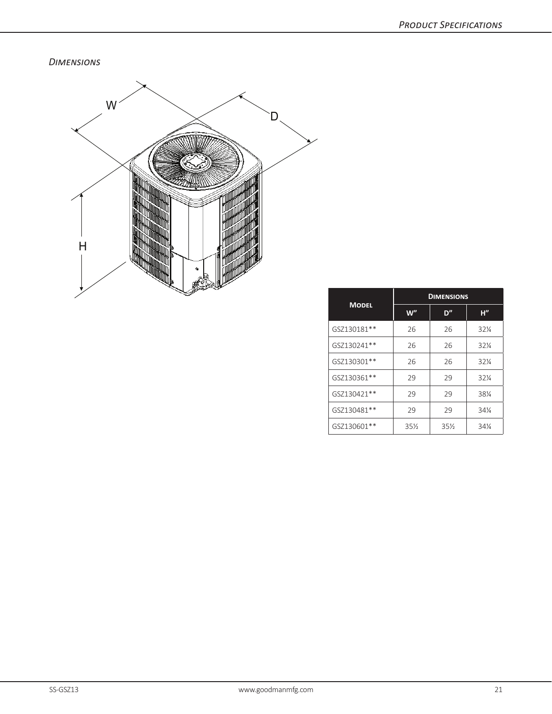*Dimensions*



|              | <b>DIMENSIONS</b> |        |                 |  |  |  |  |  |
|--------------|-------------------|--------|-----------------|--|--|--|--|--|
| <b>MODEL</b> | W"                | D"     | H''             |  |  |  |  |  |
| GSZ130181**  | 26                | 26     | 32%             |  |  |  |  |  |
| GSZ130241**  | 26                | 26     | 321/4           |  |  |  |  |  |
| GSZ130301**  | 26                | 26     | $32\%$          |  |  |  |  |  |
| GSZ130361**  | 29                | 29     | $32\%$          |  |  |  |  |  |
| GSZ130421**  | 29                | 29     | 381/4           |  |  |  |  |  |
| GSZ130481**  | 29                | 29     | 34%             |  |  |  |  |  |
| GSZ130601**  | $35\%$            | $35\%$ | $34\frac{1}{4}$ |  |  |  |  |  |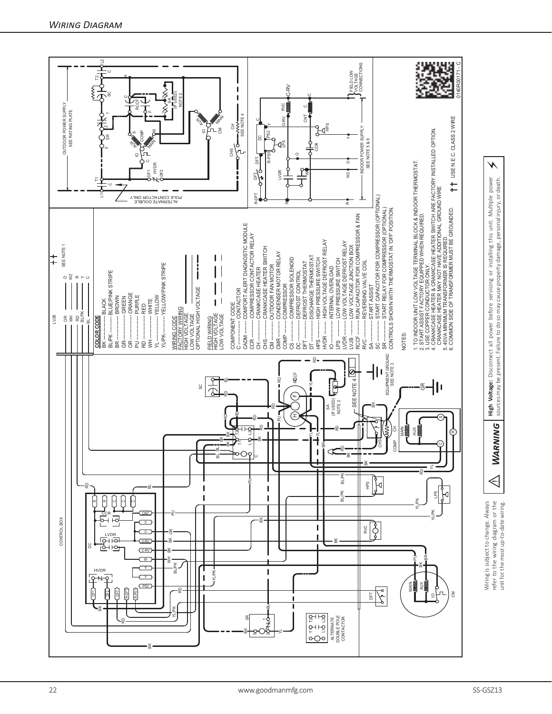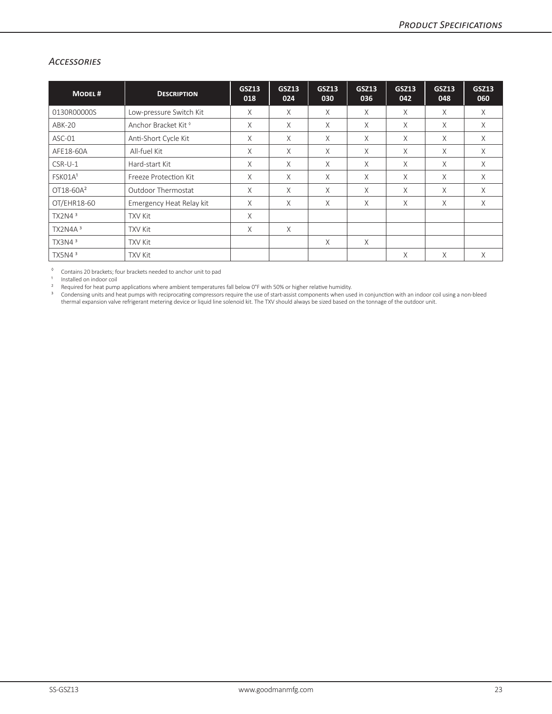### *Accessories*

| <b>MODEL#</b>       | <b>DESCRIPTION</b>              | <b>GSZ13</b><br>018 | <b>GSZ13</b><br>024 | <b>GSZ13</b><br>030 | <b>GSZ13</b><br>036 | <b>GSZ13</b><br>042 | <b>GSZ13</b><br>048 | <b>GSZ13</b><br>060 |
|---------------------|---------------------------------|---------------------|---------------------|---------------------|---------------------|---------------------|---------------------|---------------------|
| 0130R00000S         | Low-pressure Switch Kit         | X                   | X                   | $\times$            | X                   | X                   | X                   | X                   |
| <b>ABK-20</b>       | Anchor Bracket Kit <sup>®</sup> | X                   | X                   | X                   | X                   | $\times$            | X                   | X                   |
| ASC-01              | Anti-Short Cycle Kit            | X                   | X                   | $\times$            | X                   | X                   | X                   | X                   |
| AFE18-60A           | All-fuel Kit                    | X                   | X                   | $\times$            | X                   | X                   | X                   | $\times$            |
| $CSR-U-1$           | Hard-start Kit                  | X                   | X                   | X                   | X                   | X                   | X                   | $\times$            |
| FSK01A <sup>1</sup> | Freeze Protection Kit           | $\chi$              | X                   | $\times$            | X                   | $\times$            | X                   | X                   |
| $OT18-60A^2$        | Outdoor Thermostat              | X                   | X                   | $\times$            | X                   | X                   | X                   | X                   |
| OT/EHR18-60         | Emergency Heat Relay kit        | X                   | X                   | $\times$            | X                   | X                   | X                   | X                   |
| TX2N4 <sup>3</sup>  | <b>TXV Kit</b>                  | $\times$            |                     |                     |                     |                     |                     |                     |
| TX2N4A <sup>3</sup> | <b>TXV Kit</b>                  | X                   | X                   |                     |                     |                     |                     |                     |
| TX3N4 <sup>3</sup>  | <b>TXV Kit</b>                  |                     |                     | $\times$            | X                   |                     |                     |                     |
| TX5N4 <sup>3</sup>  | <b>TXV Kit</b>                  |                     |                     |                     |                     | X                   | X                   | X                   |

◊ Contains 20 brackets; four brackets needed to anchor unit to pad

1 Installed on indoor coil<br>  $\frac{1}{2}$  Required for heat numi

Required for heat pump applications where ambient temperatures fall below 0°F with 50% or higher relative humidity.

<sup>3</sup> Condensing units and heat pumps with reciprocating compressors require the use of start-assist components when used in conjunction with an indoor coil using a non-bleed thermal expansion valve refrigerant metering device or liquid line solenoid kit. The TXV should always be sized based on the tonnage of the outdoor unit.